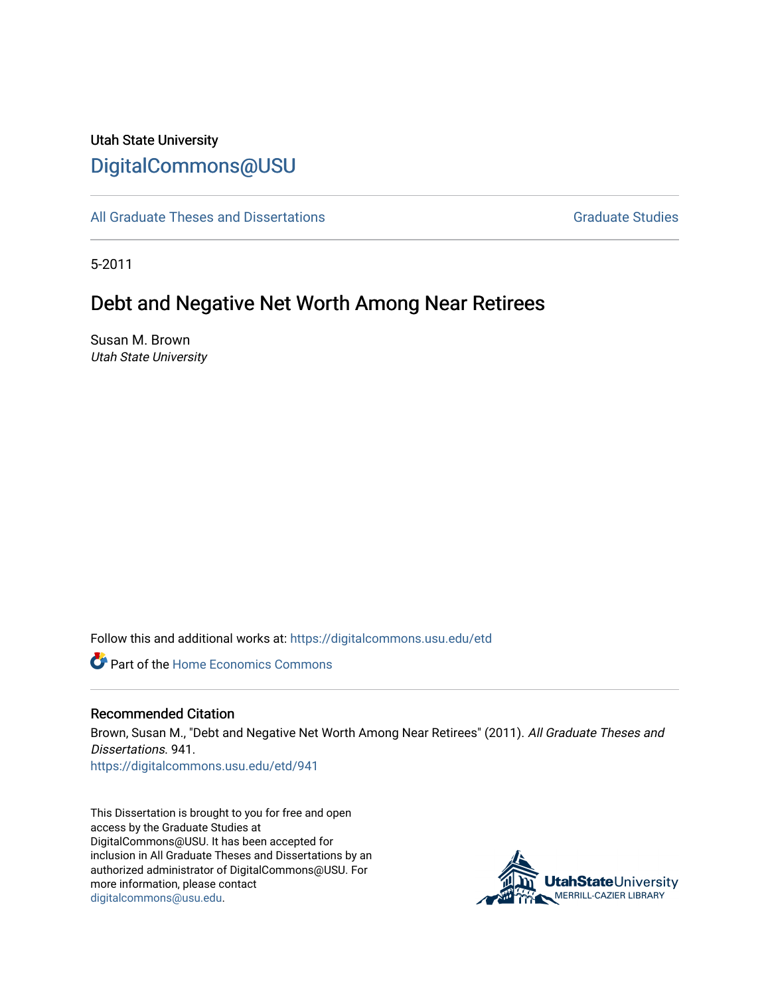# Utah State University [DigitalCommons@USU](https://digitalcommons.usu.edu/)

[All Graduate Theses and Dissertations](https://digitalcommons.usu.edu/etd) [Graduate Studies](https://digitalcommons.usu.edu/gradstudies) Graduate Studies

5-2011

# Debt and Negative Net Worth Among Near Retirees

Susan M. Brown Utah State University

Follow this and additional works at: [https://digitalcommons.usu.edu/etd](https://digitalcommons.usu.edu/etd?utm_source=digitalcommons.usu.edu%2Fetd%2F941&utm_medium=PDF&utm_campaign=PDFCoverPages) 

**C** Part of the Home Economics Commons

# Recommended Citation

Brown, Susan M., "Debt and Negative Net Worth Among Near Retirees" (2011). All Graduate Theses and Dissertations. 941. [https://digitalcommons.usu.edu/etd/941](https://digitalcommons.usu.edu/etd/941?utm_source=digitalcommons.usu.edu%2Fetd%2F941&utm_medium=PDF&utm_campaign=PDFCoverPages) 

This Dissertation is brought to you for free and open access by the Graduate Studies at DigitalCommons@USU. It has been accepted for inclusion in All Graduate Theses and Dissertations by an authorized administrator of DigitalCommons@USU. For more information, please contact [digitalcommons@usu.edu.](mailto:digitalcommons@usu.edu)

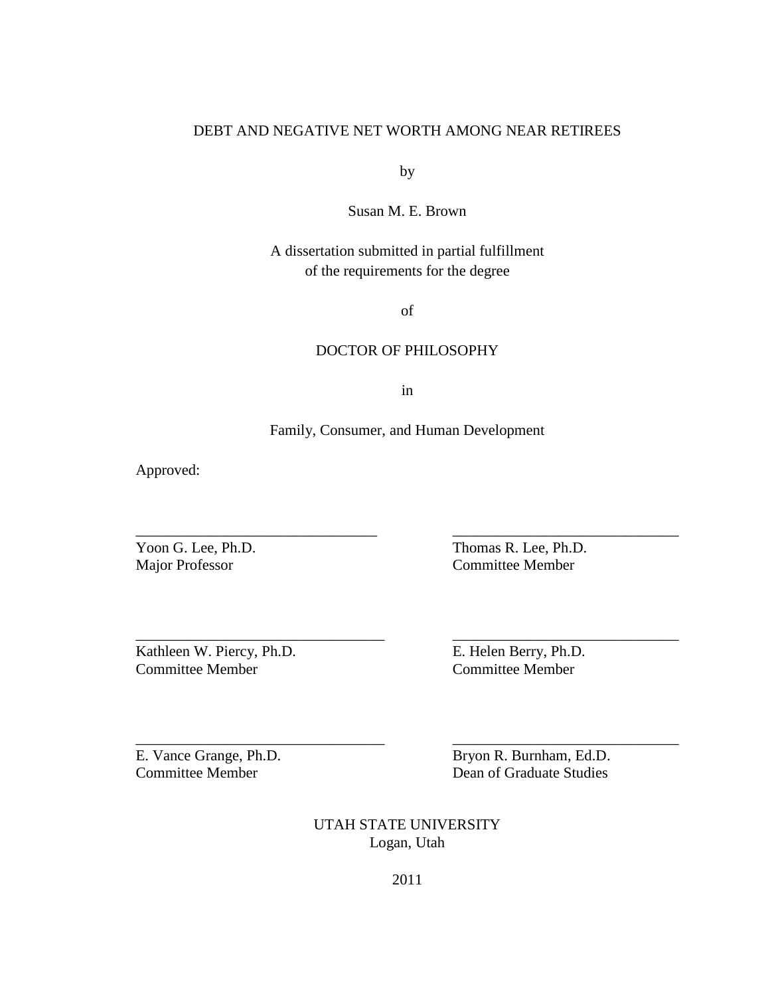# DEBT AND NEGATIVE NET WORTH AMONG NEAR RETIREES

by

Susan M. E. Brown

# A dissertation submitted in partial fulfillment of the requirements for the degree

of

# DOCTOR OF PHILOSOPHY

in

# Family, Consumer, and Human Development

\_\_\_\_\_\_\_\_\_\_\_\_\_\_\_\_\_\_\_\_\_\_\_\_\_\_\_\_\_\_\_\_ \_\_\_\_\_\_\_\_\_\_\_\_\_\_\_\_\_\_\_\_\_\_\_\_\_\_\_\_\_\_

\_\_\_\_\_\_\_\_\_\_\_\_\_\_\_\_\_\_\_\_\_\_\_\_\_\_\_\_\_\_\_\_\_ \_\_\_\_\_\_\_\_\_\_\_\_\_\_\_\_\_\_\_\_\_\_\_\_\_\_\_\_\_\_

Approved:

Yoon G. Lee, Ph.D. Thomas R. Lee, Ph.D. Major Professor Committee Member

Kathleen W. Piercy, Ph.D. E. Helen Berry, Ph.D. Committee Member Committee Member

E. Vance Grange, Ph.D. Bryon R. Burnham, Ed.D. Committee Member Dean of Graduate Studies

> UTAH STATE UNIVERSITY Logan, Utah

\_\_\_\_\_\_\_\_\_\_\_\_\_\_\_\_\_\_\_\_\_\_\_\_\_\_\_\_\_\_\_\_\_ \_\_\_\_\_\_\_\_\_\_\_\_\_\_\_\_\_\_\_\_\_\_\_\_\_\_\_\_\_\_

2011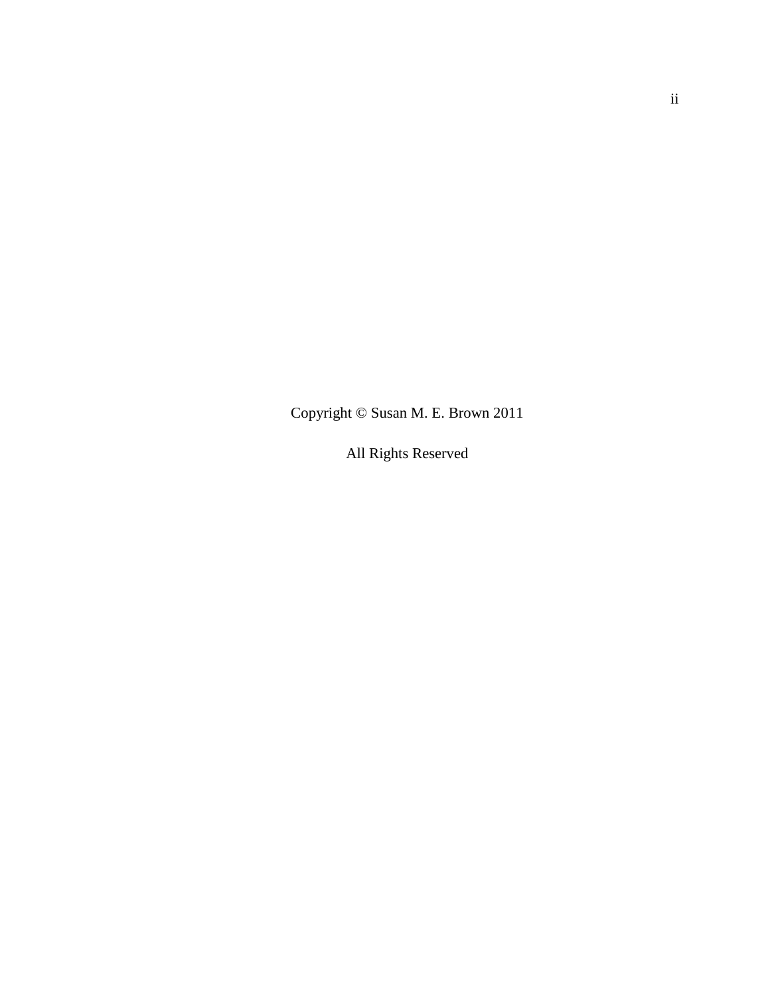Copyright © Susan M. E. Brown 2011

All Rights Reserved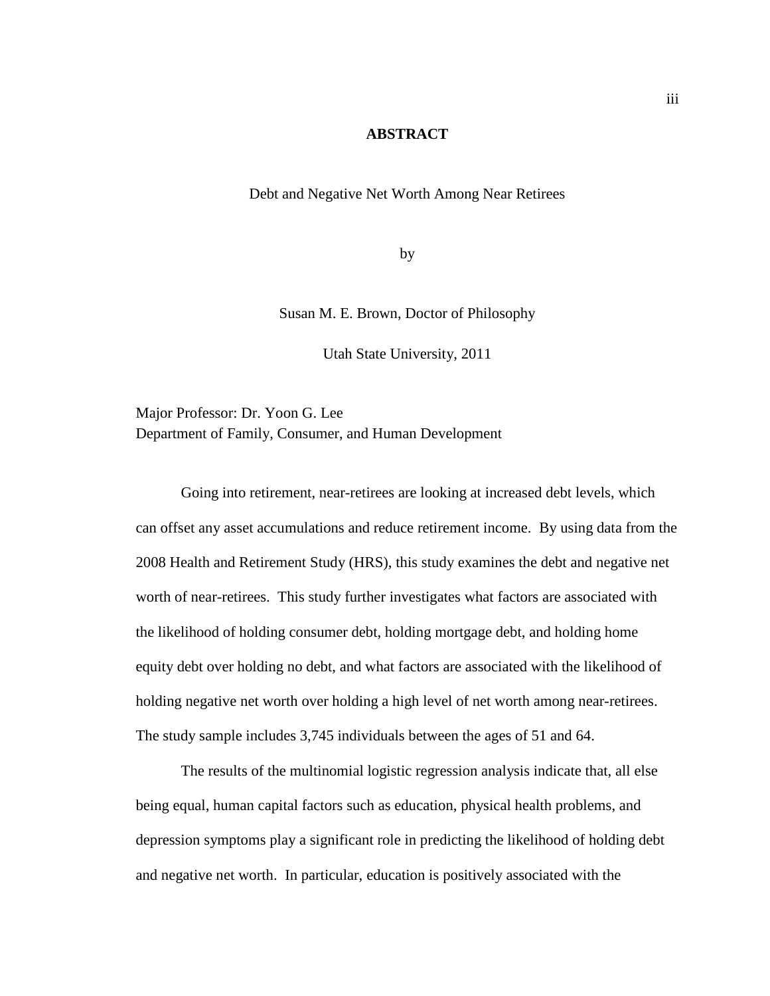# **ABSTRACT**

Debt and Negative Net Worth Among Near Retirees

by

Susan M. E. Brown, Doctor of Philosophy

Utah State University, 2011

Major Professor: Dr. Yoon G. Lee Department of Family, Consumer, and Human Development

Going into retirement, near-retirees are looking at increased debt levels, which can offset any asset accumulations and reduce retirement income. By using data from the 2008 Health and Retirement Study (HRS), this study examines the debt and negative net worth of near-retirees. This study further investigates what factors are associated with the likelihood of holding consumer debt, holding mortgage debt, and holding home equity debt over holding no debt, and what factors are associated with the likelihood of holding negative net worth over holding a high level of net worth among near-retirees. The study sample includes 3,745 individuals between the ages of 51 and 64.

 The results of the multinomial logistic regression analysis indicate that, all else being equal, human capital factors such as education, physical health problems, and depression symptoms play a significant role in predicting the likelihood of holding debt and negative net worth. In particular, education is positively associated with the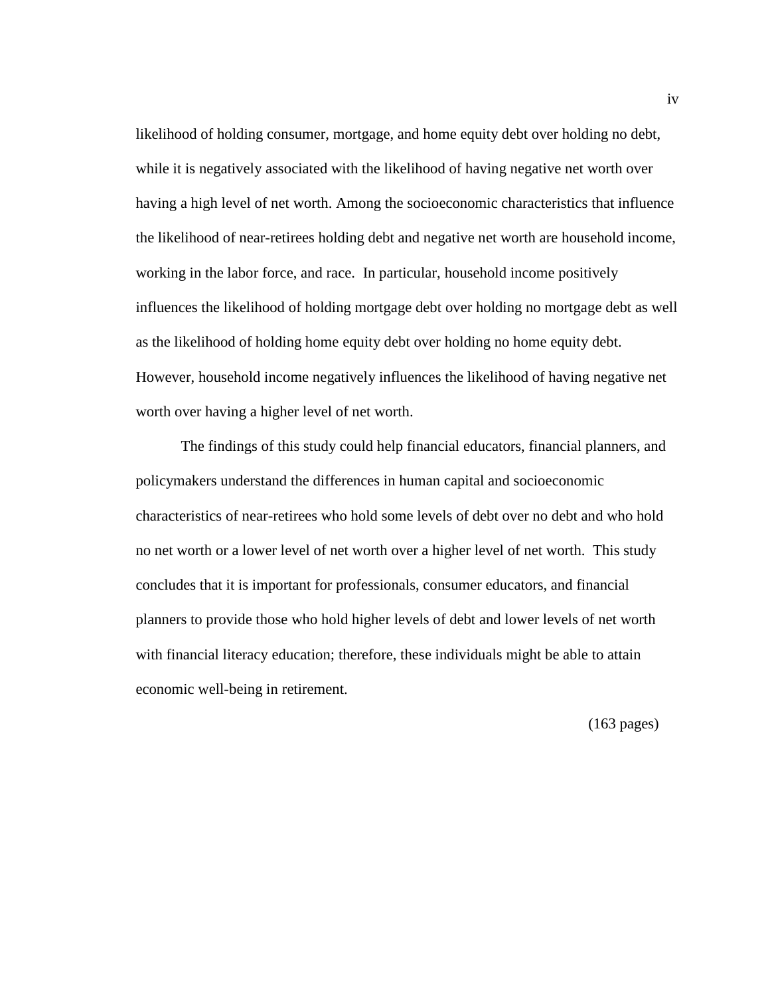likelihood of holding consumer, mortgage, and home equity debt over holding no debt, while it is negatively associated with the likelihood of having negative net worth over having a high level of net worth. Among the socioeconomic characteristics that influence the likelihood of near-retirees holding debt and negative net worth are household income, working in the labor force, and race. In particular, household income positively influences the likelihood of holding mortgage debt over holding no mortgage debt as well as the likelihood of holding home equity debt over holding no home equity debt. However, household income negatively influences the likelihood of having negative net worth over having a higher level of net worth.

The findings of this study could help financial educators, financial planners, and policymakers understand the differences in human capital and socioeconomic characteristics of near-retirees who hold some levels of debt over no debt and who hold no net worth or a lower level of net worth over a higher level of net worth. This study concludes that it is important for professionals, consumer educators, and financial planners to provide those who hold higher levels of debt and lower levels of net worth with financial literacy education; therefore, these individuals might be able to attain economic well-being in retirement.

(163 pages)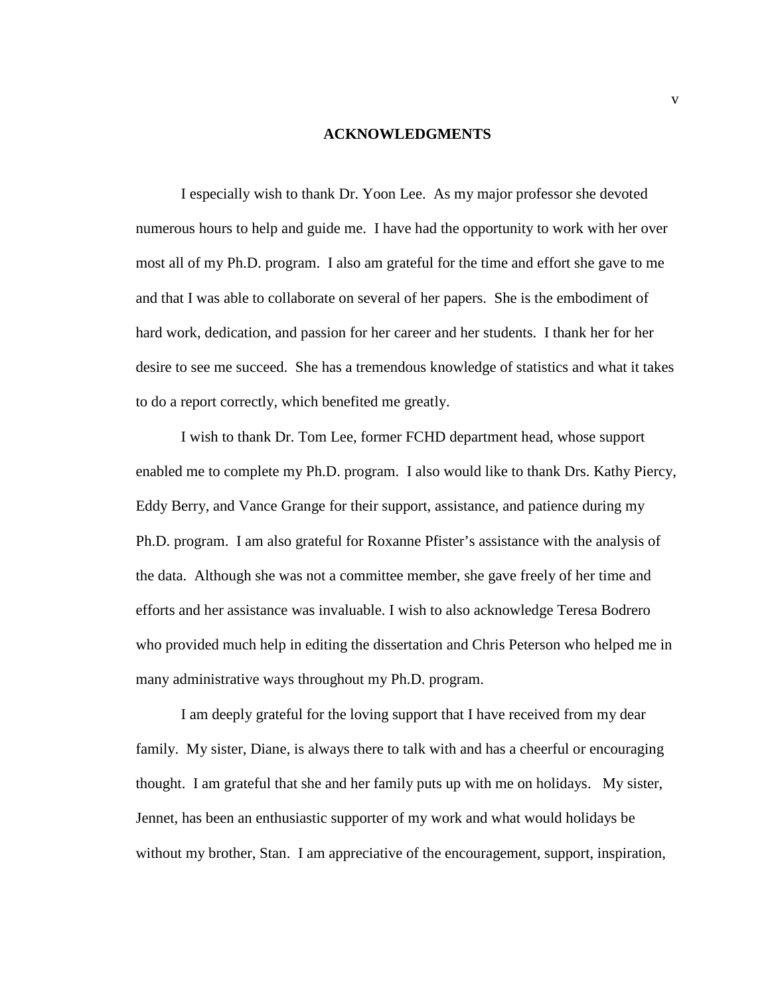#### **ACKNOWLEDGMENTS**

 I especially wish to thank Dr. Yoon Lee. As my major professor she devoted numerous hours to help and guide me. I have had the opportunity to work with her over most all of my Ph.D. program. I also am grateful for the time and effort she gave to me and that I was able to collaborate on several of her papers. She is the embodiment of hard work, dedication, and passion for her career and her students. I thank her for her desire to see me succeed. She has a tremendous knowledge of statistics and what it takes to do a report correctly, which benefited me greatly.

 I wish to thank Dr. Tom Lee, former FCHD department head, whose support enabled me to complete my Ph.D. program. I also would like to thank Drs. Kathy Piercy, Eddy Berry, and Vance Grange for their support, assistance, and patience during my Ph.D. program. I am also grateful for Roxanne Pfister's assistance with the analysis of the data. Although she was not a committee member, she gave freely of her time and efforts and her assistance was invaluable. I wish to also acknowledge Teresa Bodrero who provided much help in editing the dissertation and Chris Peterson who helped me in many administrative ways throughout my Ph.D. program.

 I am deeply grateful for the loving support that I have received from my dear family. My sister, Diane, is always there to talk with and has a cheerful or encouraging thought. I am grateful that she and her family puts up with me on holidays. My sister, Jennet, has been an enthusiastic supporter of my work and what would holidays be without my brother, Stan. I am appreciative of the encouragement, support, inspiration,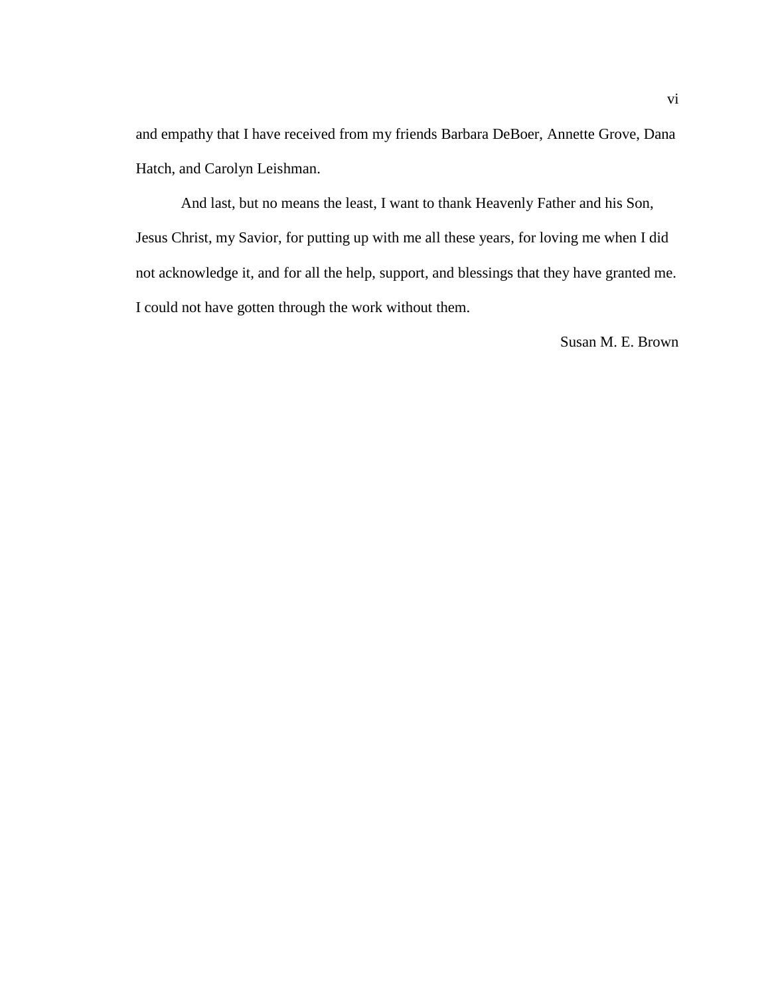and empathy that I have received from my friends Barbara DeBoer, Annette Grove, Dana Hatch, and Carolyn Leishman.

 And last, but no means the least, I want to thank Heavenly Father and his Son, Jesus Christ, my Savior, for putting up with me all these years, for loving me when I did not acknowledge it, and for all the help, support, and blessings that they have granted me. I could not have gotten through the work without them.

Susan M. E. Brown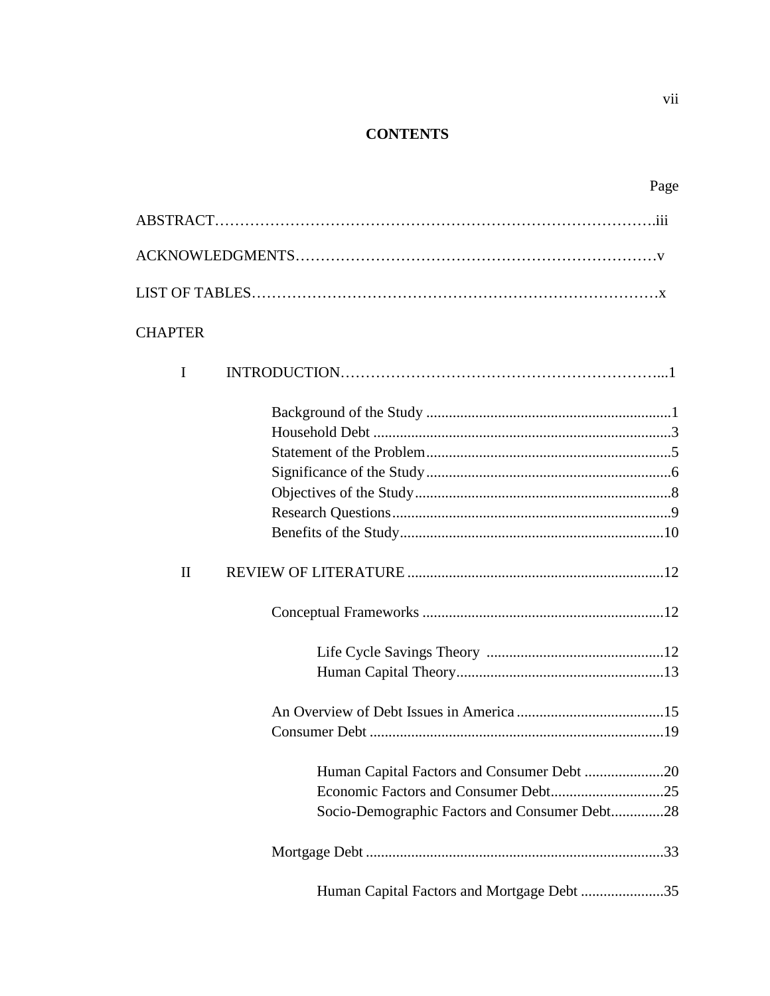# **CONTENTS**

| <b>CHAPTER</b> |                                               |
|----------------|-----------------------------------------------|
| I              |                                               |
|                |                                               |
|                |                                               |
|                |                                               |
|                |                                               |
|                |                                               |
|                |                                               |
|                |                                               |
| $\mathbf{I}$   |                                               |
|                |                                               |
|                |                                               |
|                |                                               |
|                |                                               |
|                |                                               |
|                |                                               |
|                |                                               |
|                | Socio-Demographic Factors and Consumer Debt28 |
|                |                                               |
|                | Human Capital Factors and Mortgage Debt 35    |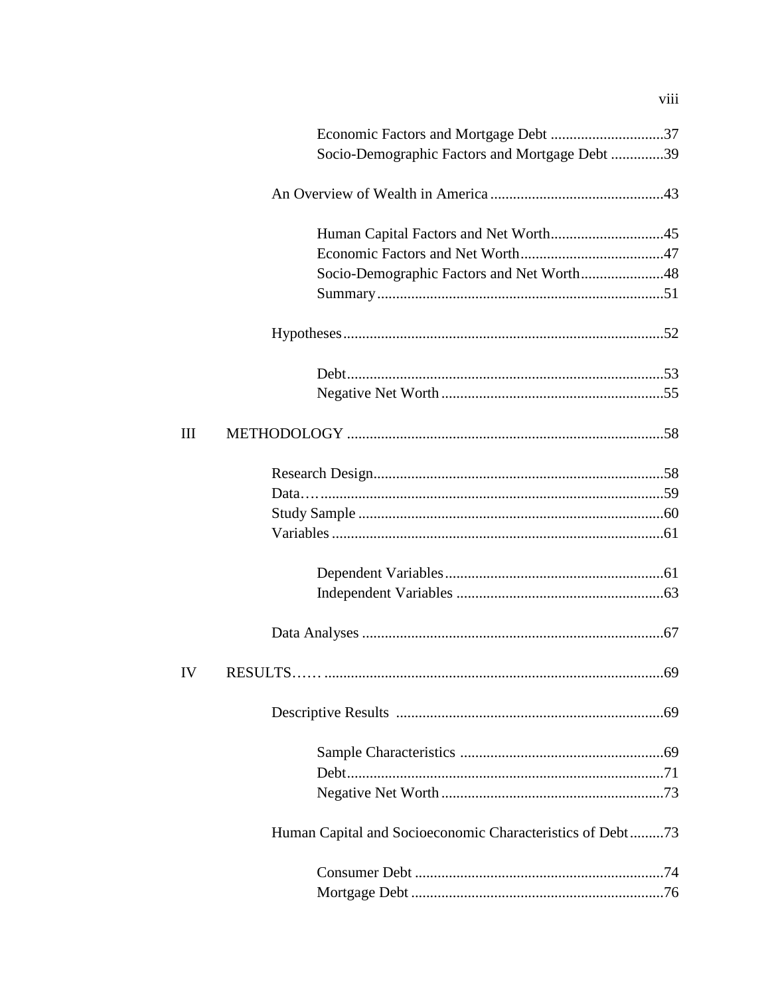|    | Economic Factors and Mortgage Debt 37                     |  |
|----|-----------------------------------------------------------|--|
|    | Socio-Demographic Factors and Mortgage Debt 39            |  |
|    |                                                           |  |
|    |                                                           |  |
|    |                                                           |  |
|    | Socio-Demographic Factors and Net Worth48                 |  |
|    |                                                           |  |
|    |                                                           |  |
|    |                                                           |  |
|    |                                                           |  |
| Ш  |                                                           |  |
|    |                                                           |  |
|    |                                                           |  |
|    |                                                           |  |
|    |                                                           |  |
|    |                                                           |  |
|    |                                                           |  |
|    |                                                           |  |
| IV |                                                           |  |
|    |                                                           |  |
|    |                                                           |  |
|    |                                                           |  |
|    |                                                           |  |
|    | Human Capital and Socioeconomic Characteristics of Debt73 |  |
|    |                                                           |  |
|    |                                                           |  |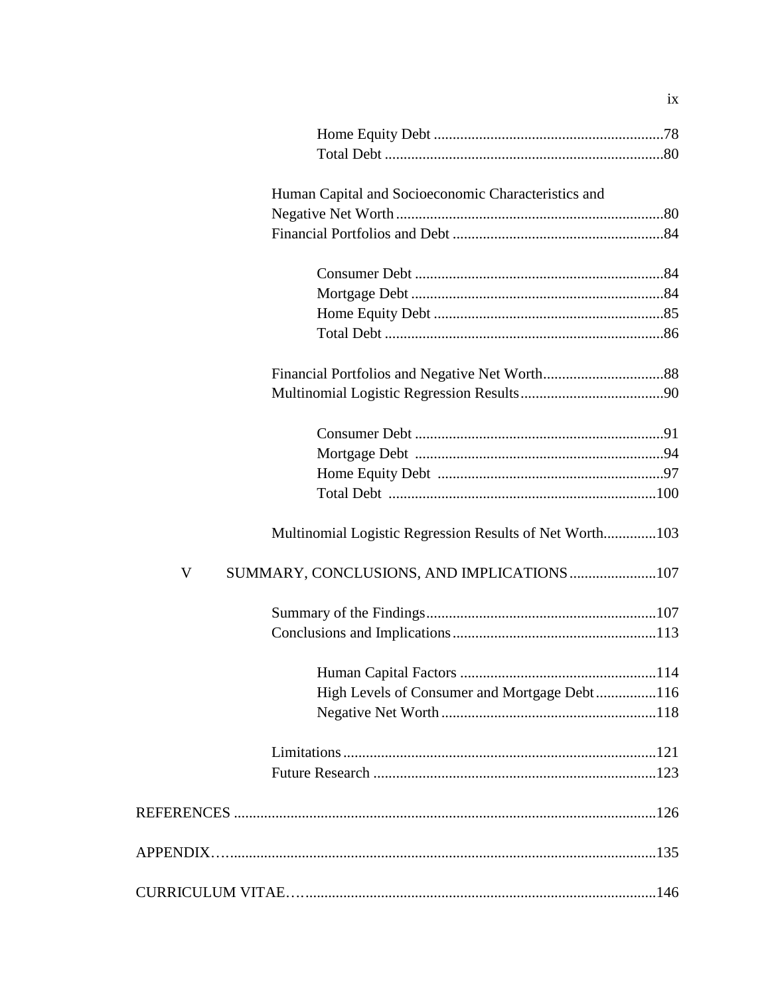| Human Capital and Socioeconomic Characteristics and     |  |
|---------------------------------------------------------|--|
|                                                         |  |
|                                                         |  |
|                                                         |  |
|                                                         |  |
|                                                         |  |
|                                                         |  |
|                                                         |  |
|                                                         |  |
|                                                         |  |
|                                                         |  |
|                                                         |  |
|                                                         |  |
| Multinomial Logistic Regression Results of Net Worth103 |  |
| SUMMARY, CONCLUSIONS, AND IMPLICATIONS 107<br>V         |  |
|                                                         |  |
|                                                         |  |
|                                                         |  |
| High Levels of Consumer and Mortgage Debt116            |  |
|                                                         |  |
|                                                         |  |
|                                                         |  |
|                                                         |  |
|                                                         |  |
|                                                         |  |
|                                                         |  |

 $i\mathbf{x}$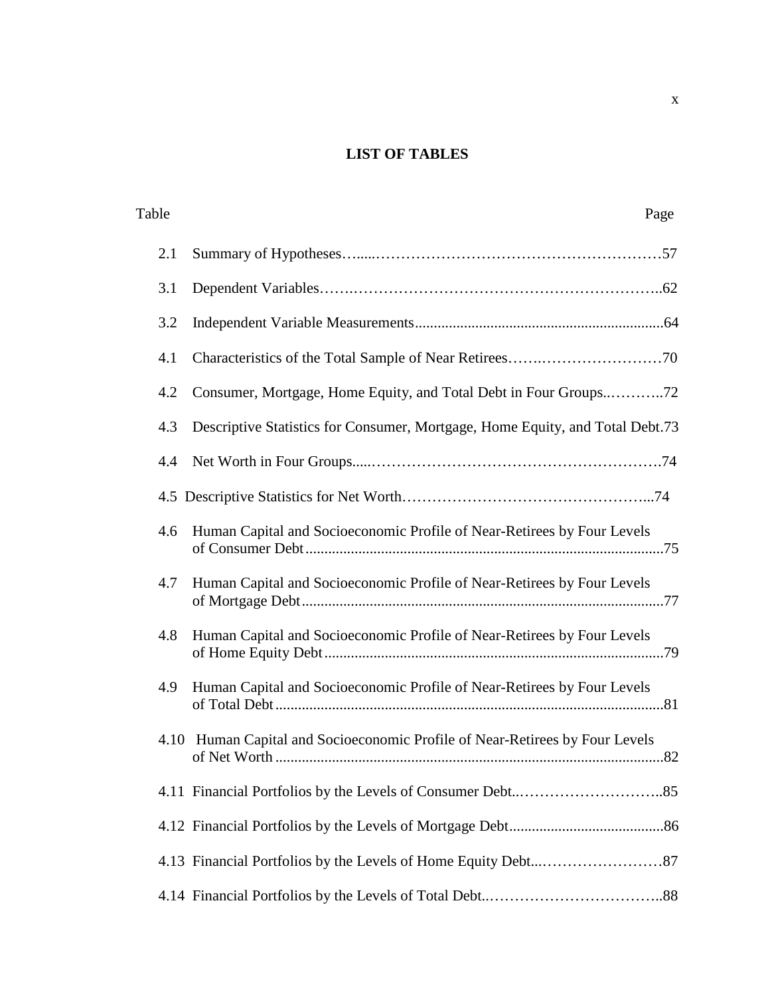# **LIST OF TABLES**

| Table | Page                                                                          |
|-------|-------------------------------------------------------------------------------|
| 2.1   |                                                                               |
| 3.1   |                                                                               |
| 3.2   |                                                                               |
| 4.1   |                                                                               |
| 4.2   | Consumer, Mortgage, Home Equity, and Total Debt in Four Groups72              |
| 4.3   | Descriptive Statistics for Consumer, Mortgage, Home Equity, and Total Debt.73 |
| 4.4   |                                                                               |
|       |                                                                               |
| 4.6   | Human Capital and Socioeconomic Profile of Near-Retirees by Four Levels       |
| 4.7   | Human Capital and Socioeconomic Profile of Near-Retirees by Four Levels       |
| 4.8   | Human Capital and Socioeconomic Profile of Near-Retirees by Four Levels       |
| 4.9   | Human Capital and Socioeconomic Profile of Near-Retirees by Four Levels       |
|       | 4.10 Human Capital and Socioeconomic Profile of Near-Retirees by Four Levels  |
|       |                                                                               |
|       |                                                                               |
|       |                                                                               |
|       |                                                                               |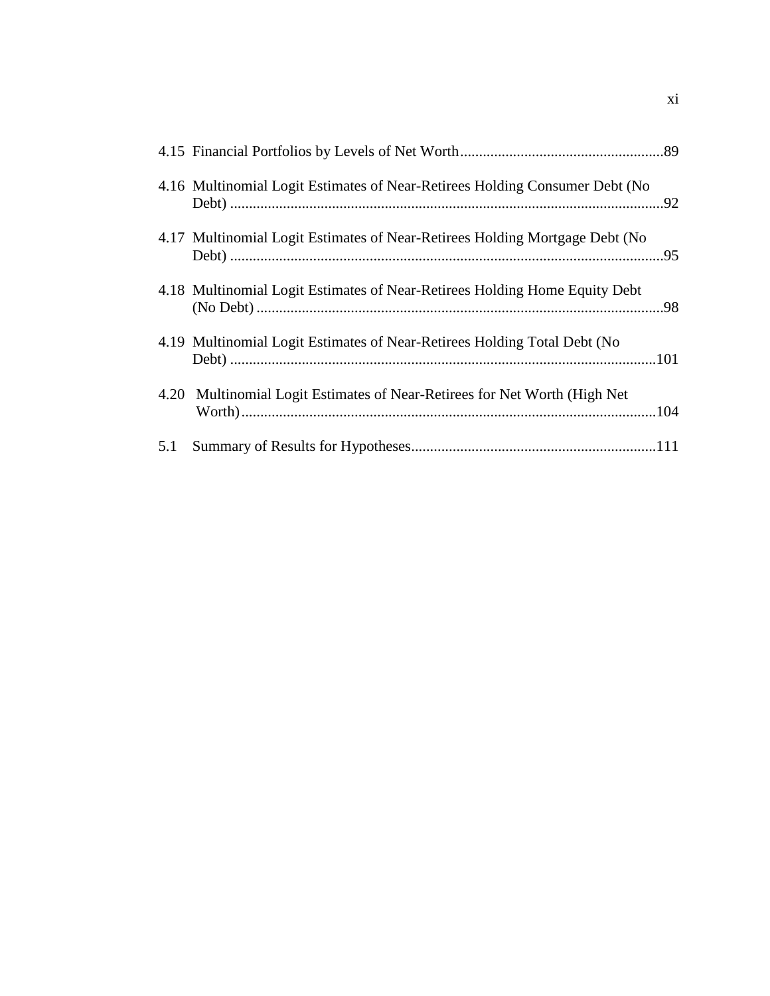| 4.16 Multinomial Logit Estimates of Near-Retirees Holding Consumer Debt (No |  |
|-----------------------------------------------------------------------------|--|
| 4.17 Multinomial Logit Estimates of Near-Retirees Holding Mortgage Debt (No |  |
| 4.18 Multinomial Logit Estimates of Near-Retirees Holding Home Equity Debt  |  |
| 4.19 Multinomial Logit Estimates of Near-Retirees Holding Total Debt (No    |  |
| 4.20 Multinomial Logit Estimates of Near-Retirees for Net Worth (High Net)  |  |
|                                                                             |  |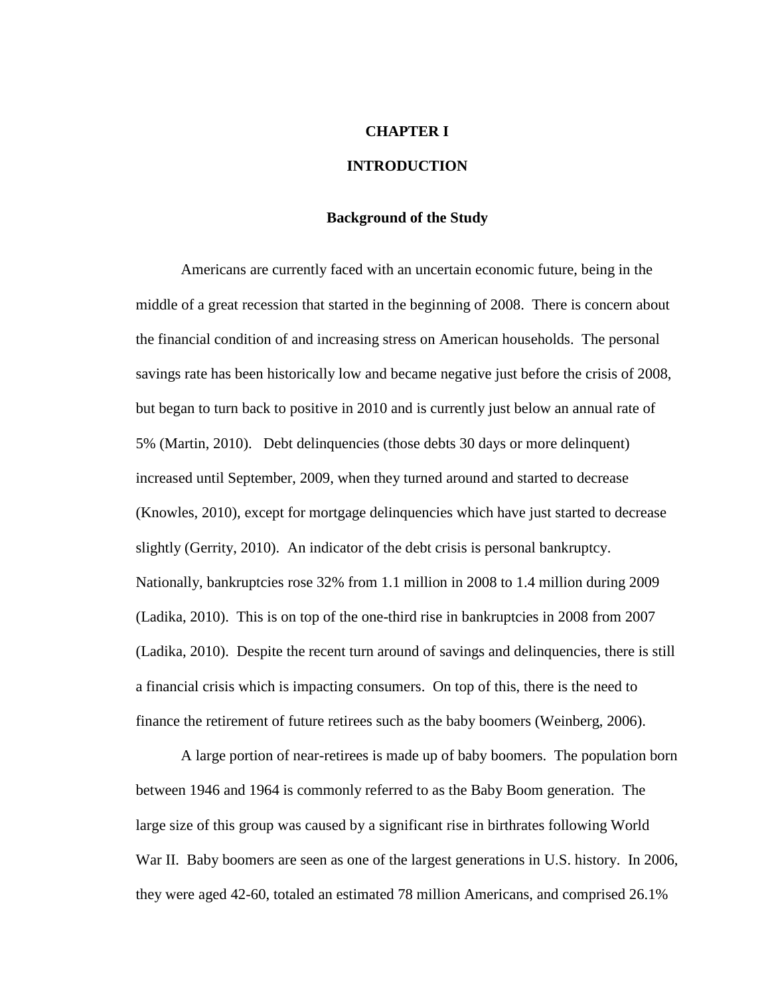#### **CHAPTER I**

# **INTRODUCTION**

## **Background of the Study**

 Americans are currently faced with an uncertain economic future, being in the middle of a great recession that started in the beginning of 2008. There is concern about the financial condition of and increasing stress on American households. The personal savings rate has been historically low and became negative just before the crisis of 2008, but began to turn back to positive in 2010 and is currently just below an annual rate of 5% (Martin, 2010). Debt delinquencies (those debts 30 days or more delinquent) increased until September, 2009, when they turned around and started to decrease (Knowles, 2010), except for mortgage delinquencies which have just started to decrease slightly (Gerrity, 2010). An indicator of the debt crisis is personal bankruptcy. Nationally, bankruptcies rose 32% from 1.1 million in 2008 to 1.4 million during 2009 (Ladika, 2010). This is on top of the one-third rise in bankruptcies in 2008 from 2007 (Ladika, 2010). Despite the recent turn around of savings and delinquencies, there is still a financial crisis which is impacting consumers. On top of this, there is the need to finance the retirement of future retirees such as the baby boomers (Weinberg, 2006).

A large portion of near-retirees is made up of baby boomers. The population born between 1946 and 1964 is commonly referred to as the Baby Boom generation. The large size of this group was caused by a significant rise in birthrates following World War II. Baby boomers are seen as one of the largest generations in U.S. history. In 2006, they were aged 42-60, totaled an estimated 78 million Americans, and comprised 26.1%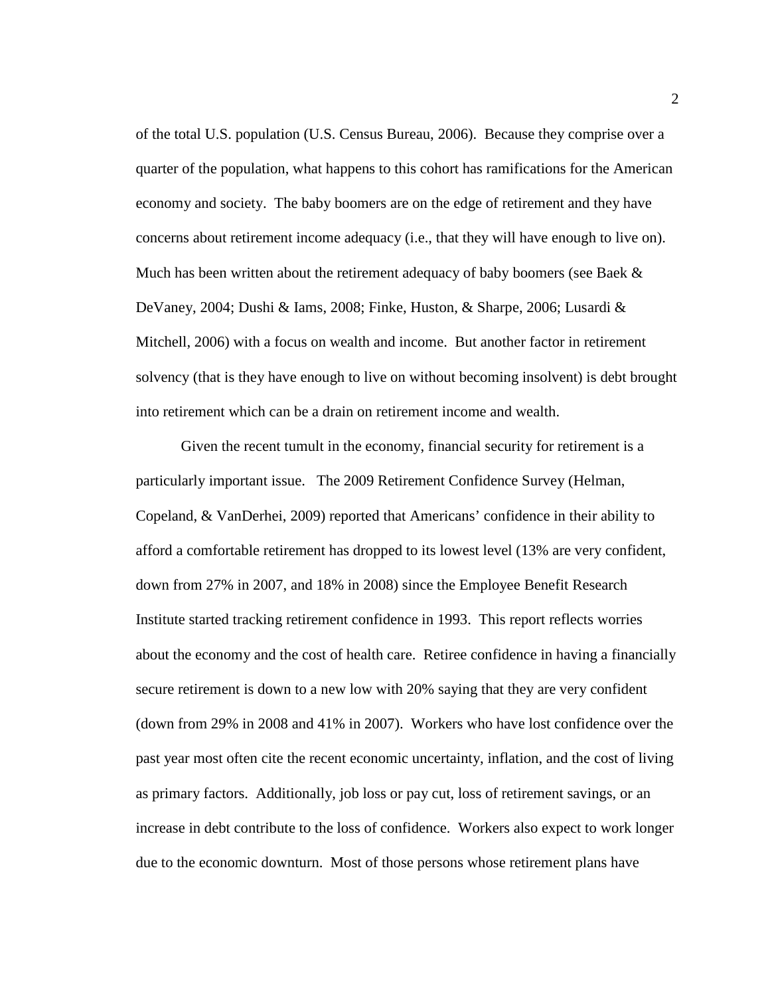of the total U.S. population (U.S. Census Bureau, 2006). Because they comprise over a quarter of the population, what happens to this cohort has ramifications for the American economy and society. The baby boomers are on the edge of retirement and they have concerns about retirement income adequacy (i.e., that they will have enough to live on). Much has been written about the retirement adequacy of baby boomers (see Baek  $\&$ DeVaney, 2004; Dushi & Iams, 2008; Finke, Huston, & Sharpe, 2006; Lusardi & Mitchell, 2006) with a focus on wealth and income. But another factor in retirement solvency (that is they have enough to live on without becoming insolvent) is debt brought into retirement which can be a drain on retirement income and wealth.

 Given the recent tumult in the economy, financial security for retirement is a particularly important issue. The 2009 Retirement Confidence Survey (Helman, Copeland, & VanDerhei, 2009) reported that Americans' confidence in their ability to afford a comfortable retirement has dropped to its lowest level (13% are very confident, down from 27% in 2007, and 18% in 2008) since the Employee Benefit Research Institute started tracking retirement confidence in 1993. This report reflects worries about the economy and the cost of health care. Retiree confidence in having a financially secure retirement is down to a new low with 20% saying that they are very confident (down from 29% in 2008 and 41% in 2007). Workers who have lost confidence over the past year most often cite the recent economic uncertainty, inflation, and the cost of living as primary factors. Additionally, job loss or pay cut, loss of retirement savings, or an increase in debt contribute to the loss of confidence. Workers also expect to work longer due to the economic downturn. Most of those persons whose retirement plans have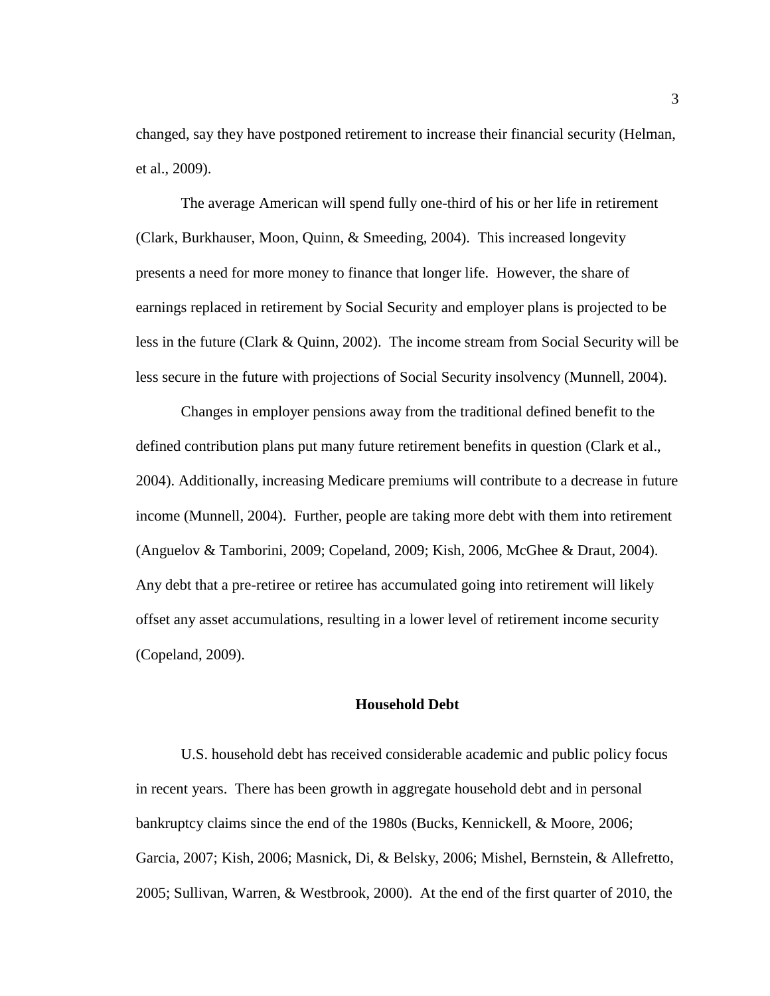changed, say they have postponed retirement to increase their financial security (Helman, et al., 2009).

 The average American will spend fully one-third of his or her life in retirement (Clark, Burkhauser, Moon, Quinn, & Smeeding, 2004). This increased longevity presents a need for more money to finance that longer life. However, the share of earnings replaced in retirement by Social Security and employer plans is projected to be less in the future (Clark & Quinn, 2002). The income stream from Social Security will be less secure in the future with projections of Social Security insolvency (Munnell, 2004).

 Changes in employer pensions away from the traditional defined benefit to the defined contribution plans put many future retirement benefits in question (Clark et al., 2004). Additionally, increasing Medicare premiums will contribute to a decrease in future income (Munnell, 2004). Further, people are taking more debt with them into retirement (Anguelov & Tamborini, 2009; Copeland, 2009; Kish, 2006, McGhee & Draut, 2004). Any debt that a pre-retiree or retiree has accumulated going into retirement will likely offset any asset accumulations, resulting in a lower level of retirement income security (Copeland, 2009).

#### **Household Debt**

 U.S. household debt has received considerable academic and public policy focus in recent years. There has been growth in aggregate household debt and in personal bankruptcy claims since the end of the 1980s (Bucks, Kennickell, & Moore, 2006; Garcia, 2007; Kish, 2006; Masnick, Di, & Belsky, 2006; Mishel, Bernstein, & Allefretto, 2005; Sullivan, Warren, & Westbrook, 2000). At the end of the first quarter of 2010, the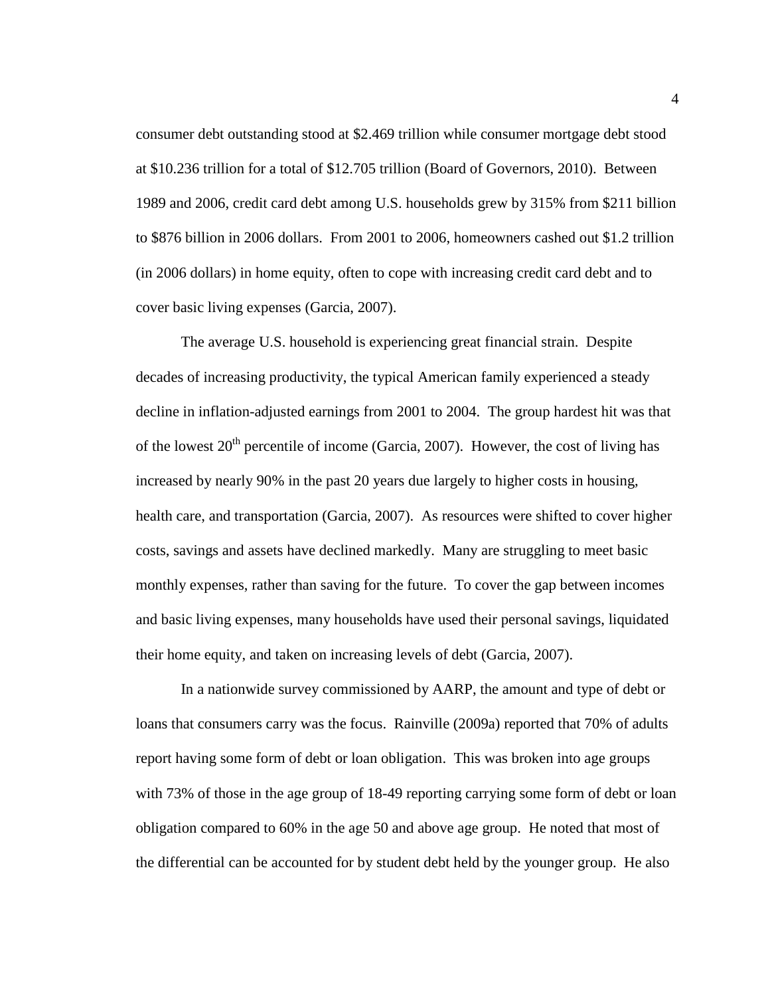consumer debt outstanding stood at \$2.469 trillion while consumer mortgage debt stood at \$10.236 trillion for a total of \$12.705 trillion (Board of Governors, 2010). Between 1989 and 2006, credit card debt among U.S. households grew by 315% from \$211 billion to \$876 billion in 2006 dollars. From 2001 to 2006, homeowners cashed out \$1.2 trillion (in 2006 dollars) in home equity, often to cope with increasing credit card debt and to cover basic living expenses (Garcia, 2007).

 The average U.S. household is experiencing great financial strain. Despite decades of increasing productivity, the typical American family experienced a steady decline in inflation-adjusted earnings from 2001 to 2004. The group hardest hit was that of the lowest  $20<sup>th</sup>$  percentile of income (Garcia, 2007). However, the cost of living has increased by nearly 90% in the past 20 years due largely to higher costs in housing, health care, and transportation (Garcia, 2007). As resources were shifted to cover higher costs, savings and assets have declined markedly. Many are struggling to meet basic monthly expenses, rather than saving for the future. To cover the gap between incomes and basic living expenses, many households have used their personal savings, liquidated their home equity, and taken on increasing levels of debt (Garcia, 2007).

 In a nationwide survey commissioned by AARP, the amount and type of debt or loans that consumers carry was the focus. Rainville (2009a) reported that 70% of adults report having some form of debt or loan obligation. This was broken into age groups with 73% of those in the age group of 18-49 reporting carrying some form of debt or loan obligation compared to 60% in the age 50 and above age group. He noted that most of the differential can be accounted for by student debt held by the younger group. He also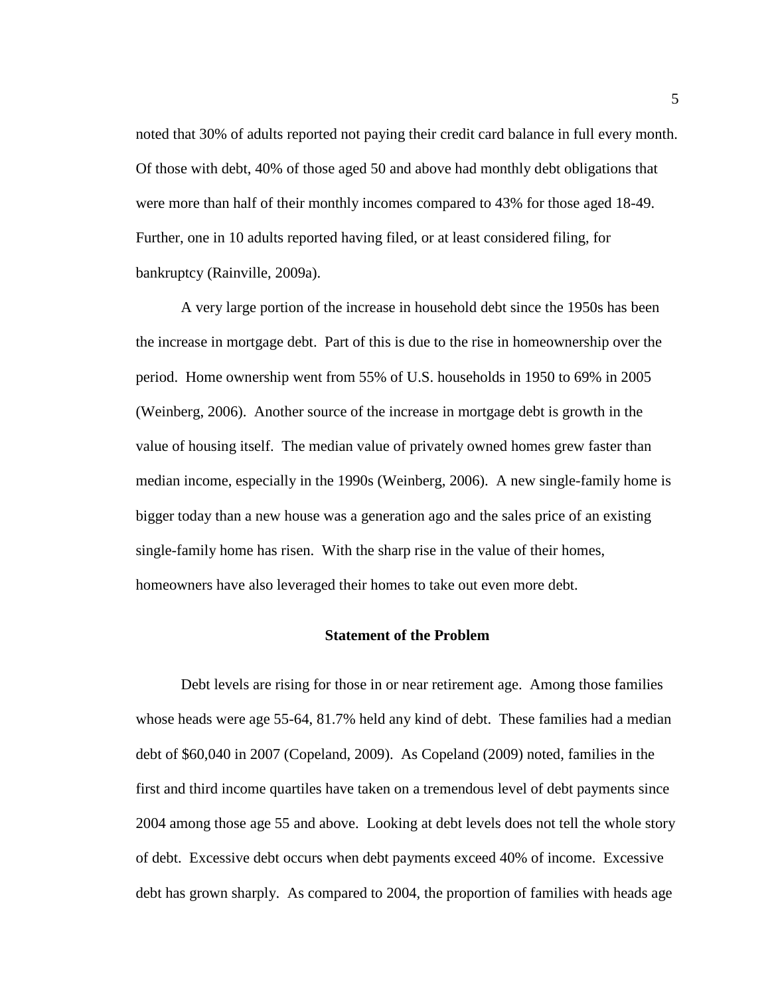noted that 30% of adults reported not paying their credit card balance in full every month. Of those with debt, 40% of those aged 50 and above had monthly debt obligations that were more than half of their monthly incomes compared to 43% for those aged 18-49. Further, one in 10 adults reported having filed, or at least considered filing, for bankruptcy (Rainville, 2009a).

A very large portion of the increase in household debt since the 1950s has been the increase in mortgage debt. Part of this is due to the rise in homeownership over the period. Home ownership went from 55% of U.S. households in 1950 to 69% in 2005 (Weinberg, 2006). Another source of the increase in mortgage debt is growth in the value of housing itself. The median value of privately owned homes grew faster than median income, especially in the 1990s (Weinberg, 2006). A new single-family home is bigger today than a new house was a generation ago and the sales price of an existing single-family home has risen. With the sharp rise in the value of their homes, homeowners have also leveraged their homes to take out even more debt.

#### **Statement of the Problem**

Debt levels are rising for those in or near retirement age. Among those families whose heads were age 55-64, 81.7% held any kind of debt. These families had a median debt of \$60,040 in 2007 (Copeland, 2009). As Copeland (2009) noted, families in the first and third income quartiles have taken on a tremendous level of debt payments since 2004 among those age 55 and above. Looking at debt levels does not tell the whole story of debt. Excessive debt occurs when debt payments exceed 40% of income. Excessive debt has grown sharply. As compared to 2004, the proportion of families with heads age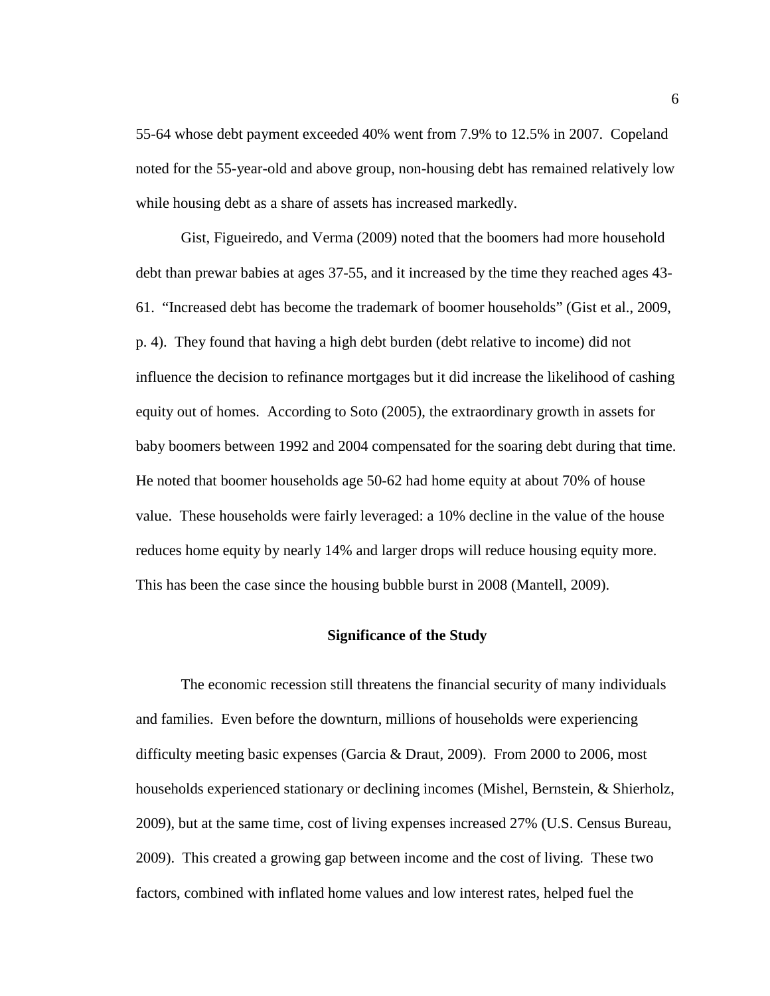55-64 whose debt payment exceeded 40% went from 7.9% to 12.5% in 2007. Copeland noted for the 55-year-old and above group, non-housing debt has remained relatively low while housing debt as a share of assets has increased markedly.

Gist, Figueiredo, and Verma (2009) noted that the boomers had more household debt than prewar babies at ages 37-55, and it increased by the time they reached ages 43- 61. "Increased debt has become the trademark of boomer households" (Gist et al., 2009, p. 4). They found that having a high debt burden (debt relative to income) did not influence the decision to refinance mortgages but it did increase the likelihood of cashing equity out of homes. According to Soto (2005), the extraordinary growth in assets for baby boomers between 1992 and 2004 compensated for the soaring debt during that time. He noted that boomer households age 50-62 had home equity at about 70% of house value. These households were fairly leveraged: a 10% decline in the value of the house reduces home equity by nearly 14% and larger drops will reduce housing equity more. This has been the case since the housing bubble burst in 2008 (Mantell, 2009).

## **Significance of the Study**

The economic recession still threatens the financial security of many individuals and families. Even before the downturn, millions of households were experiencing difficulty meeting basic expenses (Garcia & Draut, 2009). From 2000 to 2006, most households experienced stationary or declining incomes (Mishel, Bernstein, & Shierholz, 2009), but at the same time, cost of living expenses increased 27% (U.S. Census Bureau, 2009). This created a growing gap between income and the cost of living. These two factors, combined with inflated home values and low interest rates, helped fuel the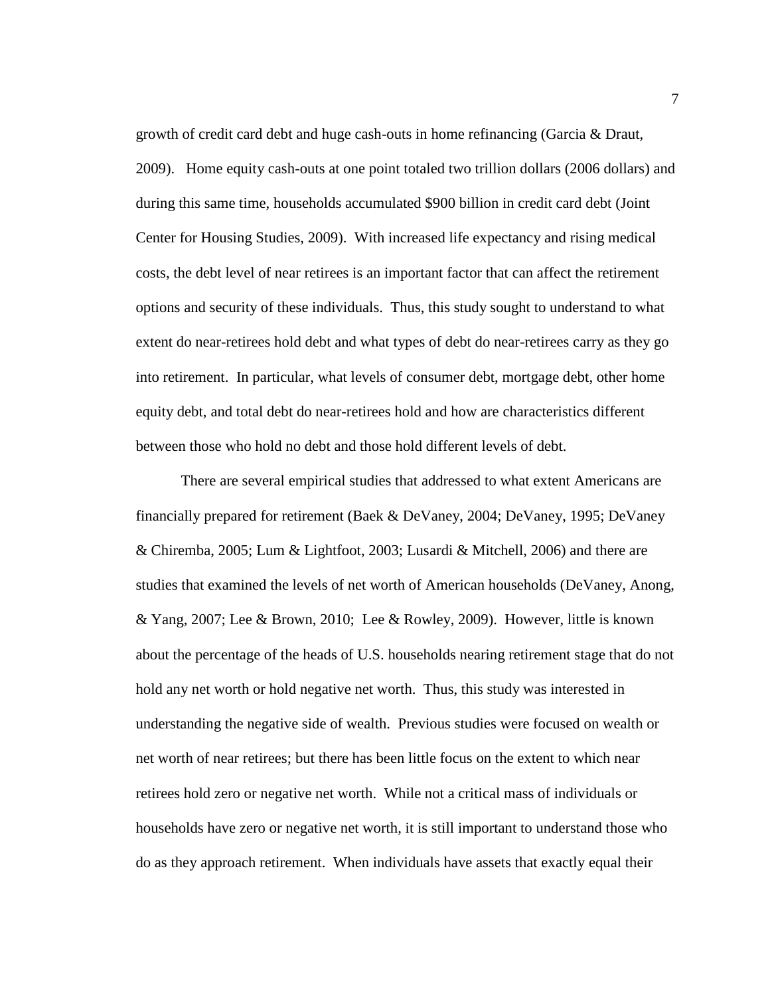growth of credit card debt and huge cash-outs in home refinancing (Garcia & Draut, 2009). Home equity cash-outs at one point totaled two trillion dollars (2006 dollars) and during this same time, households accumulated \$900 billion in credit card debt (Joint Center for Housing Studies, 2009). With increased life expectancy and rising medical costs, the debt level of near retirees is an important factor that can affect the retirement options and security of these individuals. Thus, this study sought to understand to what extent do near-retirees hold debt and what types of debt do near-retirees carry as they go into retirement. In particular, what levels of consumer debt, mortgage debt, other home equity debt, and total debt do near-retirees hold and how are characteristics different between those who hold no debt and those hold different levels of debt.

There are several empirical studies that addressed to what extent Americans are financially prepared for retirement (Baek & DeVaney, 2004; DeVaney, 1995; DeVaney & Chiremba, 2005; Lum & Lightfoot, 2003; Lusardi & Mitchell, 2006) and there are studies that examined the levels of net worth of American households (DeVaney, Anong, & Yang, 2007; Lee & Brown, 2010; Lee & Rowley, 2009). However, little is known about the percentage of the heads of U.S. households nearing retirement stage that do not hold any net worth or hold negative net worth. Thus, this study was interested in understanding the negative side of wealth. Previous studies were focused on wealth or net worth of near retirees; but there has been little focus on the extent to which near retirees hold zero or negative net worth. While not a critical mass of individuals or households have zero or negative net worth, it is still important to understand those who do as they approach retirement. When individuals have assets that exactly equal their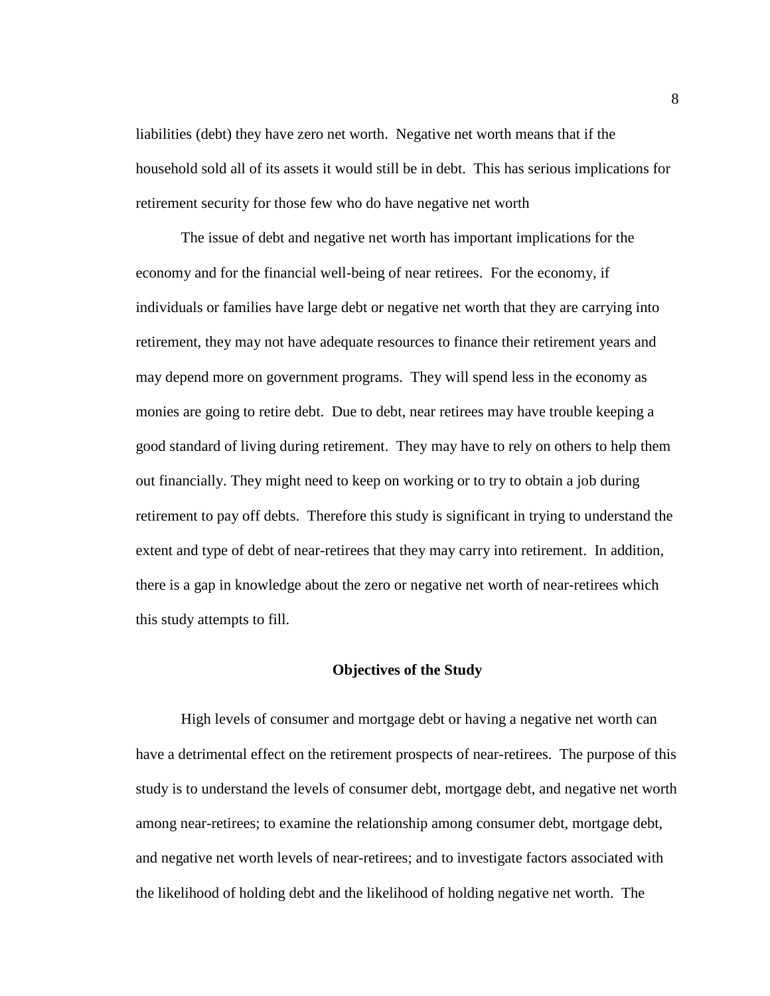liabilities (debt) they have zero net worth. Negative net worth means that if the household sold all of its assets it would still be in debt. This has serious implications for retirement security for those few who do have negative net worth

The issue of debt and negative net worth has important implications for the economy and for the financial well-being of near retirees. For the economy, if individuals or families have large debt or negative net worth that they are carrying into retirement, they may not have adequate resources to finance their retirement years and may depend more on government programs. They will spend less in the economy as monies are going to retire debt. Due to debt, near retirees may have trouble keeping a good standard of living during retirement. They may have to rely on others to help them out financially. They might need to keep on working or to try to obtain a job during retirement to pay off debts. Therefore this study is significant in trying to understand the extent and type of debt of near-retirees that they may carry into retirement. In addition, there is a gap in knowledge about the zero or negative net worth of near-retirees which this study attempts to fill.

#### **Objectives of the Study**

High levels of consumer and mortgage debt or having a negative net worth can have a detrimental effect on the retirement prospects of near-retirees. The purpose of this study is to understand the levels of consumer debt, mortgage debt, and negative net worth among near-retirees; to examine the relationship among consumer debt, mortgage debt, and negative net worth levels of near-retirees; and to investigate factors associated with the likelihood of holding debt and the likelihood of holding negative net worth. The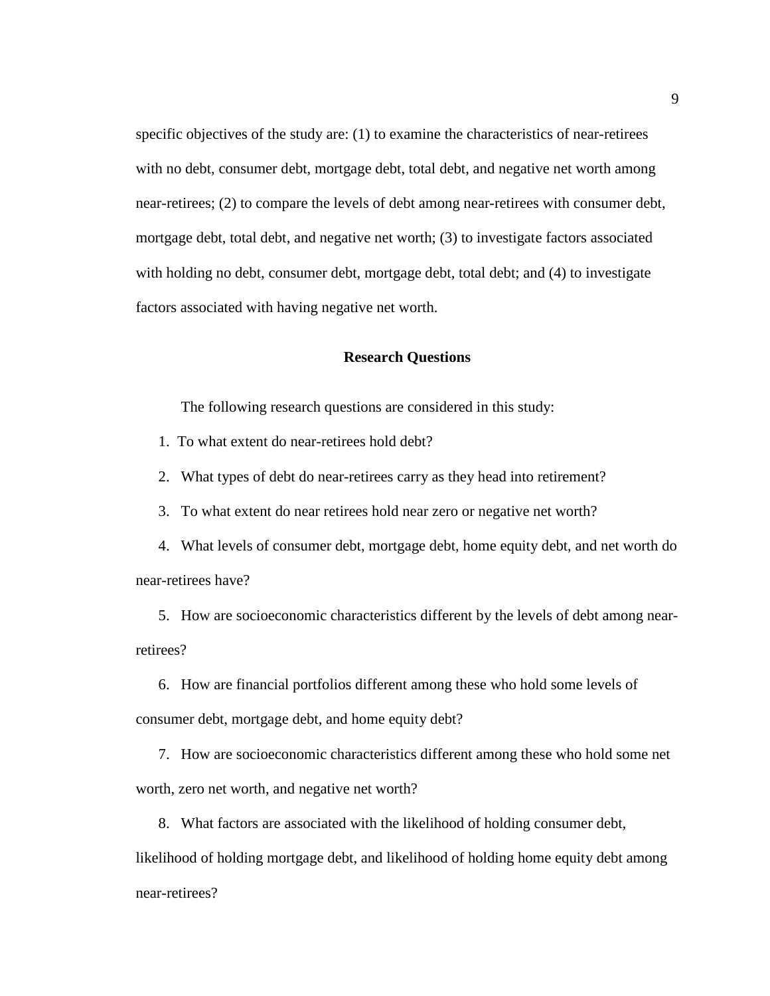specific objectives of the study are: (1) to examine the characteristics of near-retirees with no debt, consumer debt, mortgage debt, total debt, and negative net worth among near-retirees; (2) to compare the levels of debt among near-retirees with consumer debt, mortgage debt, total debt, and negative net worth; (3) to investigate factors associated with holding no debt, consumer debt, mortgage debt, total debt; and (4) to investigate factors associated with having negative net worth.

#### **Research Questions**

The following research questions are considered in this study:

1. To what extent do near-retirees hold debt?

2. What types of debt do near-retirees carry as they head into retirement?

3. To what extent do near retirees hold near zero or negative net worth?

 4. What levels of consumer debt, mortgage debt, home equity debt, and net worth do near-retirees have?

 5. How are socioeconomic characteristics different by the levels of debt among nearretirees?

 6. How are financial portfolios different among these who hold some levels of consumer debt, mortgage debt, and home equity debt?

 7. How are socioeconomic characteristics different among these who hold some net worth, zero net worth, and negative net worth?

8. What factors are associated with the likelihood of holding consumer debt,

likelihood of holding mortgage debt, and likelihood of holding home equity debt among near-retirees?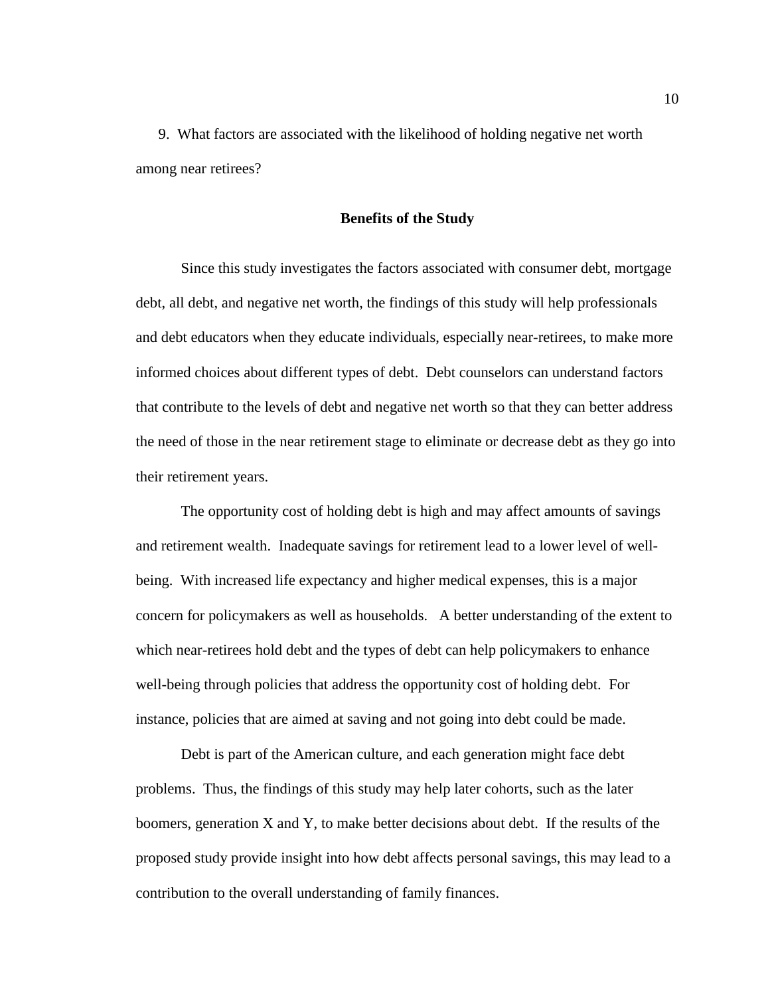9. What factors are associated with the likelihood of holding negative net worth among near retirees?

#### **Benefits of the Study**

Since this study investigates the factors associated with consumer debt, mortgage debt, all debt, and negative net worth, the findings of this study will help professionals and debt educators when they educate individuals, especially near-retirees, to make more informed choices about different types of debt. Debt counselors can understand factors that contribute to the levels of debt and negative net worth so that they can better address the need of those in the near retirement stage to eliminate or decrease debt as they go into their retirement years.

 The opportunity cost of holding debt is high and may affect amounts of savings and retirement wealth. Inadequate savings for retirement lead to a lower level of wellbeing. With increased life expectancy and higher medical expenses, this is a major concern for policymakers as well as households. A better understanding of the extent to which near-retirees hold debt and the types of debt can help policymakers to enhance well-being through policies that address the opportunity cost of holding debt. For instance, policies that are aimed at saving and not going into debt could be made.

Debt is part of the American culture, and each generation might face debt problems. Thus, the findings of this study may help later cohorts, such as the later boomers, generation X and Y, to make better decisions about debt. If the results of the proposed study provide insight into how debt affects personal savings, this may lead to a contribution to the overall understanding of family finances.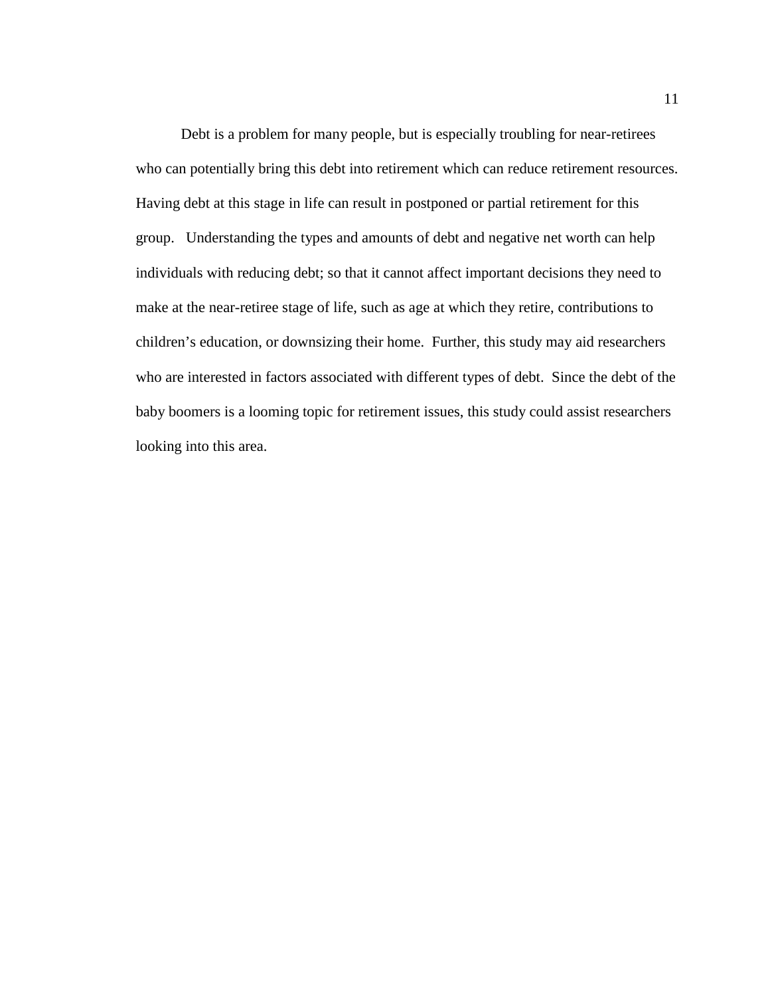Debt is a problem for many people, but is especially troubling for near-retirees who can potentially bring this debt into retirement which can reduce retirement resources. Having debt at this stage in life can result in postponed or partial retirement for this group. Understanding the types and amounts of debt and negative net worth can help individuals with reducing debt; so that it cannot affect important decisions they need to make at the near-retiree stage of life, such as age at which they retire, contributions to children's education, or downsizing their home. Further, this study may aid researchers who are interested in factors associated with different types of debt. Since the debt of the baby boomers is a looming topic for retirement issues, this study could assist researchers looking into this area.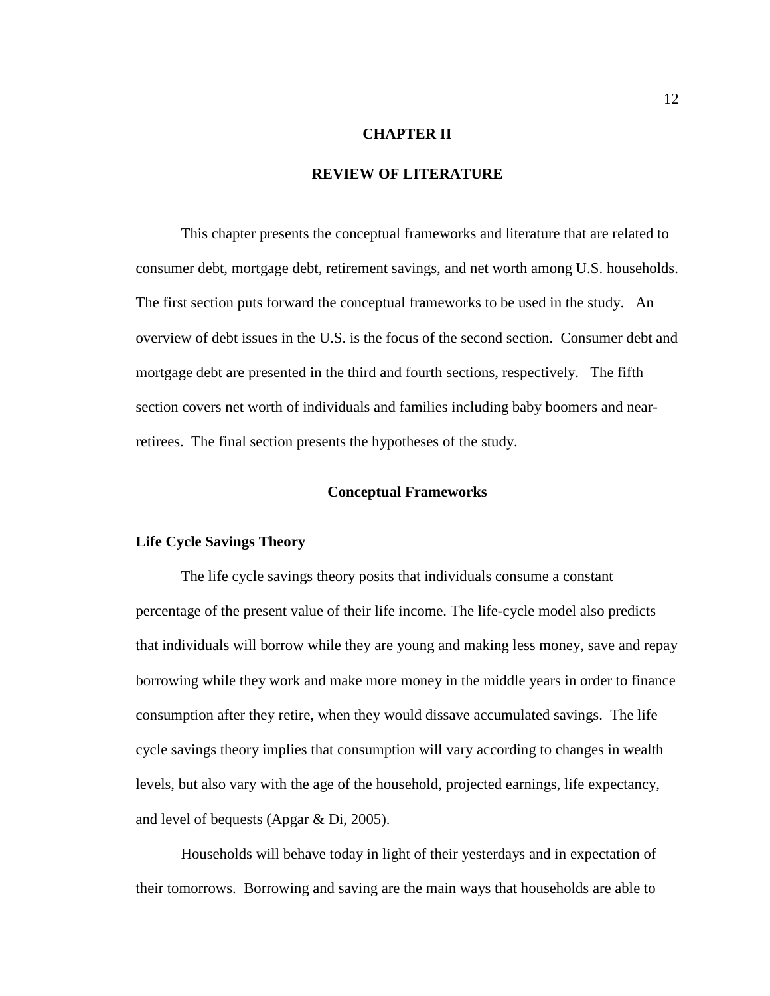### **CHAPTER II**

# **REVIEW OF LITERATURE**

 This chapter presents the conceptual frameworks and literature that are related to consumer debt, mortgage debt, retirement savings, and net worth among U.S. households. The first section puts forward the conceptual frameworks to be used in the study. An overview of debt issues in the U.S. is the focus of the second section. Consumer debt and mortgage debt are presented in the third and fourth sections, respectively. The fifth section covers net worth of individuals and families including baby boomers and nearretirees. The final section presents the hypotheses of the study.

#### **Conceptual Frameworks**

#### **Life Cycle Savings Theory**

 The life cycle savings theory posits that individuals consume a constant percentage of the present value of their life income. The life-cycle model also predicts that individuals will borrow while they are young and making less money, save and repay borrowing while they work and make more money in the middle years in order to finance consumption after they retire, when they would dissave accumulated savings. The life cycle savings theory implies that consumption will vary according to changes in wealth levels, but also vary with the age of the household, projected earnings, life expectancy, and level of bequests (Apgar & Di, 2005).

Households will behave today in light of their yesterdays and in expectation of their tomorrows. Borrowing and saving are the main ways that households are able to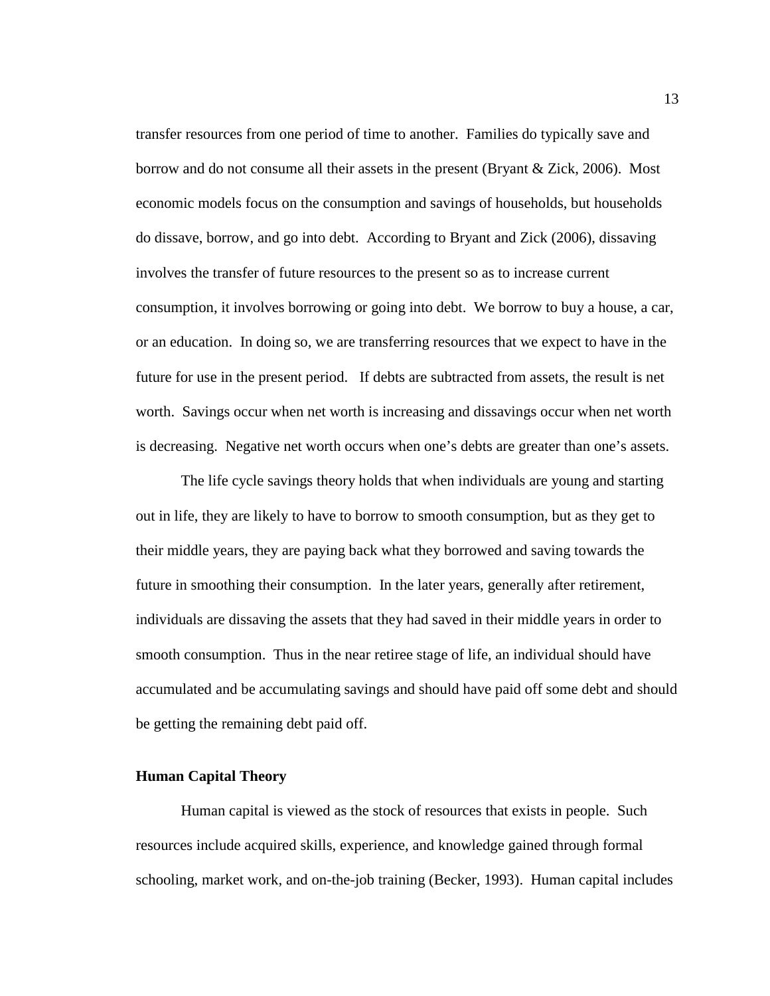transfer resources from one period of time to another. Families do typically save and borrow and do not consume all their assets in the present (Bryant & Zick, 2006). Most economic models focus on the consumption and savings of households, but households do dissave, borrow, and go into debt. According to Bryant and Zick (2006), dissaving involves the transfer of future resources to the present so as to increase current consumption, it involves borrowing or going into debt. We borrow to buy a house, a car, or an education. In doing so, we are transferring resources that we expect to have in the future for use in the present period. If debts are subtracted from assets, the result is net worth. Savings occur when net worth is increasing and dissavings occur when net worth is decreasing. Negative net worth occurs when one's debts are greater than one's assets.

 The life cycle savings theory holds that when individuals are young and starting out in life, they are likely to have to borrow to smooth consumption, but as they get to their middle years, they are paying back what they borrowed and saving towards the future in smoothing their consumption. In the later years, generally after retirement, individuals are dissaving the assets that they had saved in their middle years in order to smooth consumption. Thus in the near retiree stage of life, an individual should have accumulated and be accumulating savings and should have paid off some debt and should be getting the remaining debt paid off.

# **Human Capital Theory**

Human capital is viewed as the stock of resources that exists in people. Such resources include acquired skills, experience, and knowledge gained through formal schooling, market work, and on-the-job training (Becker, 1993). Human capital includes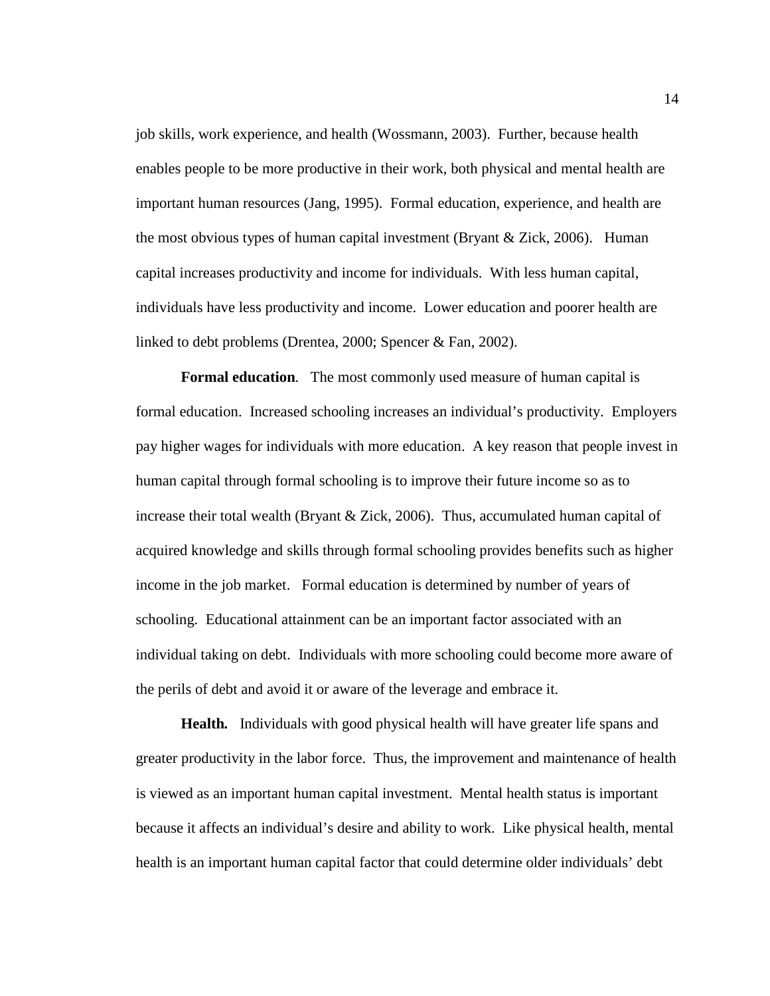job skills, work experience, and health (Wossmann, 2003). Further, because health enables people to be more productive in their work, both physical and mental health are important human resources (Jang, 1995). Formal education, experience, and health are the most obvious types of human capital investment (Bryant  $\&$  Zick, 2006). Human capital increases productivity and income for individuals. With less human capital, individuals have less productivity and income. Lower education and poorer health are linked to debt problems (Drentea, 2000; Spencer & Fan, 2002).

**Formal education***.* The most commonly used measure of human capital is formal education. Increased schooling increases an individual's productivity. Employers pay higher wages for individuals with more education. A key reason that people invest in human capital through formal schooling is to improve their future income so as to increase their total wealth (Bryant & Zick, 2006). Thus, accumulated human capital of acquired knowledge and skills through formal schooling provides benefits such as higher income in the job market. Formal education is determined by number of years of schooling. Educational attainment can be an important factor associated with an individual taking on debt. Individuals with more schooling could become more aware of the perils of debt and avoid it or aware of the leverage and embrace it.

**Health***.* Individuals with good physical health will have greater life spans and greater productivity in the labor force. Thus, the improvement and maintenance of health is viewed as an important human capital investment. Mental health status is important because it affects an individual's desire and ability to work. Like physical health, mental health is an important human capital factor that could determine older individuals' debt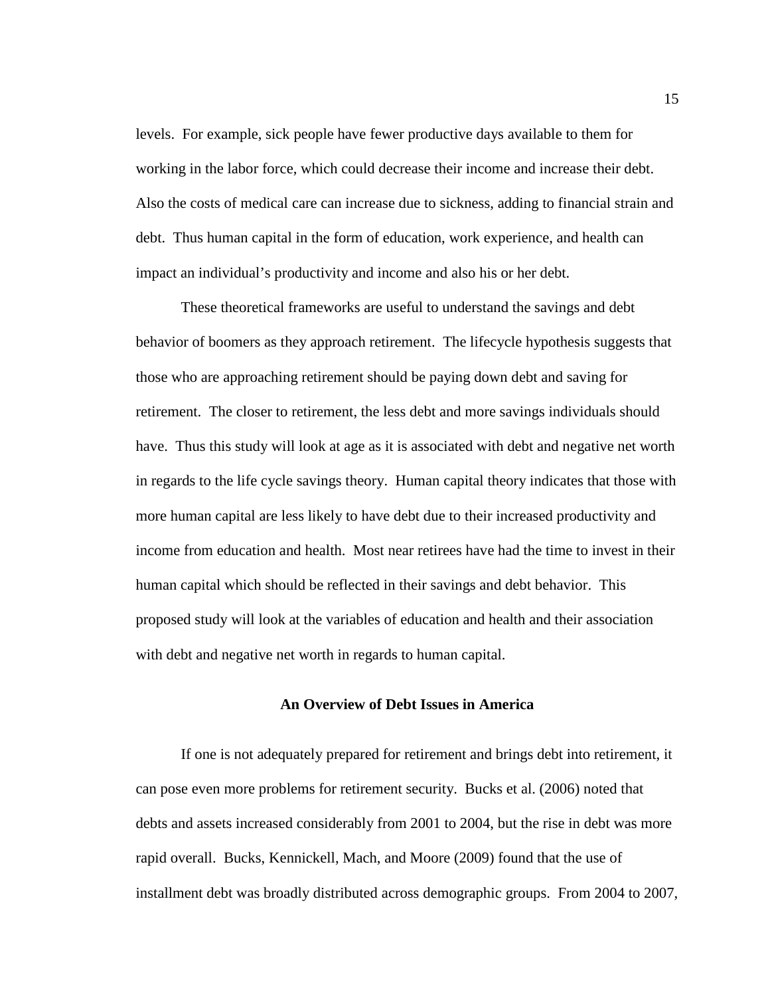levels. For example, sick people have fewer productive days available to them for working in the labor force, which could decrease their income and increase their debt. Also the costs of medical care can increase due to sickness, adding to financial strain and debt. Thus human capital in the form of education, work experience, and health can impact an individual's productivity and income and also his or her debt.

These theoretical frameworks are useful to understand the savings and debt behavior of boomers as they approach retirement. The lifecycle hypothesis suggests that those who are approaching retirement should be paying down debt and saving for retirement. The closer to retirement, the less debt and more savings individuals should have. Thus this study will look at age as it is associated with debt and negative net worth in regards to the life cycle savings theory. Human capital theory indicates that those with more human capital are less likely to have debt due to their increased productivity and income from education and health. Most near retirees have had the time to invest in their human capital which should be reflected in their savings and debt behavior. This proposed study will look at the variables of education and health and their association with debt and negative net worth in regards to human capital.

# **An Overview of Debt Issues in America**

If one is not adequately prepared for retirement and brings debt into retirement, it can pose even more problems for retirement security. Bucks et al. (2006) noted that debts and assets increased considerably from 2001 to 2004, but the rise in debt was more rapid overall. Bucks, Kennickell, Mach, and Moore (2009) found that the use of installment debt was broadly distributed across demographic groups. From 2004 to 2007,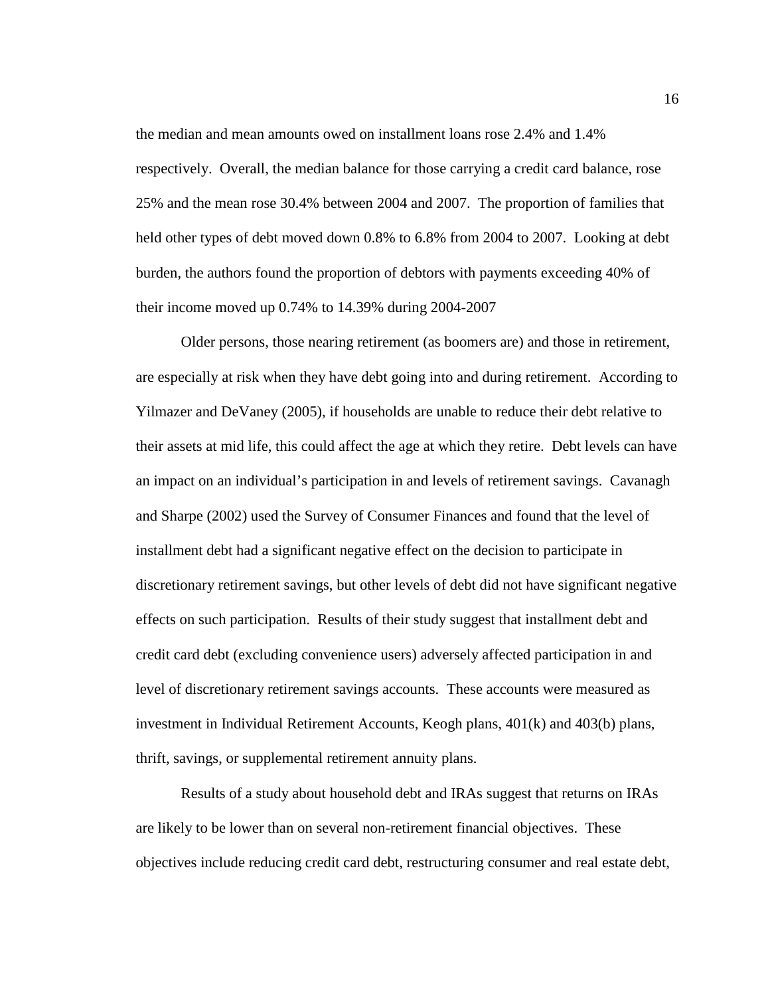the median and mean amounts owed on installment loans rose 2.4% and 1.4% respectively. Overall, the median balance for those carrying a credit card balance, rose 25% and the mean rose 30.4% between 2004 and 2007. The proportion of families that held other types of debt moved down 0.8% to 6.8% from 2004 to 2007. Looking at debt burden, the authors found the proportion of debtors with payments exceeding 40% of their income moved up 0.74% to 14.39% during 2004-2007

Older persons, those nearing retirement (as boomers are) and those in retirement, are especially at risk when they have debt going into and during retirement. According to Yilmazer and DeVaney (2005), if households are unable to reduce their debt relative to their assets at mid life, this could affect the age at which they retire. Debt levels can have an impact on an individual's participation in and levels of retirement savings. Cavanagh and Sharpe (2002) used the Survey of Consumer Finances and found that the level of installment debt had a significant negative effect on the decision to participate in discretionary retirement savings, but other levels of debt did not have significant negative effects on such participation. Results of their study suggest that installment debt and credit card debt (excluding convenience users) adversely affected participation in and level of discretionary retirement savings accounts. These accounts were measured as investment in Individual Retirement Accounts, Keogh plans, 401(k) and 403(b) plans, thrift, savings, or supplemental retirement annuity plans.

Results of a study about household debt and IRAs suggest that returns on IRAs are likely to be lower than on several non-retirement financial objectives. These objectives include reducing credit card debt, restructuring consumer and real estate debt,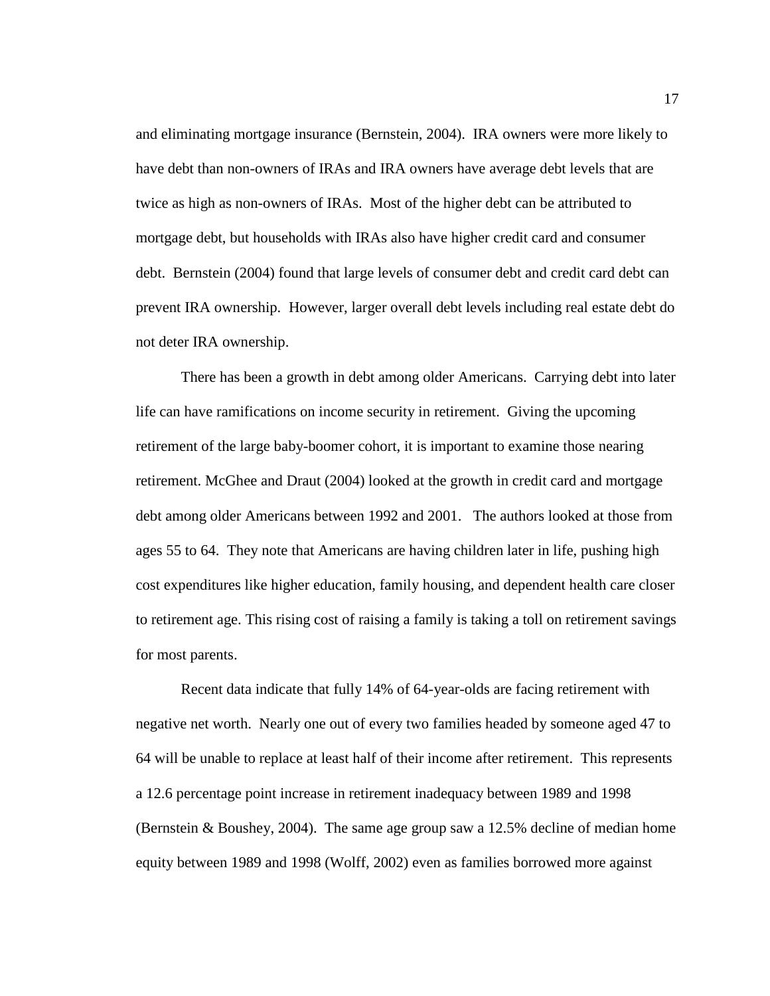and eliminating mortgage insurance (Bernstein, 2004). IRA owners were more likely to have debt than non-owners of IRAs and IRA owners have average debt levels that are twice as high as non-owners of IRAs. Most of the higher debt can be attributed to mortgage debt, but households with IRAs also have higher credit card and consumer debt. Bernstein (2004) found that large levels of consumer debt and credit card debt can prevent IRA ownership. However, larger overall debt levels including real estate debt do not deter IRA ownership.

There has been a growth in debt among older Americans. Carrying debt into later life can have ramifications on income security in retirement. Giving the upcoming retirement of the large baby-boomer cohort, it is important to examine those nearing retirement. McGhee and Draut (2004) looked at the growth in credit card and mortgage debt among older Americans between 1992 and 2001. The authors looked at those from ages 55 to 64. They note that Americans are having children later in life, pushing high cost expenditures like higher education, family housing, and dependent health care closer to retirement age. This rising cost of raising a family is taking a toll on retirement savings for most parents.

 Recent data indicate that fully 14% of 64-year-olds are facing retirement with negative net worth. Nearly one out of every two families headed by someone aged 47 to 64 will be unable to replace at least half of their income after retirement. This represents a 12.6 percentage point increase in retirement inadequacy between 1989 and 1998 (Bernstein & Boushey, 2004). The same age group saw a 12.5% decline of median home equity between 1989 and 1998 (Wolff, 2002) even as families borrowed more against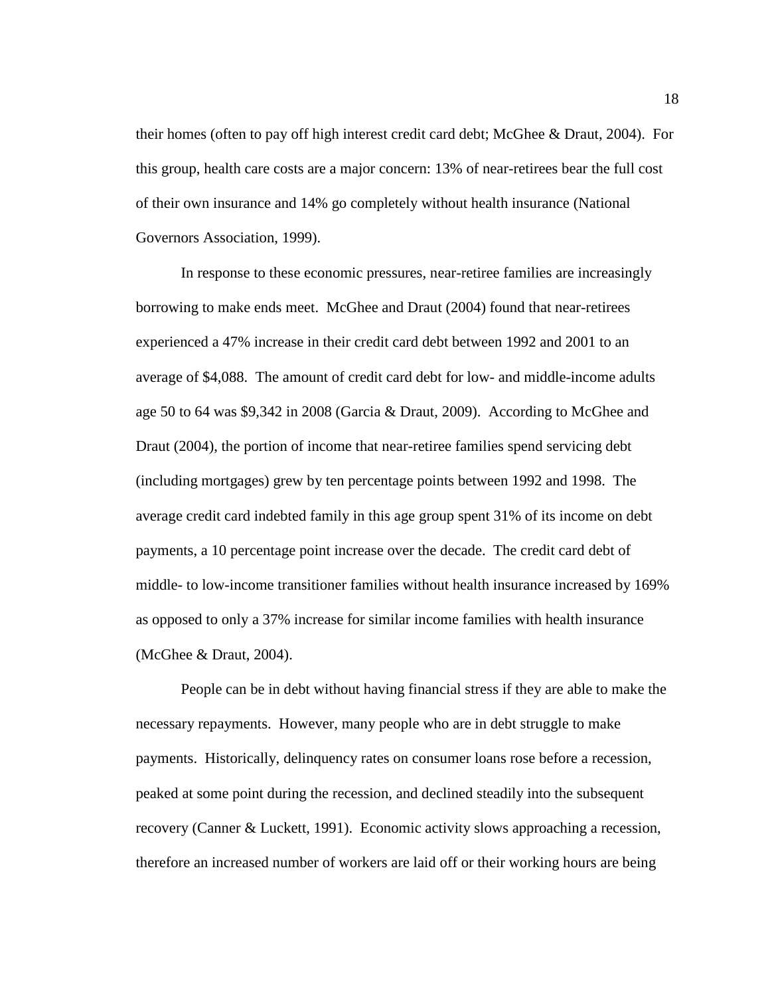their homes (often to pay off high interest credit card debt; McGhee & Draut, 2004). For this group, health care costs are a major concern: 13% of near-retirees bear the full cost of their own insurance and 14% go completely without health insurance (National Governors Association, 1999).

In response to these economic pressures, near-retiree families are increasingly borrowing to make ends meet. McGhee and Draut (2004) found that near-retirees experienced a 47% increase in their credit card debt between 1992 and 2001 to an average of \$4,088. The amount of credit card debt for low- and middle-income adults age 50 to 64 was \$9,342 in 2008 (Garcia & Draut, 2009). According to McGhee and Draut (2004), the portion of income that near-retiree families spend servicing debt (including mortgages) grew by ten percentage points between 1992 and 1998. The average credit card indebted family in this age group spent 31% of its income on debt payments, a 10 percentage point increase over the decade. The credit card debt of middle- to low-income transitioner families without health insurance increased by 169% as opposed to only a 37% increase for similar income families with health insurance (McGhee & Draut, 2004).

People can be in debt without having financial stress if they are able to make the necessary repayments. However, many people who are in debt struggle to make payments. Historically, delinquency rates on consumer loans rose before a recession, peaked at some point during the recession, and declined steadily into the subsequent recovery (Canner & Luckett, 1991). Economic activity slows approaching a recession, therefore an increased number of workers are laid off or their working hours are being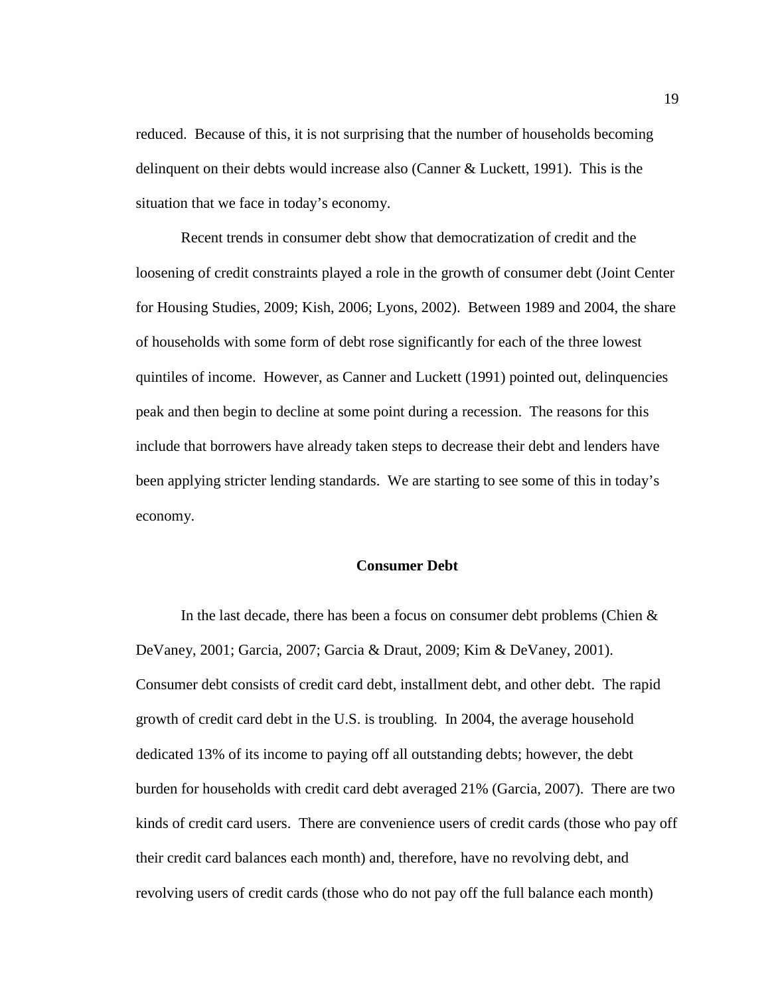reduced. Because of this, it is not surprising that the number of households becoming delinquent on their debts would increase also (Canner & Luckett, 1991). This is the situation that we face in today's economy.

Recent trends in consumer debt show that democratization of credit and the loosening of credit constraints played a role in the growth of consumer debt (Joint Center for Housing Studies, 2009; Kish, 2006; Lyons, 2002). Between 1989 and 2004, the share of households with some form of debt rose significantly for each of the three lowest quintiles of income. However, as Canner and Luckett (1991) pointed out, delinquencies peak and then begin to decline at some point during a recession. The reasons for this include that borrowers have already taken steps to decrease their debt and lenders have been applying stricter lending standards. We are starting to see some of this in today's economy.

#### **Consumer Debt**

In the last decade, there has been a focus on consumer debt problems (Chien & DeVaney, 2001; Garcia, 2007; Garcia & Draut, 2009; Kim & DeVaney, 2001). Consumer debt consists of credit card debt, installment debt, and other debt. The rapid growth of credit card debt in the U.S. is troubling. In 2004, the average household dedicated 13% of its income to paying off all outstanding debts; however, the debt burden for households with credit card debt averaged 21% (Garcia, 2007). There are two kinds of credit card users. There are convenience users of credit cards (those who pay off their credit card balances each month) and, therefore, have no revolving debt, and revolving users of credit cards (those who do not pay off the full balance each month)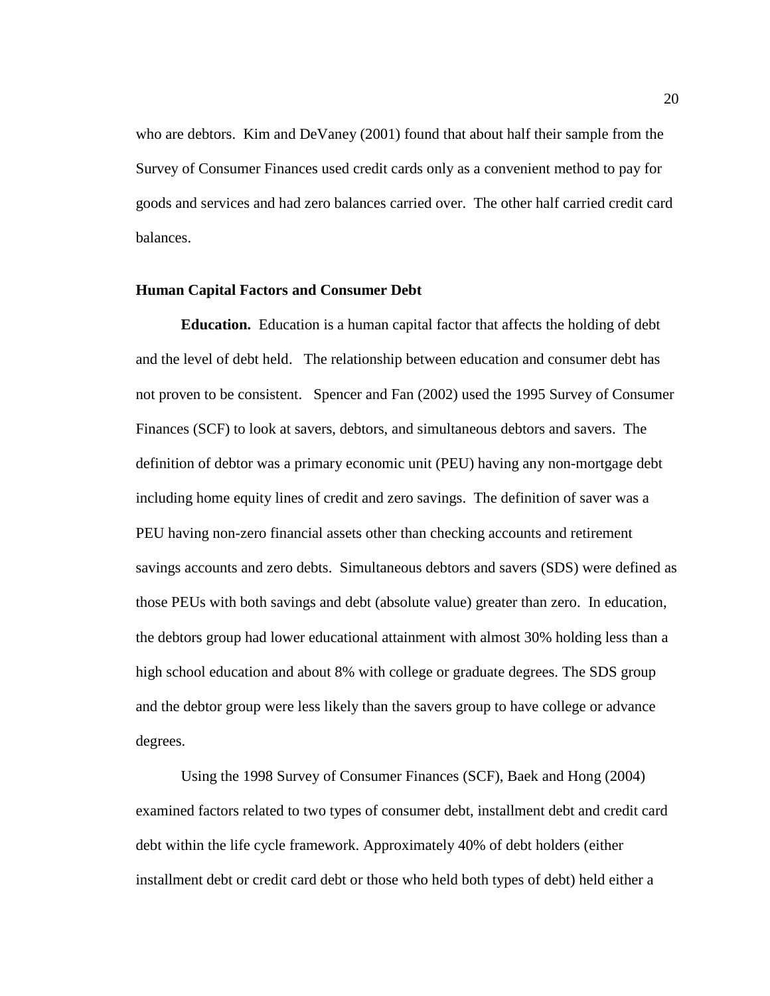who are debtors. Kim and DeVaney (2001) found that about half their sample from the Survey of Consumer Finances used credit cards only as a convenient method to pay for goods and services and had zero balances carried over. The other half carried credit card balances.

## **Human Capital Factors and Consumer Debt**

**Education.** Education is a human capital factor that affects the holding of debt and the level of debt held. The relationship between education and consumer debt has not proven to be consistent. Spencer and Fan (2002) used the 1995 Survey of Consumer Finances (SCF) to look at savers, debtors, and simultaneous debtors and savers. The definition of debtor was a primary economic unit (PEU) having any non-mortgage debt including home equity lines of credit and zero savings. The definition of saver was a PEU having non-zero financial assets other than checking accounts and retirement savings accounts and zero debts. Simultaneous debtors and savers (SDS) were defined as those PEUs with both savings and debt (absolute value) greater than zero. In education, the debtors group had lower educational attainment with almost 30% holding less than a high school education and about 8% with college or graduate degrees. The SDS group and the debtor group were less likely than the savers group to have college or advance degrees.

Using the 1998 Survey of Consumer Finances (SCF), Baek and Hong (2004) examined factors related to two types of consumer debt, installment debt and credit card debt within the life cycle framework. Approximately 40% of debt holders (either installment debt or credit card debt or those who held both types of debt) held either a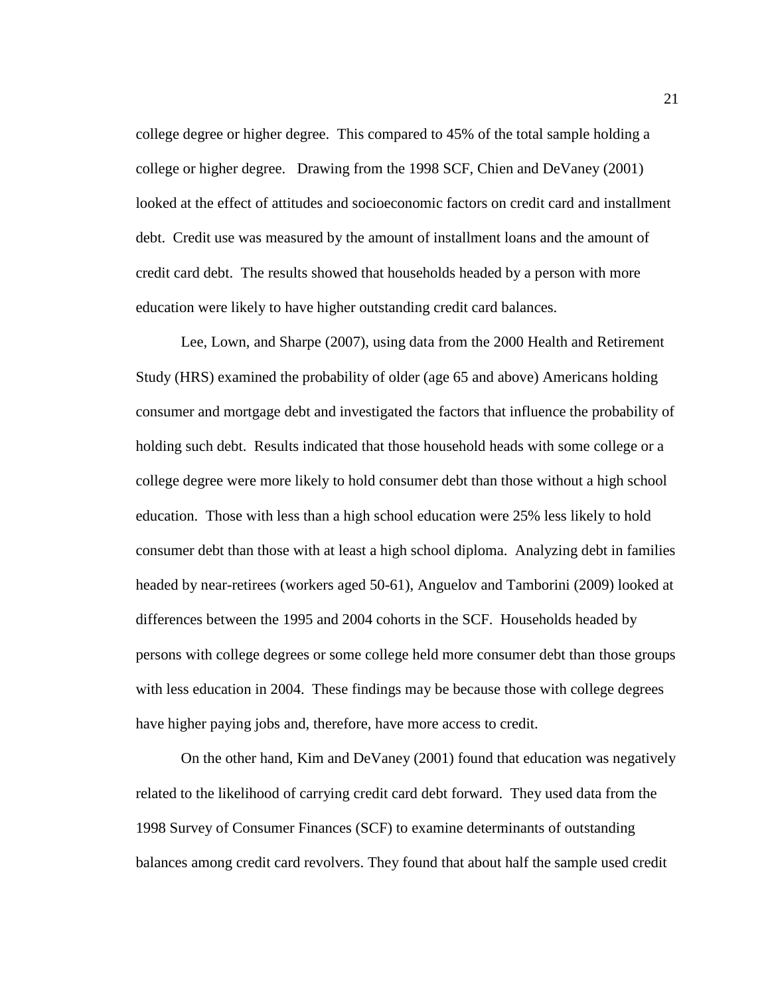college degree or higher degree. This compared to 45% of the total sample holding a college or higher degree. Drawing from the 1998 SCF, Chien and DeVaney (2001) looked at the effect of attitudes and socioeconomic factors on credit card and installment debt. Credit use was measured by the amount of installment loans and the amount of credit card debt. The results showed that households headed by a person with more education were likely to have higher outstanding credit card balances.

Lee, Lown, and Sharpe (2007), using data from the 2000 Health and Retirement Study (HRS) examined the probability of older (age 65 and above) Americans holding consumer and mortgage debt and investigated the factors that influence the probability of holding such debt. Results indicated that those household heads with some college or a college degree were more likely to hold consumer debt than those without a high school education. Those with less than a high school education were 25% less likely to hold consumer debt than those with at least a high school diploma. Analyzing debt in families headed by near-retirees (workers aged 50-61), Anguelov and Tamborini (2009) looked at differences between the 1995 and 2004 cohorts in the SCF. Households headed by persons with college degrees or some college held more consumer debt than those groups with less education in 2004. These findings may be because those with college degrees have higher paying jobs and, therefore, have more access to credit.

On the other hand, Kim and DeVaney (2001) found that education was negatively related to the likelihood of carrying credit card debt forward. They used data from the 1998 Survey of Consumer Finances (SCF) to examine determinants of outstanding balances among credit card revolvers. They found that about half the sample used credit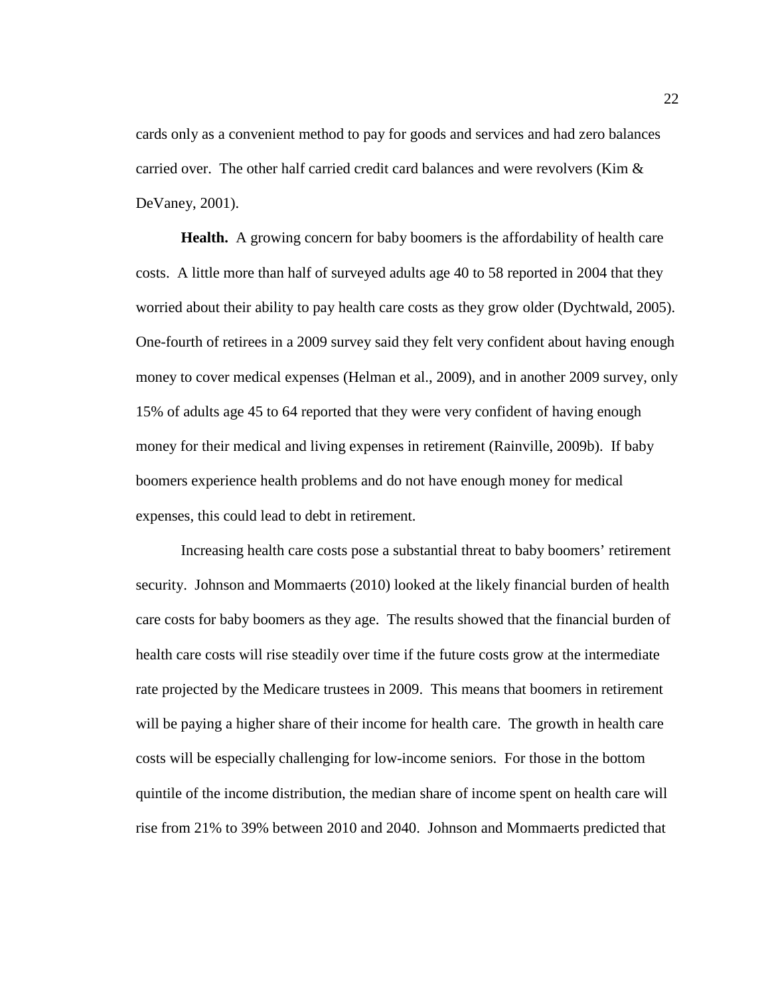cards only as a convenient method to pay for goods and services and had zero balances carried over. The other half carried credit card balances and were revolvers (Kim & DeVaney, 2001).

**Health.** A growing concern for baby boomers is the affordability of health care costs. A little more than half of surveyed adults age 40 to 58 reported in 2004 that they worried about their ability to pay health care costs as they grow older (Dychtwald, 2005). One-fourth of retirees in a 2009 survey said they felt very confident about having enough money to cover medical expenses (Helman et al., 2009), and in another 2009 survey, only 15% of adults age 45 to 64 reported that they were very confident of having enough money for their medical and living expenses in retirement (Rainville, 2009b). If baby boomers experience health problems and do not have enough money for medical expenses, this could lead to debt in retirement.

Increasing health care costs pose a substantial threat to baby boomers' retirement security. Johnson and Mommaerts (2010) looked at the likely financial burden of health care costs for baby boomers as they age. The results showed that the financial burden of health care costs will rise steadily over time if the future costs grow at the intermediate rate projected by the Medicare trustees in 2009. This means that boomers in retirement will be paying a higher share of their income for health care. The growth in health care costs will be especially challenging for low-income seniors. For those in the bottom quintile of the income distribution, the median share of income spent on health care will rise from 21% to 39% between 2010 and 2040. Johnson and Mommaerts predicted that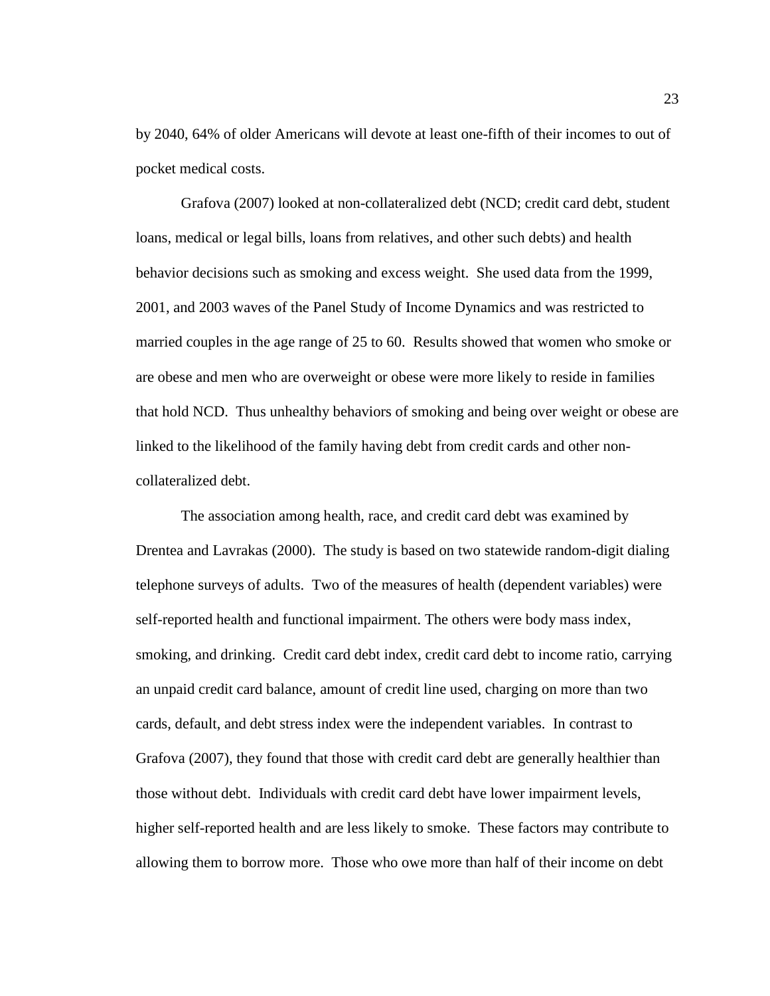by 2040, 64% of older Americans will devote at least one-fifth of their incomes to out of pocket medical costs.

Grafova (2007) looked at non-collateralized debt (NCD; credit card debt, student loans, medical or legal bills, loans from relatives, and other such debts) and health behavior decisions such as smoking and excess weight. She used data from the 1999, 2001, and 2003 waves of the Panel Study of Income Dynamics and was restricted to married couples in the age range of 25 to 60. Results showed that women who smoke or are obese and men who are overweight or obese were more likely to reside in families that hold NCD. Thus unhealthy behaviors of smoking and being over weight or obese are linked to the likelihood of the family having debt from credit cards and other noncollateralized debt.

The association among health, race, and credit card debt was examined by Drentea and Lavrakas (2000). The study is based on two statewide random-digit dialing telephone surveys of adults. Two of the measures of health (dependent variables) were self-reported health and functional impairment. The others were body mass index, smoking, and drinking. Credit card debt index, credit card debt to income ratio, carrying an unpaid credit card balance, amount of credit line used, charging on more than two cards, default, and debt stress index were the independent variables. In contrast to Grafova (2007), they found that those with credit card debt are generally healthier than those without debt. Individuals with credit card debt have lower impairment levels, higher self-reported health and are less likely to smoke. These factors may contribute to allowing them to borrow more. Those who owe more than half of their income on debt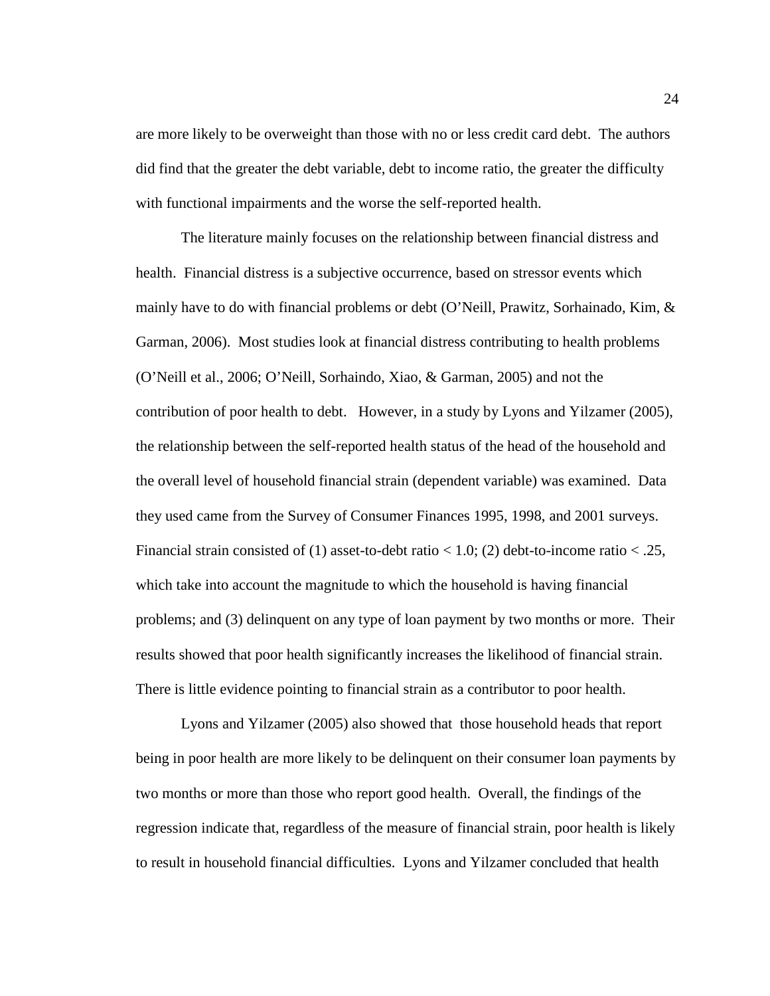are more likely to be overweight than those with no or less credit card debt. The authors did find that the greater the debt variable, debt to income ratio, the greater the difficulty with functional impairments and the worse the self-reported health.

The literature mainly focuses on the relationship between financial distress and health. Financial distress is a subjective occurrence, based on stressor events which mainly have to do with financial problems or debt (O'Neill, Prawitz, Sorhainado, Kim,  $\&$ Garman, 2006). Most studies look at financial distress contributing to health problems (O'Neill et al., 2006; O'Neill, Sorhaindo, Xiao, & Garman, 2005) and not the contribution of poor health to debt. However, in a study by Lyons and Yilzamer (2005), the relationship between the self-reported health status of the head of the household and the overall level of household financial strain (dependent variable) was examined. Data they used came from the Survey of Consumer Finances 1995, 1998, and 2001 surveys. Financial strain consisted of (1) asset-to-debt ratio  $<$  1.0; (2) debt-to-income ratio  $<$  .25, which take into account the magnitude to which the household is having financial problems; and (3) delinquent on any type of loan payment by two months or more. Their results showed that poor health significantly increases the likelihood of financial strain. There is little evidence pointing to financial strain as a contributor to poor health.

Lyons and Yilzamer (2005) also showed that those household heads that report being in poor health are more likely to be delinquent on their consumer loan payments by two months or more than those who report good health. Overall, the findings of the regression indicate that, regardless of the measure of financial strain, poor health is likely to result in household financial difficulties. Lyons and Yilzamer concluded that health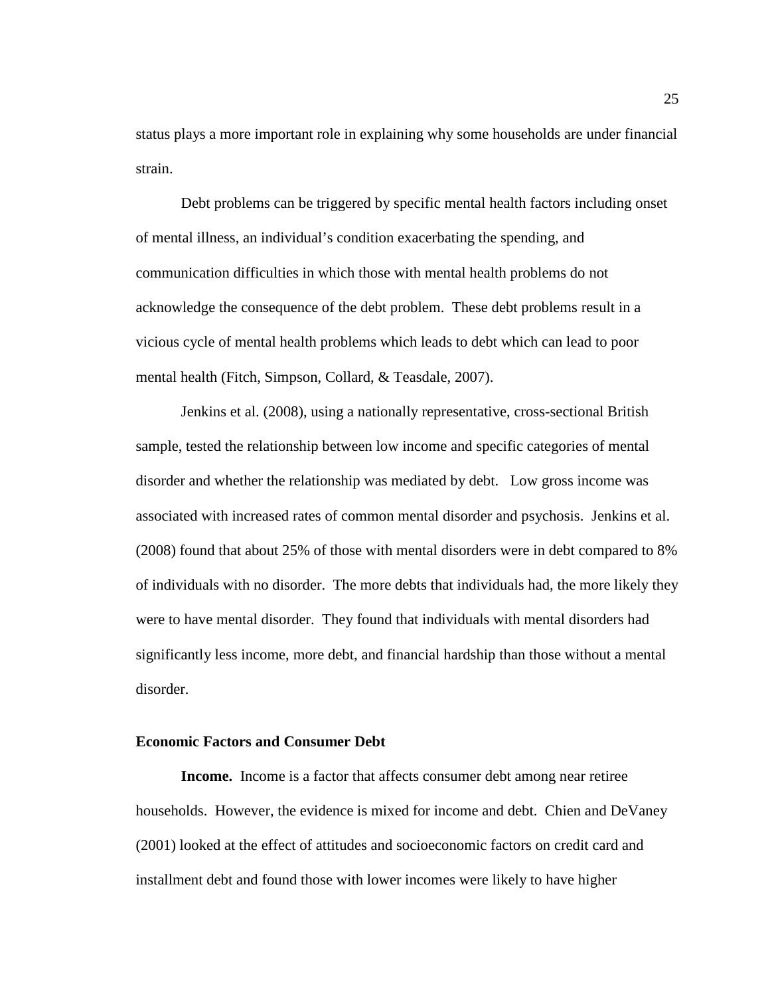status plays a more important role in explaining why some households are under financial strain.

Debt problems can be triggered by specific mental health factors including onset of mental illness, an individual's condition exacerbating the spending, and communication difficulties in which those with mental health problems do not acknowledge the consequence of the debt problem. These debt problems result in a vicious cycle of mental health problems which leads to debt which can lead to poor mental health (Fitch, Simpson, Collard, & Teasdale, 2007).

 Jenkins et al. (2008), using a nationally representative, cross-sectional British sample, tested the relationship between low income and specific categories of mental disorder and whether the relationship was mediated by debt. Low gross income was associated with increased rates of common mental disorder and psychosis. Jenkins et al. (2008) found that about 25% of those with mental disorders were in debt compared to 8% of individuals with no disorder. The more debts that individuals had, the more likely they were to have mental disorder. They found that individuals with mental disorders had significantly less income, more debt, and financial hardship than those without a mental disorder.

#### **Economic Factors and Consumer Debt**

 **Income.** Income is a factor that affects consumer debt among near retiree households. However, the evidence is mixed for income and debt. Chien and DeVaney (2001) looked at the effect of attitudes and socioeconomic factors on credit card and installment debt and found those with lower incomes were likely to have higher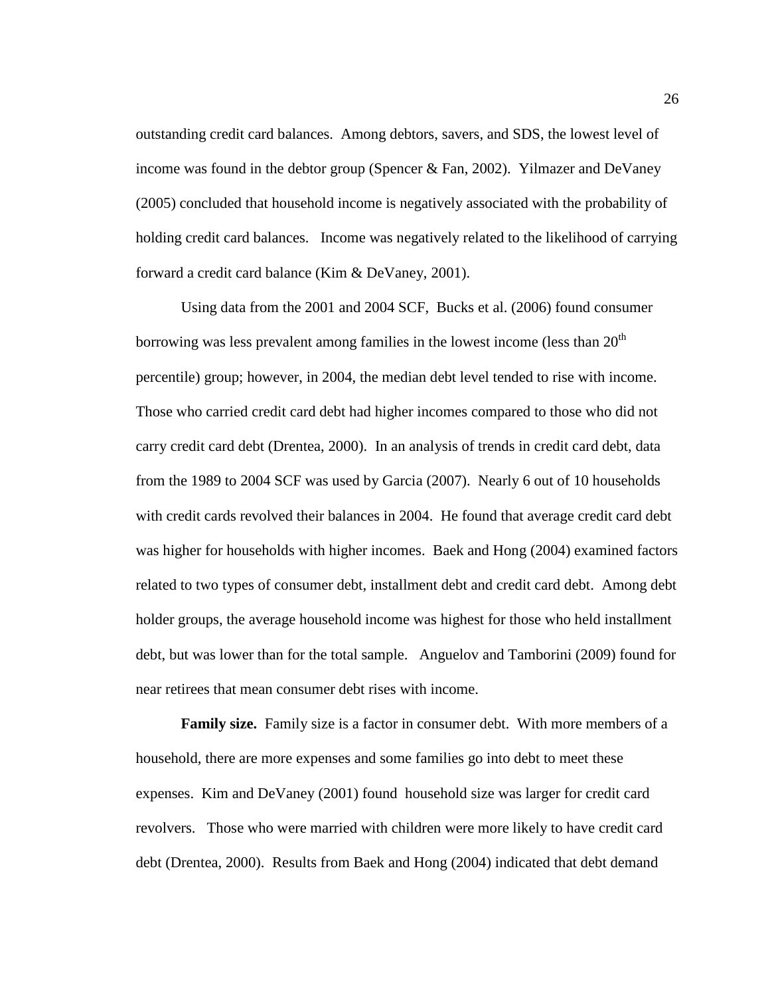outstanding credit card balances. Among debtors, savers, and SDS, the lowest level of income was found in the debtor group (Spencer & Fan, 2002). Yilmazer and DeVaney (2005) concluded that household income is negatively associated with the probability of holding credit card balances. Income was negatively related to the likelihood of carrying forward a credit card balance (Kim & DeVaney, 2001).

Using data from the 2001 and 2004 SCF, Bucks et al. (2006) found consumer borrowing was less prevalent among families in the lowest income (less than  $20<sup>th</sup>$ ) percentile) group; however, in 2004, the median debt level tended to rise with income. Those who carried credit card debt had higher incomes compared to those who did not carry credit card debt (Drentea, 2000). In an analysis of trends in credit card debt, data from the 1989 to 2004 SCF was used by Garcia (2007). Nearly 6 out of 10 households with credit cards revolved their balances in 2004. He found that average credit card debt was higher for households with higher incomes. Baek and Hong (2004) examined factors related to two types of consumer debt, installment debt and credit card debt. Among debt holder groups, the average household income was highest for those who held installment debt, but was lower than for the total sample. Anguelov and Tamborini (2009) found for near retirees that mean consumer debt rises with income.

**Family size.** Family size is a factor in consumer debt. With more members of a household, there are more expenses and some families go into debt to meet these expenses. Kim and DeVaney (2001) found household size was larger for credit card revolvers. Those who were married with children were more likely to have credit card debt (Drentea, 2000). Results from Baek and Hong (2004) indicated that debt demand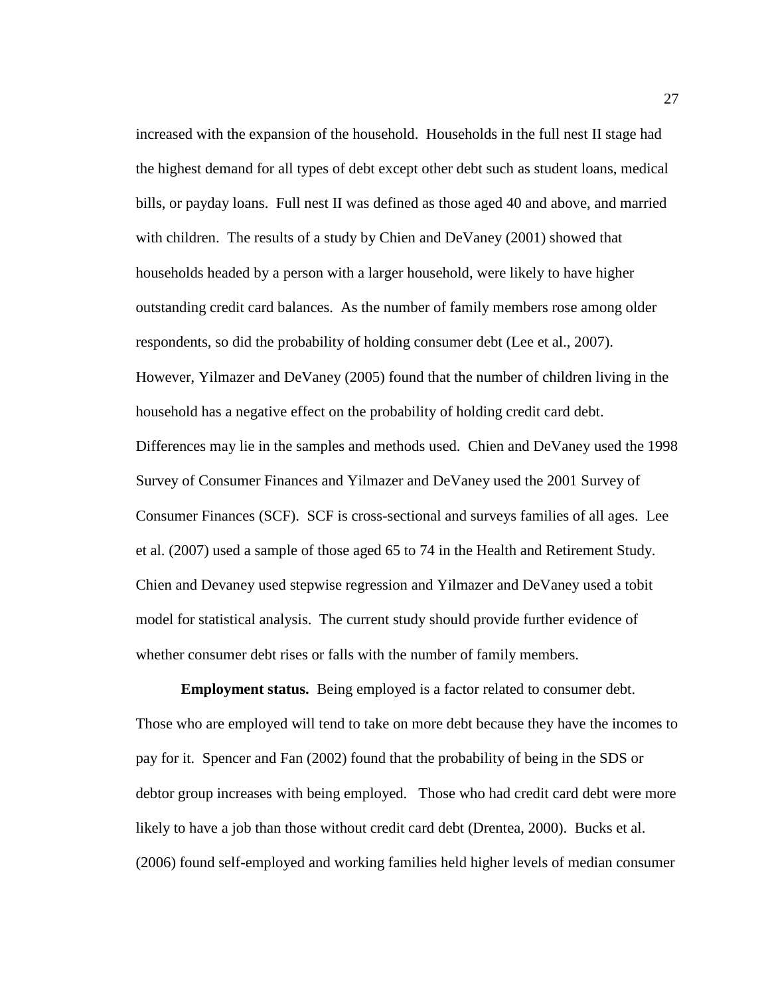increased with the expansion of the household. Households in the full nest II stage had the highest demand for all types of debt except other debt such as student loans, medical bills, or payday loans. Full nest II was defined as those aged 40 and above, and married with children. The results of a study by Chien and DeVaney (2001) showed that households headed by a person with a larger household, were likely to have higher outstanding credit card balances. As the number of family members rose among older respondents, so did the probability of holding consumer debt (Lee et al., 2007). However, Yilmazer and DeVaney (2005) found that the number of children living in the household has a negative effect on the probability of holding credit card debt. Differences may lie in the samples and methods used. Chien and DeVaney used the 1998 Survey of Consumer Finances and Yilmazer and DeVaney used the 2001 Survey of Consumer Finances (SCF). SCF is cross-sectional and surveys families of all ages. Lee et al. (2007) used a sample of those aged 65 to 74 in the Health and Retirement Study. Chien and Devaney used stepwise regression and Yilmazer and DeVaney used a tobit model for statistical analysis. The current study should provide further evidence of whether consumer debt rises or falls with the number of family members.

**Employment status.** Being employed is a factor related to consumer debt. Those who are employed will tend to take on more debt because they have the incomes to pay for it. Spencer and Fan (2002) found that the probability of being in the SDS or debtor group increases with being employed. Those who had credit card debt were more likely to have a job than those without credit card debt (Drentea, 2000). Bucks et al. (2006) found self-employed and working families held higher levels of median consumer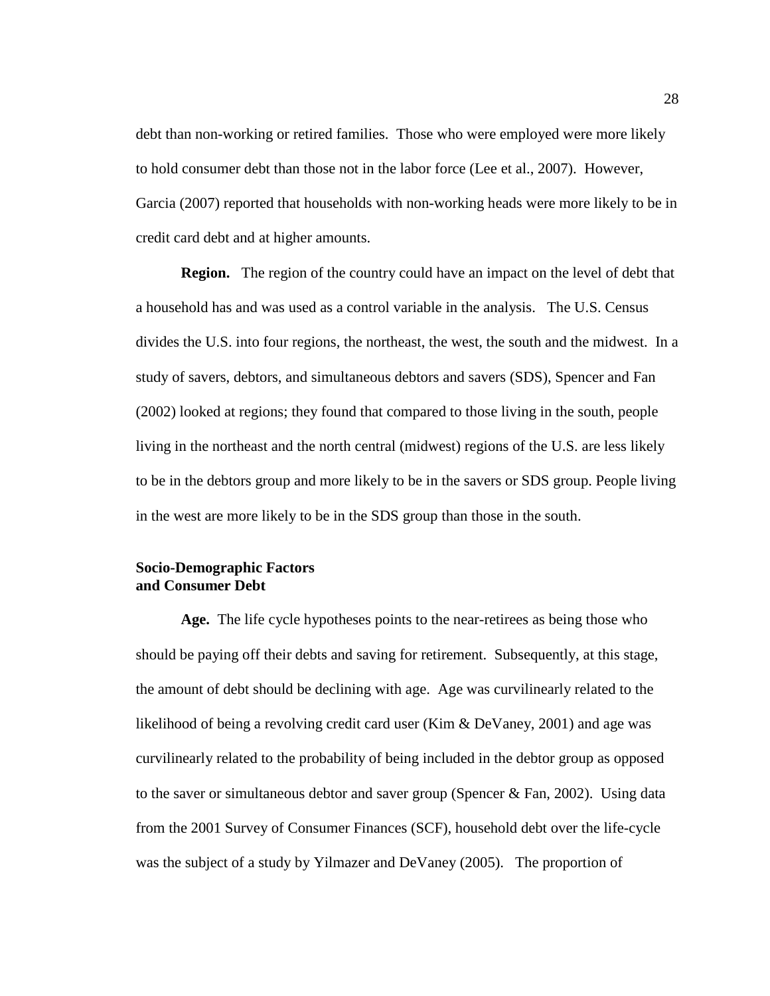debt than non-working or retired families. Those who were employed were more likely to hold consumer debt than those not in the labor force (Lee et al., 2007). However, Garcia (2007) reported that households with non-working heads were more likely to be in credit card debt and at higher amounts.

 **Region.** The region of the country could have an impact on the level of debt that a household has and was used as a control variable in the analysis. The U.S. Census divides the U.S. into four regions, the northeast, the west, the south and the midwest. In a study of savers, debtors, and simultaneous debtors and savers (SDS), Spencer and Fan (2002) looked at regions; they found that compared to those living in the south, people living in the northeast and the north central (midwest) regions of the U.S. are less likely to be in the debtors group and more likely to be in the savers or SDS group. People living in the west are more likely to be in the SDS group than those in the south.

# **Socio-Demographic Factors and Consumer Debt**

**Age.** The life cycle hypotheses points to the near-retirees as being those who should be paying off their debts and saving for retirement. Subsequently, at this stage, the amount of debt should be declining with age. Age was curvilinearly related to the likelihood of being a revolving credit card user (Kim & DeVaney, 2001) and age was curvilinearly related to the probability of being included in the debtor group as opposed to the saver or simultaneous debtor and saver group (Spencer & Fan, 2002). Using data from the 2001 Survey of Consumer Finances (SCF), household debt over the life-cycle was the subject of a study by Yilmazer and DeVaney (2005). The proportion of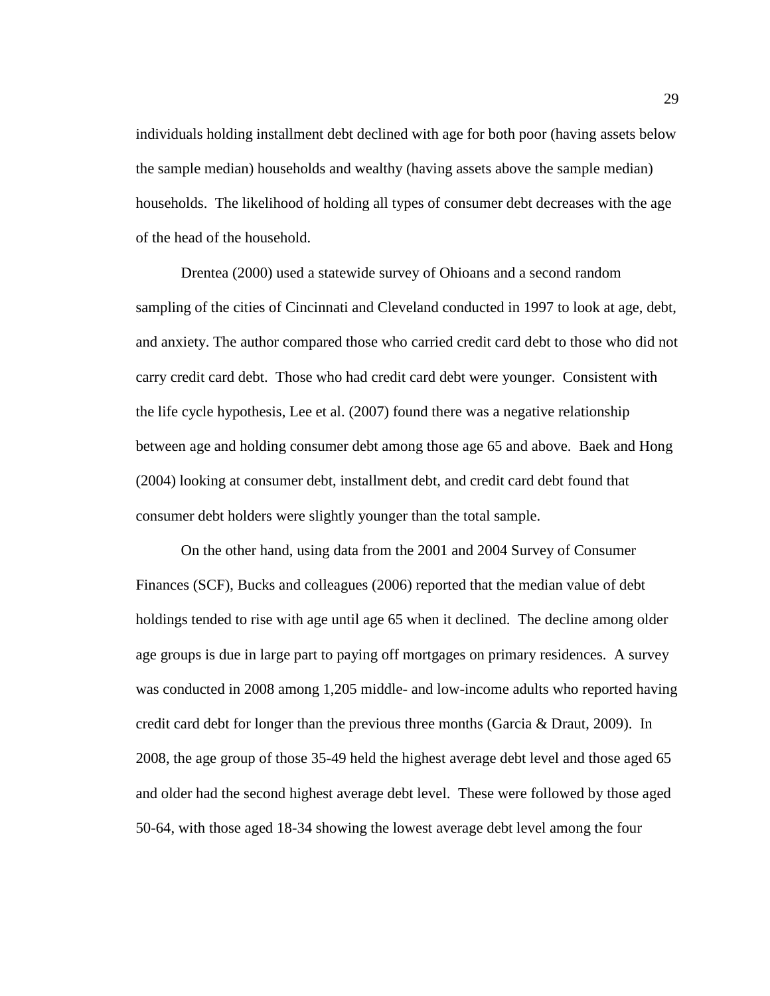individuals holding installment debt declined with age for both poor (having assets below the sample median) households and wealthy (having assets above the sample median) households. The likelihood of holding all types of consumer debt decreases with the age of the head of the household.

Drentea (2000) used a statewide survey of Ohioans and a second random sampling of the cities of Cincinnati and Cleveland conducted in 1997 to look at age, debt, and anxiety. The author compared those who carried credit card debt to those who did not carry credit card debt. Those who had credit card debt were younger. Consistent with the life cycle hypothesis, Lee et al. (2007) found there was a negative relationship between age and holding consumer debt among those age 65 and above. Baek and Hong (2004) looking at consumer debt, installment debt, and credit card debt found that consumer debt holders were slightly younger than the total sample.

On the other hand, using data from the 2001 and 2004 Survey of Consumer Finances (SCF), Bucks and colleagues (2006) reported that the median value of debt holdings tended to rise with age until age 65 when it declined. The decline among older age groups is due in large part to paying off mortgages on primary residences. A survey was conducted in 2008 among 1,205 middle- and low-income adults who reported having credit card debt for longer than the previous three months (Garcia & Draut, 2009). In 2008, the age group of those 35-49 held the highest average debt level and those aged 65 and older had the second highest average debt level. These were followed by those aged 50-64, with those aged 18-34 showing the lowest average debt level among the four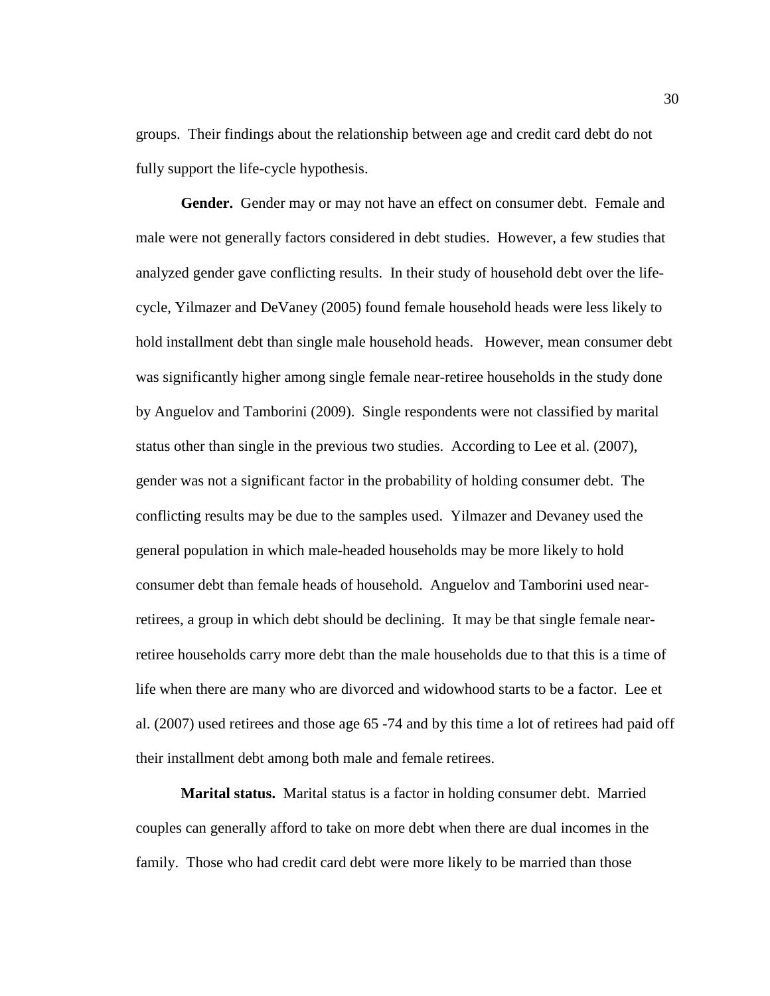groups. Their findings about the relationship between age and credit card debt do not fully support the life-cycle hypothesis.

 **Gender.** Gender may or may not have an effect on consumer debt. Female and male were not generally factors considered in debt studies. However, a few studies that analyzed gender gave conflicting results. In their study of household debt over the lifecycle, Yilmazer and DeVaney (2005) found female household heads were less likely to hold installment debt than single male household heads. However, mean consumer debt was significantly higher among single female near-retiree households in the study done by Anguelov and Tamborini (2009). Single respondents were not classified by marital status other than single in the previous two studies. According to Lee et al. (2007), gender was not a significant factor in the probability of holding consumer debt. The conflicting results may be due to the samples used. Yilmazer and Devaney used the general population in which male-headed households may be more likely to hold consumer debt than female heads of household. Anguelov and Tamborini used nearretirees, a group in which debt should be declining. It may be that single female nearretiree households carry more debt than the male households due to that this is a time of life when there are many who are divorced and widowhood starts to be a factor. Lee et al. (2007) used retirees and those age 65 -74 and by this time a lot of retirees had paid off their installment debt among both male and female retirees.

**Marital status.** Marital status is a factor in holding consumer debt. Married couples can generally afford to take on more debt when there are dual incomes in the family. Those who had credit card debt were more likely to be married than those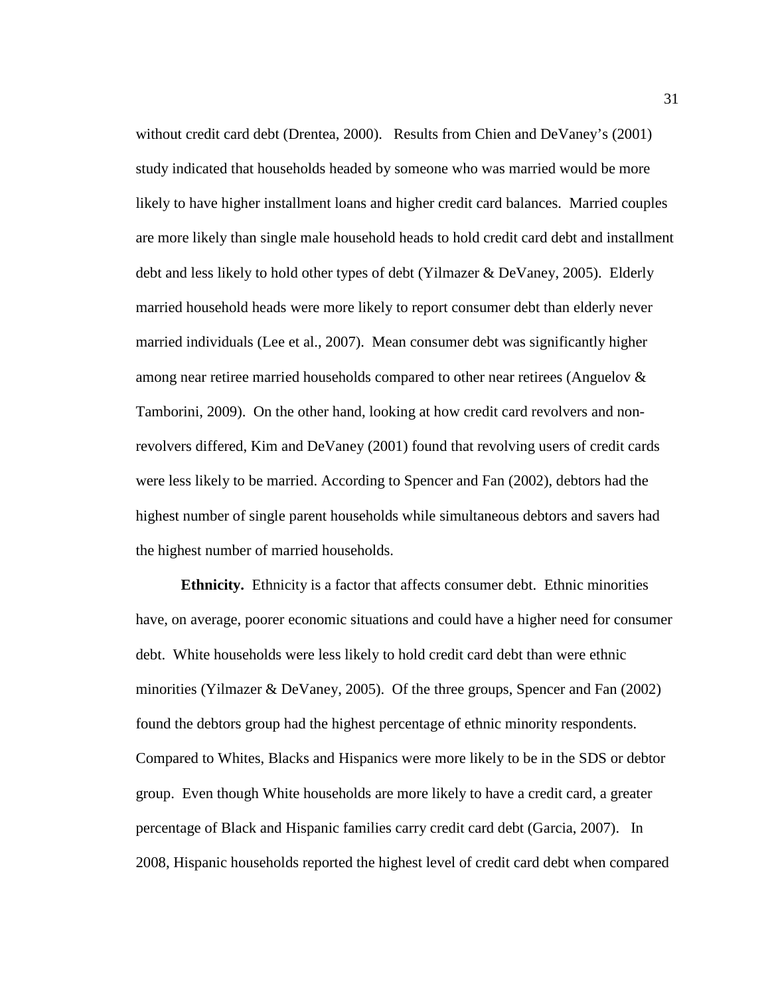without credit card debt (Drentea, 2000). Results from Chien and DeVaney's (2001) study indicated that households headed by someone who was married would be more likely to have higher installment loans and higher credit card balances. Married couples are more likely than single male household heads to hold credit card debt and installment debt and less likely to hold other types of debt (Yilmazer & DeVaney, 2005). Elderly married household heads were more likely to report consumer debt than elderly never married individuals (Lee et al., 2007). Mean consumer debt was significantly higher among near retiree married households compared to other near retirees (Anguelov & Tamborini, 2009). On the other hand, looking at how credit card revolvers and nonrevolvers differed, Kim and DeVaney (2001) found that revolving users of credit cards were less likely to be married. According to Spencer and Fan (2002), debtors had the highest number of single parent households while simultaneous debtors and savers had the highest number of married households.

**Ethnicity.** Ethnicity is a factor that affects consumer debt. Ethnic minorities have, on average, poorer economic situations and could have a higher need for consumer debt. White households were less likely to hold credit card debt than were ethnic minorities (Yilmazer & DeVaney, 2005). Of the three groups, Spencer and Fan (2002) found the debtors group had the highest percentage of ethnic minority respondents. Compared to Whites, Blacks and Hispanics were more likely to be in the SDS or debtor group. Even though White households are more likely to have a credit card, a greater percentage of Black and Hispanic families carry credit card debt (Garcia, 2007). In 2008, Hispanic households reported the highest level of credit card debt when compared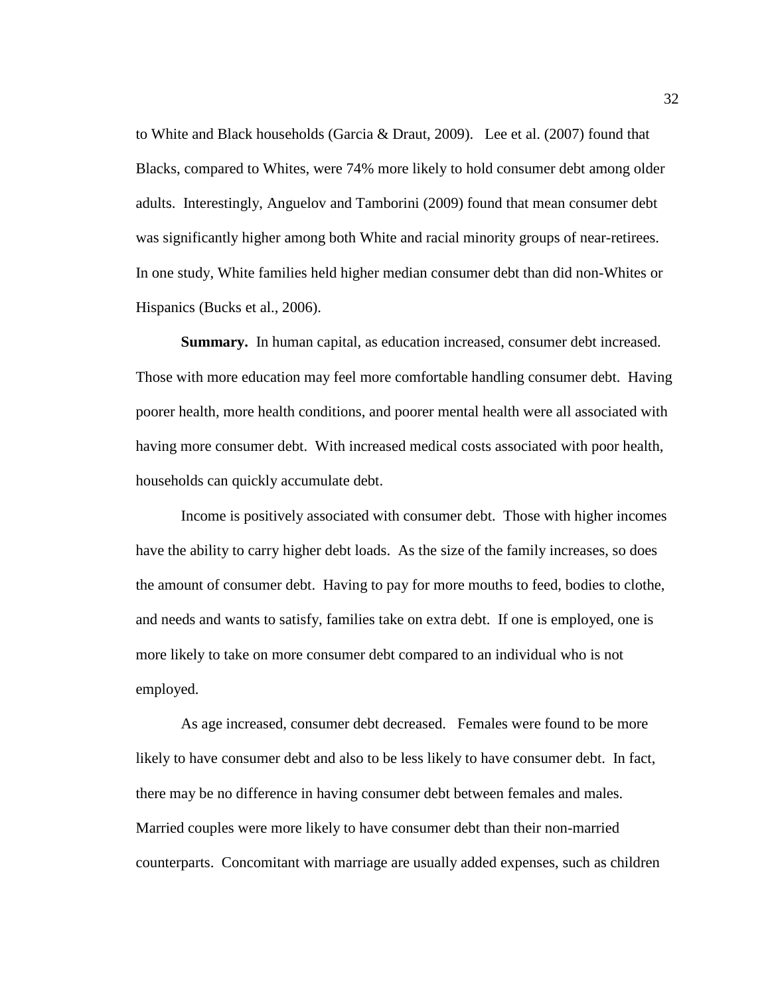to White and Black households (Garcia & Draut, 2009). Lee et al. (2007) found that Blacks, compared to Whites, were 74% more likely to hold consumer debt among older adults. Interestingly, Anguelov and Tamborini (2009) found that mean consumer debt was significantly higher among both White and racial minority groups of near-retirees. In one study, White families held higher median consumer debt than did non-Whites or Hispanics (Bucks et al., 2006).

 **Summary.** In human capital, as education increased, consumer debt increased. Those with more education may feel more comfortable handling consumer debt. Having poorer health, more health conditions, and poorer mental health were all associated with having more consumer debt. With increased medical costs associated with poor health, households can quickly accumulate debt.

Income is positively associated with consumer debt. Those with higher incomes have the ability to carry higher debt loads. As the size of the family increases, so does the amount of consumer debt. Having to pay for more mouths to feed, bodies to clothe, and needs and wants to satisfy, families take on extra debt. If one is employed, one is more likely to take on more consumer debt compared to an individual who is not employed.

As age increased, consumer debt decreased. Females were found to be more likely to have consumer debt and also to be less likely to have consumer debt. In fact, there may be no difference in having consumer debt between females and males. Married couples were more likely to have consumer debt than their non-married counterparts. Concomitant with marriage are usually added expenses, such as children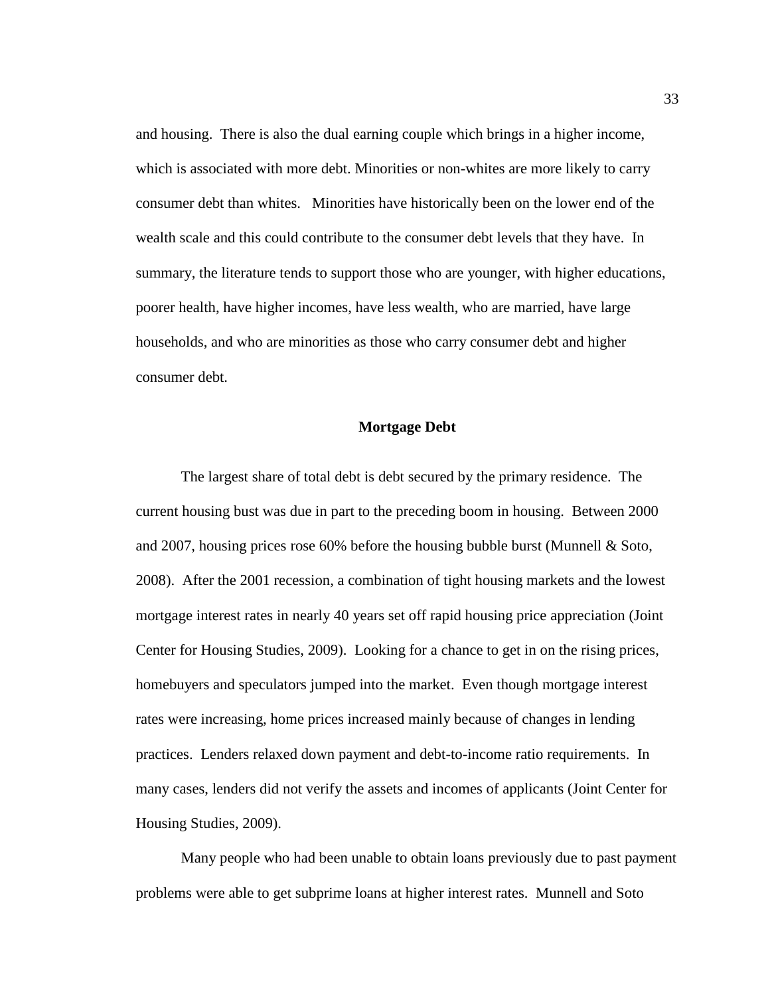and housing. There is also the dual earning couple which brings in a higher income, which is associated with more debt. Minorities or non-whites are more likely to carry consumer debt than whites. Minorities have historically been on the lower end of the wealth scale and this could contribute to the consumer debt levels that they have. In summary, the literature tends to support those who are younger, with higher educations, poorer health, have higher incomes, have less wealth, who are married, have large households, and who are minorities as those who carry consumer debt and higher consumer debt.

#### **Mortgage Debt**

The largest share of total debt is debt secured by the primary residence. The current housing bust was due in part to the preceding boom in housing. Between 2000 and 2007, housing prices rose 60% before the housing bubble burst (Munnell & Soto, 2008). After the 2001 recession, a combination of tight housing markets and the lowest mortgage interest rates in nearly 40 years set off rapid housing price appreciation (Joint Center for Housing Studies, 2009). Looking for a chance to get in on the rising prices, homebuyers and speculators jumped into the market. Even though mortgage interest rates were increasing, home prices increased mainly because of changes in lending practices. Lenders relaxed down payment and debt-to-income ratio requirements. In many cases, lenders did not verify the assets and incomes of applicants (Joint Center for Housing Studies, 2009).

 Many people who had been unable to obtain loans previously due to past payment problems were able to get subprime loans at higher interest rates. Munnell and Soto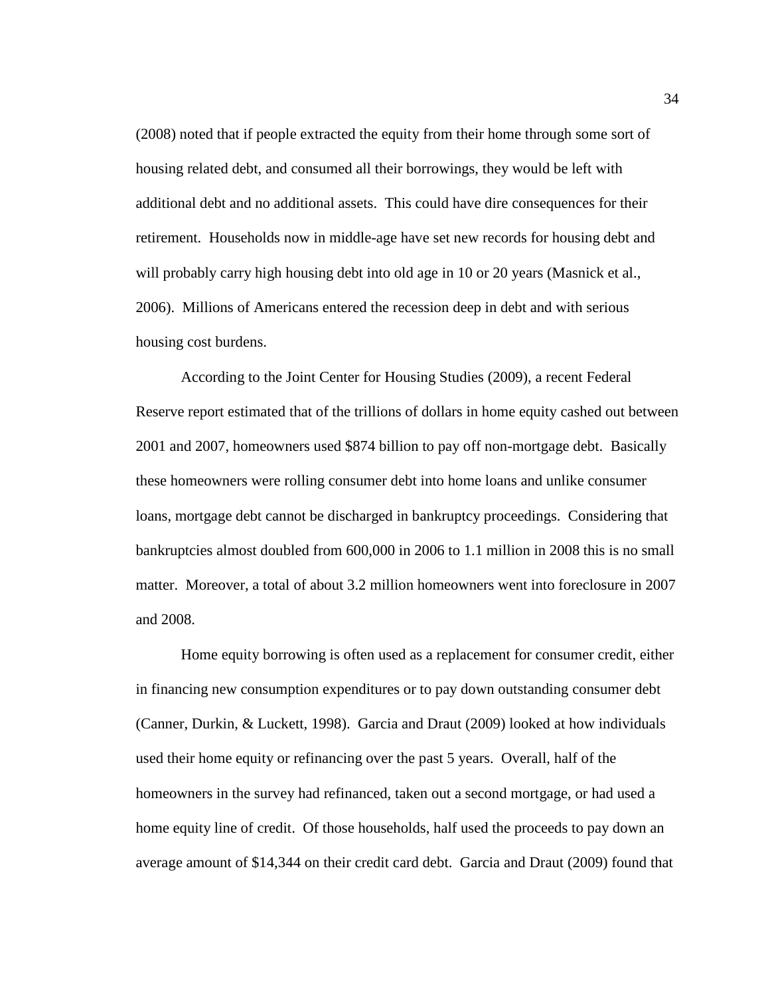(2008) noted that if people extracted the equity from their home through some sort of housing related debt, and consumed all their borrowings, they would be left with additional debt and no additional assets. This could have dire consequences for their retirement. Households now in middle-age have set new records for housing debt and will probably carry high housing debt into old age in 10 or 20 years (Masnick et al., 2006). Millions of Americans entered the recession deep in debt and with serious housing cost burdens.

According to the Joint Center for Housing Studies (2009), a recent Federal Reserve report estimated that of the trillions of dollars in home equity cashed out between 2001 and 2007, homeowners used \$874 billion to pay off non-mortgage debt. Basically these homeowners were rolling consumer debt into home loans and unlike consumer loans, mortgage debt cannot be discharged in bankruptcy proceedings. Considering that bankruptcies almost doubled from 600,000 in 2006 to 1.1 million in 2008 this is no small matter. Moreover, a total of about 3.2 million homeowners went into foreclosure in 2007 and 2008.

 Home equity borrowing is often used as a replacement for consumer credit, either in financing new consumption expenditures or to pay down outstanding consumer debt (Canner, Durkin, & Luckett, 1998). Garcia and Draut (2009) looked at how individuals used their home equity or refinancing over the past 5 years. Overall, half of the homeowners in the survey had refinanced, taken out a second mortgage, or had used a home equity line of credit. Of those households, half used the proceeds to pay down an average amount of \$14,344 on their credit card debt. Garcia and Draut (2009) found that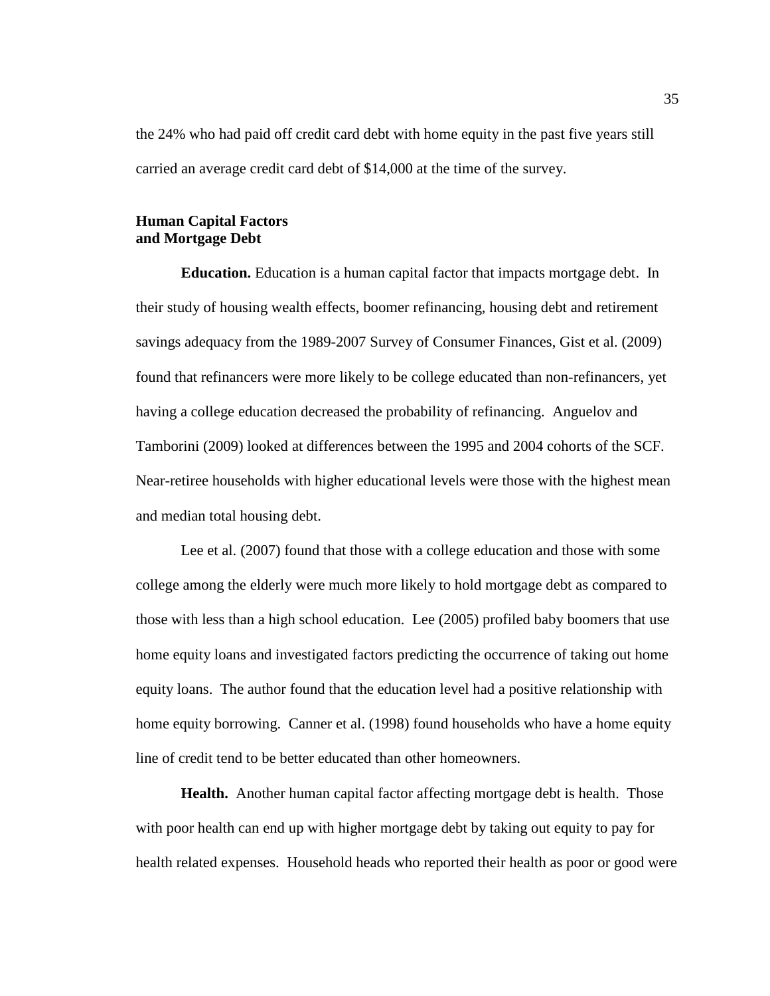the 24% who had paid off credit card debt with home equity in the past five years still carried an average credit card debt of \$14,000 at the time of the survey.

# **Human Capital Factors and Mortgage Debt**

**Education.** Education is a human capital factor that impacts mortgage debt. In their study of housing wealth effects, boomer refinancing, housing debt and retirement savings adequacy from the 1989-2007 Survey of Consumer Finances, Gist et al. (2009) found that refinancers were more likely to be college educated than non-refinancers, yet having a college education decreased the probability of refinancing. Anguelov and Tamborini (2009) looked at differences between the 1995 and 2004 cohorts of the SCF. Near-retiree households with higher educational levels were those with the highest mean and median total housing debt.

Lee et al. (2007) found that those with a college education and those with some college among the elderly were much more likely to hold mortgage debt as compared to those with less than a high school education. Lee (2005) profiled baby boomers that use home equity loans and investigated factors predicting the occurrence of taking out home equity loans. The author found that the education level had a positive relationship with home equity borrowing. Canner et al. (1998) found households who have a home equity line of credit tend to be better educated than other homeowners.

**Health.** Another human capital factor affecting mortgage debt is health. Those with poor health can end up with higher mortgage debt by taking out equity to pay for health related expenses. Household heads who reported their health as poor or good were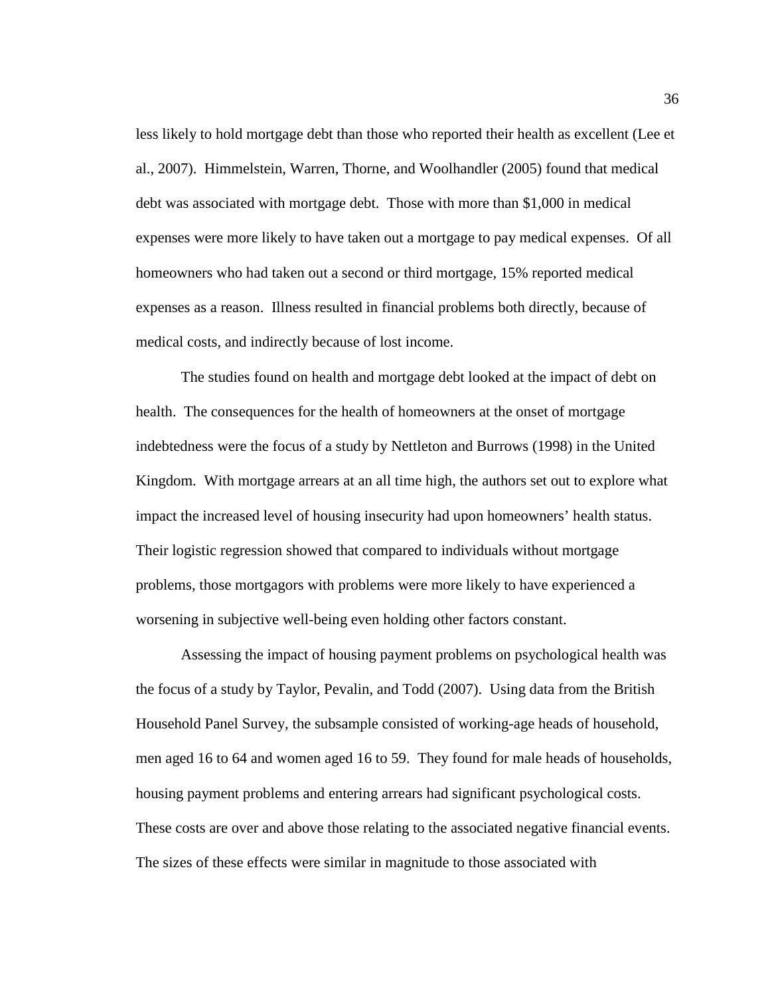less likely to hold mortgage debt than those who reported their health as excellent (Lee et al., 2007). Himmelstein, Warren, Thorne, and Woolhandler (2005) found that medical debt was associated with mortgage debt. Those with more than \$1,000 in medical expenses were more likely to have taken out a mortgage to pay medical expenses. Of all homeowners who had taken out a second or third mortgage, 15% reported medical expenses as a reason. Illness resulted in financial problems both directly, because of medical costs, and indirectly because of lost income.

The studies found on health and mortgage debt looked at the impact of debt on health. The consequences for the health of homeowners at the onset of mortgage indebtedness were the focus of a study by Nettleton and Burrows (1998) in the United Kingdom. With mortgage arrears at an all time high, the authors set out to explore what impact the increased level of housing insecurity had upon homeowners' health status. Their logistic regression showed that compared to individuals without mortgage problems, those mortgagors with problems were more likely to have experienced a worsening in subjective well-being even holding other factors constant.

Assessing the impact of housing payment problems on psychological health was the focus of a study by Taylor, Pevalin, and Todd (2007). Using data from the British Household Panel Survey, the subsample consisted of working-age heads of household, men aged 16 to 64 and women aged 16 to 59. They found for male heads of households, housing payment problems and entering arrears had significant psychological costs. These costs are over and above those relating to the associated negative financial events. The sizes of these effects were similar in magnitude to those associated with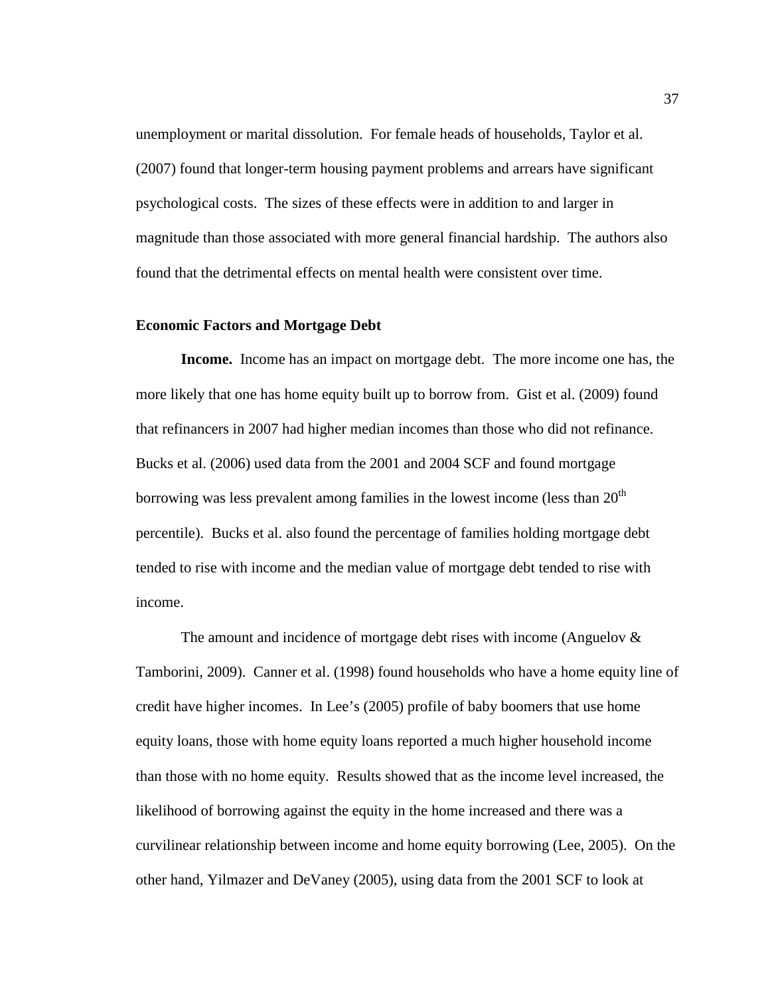unemployment or marital dissolution. For female heads of households, Taylor et al. (2007) found that longer-term housing payment problems and arrears have significant psychological costs. The sizes of these effects were in addition to and larger in magnitude than those associated with more general financial hardship. The authors also found that the detrimental effects on mental health were consistent over time.

#### **Economic Factors and Mortgage Debt**

 **Income.** Income has an impact on mortgage debt. The more income one has, the more likely that one has home equity built up to borrow from. Gist et al. (2009) found that refinancers in 2007 had higher median incomes than those who did not refinance. Bucks et al. (2006) used data from the 2001 and 2004 SCF and found mortgage borrowing was less prevalent among families in the lowest income (less than  $20<sup>th</sup>$ percentile). Bucks et al. also found the percentage of families holding mortgage debt tended to rise with income and the median value of mortgage debt tended to rise with income.

 The amount and incidence of mortgage debt rises with income (Anguelov & Tamborini, 2009). Canner et al. (1998) found households who have a home equity line of credit have higher incomes. In Lee's (2005) profile of baby boomers that use home equity loans, those with home equity loans reported a much higher household income than those with no home equity. Results showed that as the income level increased, the likelihood of borrowing against the equity in the home increased and there was a curvilinear relationship between income and home equity borrowing (Lee, 2005). On the other hand, Yilmazer and DeVaney (2005), using data from the 2001 SCF to look at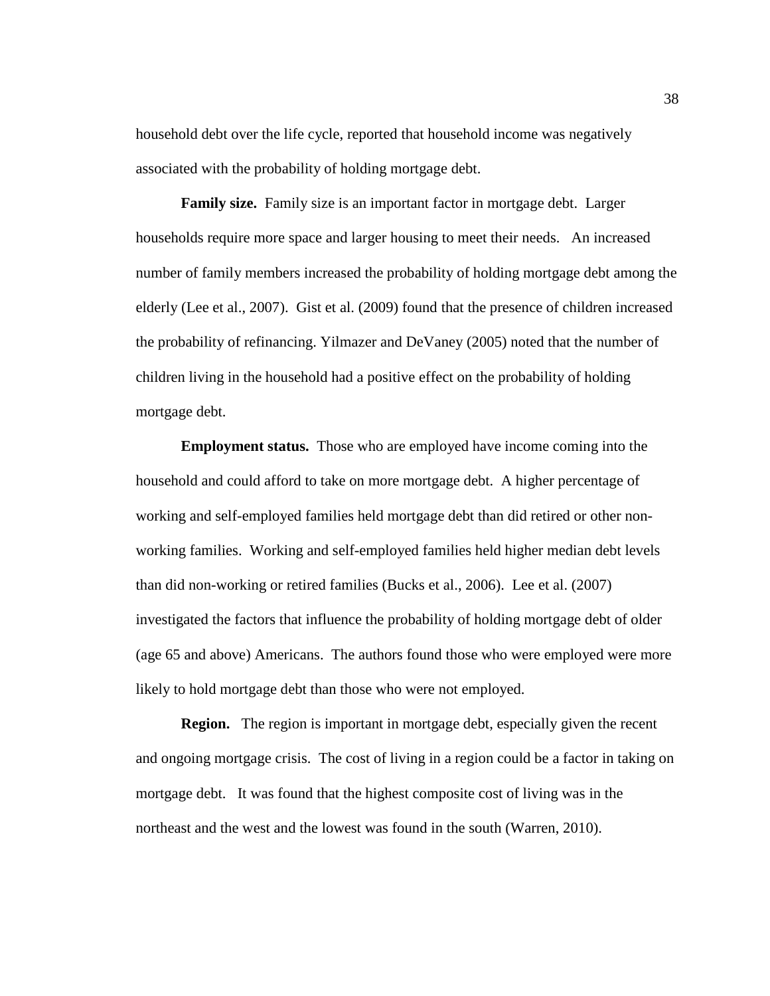household debt over the life cycle, reported that household income was negatively associated with the probability of holding mortgage debt.

**Family size.** Family size is an important factor in mortgage debt. Larger households require more space and larger housing to meet their needs. An increased number of family members increased the probability of holding mortgage debt among the elderly (Lee et al., 2007). Gist et al. (2009) found that the presence of children increased the probability of refinancing. Yilmazer and DeVaney (2005) noted that the number of children living in the household had a positive effect on the probability of holding mortgage debt.

**Employment status.** Those who are employed have income coming into the household and could afford to take on more mortgage debt. A higher percentage of working and self-employed families held mortgage debt than did retired or other nonworking families. Working and self-employed families held higher median debt levels than did non-working or retired families (Bucks et al., 2006). Lee et al. (2007) investigated the factors that influence the probability of holding mortgage debt of older (age 65 and above) Americans. The authors found those who were employed were more likely to hold mortgage debt than those who were not employed.

**Region.** The region is important in mortgage debt, especially given the recent and ongoing mortgage crisis. The cost of living in a region could be a factor in taking on mortgage debt. It was found that the highest composite cost of living was in the northeast and the west and the lowest was found in the south (Warren, 2010).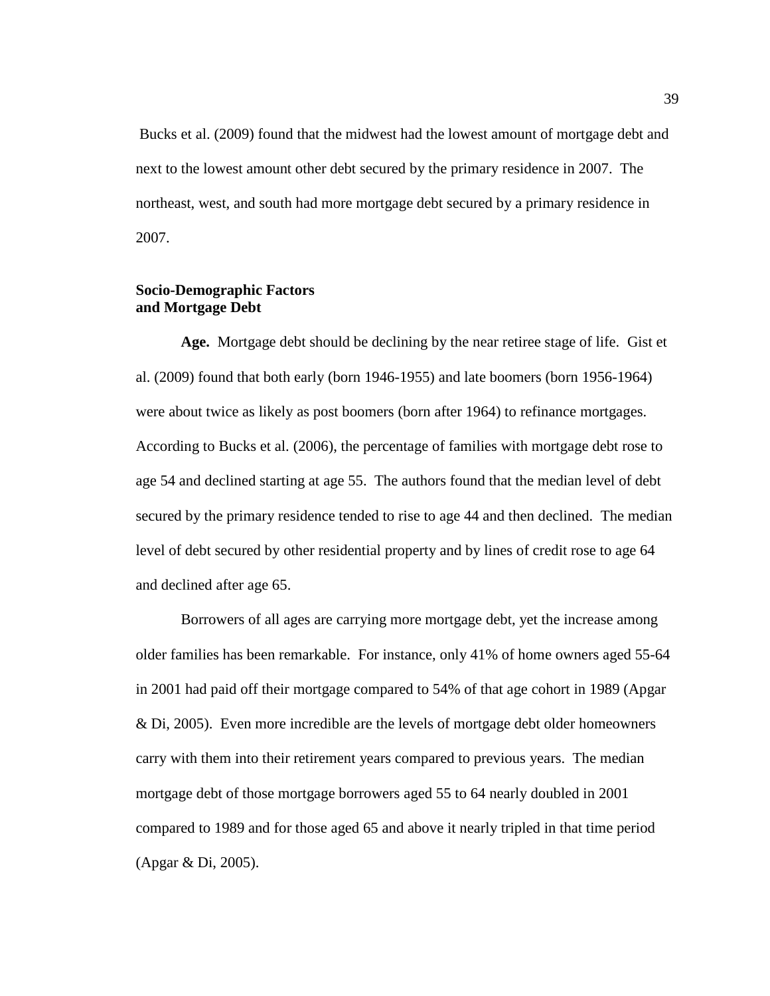Bucks et al. (2009) found that the midwest had the lowest amount of mortgage debt and next to the lowest amount other debt secured by the primary residence in 2007. The northeast, west, and south had more mortgage debt secured by a primary residence in 2007.

# **Socio-Demographic Factors and Mortgage Debt**

**Age.** Mortgage debt should be declining by the near retiree stage of life. Gist et al. (2009) found that both early (born 1946-1955) and late boomers (born 1956-1964) were about twice as likely as post boomers (born after 1964) to refinance mortgages. According to Bucks et al. (2006), the percentage of families with mortgage debt rose to age 54 and declined starting at age 55. The authors found that the median level of debt secured by the primary residence tended to rise to age 44 and then declined. The median level of debt secured by other residential property and by lines of credit rose to age 64 and declined after age 65.

Borrowers of all ages are carrying more mortgage debt, yet the increase among older families has been remarkable. For instance, only 41% of home owners aged 55-64 in 2001 had paid off their mortgage compared to 54% of that age cohort in 1989 (Apgar & Di, 2005). Even more incredible are the levels of mortgage debt older homeowners carry with them into their retirement years compared to previous years. The median mortgage debt of those mortgage borrowers aged 55 to 64 nearly doubled in 2001 compared to 1989 and for those aged 65 and above it nearly tripled in that time period (Apgar & Di, 2005).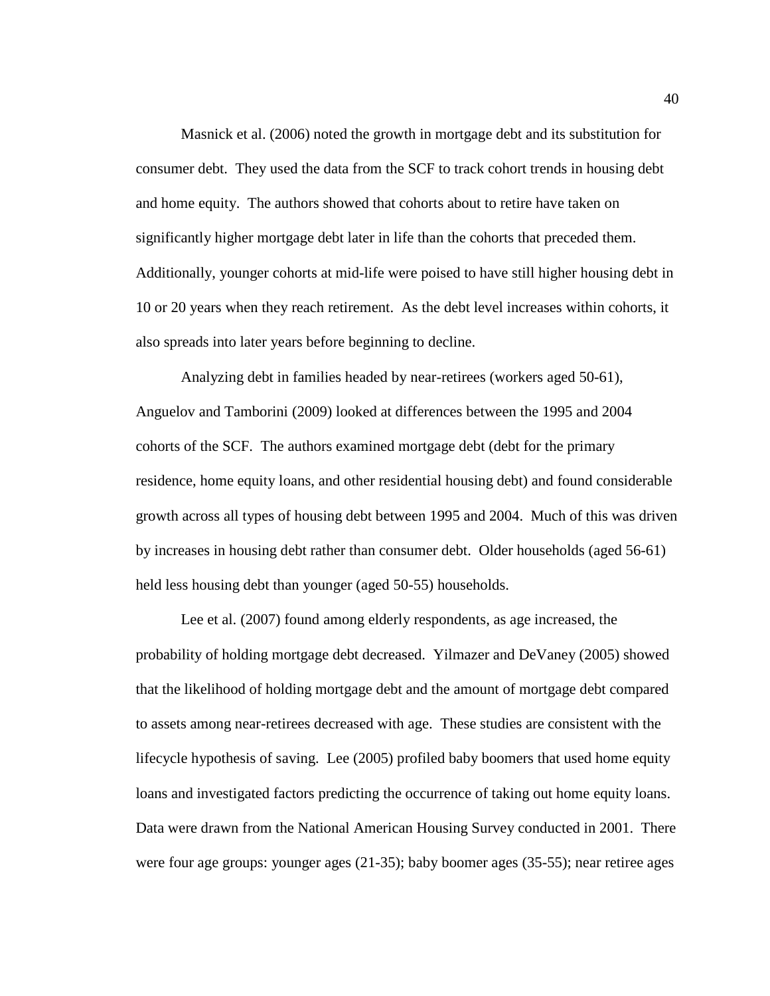Masnick et al. (2006) noted the growth in mortgage debt and its substitution for consumer debt. They used the data from the SCF to track cohort trends in housing debt and home equity. The authors showed that cohorts about to retire have taken on significantly higher mortgage debt later in life than the cohorts that preceded them. Additionally, younger cohorts at mid-life were poised to have still higher housing debt in 10 or 20 years when they reach retirement. As the debt level increases within cohorts, it also spreads into later years before beginning to decline.

Analyzing debt in families headed by near-retirees (workers aged 50-61), Anguelov and Tamborini (2009) looked at differences between the 1995 and 2004 cohorts of the SCF. The authors examined mortgage debt (debt for the primary residence, home equity loans, and other residential housing debt) and found considerable growth across all types of housing debt between 1995 and 2004. Much of this was driven by increases in housing debt rather than consumer debt. Older households (aged 56-61) held less housing debt than younger (aged 50-55) households.

Lee et al. (2007) found among elderly respondents, as age increased, the probability of holding mortgage debt decreased. Yilmazer and DeVaney (2005) showed that the likelihood of holding mortgage debt and the amount of mortgage debt compared to assets among near-retirees decreased with age. These studies are consistent with the lifecycle hypothesis of saving. Lee (2005) profiled baby boomers that used home equity loans and investigated factors predicting the occurrence of taking out home equity loans. Data were drawn from the National American Housing Survey conducted in 2001. There were four age groups: younger ages (21-35); baby boomer ages (35-55); near retiree ages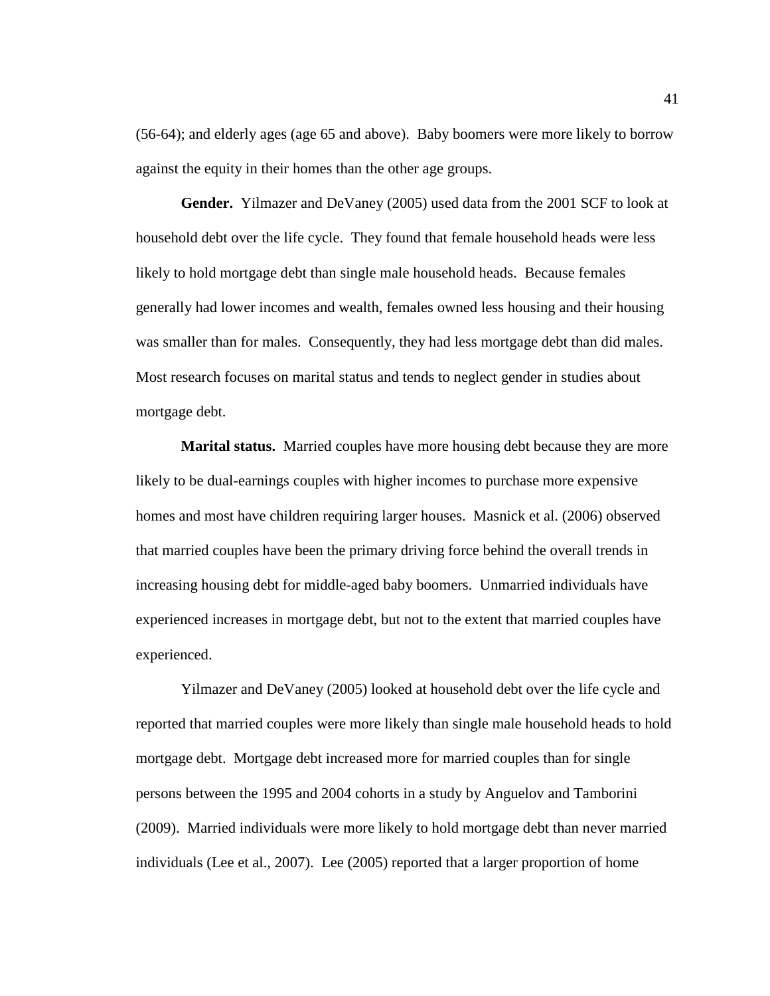(56-64); and elderly ages (age 65 and above). Baby boomers were more likely to borrow against the equity in their homes than the other age groups.

 **Gender.** Yilmazer and DeVaney (2005) used data from the 2001 SCF to look at household debt over the life cycle. They found that female household heads were less likely to hold mortgage debt than single male household heads. Because females generally had lower incomes and wealth, females owned less housing and their housing was smaller than for males. Consequently, they had less mortgage debt than did males. Most research focuses on marital status and tends to neglect gender in studies about mortgage debt.

**Marital status.** Married couples have more housing debt because they are more likely to be dual-earnings couples with higher incomes to purchase more expensive homes and most have children requiring larger houses. Masnick et al. (2006) observed that married couples have been the primary driving force behind the overall trends in increasing housing debt for middle-aged baby boomers. Unmarried individuals have experienced increases in mortgage debt, but not to the extent that married couples have experienced.

Yilmazer and DeVaney (2005) looked at household debt over the life cycle and reported that married couples were more likely than single male household heads to hold mortgage debt. Mortgage debt increased more for married couples than for single persons between the 1995 and 2004 cohorts in a study by Anguelov and Tamborini (2009). Married individuals were more likely to hold mortgage debt than never married individuals (Lee et al., 2007). Lee (2005) reported that a larger proportion of home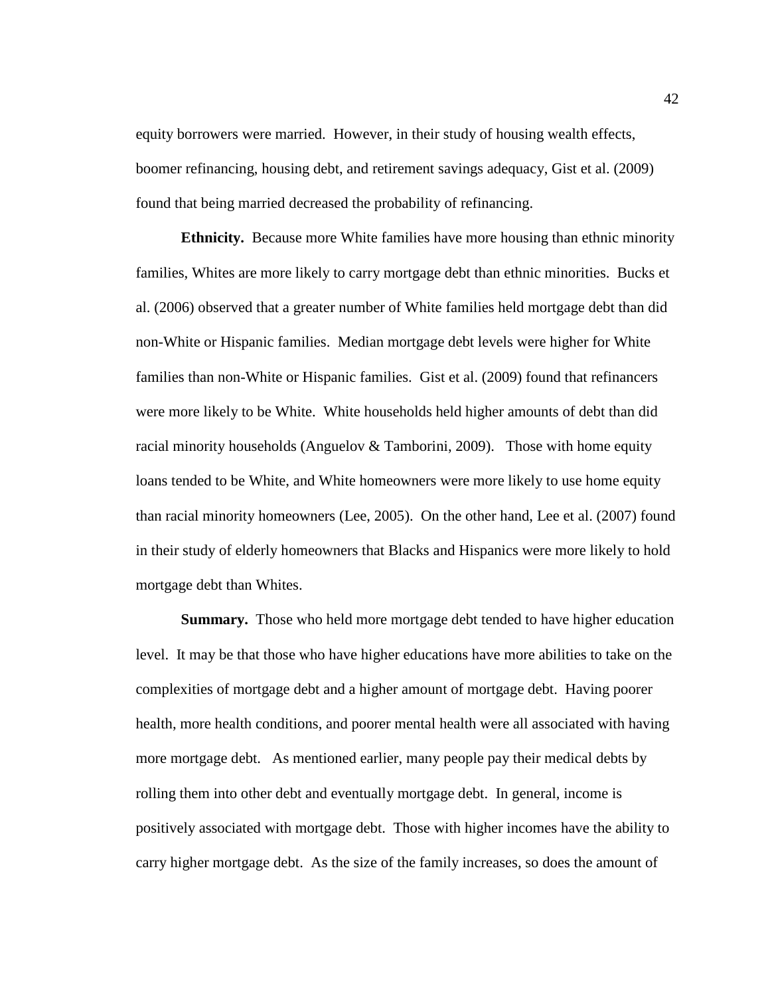equity borrowers were married. However, in their study of housing wealth effects, boomer refinancing, housing debt, and retirement savings adequacy, Gist et al. (2009) found that being married decreased the probability of refinancing.

**Ethnicity.** Because more White families have more housing than ethnic minority families, Whites are more likely to carry mortgage debt than ethnic minorities. Bucks et al. (2006) observed that a greater number of White families held mortgage debt than did non-White or Hispanic families. Median mortgage debt levels were higher for White families than non-White or Hispanic families. Gist et al. (2009) found that refinancers were more likely to be White. White households held higher amounts of debt than did racial minority households (Anguelov & Tamborini, 2009). Those with home equity loans tended to be White, and White homeowners were more likely to use home equity than racial minority homeowners (Lee, 2005). On the other hand, Lee et al. (2007) found in their study of elderly homeowners that Blacks and Hispanics were more likely to hold mortgage debt than Whites.

 **Summary.** Those who held more mortgage debt tended to have higher education level. It may be that those who have higher educations have more abilities to take on the complexities of mortgage debt and a higher amount of mortgage debt. Having poorer health, more health conditions, and poorer mental health were all associated with having more mortgage debt. As mentioned earlier, many people pay their medical debts by rolling them into other debt and eventually mortgage debt. In general, income is positively associated with mortgage debt. Those with higher incomes have the ability to carry higher mortgage debt. As the size of the family increases, so does the amount of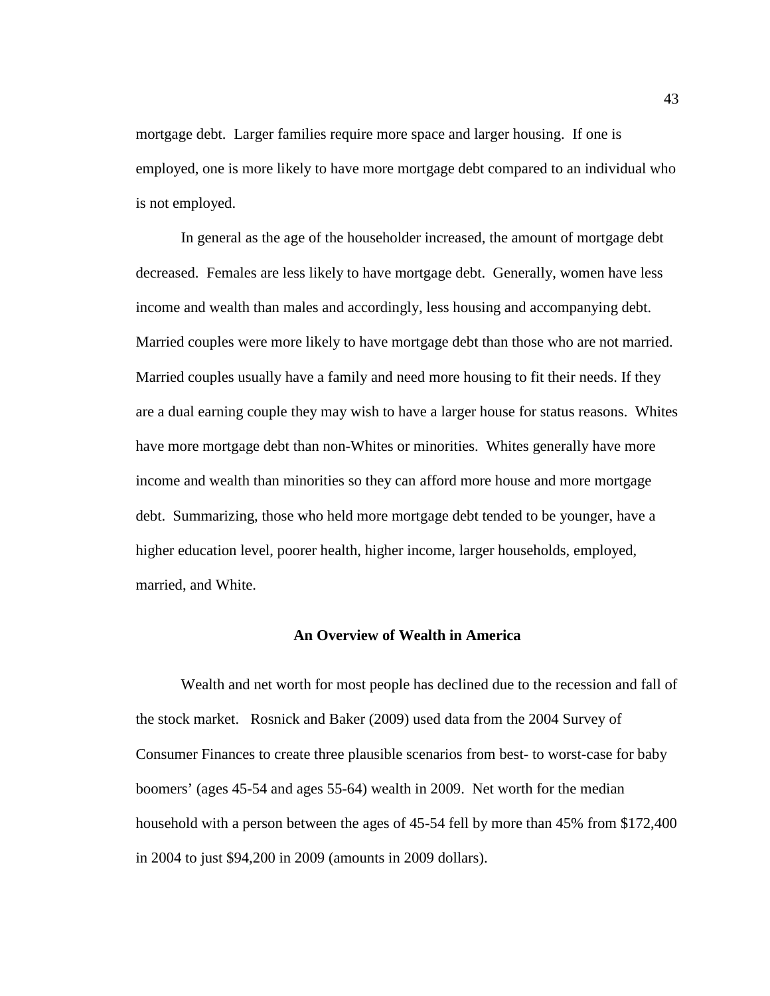mortgage debt. Larger families require more space and larger housing. If one is employed, one is more likely to have more mortgage debt compared to an individual who is not employed.

In general as the age of the householder increased, the amount of mortgage debt decreased. Females are less likely to have mortgage debt. Generally, women have less income and wealth than males and accordingly, less housing and accompanying debt. Married couples were more likely to have mortgage debt than those who are not married. Married couples usually have a family and need more housing to fit their needs. If they are a dual earning couple they may wish to have a larger house for status reasons. Whites have more mortgage debt than non-Whites or minorities. Whites generally have more income and wealth than minorities so they can afford more house and more mortgage debt. Summarizing, those who held more mortgage debt tended to be younger, have a higher education level, poorer health, higher income, larger households, employed, married, and White.

#### **An Overview of Wealth in America**

Wealth and net worth for most people has declined due to the recession and fall of the stock market. Rosnick and Baker (2009) used data from the 2004 Survey of Consumer Finances to create three plausible scenarios from best- to worst-case for baby boomers' (ages 45-54 and ages 55-64) wealth in 2009. Net worth for the median household with a person between the ages of 45-54 fell by more than 45% from \$172,400 in 2004 to just \$94,200 in 2009 (amounts in 2009 dollars).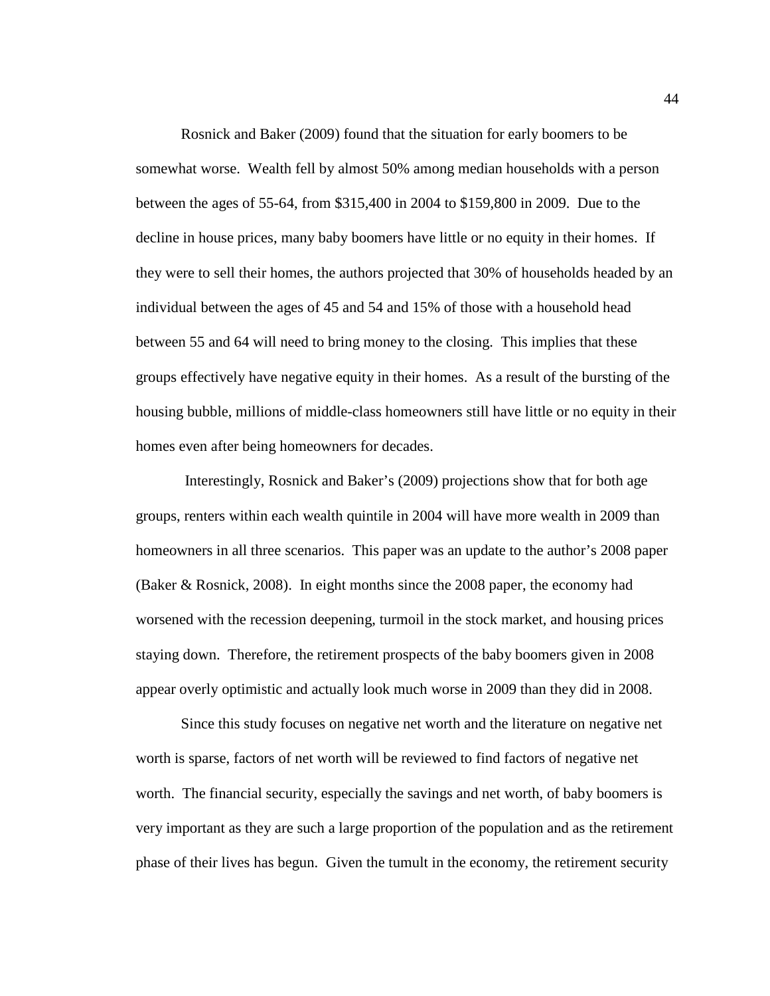Rosnick and Baker (2009) found that the situation for early boomers to be somewhat worse. Wealth fell by almost 50% among median households with a person between the ages of 55-64, from \$315,400 in 2004 to \$159,800 in 2009. Due to the decline in house prices, many baby boomers have little or no equity in their homes. If they were to sell their homes, the authors projected that 30% of households headed by an individual between the ages of 45 and 54 and 15% of those with a household head between 55 and 64 will need to bring money to the closing. This implies that these groups effectively have negative equity in their homes. As a result of the bursting of the housing bubble, millions of middle-class homeowners still have little or no equity in their homes even after being homeowners for decades.

 Interestingly, Rosnick and Baker's (2009) projections show that for both age groups, renters within each wealth quintile in 2004 will have more wealth in 2009 than homeowners in all three scenarios. This paper was an update to the author's 2008 paper (Baker & Rosnick, 2008). In eight months since the 2008 paper, the economy had worsened with the recession deepening, turmoil in the stock market, and housing prices staying down. Therefore, the retirement prospects of the baby boomers given in 2008 appear overly optimistic and actually look much worse in 2009 than they did in 2008.

 Since this study focuses on negative net worth and the literature on negative net worth is sparse, factors of net worth will be reviewed to find factors of negative net worth. The financial security, especially the savings and net worth, of baby boomers is very important as they are such a large proportion of the population and as the retirement phase of their lives has begun. Given the tumult in the economy, the retirement security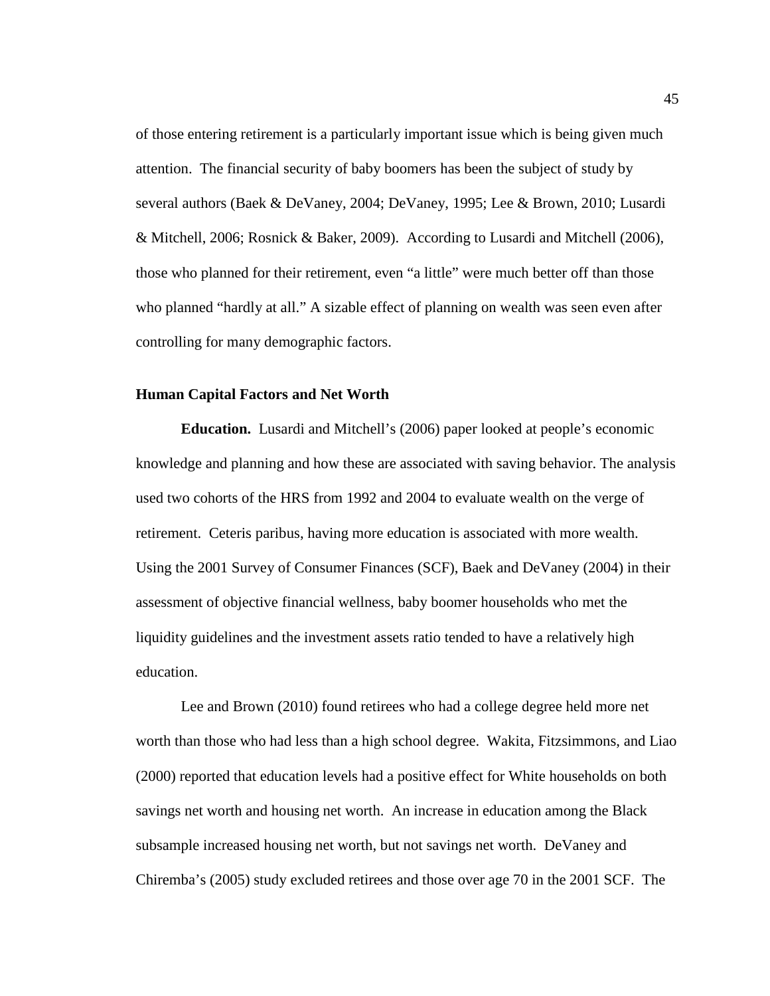of those entering retirement is a particularly important issue which is being given much attention. The financial security of baby boomers has been the subject of study by several authors (Baek & DeVaney, 2004; DeVaney, 1995; Lee & Brown, 2010; Lusardi & Mitchell, 2006; Rosnick & Baker, 2009). According to Lusardi and Mitchell (2006), those who planned for their retirement, even "a little" were much better off than those who planned "hardly at all." A sizable effect of planning on wealth was seen even after controlling for many demographic factors.

#### **Human Capital Factors and Net Worth**

**Education.** Lusardi and Mitchell's (2006) paper looked at people's economic knowledge and planning and how these are associated with saving behavior. The analysis used two cohorts of the HRS from 1992 and 2004 to evaluate wealth on the verge of retirement. Ceteris paribus, having more education is associated with more wealth. Using the 2001 Survey of Consumer Finances (SCF), Baek and DeVaney (2004) in their assessment of objective financial wellness, baby boomer households who met the liquidity guidelines and the investment assets ratio tended to have a relatively high education.

 Lee and Brown (2010) found retirees who had a college degree held more net worth than those who had less than a high school degree. Wakita, Fitzsimmons, and Liao (2000) reported that education levels had a positive effect for White households on both savings net worth and housing net worth. An increase in education among the Black subsample increased housing net worth, but not savings net worth. DeVaney and Chiremba's (2005) study excluded retirees and those over age 70 in the 2001 SCF. The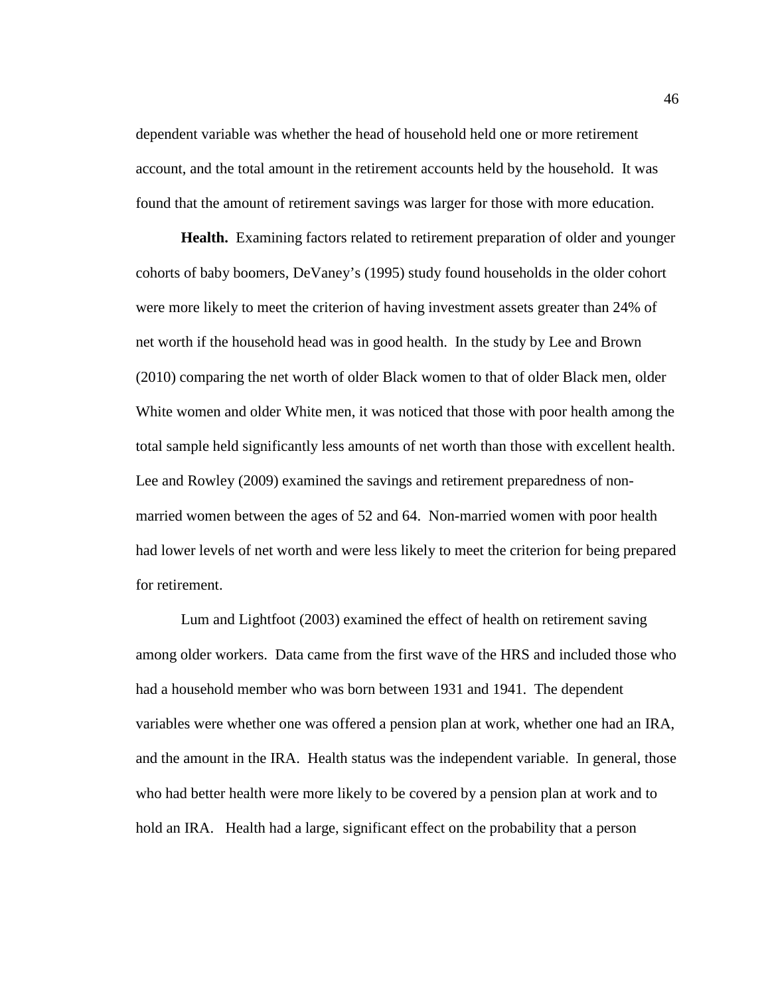dependent variable was whether the head of household held one or more retirement account, and the total amount in the retirement accounts held by the household. It was found that the amount of retirement savings was larger for those with more education.

**Health.** Examining factors related to retirement preparation of older and younger cohorts of baby boomers, DeVaney's (1995) study found households in the older cohort were more likely to meet the criterion of having investment assets greater than 24% of net worth if the household head was in good health. In the study by Lee and Brown (2010) comparing the net worth of older Black women to that of older Black men, older White women and older White men, it was noticed that those with poor health among the total sample held significantly less amounts of net worth than those with excellent health. Lee and Rowley (2009) examined the savings and retirement preparedness of nonmarried women between the ages of 52 and 64. Non-married women with poor health had lower levels of net worth and were less likely to meet the criterion for being prepared for retirement.

 Lum and Lightfoot (2003) examined the effect of health on retirement saving among older workers. Data came from the first wave of the HRS and included those who had a household member who was born between 1931 and 1941. The dependent variables were whether one was offered a pension plan at work, whether one had an IRA, and the amount in the IRA. Health status was the independent variable. In general, those who had better health were more likely to be covered by a pension plan at work and to hold an IRA. Health had a large, significant effect on the probability that a person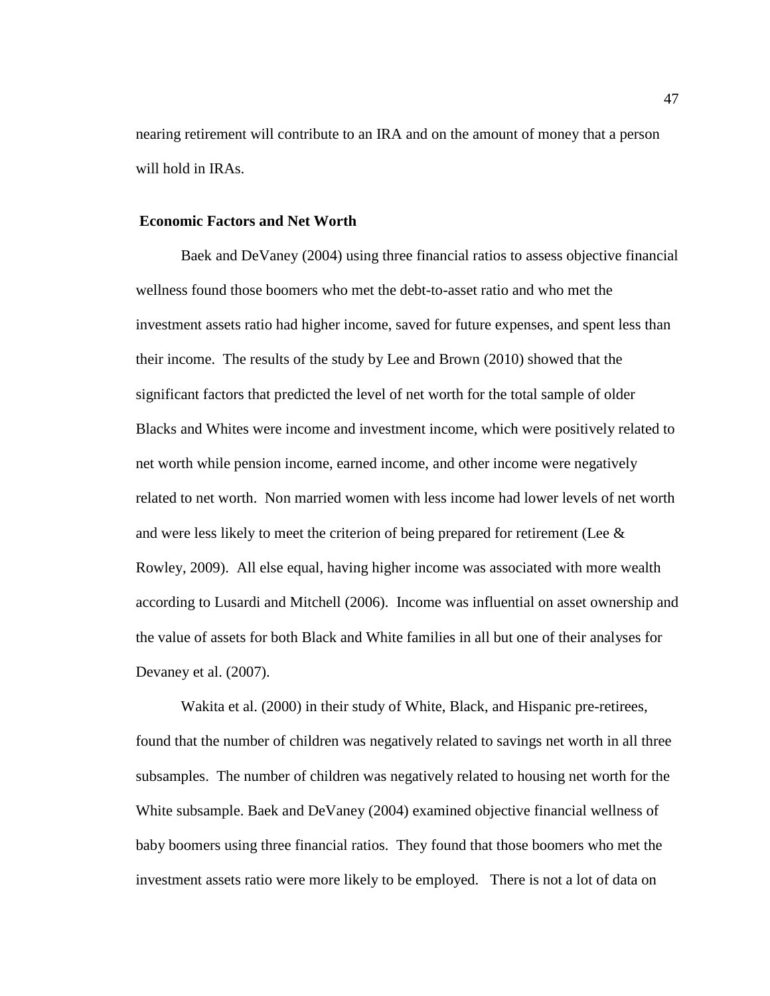nearing retirement will contribute to an IRA and on the amount of money that a person will hold in IRAs.

# **Economic Factors and Net Worth**

 Baek and DeVaney (2004) using three financial ratios to assess objective financial wellness found those boomers who met the debt-to-asset ratio and who met the investment assets ratio had higher income, saved for future expenses, and spent less than their income. The results of the study by Lee and Brown (2010) showed that the significant factors that predicted the level of net worth for the total sample of older Blacks and Whites were income and investment income, which were positively related to net worth while pension income, earned income, and other income were negatively related to net worth. Non married women with less income had lower levels of net worth and were less likely to meet the criterion of being prepared for retirement (Lee & Rowley, 2009). All else equal, having higher income was associated with more wealth according to Lusardi and Mitchell (2006). Income was influential on asset ownership and the value of assets for both Black and White families in all but one of their analyses for Devaney et al. (2007).

Wakita et al. (2000) in their study of White, Black, and Hispanic pre-retirees, found that the number of children was negatively related to savings net worth in all three subsamples. The number of children was negatively related to housing net worth for the White subsample. Baek and DeVaney (2004) examined objective financial wellness of baby boomers using three financial ratios. They found that those boomers who met the investment assets ratio were more likely to be employed. There is not a lot of data on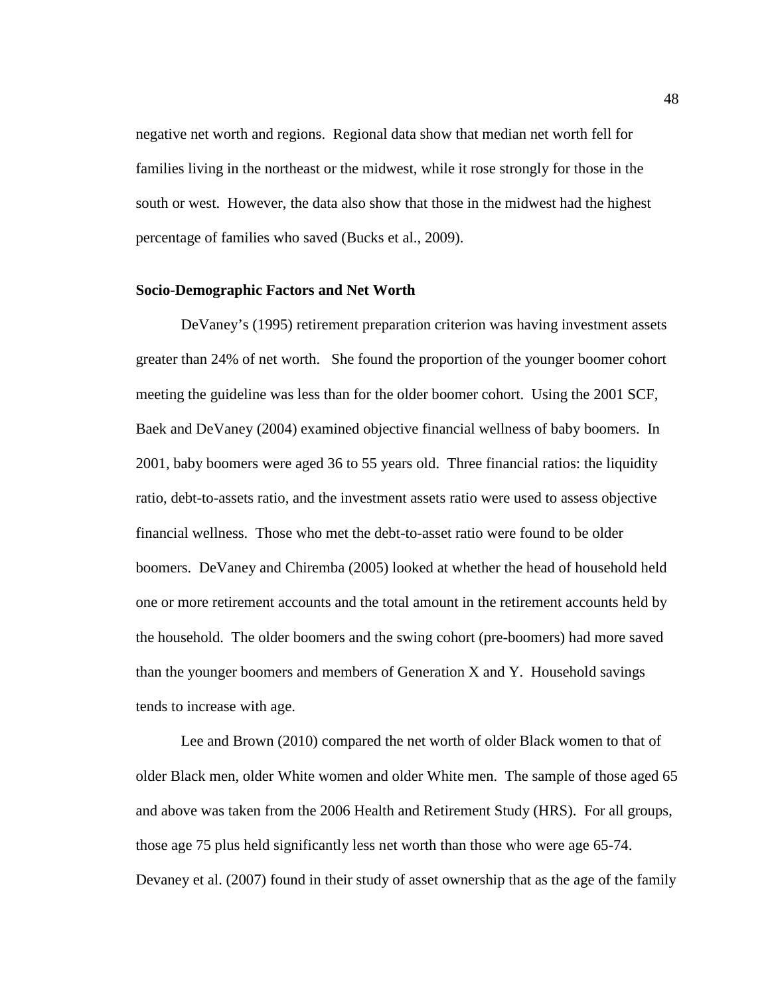negative net worth and regions. Regional data show that median net worth fell for families living in the northeast or the midwest, while it rose strongly for those in the south or west. However, the data also show that those in the midwest had the highest percentage of families who saved (Bucks et al., 2009).

#### **Socio-Demographic Factors and Net Worth**

 DeVaney's (1995) retirement preparation criterion was having investment assets greater than 24% of net worth. She found the proportion of the younger boomer cohort meeting the guideline was less than for the older boomer cohort. Using the 2001 SCF, Baek and DeVaney (2004) examined objective financial wellness of baby boomers. In 2001, baby boomers were aged 36 to 55 years old. Three financial ratios: the liquidity ratio, debt-to-assets ratio, and the investment assets ratio were used to assess objective financial wellness. Those who met the debt-to-asset ratio were found to be older boomers. DeVaney and Chiremba (2005) looked at whether the head of household held one or more retirement accounts and the total amount in the retirement accounts held by the household. The older boomers and the swing cohort (pre-boomers) had more saved than the younger boomers and members of Generation X and Y. Household savings tends to increase with age.

 Lee and Brown (2010) compared the net worth of older Black women to that of older Black men, older White women and older White men. The sample of those aged 65 and above was taken from the 2006 Health and Retirement Study (HRS). For all groups, those age 75 plus held significantly less net worth than those who were age 65-74. Devaney et al. (2007) found in their study of asset ownership that as the age of the family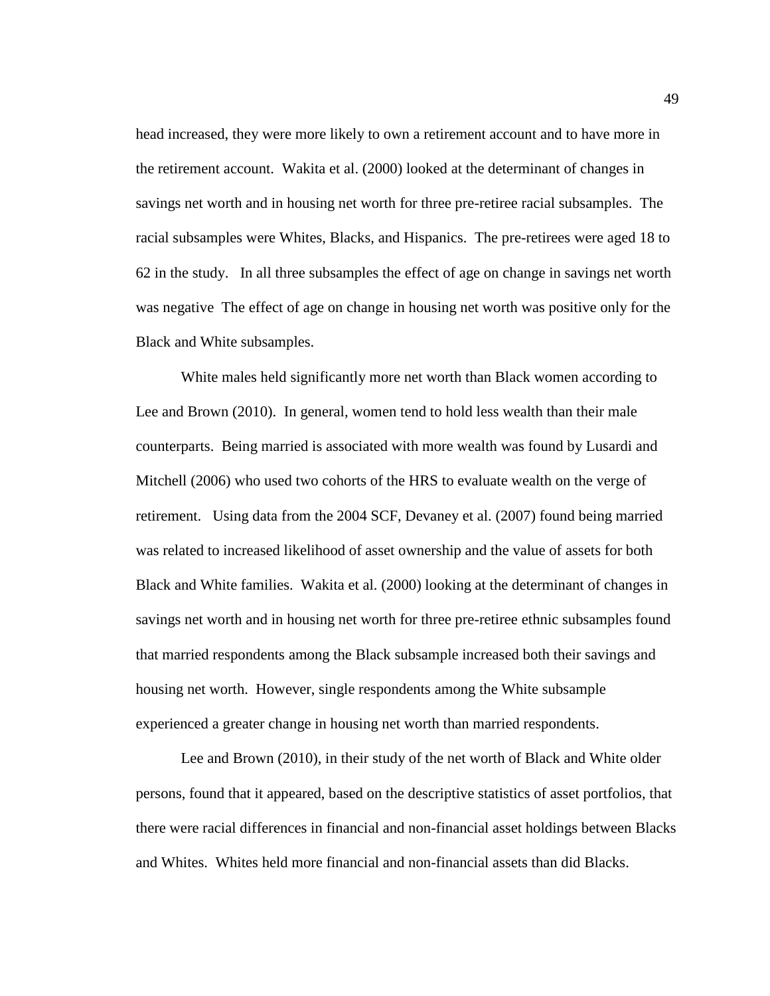head increased, they were more likely to own a retirement account and to have more in the retirement account. Wakita et al. (2000) looked at the determinant of changes in savings net worth and in housing net worth for three pre-retiree racial subsamples. The racial subsamples were Whites, Blacks, and Hispanics. The pre-retirees were aged 18 to 62 in the study. In all three subsamples the effect of age on change in savings net worth was negative The effect of age on change in housing net worth was positive only for the Black and White subsamples.

 White males held significantly more net worth than Black women according to Lee and Brown (2010). In general, women tend to hold less wealth than their male counterparts. Being married is associated with more wealth was found by Lusardi and Mitchell (2006) who used two cohorts of the HRS to evaluate wealth on the verge of retirement. Using data from the 2004 SCF, Devaney et al. (2007) found being married was related to increased likelihood of asset ownership and the value of assets for both Black and White families. Wakita et al. (2000) looking at the determinant of changes in savings net worth and in housing net worth for three pre-retiree ethnic subsamples found that married respondents among the Black subsample increased both their savings and housing net worth. However, single respondents among the White subsample experienced a greater change in housing net worth than married respondents.

 Lee and Brown (2010), in their study of the net worth of Black and White older persons, found that it appeared, based on the descriptive statistics of asset portfolios, that there were racial differences in financial and non-financial asset holdings between Blacks and Whites. Whites held more financial and non-financial assets than did Blacks.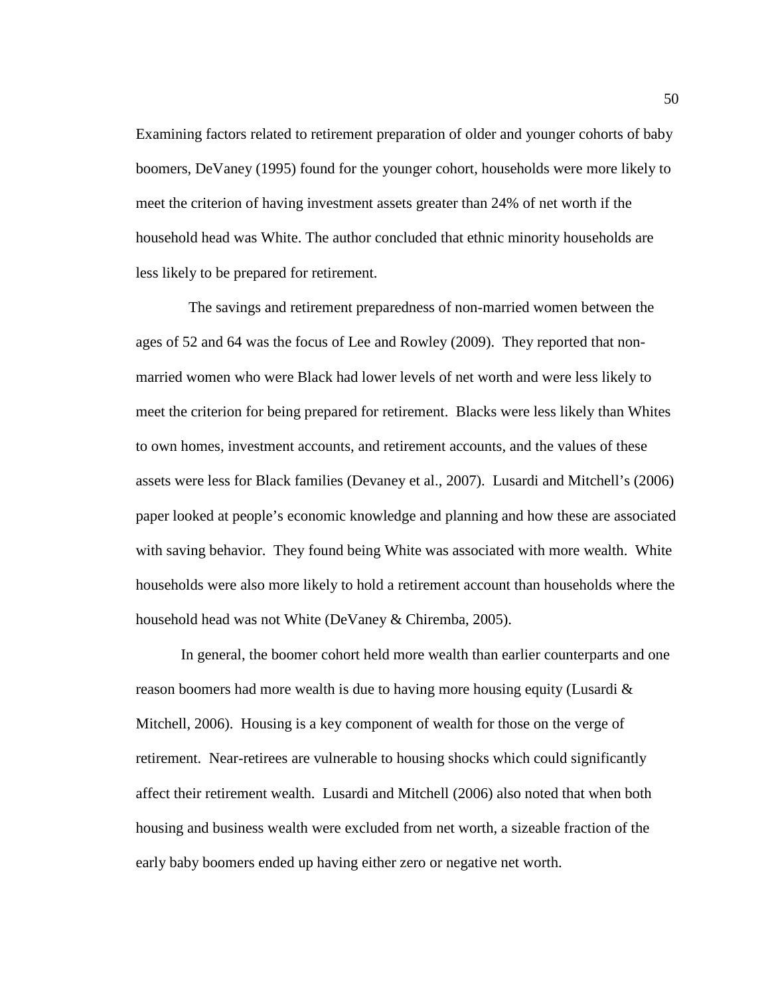Examining factors related to retirement preparation of older and younger cohorts of baby boomers, DeVaney (1995) found for the younger cohort, households were more likely to meet the criterion of having investment assets greater than 24% of net worth if the household head was White. The author concluded that ethnic minority households are less likely to be prepared for retirement.

 The savings and retirement preparedness of non-married women between the ages of 52 and 64 was the focus of Lee and Rowley (2009). They reported that nonmarried women who were Black had lower levels of net worth and were less likely to meet the criterion for being prepared for retirement. Blacks were less likely than Whites to own homes, investment accounts, and retirement accounts, and the values of these assets were less for Black families (Devaney et al., 2007). Lusardi and Mitchell's (2006) paper looked at people's economic knowledge and planning and how these are associated with saving behavior. They found being White was associated with more wealth. White households were also more likely to hold a retirement account than households where the household head was not White (DeVaney & Chiremba, 2005).

 In general, the boomer cohort held more wealth than earlier counterparts and one reason boomers had more wealth is due to having more housing equity (Lusardi  $\&$ Mitchell, 2006). Housing is a key component of wealth for those on the verge of retirement. Near-retirees are vulnerable to housing shocks which could significantly affect their retirement wealth. Lusardi and Mitchell (2006) also noted that when both housing and business wealth were excluded from net worth, a sizeable fraction of the early baby boomers ended up having either zero or negative net worth.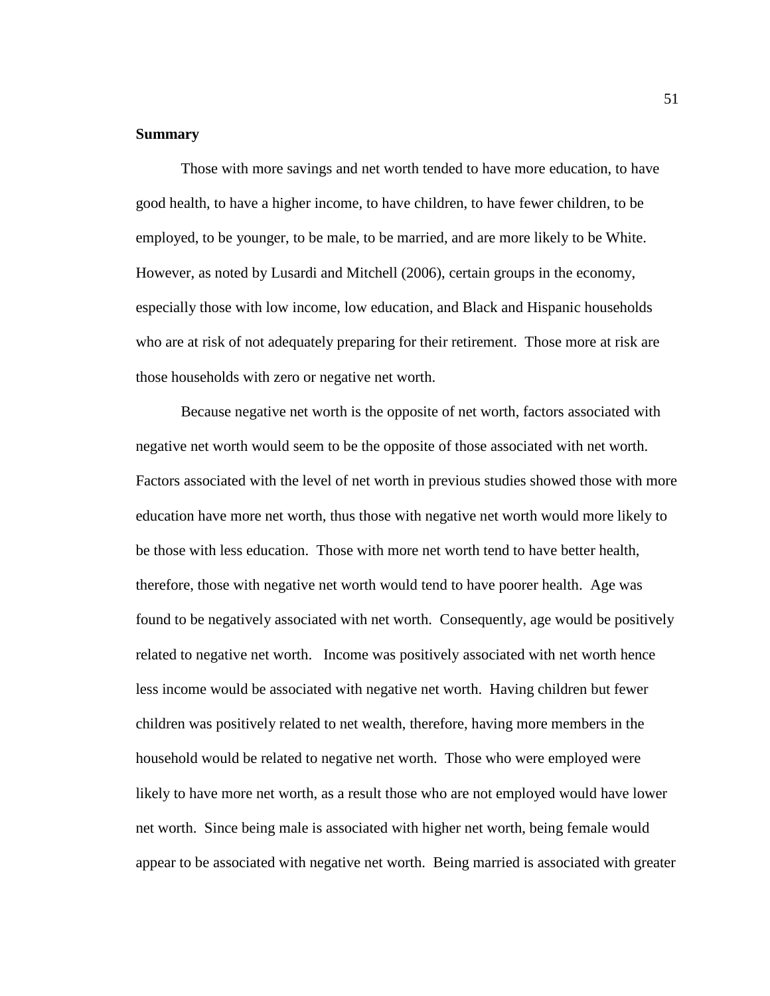# **Summary**

Those with more savings and net worth tended to have more education, to have good health, to have a higher income, to have children, to have fewer children, to be employed, to be younger, to be male, to be married, and are more likely to be White. However, as noted by Lusardi and Mitchell (2006), certain groups in the economy, especially those with low income, low education, and Black and Hispanic households who are at risk of not adequately preparing for their retirement. Those more at risk are those households with zero or negative net worth.

Because negative net worth is the opposite of net worth, factors associated with negative net worth would seem to be the opposite of those associated with net worth. Factors associated with the level of net worth in previous studies showed those with more education have more net worth, thus those with negative net worth would more likely to be those with less education. Those with more net worth tend to have better health, therefore, those with negative net worth would tend to have poorer health. Age was found to be negatively associated with net worth. Consequently, age would be positively related to negative net worth. Income was positively associated with net worth hence less income would be associated with negative net worth. Having children but fewer children was positively related to net wealth, therefore, having more members in the household would be related to negative net worth. Those who were employed were likely to have more net worth, as a result those who are not employed would have lower net worth. Since being male is associated with higher net worth, being female would appear to be associated with negative net worth. Being married is associated with greater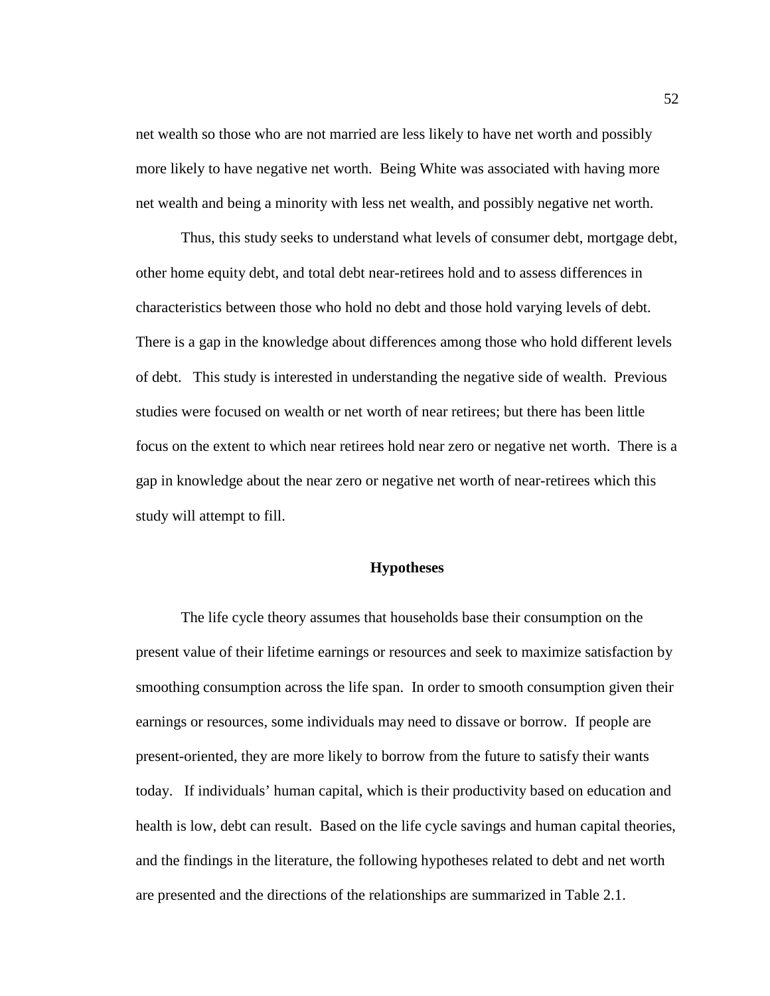net wealth so those who are not married are less likely to have net worth and possibly more likely to have negative net worth. Being White was associated with having more net wealth and being a minority with less net wealth, and possibly negative net worth.

Thus, this study seeks to understand what levels of consumer debt, mortgage debt, other home equity debt, and total debt near-retirees hold and to assess differences in characteristics between those who hold no debt and those hold varying levels of debt. There is a gap in the knowledge about differences among those who hold different levels of debt. This study is interested in understanding the negative side of wealth. Previous studies were focused on wealth or net worth of near retirees; but there has been little focus on the extent to which near retirees hold near zero or negative net worth. There is a gap in knowledge about the near zero or negative net worth of near-retirees which this study will attempt to fill.

#### **Hypotheses**

The life cycle theory assumes that households base their consumption on the present value of their lifetime earnings or resources and seek to maximize satisfaction by smoothing consumption across the life span. In order to smooth consumption given their earnings or resources, some individuals may need to dissave or borrow. If people are present-oriented, they are more likely to borrow from the future to satisfy their wants today. If individuals' human capital, which is their productivity based on education and health is low, debt can result. Based on the life cycle savings and human capital theories, and the findings in the literature, the following hypotheses related to debt and net worth are presented and the directions of the relationships are summarized in Table 2.1.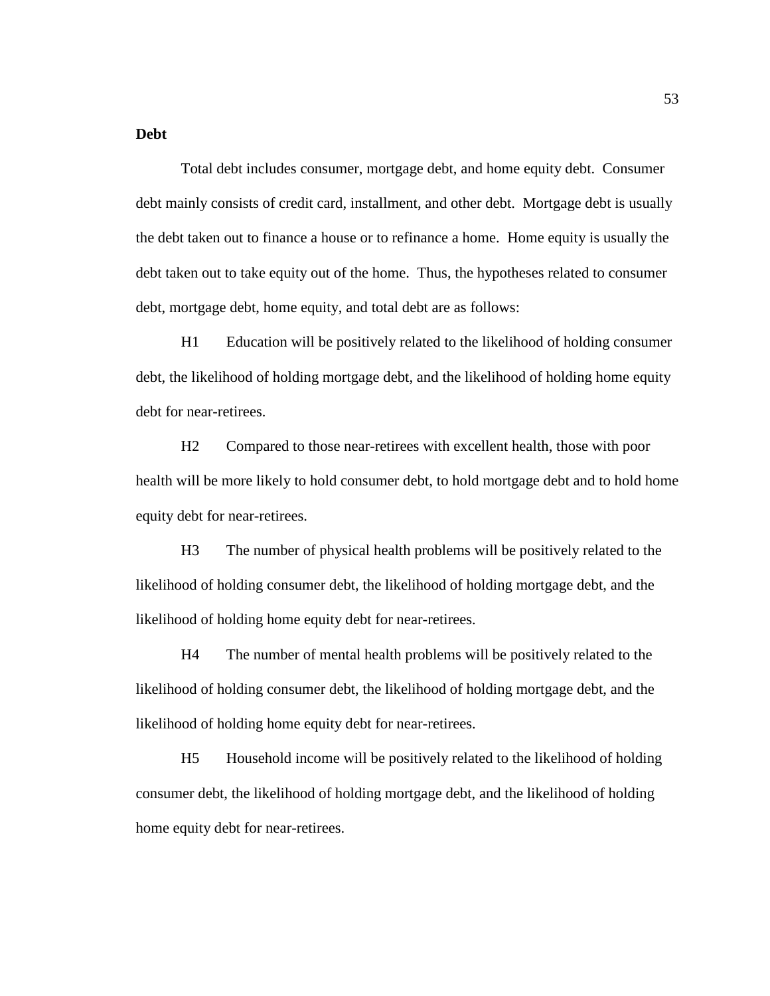## **Debt**

 Total debt includes consumer, mortgage debt, and home equity debt. Consumer debt mainly consists of credit card, installment, and other debt. Mortgage debt is usually the debt taken out to finance a house or to refinance a home. Home equity is usually the debt taken out to take equity out of the home. Thus, the hypotheses related to consumer debt, mortgage debt, home equity, and total debt are as follows:

H1 Education will be positively related to the likelihood of holding consumer debt, the likelihood of holding mortgage debt, and the likelihood of holding home equity debt for near-retirees.

H2 Compared to those near-retirees with excellent health, those with poor health will be more likely to hold consumer debt, to hold mortgage debt and to hold home equity debt for near-retirees.

H3 The number of physical health problems will be positively related to the likelihood of holding consumer debt, the likelihood of holding mortgage debt, and the likelihood of holding home equity debt for near-retirees.

H4 The number of mental health problems will be positively related to the likelihood of holding consumer debt, the likelihood of holding mortgage debt, and the likelihood of holding home equity debt for near-retirees.

H5 Household income will be positively related to the likelihood of holding consumer debt, the likelihood of holding mortgage debt, and the likelihood of holding home equity debt for near-retirees.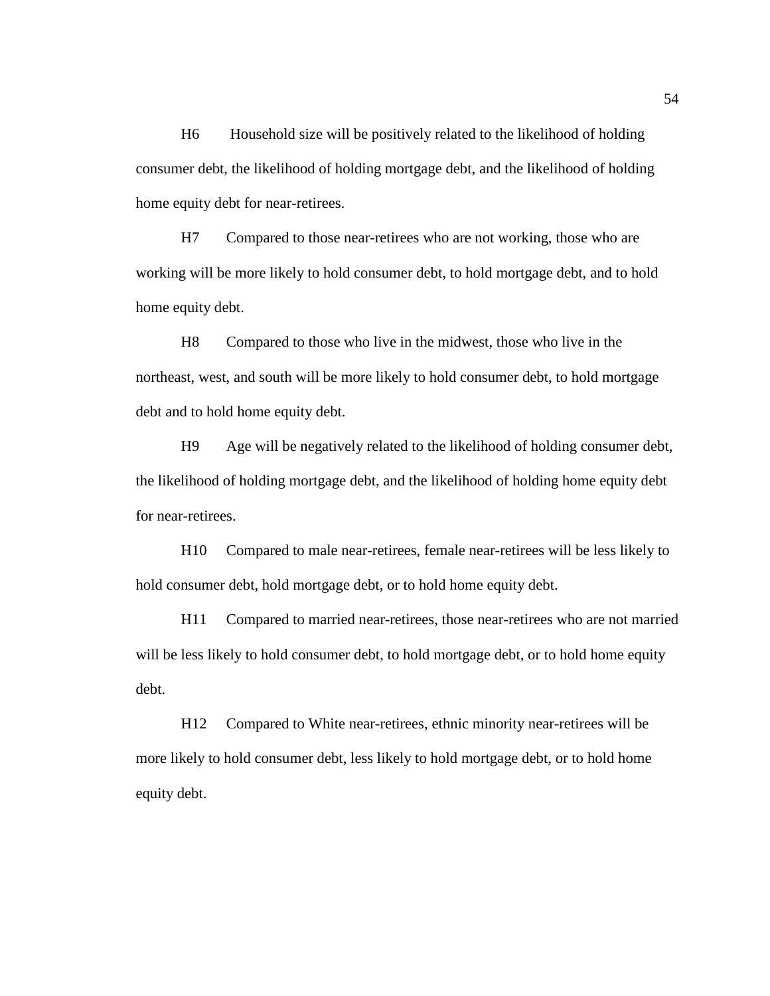H6 Household size will be positively related to the likelihood of holding consumer debt, the likelihood of holding mortgage debt, and the likelihood of holding home equity debt for near-retirees.

H7 Compared to those near-retirees who are not working, those who are working will be more likely to hold consumer debt, to hold mortgage debt, and to hold home equity debt.

H8 Compared to those who live in the midwest, those who live in the northeast, west, and south will be more likely to hold consumer debt, to hold mortgage debt and to hold home equity debt.

H9 Age will be negatively related to the likelihood of holding consumer debt, the likelihood of holding mortgage debt, and the likelihood of holding home equity debt for near-retirees.

H10 Compared to male near-retirees, female near-retirees will be less likely to hold consumer debt, hold mortgage debt, or to hold home equity debt.

H11 Compared to married near-retirees, those near-retirees who are not married will be less likely to hold consumer debt, to hold mortgage debt, or to hold home equity debt.

H12 Compared to White near-retirees, ethnic minority near-retirees will be more likely to hold consumer debt, less likely to hold mortgage debt, or to hold home equity debt.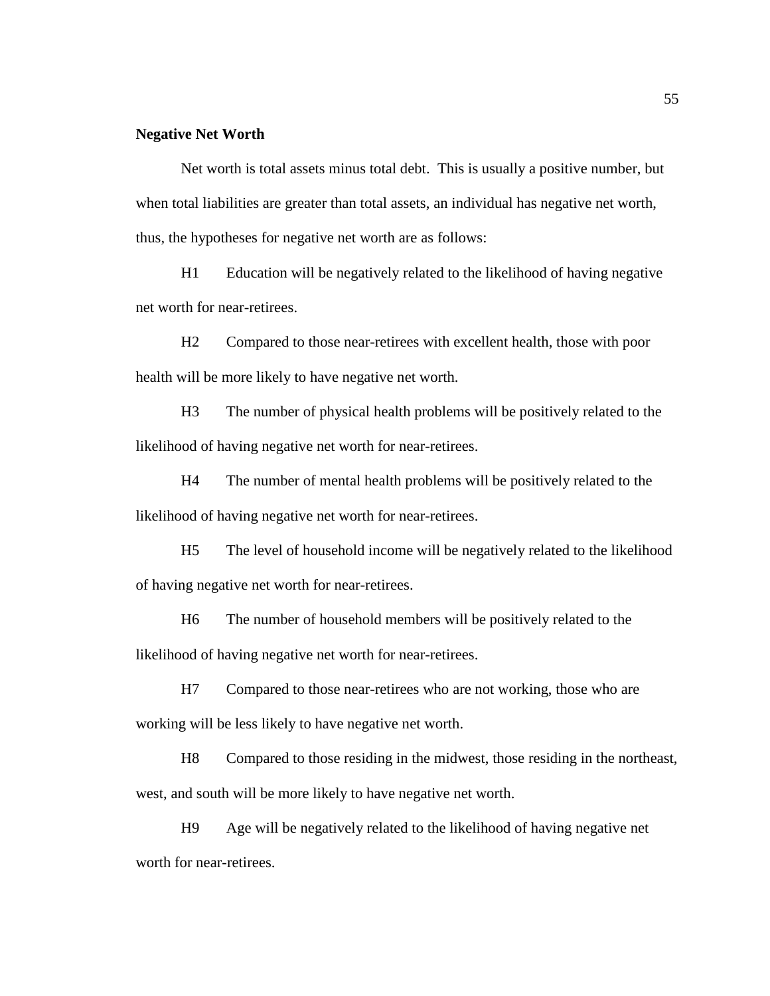#### **Negative Net Worth**

 Net worth is total assets minus total debt. This is usually a positive number, but when total liabilities are greater than total assets, an individual has negative net worth, thus, the hypotheses for negative net worth are as follows:

H1 Education will be negatively related to the likelihood of having negative net worth for near-retirees.

H2 Compared to those near-retirees with excellent health, those with poor health will be more likely to have negative net worth.

H3 The number of physical health problems will be positively related to the likelihood of having negative net worth for near-retirees.

H4 The number of mental health problems will be positively related to the likelihood of having negative net worth for near-retirees.

H5 The level of household income will be negatively related to the likelihood of having negative net worth for near-retirees.

H6 The number of household members will be positively related to the likelihood of having negative net worth for near-retirees.

H7 Compared to those near-retirees who are not working, those who are working will be less likely to have negative net worth.

H8 Compared to those residing in the midwest, those residing in the northeast, west, and south will be more likely to have negative net worth.

H9 Age will be negatively related to the likelihood of having negative net worth for near-retirees.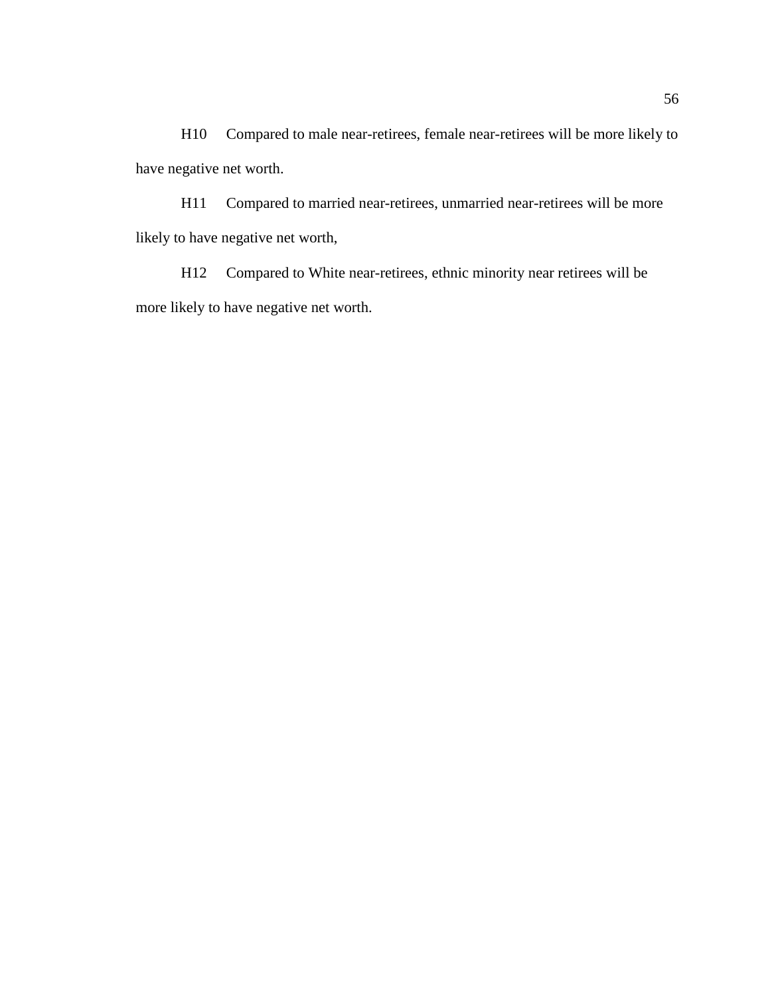H10 Compared to male near-retirees, female near-retirees will be more likely to have negative net worth.

H11 Compared to married near-retirees, unmarried near-retirees will be more likely to have negative net worth,

H12 Compared to White near-retirees, ethnic minority near retirees will be more likely to have negative net worth.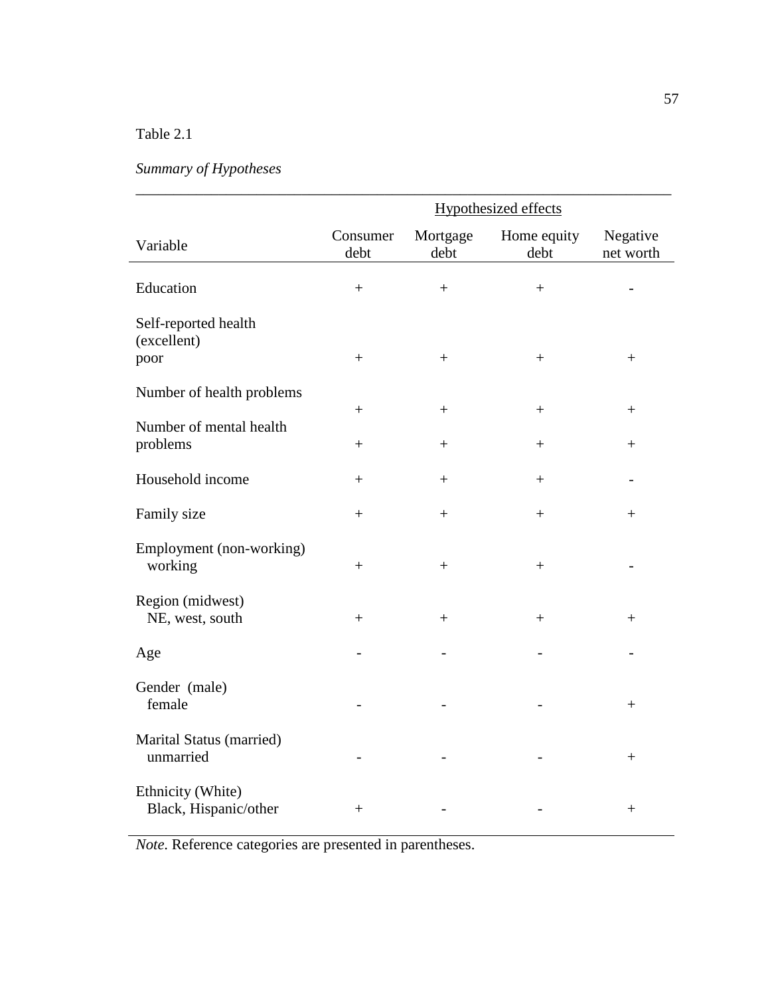# Table 2.1

# *Summary of Hypotheses*

|                                             | <b>Hypothesized effects</b> |                  |                     |                       |
|---------------------------------------------|-----------------------------|------------------|---------------------|-----------------------|
| Variable                                    | Consumer<br>debt            | Mortgage<br>debt | Home equity<br>debt | Negative<br>net worth |
| Education                                   | $\boldsymbol{+}$            | $\ddot{}$        | $+$                 |                       |
| Self-reported health<br>(excellent)<br>poor | $\qquad \qquad +$           | $^{+}$           | $^{+}$              | $\qquad \qquad +$     |
| Number of health problems                   |                             |                  |                     |                       |
| Number of mental health                     | $^{+}$                      | $^{+}$           | $^{+}$              | $^{+}$                |
| problems                                    | $+$                         | $^{+}$           | $^{+}$              | $^{+}$                |
| Household income                            | $\ddot{}$                   | $^{+}$           | $^{+}$              |                       |
| Family size                                 | $\ddot{}$                   | $^{+}$           | $^{+}$              | $^+$                  |
| Employment (non-working)<br>working         | $+$                         | $+$              | $+$                 |                       |
| Region (midwest)<br>NE, west, south         | $\qquad \qquad +$           | $^{+}$           | $^{+}$              | $^{+}$                |
| Age                                         |                             |                  |                     |                       |
| Gender (male)<br>female                     |                             |                  |                     | $^{+}$                |
| Marital Status (married)<br>unmarried       |                             |                  |                     | $^{+}$                |
| Ethnicity (White)<br>Black, Hispanic/other  | $^{+}$                      |                  |                     | $\! + \!$             |

*Note*. Reference categories are presented in parentheses.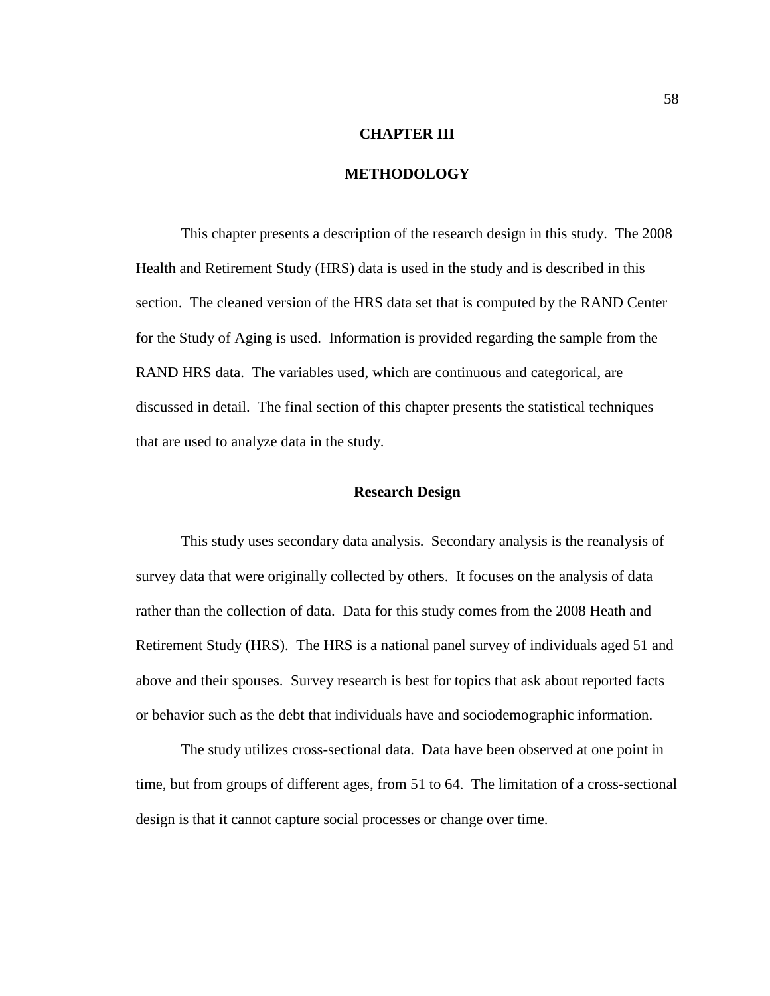#### **CHAPTER III**

# **METHODOLOGY**

 This chapter presents a description of the research design in this study. The 2008 Health and Retirement Study (HRS) data is used in the study and is described in this section. The cleaned version of the HRS data set that is computed by the RAND Center for the Study of Aging is used. Information is provided regarding the sample from the RAND HRS data. The variables used, which are continuous and categorical, are discussed in detail. The final section of this chapter presents the statistical techniques that are used to analyze data in the study.

#### **Research Design**

 This study uses secondary data analysis. Secondary analysis is the reanalysis of survey data that were originally collected by others. It focuses on the analysis of data rather than the collection of data. Data for this study comes from the 2008 Heath and Retirement Study (HRS). The HRS is a national panel survey of individuals aged 51 and above and their spouses. Survey research is best for topics that ask about reported facts or behavior such as the debt that individuals have and sociodemographic information.

The study utilizes cross-sectional data. Data have been observed at one point in time, but from groups of different ages, from 51 to 64. The limitation of a cross-sectional design is that it cannot capture social processes or change over time.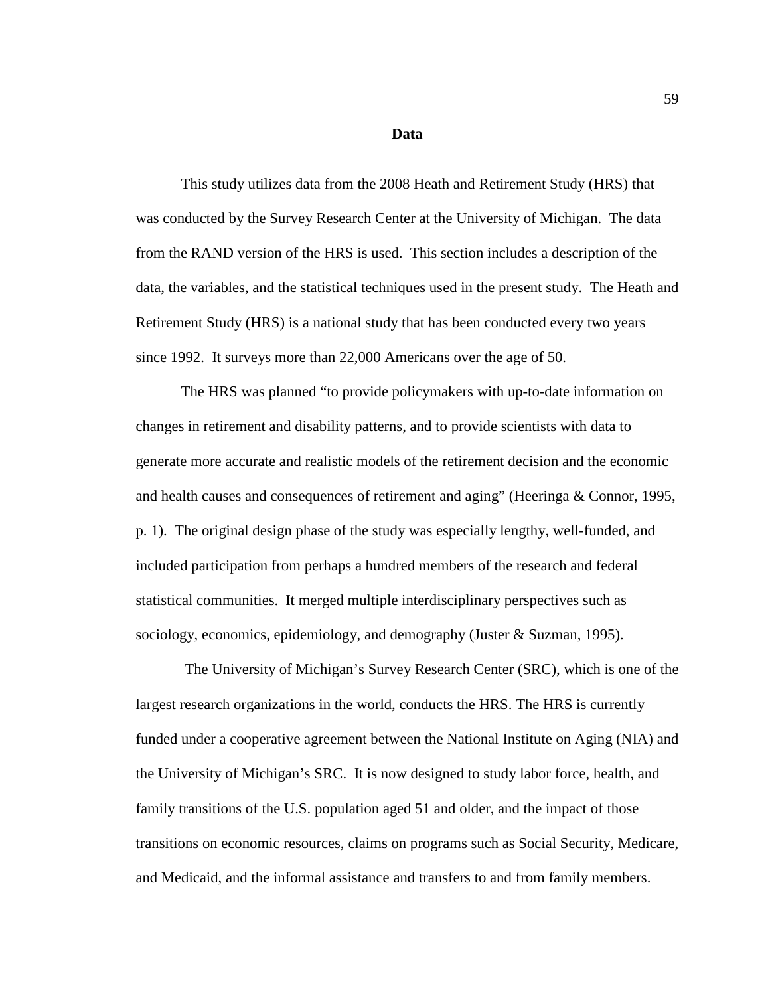#### **Data**

This study utilizes data from the 2008 Heath and Retirement Study (HRS) that was conducted by the Survey Research Center at the University of Michigan. The data from the RAND version of the HRS is used. This section includes a description of the data, the variables, and the statistical techniques used in the present study. The Heath and Retirement Study (HRS) is a national study that has been conducted every two years since 1992. It surveys more than 22,000 Americans over the age of 50.

 The HRS was planned "to provide policymakers with up-to-date information on changes in retirement and disability patterns, and to provide scientists with data to generate more accurate and realistic models of the retirement decision and the economic and health causes and consequences of retirement and aging" (Heeringa & Connor, 1995, p. 1). The original design phase of the study was especially lengthy, well-funded, and included participation from perhaps a hundred members of the research and federal statistical communities. It merged multiple interdisciplinary perspectives such as sociology, economics, epidemiology, and demography (Juster & Suzman, 1995).

 The University of Michigan's Survey Research Center (SRC), which is one of the largest research organizations in the world, conducts the HRS. The HRS is currently funded under a cooperative agreement between the National Institute on Aging (NIA) and the University of Michigan's SRC. It is now designed to study labor force, health, and family transitions of the U.S. population aged 51 and older, and the impact of those transitions on economic resources, claims on programs such as Social Security, Medicare, and Medicaid, and the informal assistance and transfers to and from family members.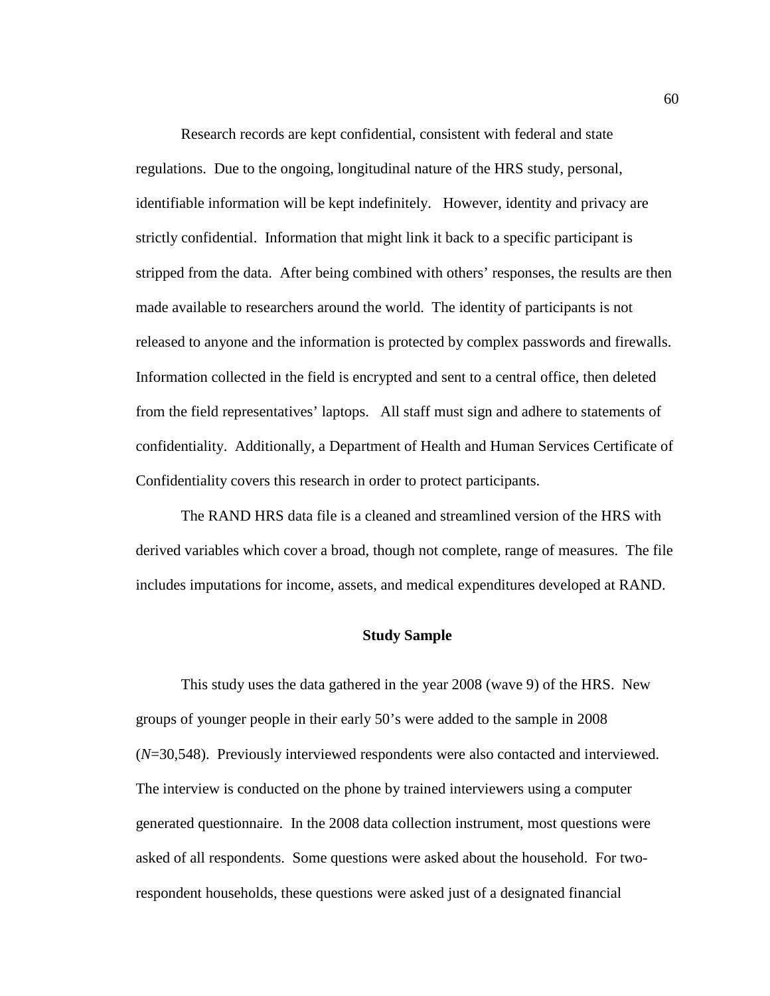Research records are kept confidential, consistent with federal and state regulations. Due to the ongoing, longitudinal nature of the HRS study, personal, identifiable information will be kept indefinitely. However, identity and privacy are strictly confidential. Information that might link it back to a specific participant is stripped from the data. After being combined with others' responses, the results are then made available to researchers around the world. The identity of participants is not released to anyone and the information is protected by complex passwords and firewalls. Information collected in the field is encrypted and sent to a central office, then deleted from the field representatives' laptops. All staff must sign and adhere to statements of confidentiality. Additionally, a Department of Health and Human Services Certificate of Confidentiality covers this research in order to protect participants.

 The RAND HRS data file is a cleaned and streamlined version of the HRS with derived variables which cover a broad, though not complete, range of measures. The file includes imputations for income, assets, and medical expenditures developed at RAND.

#### **Study Sample**

 This study uses the data gathered in the year 2008 (wave 9) of the HRS. New groups of younger people in their early 50's were added to the sample in 2008 (*N*=30,548). Previously interviewed respondents were also contacted and interviewed. The interview is conducted on the phone by trained interviewers using a computer generated questionnaire. In the 2008 data collection instrument, most questions were asked of all respondents. Some questions were asked about the household. For tworespondent households, these questions were asked just of a designated financial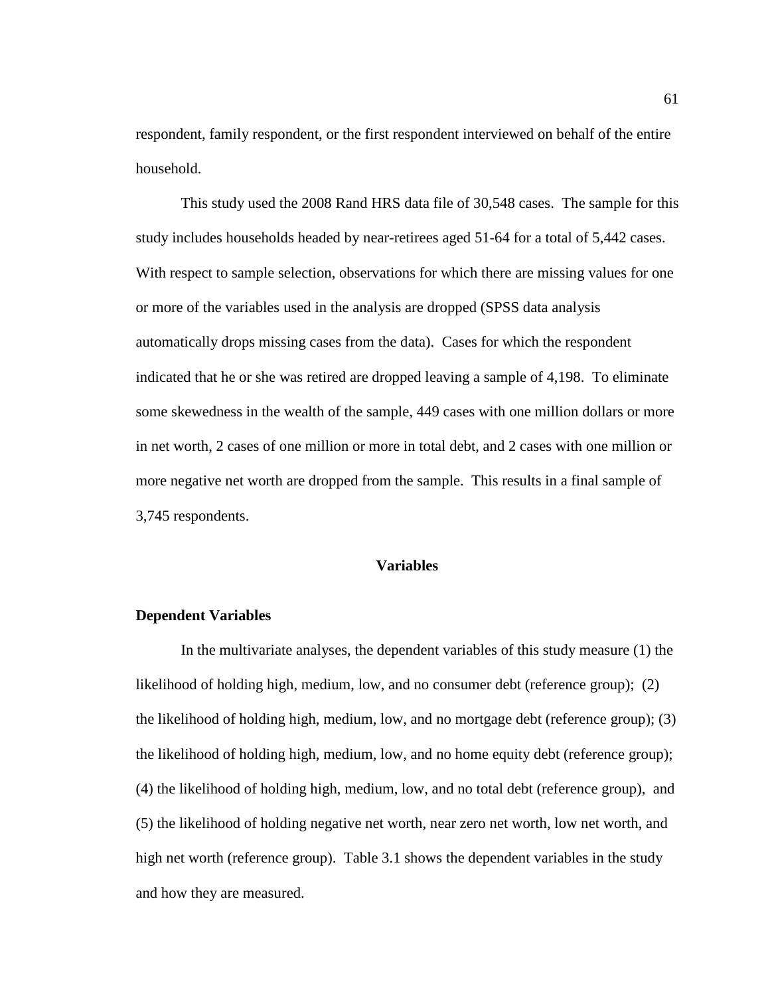respondent, family respondent, or the first respondent interviewed on behalf of the entire household.

 This study used the 2008 Rand HRS data file of 30,548 cases. The sample for this study includes households headed by near-retirees aged 51-64 for a total of 5,442 cases. With respect to sample selection, observations for which there are missing values for one or more of the variables used in the analysis are dropped (SPSS data analysis automatically drops missing cases from the data). Cases for which the respondent indicated that he or she was retired are dropped leaving a sample of 4,198. To eliminate some skewedness in the wealth of the sample, 449 cases with one million dollars or more in net worth, 2 cases of one million or more in total debt, and 2 cases with one million or more negative net worth are dropped from the sample. This results in a final sample of 3,745 respondents.

### **Variables**

### **Dependent Variables**

 In the multivariate analyses, the dependent variables of this study measure (1) the likelihood of holding high, medium, low, and no consumer debt (reference group); (2) the likelihood of holding high, medium, low, and no mortgage debt (reference group); (3) the likelihood of holding high, medium, low, and no home equity debt (reference group); (4) the likelihood of holding high, medium, low, and no total debt (reference group), and (5) the likelihood of holding negative net worth, near zero net worth, low net worth, and high net worth (reference group). Table 3.1 shows the dependent variables in the study and how they are measured.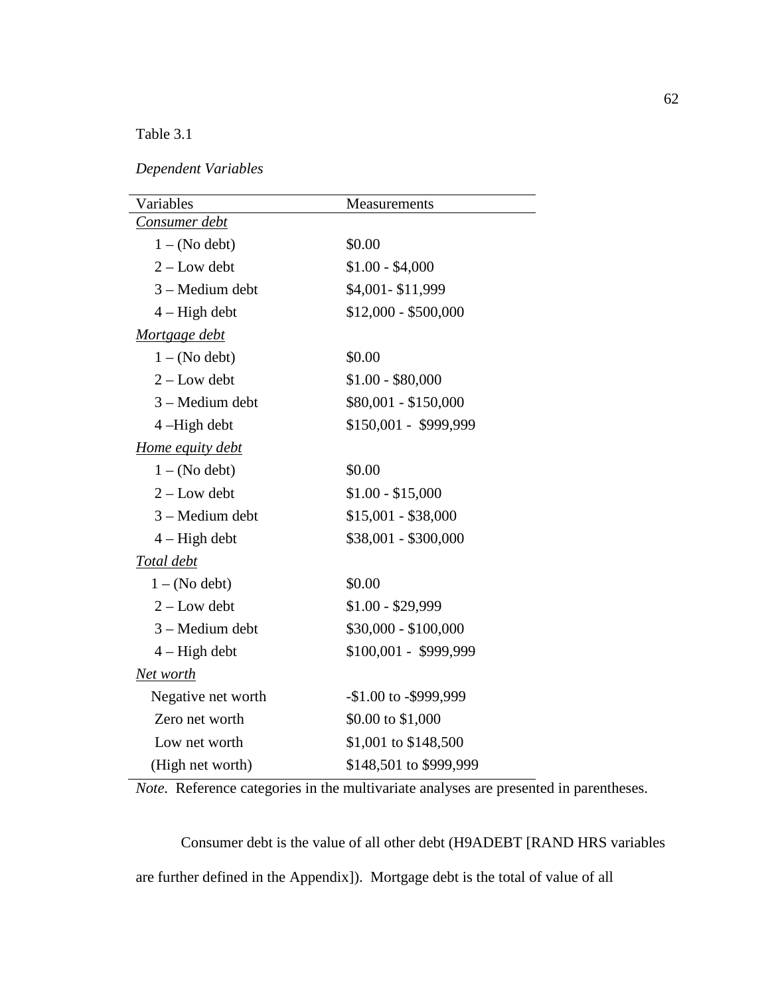Table 3.1

*Dependent Variables* 

| Variables          | <b>Measurements</b>    |
|--------------------|------------------------|
| Consumer debt      |                        |
| $1 - (No debt)$    | \$0.00                 |
| $2 - Low$ debt     | $$1.00 - $4,000$       |
| 3 – Medium debt    | \$4,001-\$11,999       |
| $4 - High debt$    | $$12,000 - $500,000$   |
| Mortgage debt      |                        |
| $1 - (No debt)$    | \$0.00                 |
| $2 - Low$ debt     | $$1.00 - $80,000$      |
| 3 - Medium debt    | $$80,001 - $150,000$   |
| 4-High debt        | \$150,001 - \$999,999  |
| Home equity debt   |                        |
| $1 - (No debt)$    | \$0.00                 |
| $2 - Low$ debt     | $$1.00 - $15,000$      |
| 3 - Medium debt    | $$15,001 - $38,000$    |
| $4 - High debt$    | \$38,001 - \$300,000   |
| Total debt         |                        |
| $1 - (No debt)$    | \$0.00                 |
| $2 - Low$ debt     | $$1.00 - $29,999$      |
| 3 – Medium debt    | \$30,000 - \$100,000   |
| $4 - High debt$    | \$100,001 - \$999,999  |
| Net worth          |                        |
| Negative net worth | $-1.00$ to $-5999,999$ |
| Zero net worth     | \$0.00 to \$1,000      |
| Low net worth      | \$1,001 to \$148,500   |
| (High net worth)   | \$148,501 to \$999,999 |

*Note*. Reference categories in the multivariate analyses are presented in parentheses.

 Consumer debt is the value of all other debt (H9ADEBT [RAND HRS variables are further defined in the Appendix]). Mortgage debt is the total of value of all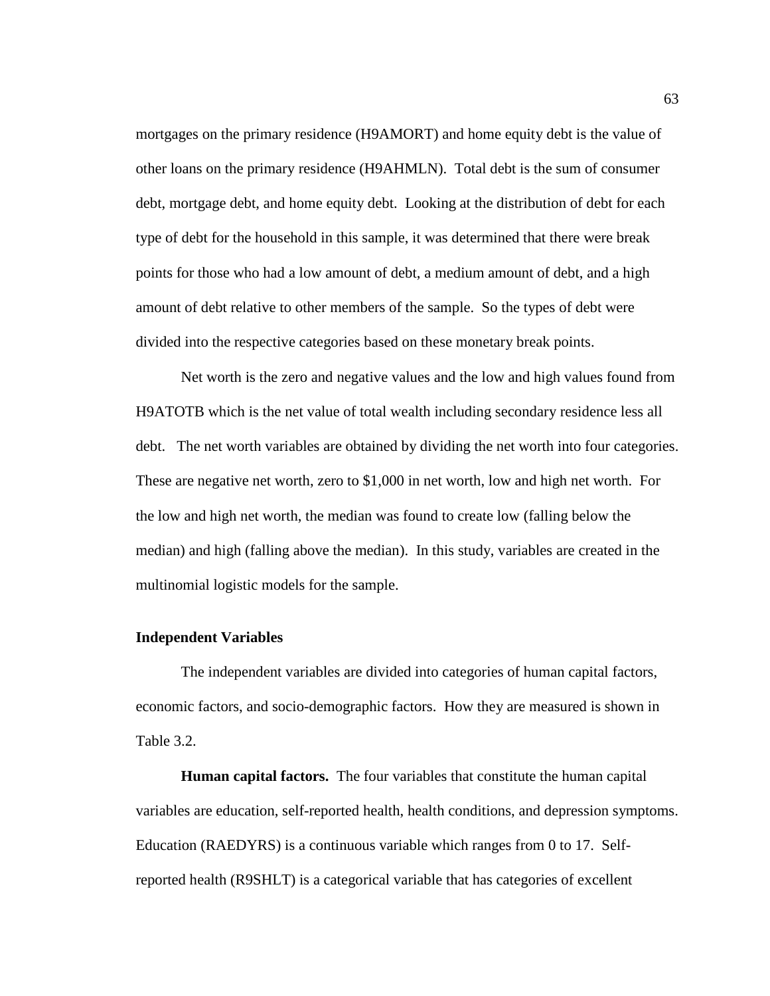mortgages on the primary residence (H9AMORT) and home equity debt is the value of other loans on the primary residence (H9AHMLN). Total debt is the sum of consumer debt, mortgage debt, and home equity debt. Looking at the distribution of debt for each type of debt for the household in this sample, it was determined that there were break points for those who had a low amount of debt, a medium amount of debt, and a high amount of debt relative to other members of the sample. So the types of debt were divided into the respective categories based on these monetary break points.

 Net worth is the zero and negative values and the low and high values found from H9ATOTB which is the net value of total wealth including secondary residence less all debt. The net worth variables are obtained by dividing the net worth into four categories. These are negative net worth, zero to \$1,000 in net worth, low and high net worth. For the low and high net worth, the median was found to create low (falling below the median) and high (falling above the median). In this study, variables are created in the multinomial logistic models for the sample.

#### **Independent Variables**

 The independent variables are divided into categories of human capital factors, economic factors, and socio-demographic factors. How they are measured is shown in Table 3.2.

 **Human capital factors.** The four variables that constitute the human capital variables are education, self-reported health, health conditions, and depression symptoms. Education (RAEDYRS) is a continuous variable which ranges from 0 to 17. Selfreported health (R9SHLT) is a categorical variable that has categories of excellent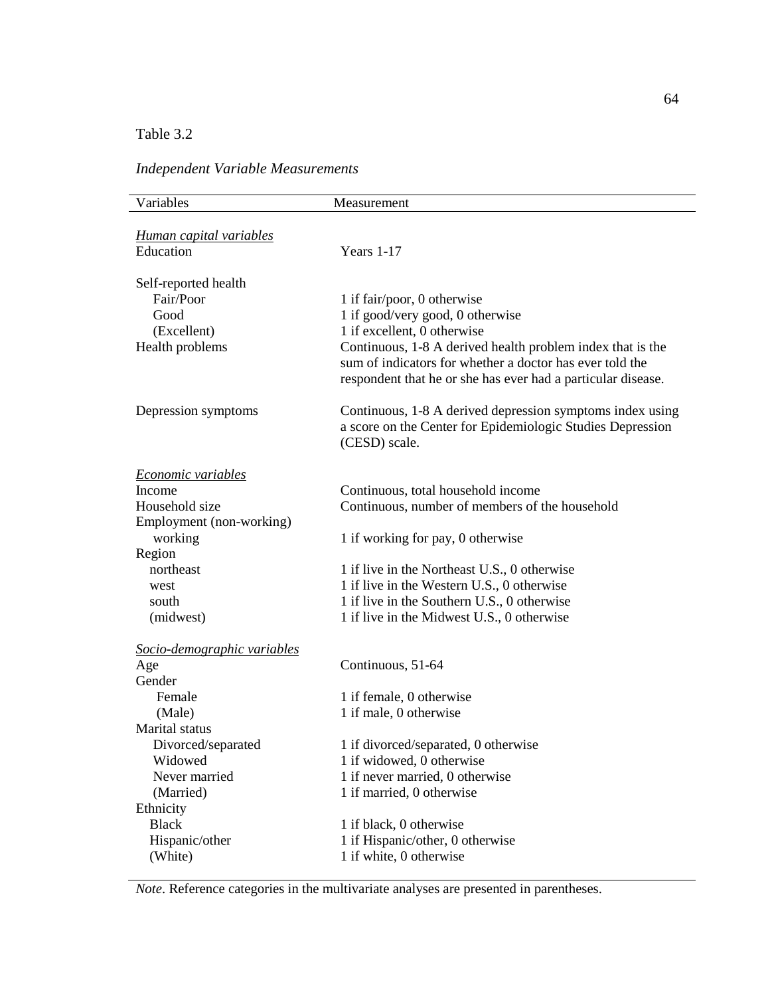# Table 3.2

### *Independent Variable Measurements*

| Variables                      | Measurement                                                                                                                                                                            |
|--------------------------------|----------------------------------------------------------------------------------------------------------------------------------------------------------------------------------------|
|                                |                                                                                                                                                                                        |
| <u>Human capital variables</u> |                                                                                                                                                                                        |
| Education                      | Years 1-17                                                                                                                                                                             |
| Self-reported health           |                                                                                                                                                                                        |
| Fair/Poor                      | 1 if fair/poor, 0 otherwise                                                                                                                                                            |
| Good                           | 1 if good/very good, 0 otherwise                                                                                                                                                       |
| (Excellent)                    | 1 if excellent, 0 otherwise                                                                                                                                                            |
| Health problems                | Continuous, 1-8 A derived health problem index that is the<br>sum of indicators for whether a doctor has ever told the<br>respondent that he or she has ever had a particular disease. |
| Depression symptoms            | Continuous, 1-8 A derived depression symptoms index using<br>a score on the Center for Epidemiologic Studies Depression<br>(CESD) scale.                                               |
| <b>Economic variables</b>      |                                                                                                                                                                                        |
| Income                         | Continuous, total household income                                                                                                                                                     |
| Household size                 | Continuous, number of members of the household                                                                                                                                         |
| Employment (non-working)       |                                                                                                                                                                                        |
| working                        | 1 if working for pay, 0 otherwise                                                                                                                                                      |
| Region                         |                                                                                                                                                                                        |
| northeast                      | 1 if live in the Northeast U.S., 0 otherwise                                                                                                                                           |
| west                           | 1 if live in the Western U.S., 0 otherwise                                                                                                                                             |
| south                          | 1 if live in the Southern U.S., 0 otherwise                                                                                                                                            |
| (midwest)                      | 1 if live in the Midwest U.S., 0 otherwise                                                                                                                                             |
| Socio-demographic variables    |                                                                                                                                                                                        |
| Age                            | Continuous, 51-64                                                                                                                                                                      |
| Gender                         |                                                                                                                                                                                        |
| Female                         | 1 if female, 0 otherwise                                                                                                                                                               |
| (Male)                         | 1 if male, 0 otherwise                                                                                                                                                                 |
| Marital status                 |                                                                                                                                                                                        |
| Divorced/separated             | 1 if divorced/separated, 0 otherwise                                                                                                                                                   |
| Widowed                        | 1 if widowed, 0 otherwise                                                                                                                                                              |
| Never married                  | 1 if never married, 0 otherwise                                                                                                                                                        |
| (Married)                      | 1 if married, 0 otherwise                                                                                                                                                              |
| Ethnicity                      |                                                                                                                                                                                        |
| <b>Black</b>                   | 1 if black, 0 otherwise                                                                                                                                                                |
| Hispanic/other                 | 1 if Hispanic/other, 0 otherwise                                                                                                                                                       |
| (White)                        | 1 if white, 0 otherwise                                                                                                                                                                |

*Note*. Reference categories in the multivariate analyses are presented in parentheses.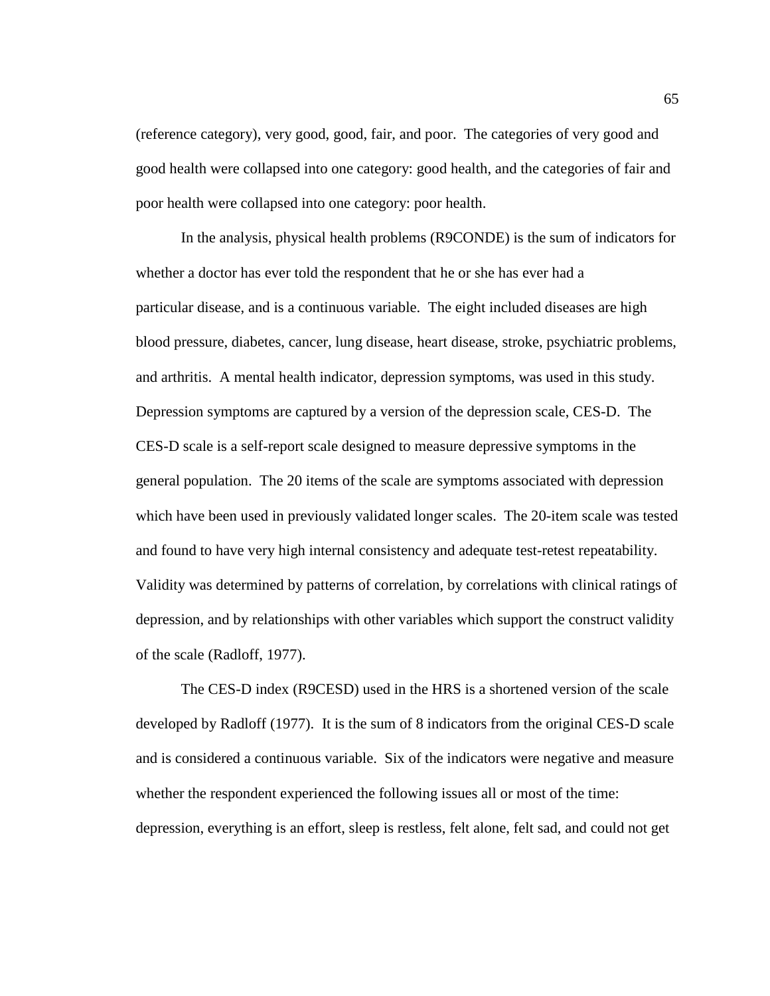(reference category), very good, good, fair, and poor. The categories of very good and good health were collapsed into one category: good health, and the categories of fair and poor health were collapsed into one category: poor health.

 In the analysis, physical health problems (R9CONDE) is the sum of indicators for whether a doctor has ever told the respondent that he or she has ever had a particular disease, and is a continuous variable. The eight included diseases are high blood pressure, diabetes, cancer, lung disease, heart disease, stroke, psychiatric problems, and arthritis. A mental health indicator, depression symptoms, was used in this study. Depression symptoms are captured by a version of the depression scale, CES-D. The CES-D scale is a self-report scale designed to measure depressive symptoms in the general population. The 20 items of the scale are symptoms associated with depression which have been used in previously validated longer scales. The 20-item scale was tested and found to have very high internal consistency and adequate test-retest repeatability. Validity was determined by patterns of correlation, by correlations with clinical ratings of depression, and by relationships with other variables which support the construct validity of the scale (Radloff, 1977).

 The CES-D index (R9CESD) used in the HRS is a shortened version of the scale developed by Radloff (1977). It is the sum of 8 indicators from the original CES-D scale and is considered a continuous variable. Six of the indicators were negative and measure whether the respondent experienced the following issues all or most of the time: depression, everything is an effort, sleep is restless, felt alone, felt sad, and could not get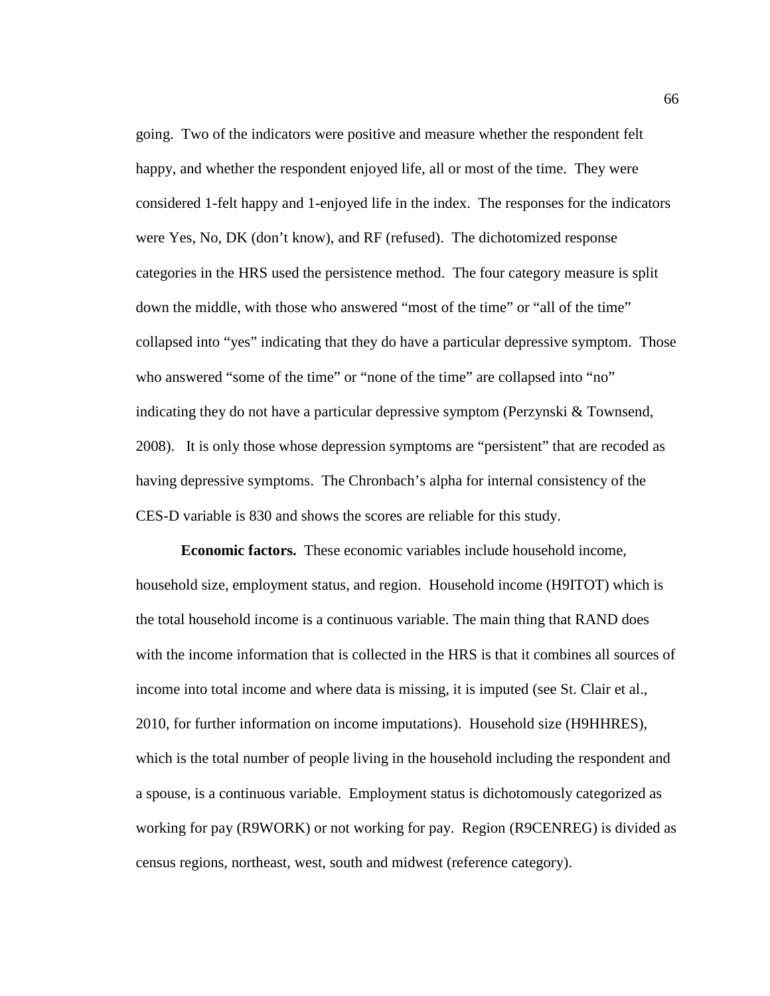going. Two of the indicators were positive and measure whether the respondent felt happy, and whether the respondent enjoyed life, all or most of the time. They were considered 1-felt happy and 1-enjoyed life in the index. The responses for the indicators were Yes, No, DK (don't know), and RF (refused). The dichotomized response categories in the HRS used the persistence method. The four category measure is split down the middle, with those who answered "most of the time" or "all of the time" collapsed into "yes" indicating that they do have a particular depressive symptom. Those who answered "some of the time" or "none of the time" are collapsed into "no" indicating they do not have a particular depressive symptom (Perzynski & Townsend, 2008). It is only those whose depression symptoms are "persistent" that are recoded as having depressive symptoms. The Chronbach's alpha for internal consistency of the CES-D variable is 830 and shows the scores are reliable for this study.

**Economic factors.** These economic variables include household income, household size, employment status, and region. Household income (H9ITOT) which is the total household income is a continuous variable. The main thing that RAND does with the income information that is collected in the HRS is that it combines all sources of income into total income and where data is missing, it is imputed (see St. Clair et al., 2010, for further information on income imputations). Household size (H9HHRES), which is the total number of people living in the household including the respondent and a spouse, is a continuous variable. Employment status is dichotomously categorized as working for pay (R9WORK) or not working for pay. Region (R9CENREG) is divided as census regions, northeast, west, south and midwest (reference category).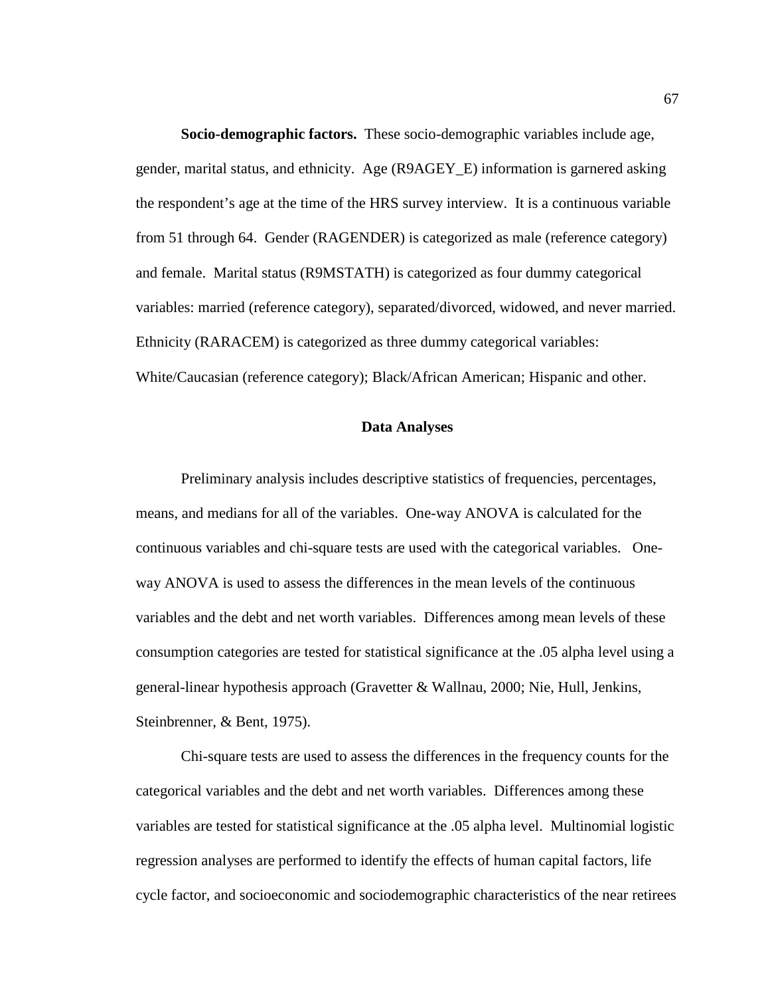**Socio-demographic factors.** These socio-demographic variables include age, gender, marital status, and ethnicity. Age (R9AGEY\_E) information is garnered asking the respondent's age at the time of the HRS survey interview. It is a continuous variable from 51 through 64. Gender (RAGENDER) is categorized as male (reference category) and female. Marital status (R9MSTATH) is categorized as four dummy categorical variables: married (reference category), separated/divorced, widowed, and never married. Ethnicity (RARACEM) is categorized as three dummy categorical variables: White/Caucasian (reference category); Black/African American; Hispanic and other.

#### **Data Analyses**

 Preliminary analysis includes descriptive statistics of frequencies, percentages, means, and medians for all of the variables. One-way ANOVA is calculated for the continuous variables and chi-square tests are used with the categorical variables. Oneway ANOVA is used to assess the differences in the mean levels of the continuous variables and the debt and net worth variables. Differences among mean levels of these consumption categories are tested for statistical significance at the .05 alpha level using a general-linear hypothesis approach (Gravetter & Wallnau, 2000; Nie, Hull, Jenkins, Steinbrenner, & Bent, 1975).

 Chi-square tests are used to assess the differences in the frequency counts for the categorical variables and the debt and net worth variables. Differences among these variables are tested for statistical significance at the .05 alpha level. Multinomial logistic regression analyses are performed to identify the effects of human capital factors, life cycle factor, and socioeconomic and sociodemographic characteristics of the near retirees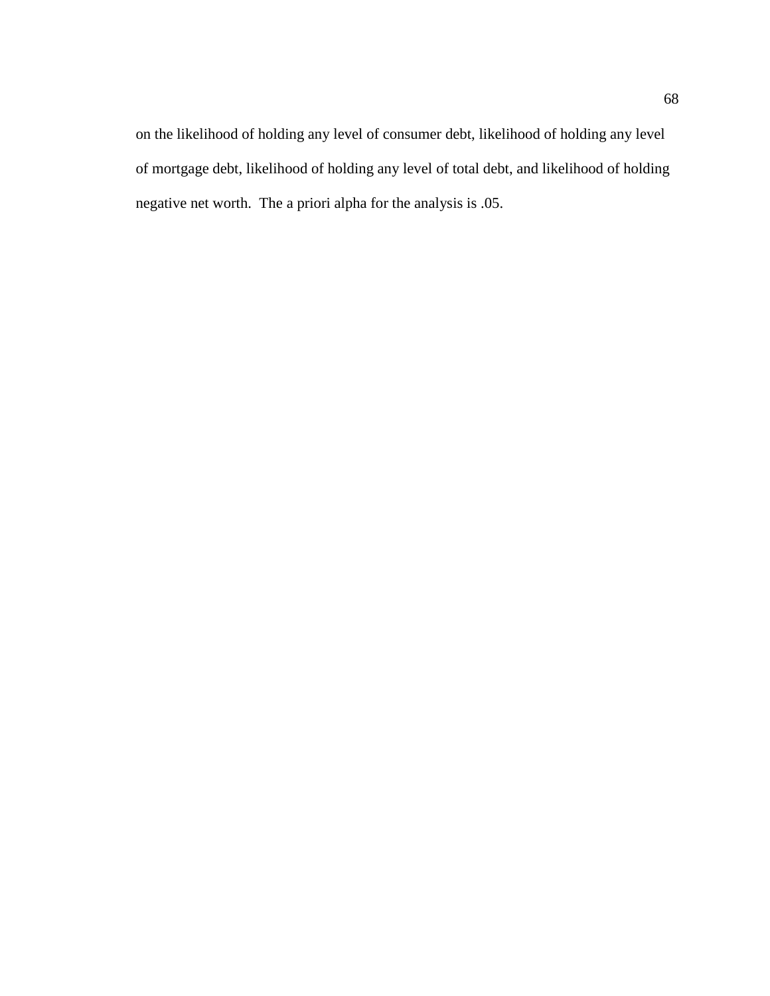on the likelihood of holding any level of consumer debt, likelihood of holding any level of mortgage debt, likelihood of holding any level of total debt, and likelihood of holding negative net worth. The a priori alpha for the analysis is .05.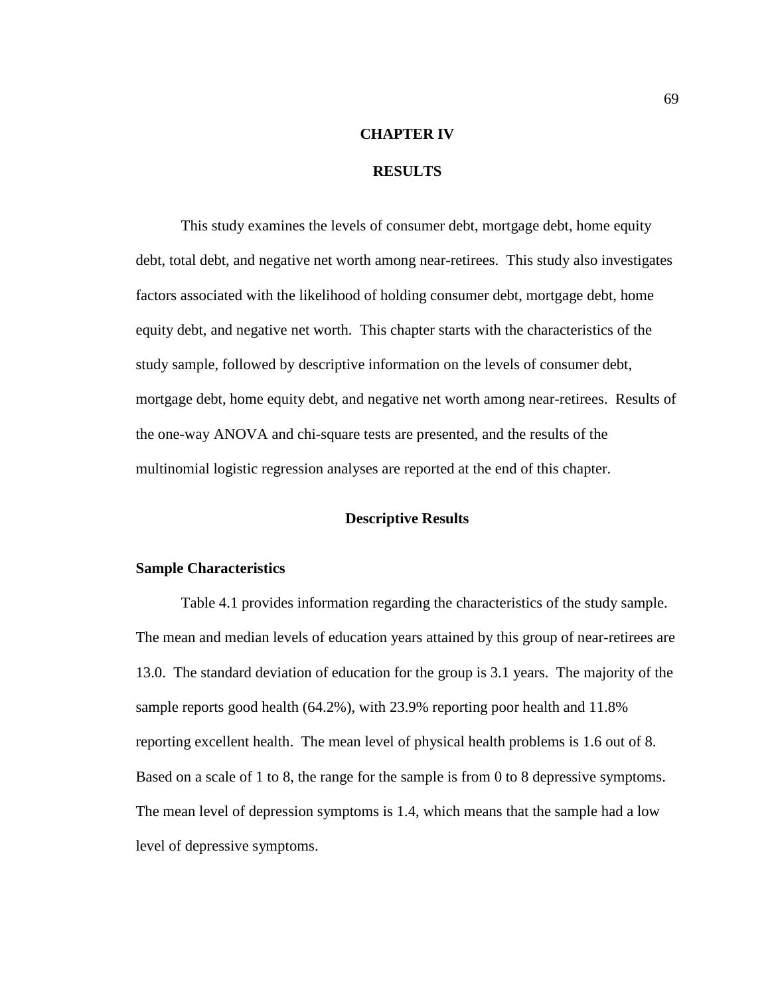### **CHAPTER IV**

#### **RESULTS**

 This study examines the levels of consumer debt, mortgage debt, home equity debt, total debt, and negative net worth among near-retirees. This study also investigates factors associated with the likelihood of holding consumer debt, mortgage debt, home equity debt, and negative net worth. This chapter starts with the characteristics of the study sample, followed by descriptive information on the levels of consumer debt, mortgage debt, home equity debt, and negative net worth among near-retirees. Results of the one-way ANOVA and chi-square tests are presented, and the results of the multinomial logistic regression analyses are reported at the end of this chapter.

### **Descriptive Results**

#### **Sample Characteristics**

 Table 4.1 provides information regarding the characteristics of the study sample. The mean and median levels of education years attained by this group of near-retirees are 13.0. The standard deviation of education for the group is 3.1 years. The majority of the sample reports good health (64.2%), with 23.9% reporting poor health and 11.8% reporting excellent health. The mean level of physical health problems is 1.6 out of 8. Based on a scale of 1 to 8, the range for the sample is from 0 to 8 depressive symptoms. The mean level of depression symptoms is 1.4, which means that the sample had a low level of depressive symptoms.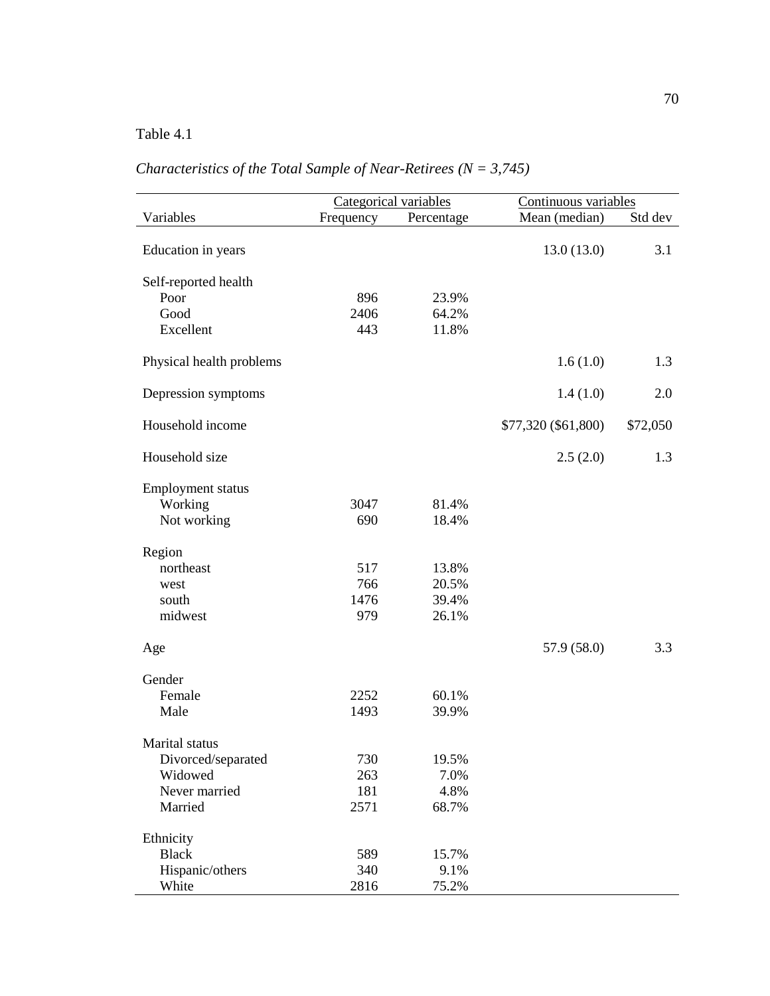*Characteristics of the Total Sample of Near-Retirees (N = 3,745)* 

|                          | Categorical variables |            | Continuous variables |          |
|--------------------------|-----------------------|------------|----------------------|----------|
| Variables                | Frequency             | Percentage | Mean (median)        | Std dev  |
|                          |                       |            |                      |          |
| Education in years       |                       |            | 13.0(13.0)           | 3.1      |
|                          |                       |            |                      |          |
| Self-reported health     |                       |            |                      |          |
| Poor                     | 896                   | 23.9%      |                      |          |
| Good                     | 2406                  | 64.2%      |                      |          |
| Excellent                | 443                   | 11.8%      |                      |          |
|                          |                       |            |                      |          |
| Physical health problems |                       |            | 1.6(1.0)             | 1.3      |
|                          |                       |            |                      |          |
| Depression symptoms      |                       |            | 1.4(1.0)             | 2.0      |
|                          |                       |            |                      |          |
| Household income         |                       |            | \$77,320 (\$61,800)  | \$72,050 |
|                          |                       |            |                      |          |
| Household size           |                       |            | 2.5(2.0)             | 1.3      |
|                          |                       |            |                      |          |
| <b>Employment status</b> |                       |            |                      |          |
| Working                  | 3047                  | 81.4%      |                      |          |
| Not working              | 690                   | 18.4%      |                      |          |
|                          |                       |            |                      |          |
| Region                   |                       |            |                      |          |
| northeast                | 517                   | 13.8%      |                      |          |
| west                     | 766                   | 20.5%      |                      |          |
| south                    | 1476                  | 39.4%      |                      |          |
| midwest                  | 979                   | 26.1%      |                      |          |
|                          |                       |            |                      |          |
| Age                      |                       |            | 57.9 (58.0)          | 3.3      |
|                          |                       |            |                      |          |
| Gender                   |                       |            |                      |          |
| Female                   | 2252                  | 60.1%      |                      |          |
| Male                     | 1493                  | 39.9%      |                      |          |
|                          |                       |            |                      |          |
| Marital status           |                       |            |                      |          |
| Divorced/separated       | 730                   | 19.5%      |                      |          |
| Widowed                  | 263                   | 7.0%       |                      |          |
| Never married            | 181                   | 4.8%       |                      |          |
| Married                  | 2571                  | 68.7%      |                      |          |
|                          |                       |            |                      |          |
| Ethnicity                |                       |            |                      |          |
| <b>Black</b>             | 589                   | 15.7%      |                      |          |
| Hispanic/others          | 340                   | 9.1%       |                      |          |
| White                    | 2816                  | 75.2%      |                      |          |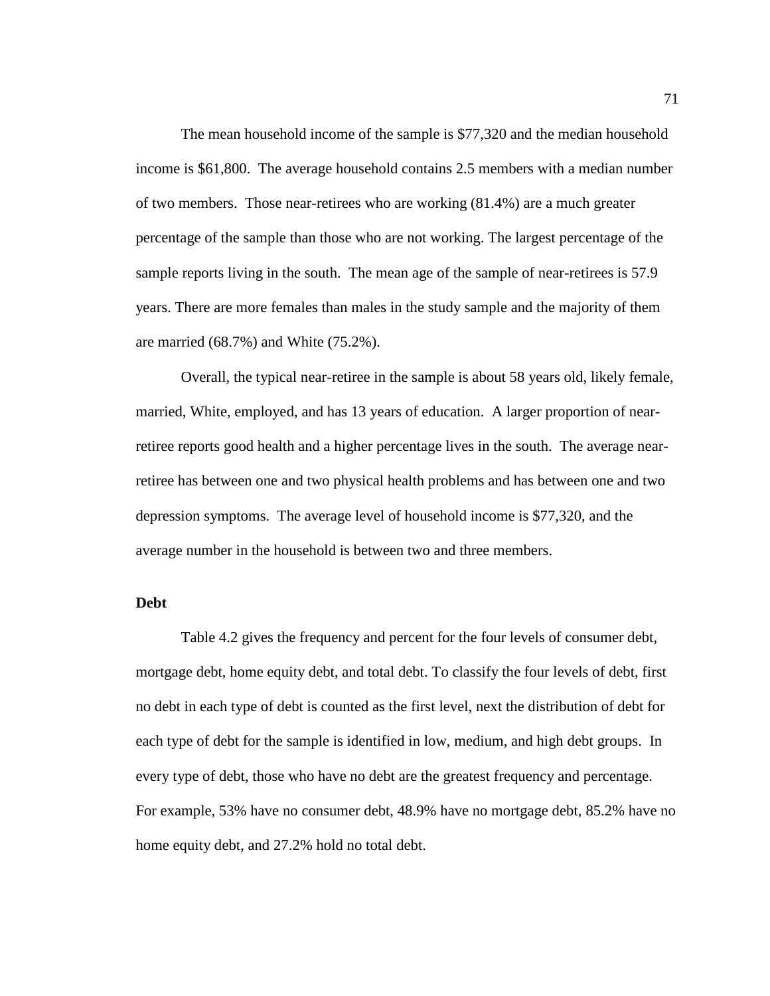The mean household income of the sample is \$77,320 and the median household income is \$61,800. The average household contains 2.5 members with a median number of two members. Those near-retirees who are working (81.4%) are a much greater percentage of the sample than those who are not working. The largest percentage of the sample reports living in the south. The mean age of the sample of near-retirees is 57.9 years. There are more females than males in the study sample and the majority of them are married (68.7%) and White (75.2%).

 Overall, the typical near-retiree in the sample is about 58 years old, likely female, married, White, employed, and has 13 years of education. A larger proportion of nearretiree reports good health and a higher percentage lives in the south. The average nearretiree has between one and two physical health problems and has between one and two depression symptoms. The average level of household income is \$77,320, and the average number in the household is between two and three members.

### **Debt**

 Table 4.2 gives the frequency and percent for the four levels of consumer debt, mortgage debt, home equity debt, and total debt. To classify the four levels of debt, first no debt in each type of debt is counted as the first level, next the distribution of debt for each type of debt for the sample is identified in low, medium, and high debt groups. In every type of debt, those who have no debt are the greatest frequency and percentage. For example, 53% have no consumer debt, 48.9% have no mortgage debt, 85.2% have no home equity debt, and 27.2% hold no total debt.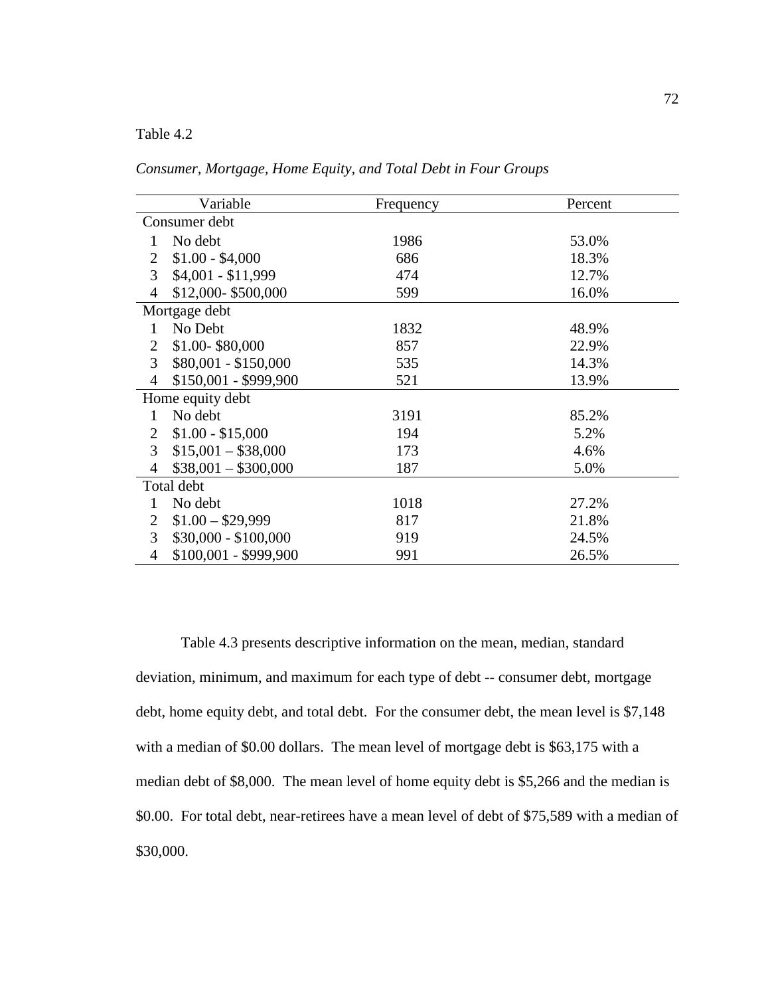*Consumer, Mortgage, Home Equity, and Total Debt in Four Groups* 

|                | Variable              | Frequency | Percent |
|----------------|-----------------------|-----------|---------|
|                | Consumer debt         |           |         |
| 1              | No debt               | 1986      | 53.0%   |
| 2              | $$1.00 - $4,000$      | 686       | 18.3%   |
| 3              | $$4,001 - $11,999$    | 474       | 12.7%   |
| 4              | \$12,000-\$500,000    | 599       | 16.0%   |
|                | Mortgage debt         |           |         |
| 1              | No Debt               | 1832      | 48.9%   |
| $\overline{2}$ | \$1.00-\$80,000       | 857       | 22.9%   |
| 3              | $$80,001 - $150,000$  | 535       | 14.3%   |
| $\overline{4}$ | \$150,001 - \$999,900 | 521       | 13.9%   |
|                | Home equity debt      |           |         |
| 1              | No debt               | 3191      | 85.2%   |
| 2              | $$1.00 - $15,000$     | 194       | 5.2%    |
| 3              | $$15,001 - $38,000$   | 173       | 4.6%    |
| $\overline{4}$ | $$38,001 - $300,000$  | 187       | 5.0%    |
|                | Total debt            |           |         |
| 1              | No debt               | 1018      | 27.2%   |
| 2              | $$1.00 - $29,999$     | 817       | 21.8%   |
| 3              | $$30,000 - $100,000$  | 919       | 24.5%   |
| $\overline{4}$ | \$100,001 - \$999,900 | 991       | 26.5%   |

Table 4.3 presents descriptive information on the mean, median, standard deviation, minimum, and maximum for each type of debt -- consumer debt, mortgage debt, home equity debt, and total debt. For the consumer debt, the mean level is \$7,148 with a median of \$0.00 dollars. The mean level of mortgage debt is \$63,175 with a median debt of \$8,000. The mean level of home equity debt is \$5,266 and the median is \$0.00. For total debt, near-retirees have a mean level of debt of \$75,589 with a median of \$30,000.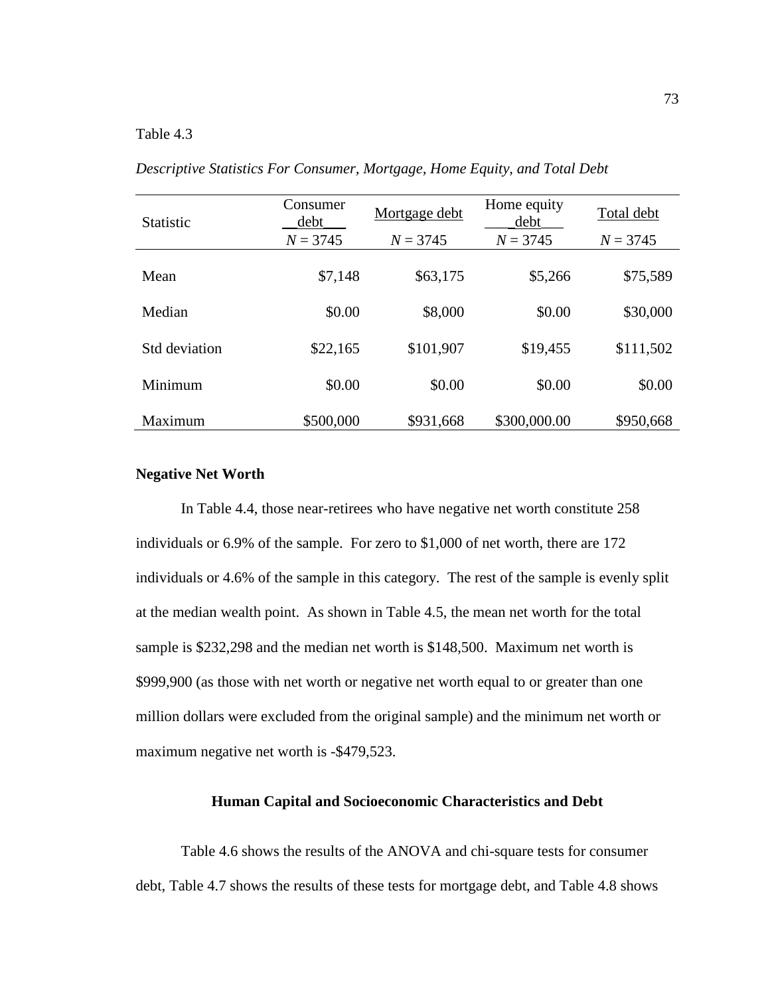| <b>Statistic</b> | Consumer<br>Mortgage debt<br>debt<br>$N = 3745$<br>$N = 3745$ |           | Home equity<br>debt<br>$N = 3745$ | Total debt<br>$N = 3745$ |
|------------------|---------------------------------------------------------------|-----------|-----------------------------------|--------------------------|
| Mean             | \$7,148                                                       | \$63,175  | \$5,266                           | \$75,589                 |
| Median           | \$0.00                                                        | \$8,000   | \$0.00                            | \$30,000                 |
| Std deviation    | \$22,165                                                      | \$101,907 | \$19,455                          | \$111,502                |
| Minimum          | \$0.00                                                        | \$0.00    | \$0.00                            | \$0.00                   |
| Maximum          | \$500,000                                                     | \$931,668 | \$300,000.00                      | \$950,668                |

*Descriptive Statistics For Consumer, Mortgage, Home Equity, and Total Debt* 

### **Negative Net Worth**

 In Table 4.4, those near-retirees who have negative net worth constitute 258 individuals or 6.9% of the sample. For zero to \$1,000 of net worth, there are 172 individuals or 4.6% of the sample in this category. The rest of the sample is evenly split at the median wealth point. As shown in Table 4.5, the mean net worth for the total sample is \$232,298 and the median net worth is \$148,500. Maximum net worth is \$999,900 (as those with net worth or negative net worth equal to or greater than one million dollars were excluded from the original sample) and the minimum net worth or maximum negative net worth is -\$479,523.

### **Human Capital and Socioeconomic Characteristics and Debt**

 Table 4.6 shows the results of the ANOVA and chi-square tests for consumer debt, Table 4.7 shows the results of these tests for mortgage debt, and Table 4.8 shows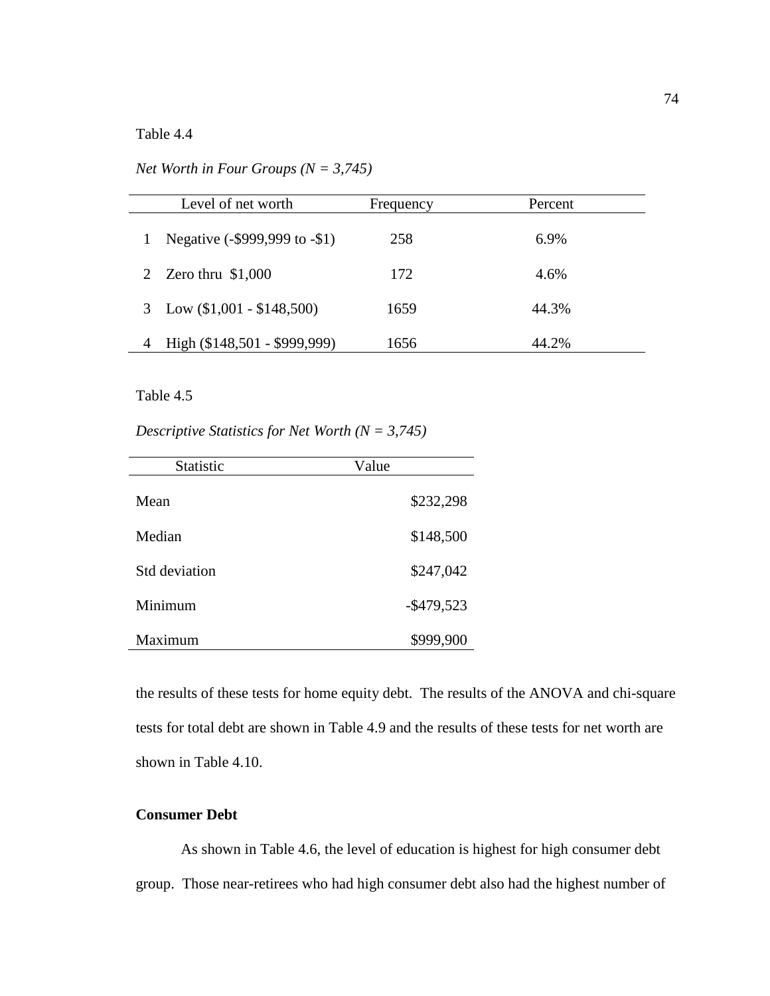*Net Worth in Four Groups (N = 3,745)* 

| Level of net worth            | Frequency | Percent |
|-------------------------------|-----------|---------|
| Negative (-\$999,999 to -\$1) | 258       | 6.9%    |
| Zero thru $$1,000$            | 172       | 4.6%    |
| 3 Low $(\$1,001 - \$148,500)$ | 1659      | 44.3%   |
| High (\$148,501 - \$999,999)  | 1656      | 44.2%   |

# Table 4.5

*Descriptive Statistics for Net Worth (N = 3,745)* 

| <b>Statistic</b>     | Value         |
|----------------------|---------------|
| Mean                 | \$232,298     |
| Median               | \$148,500     |
| <b>Std</b> deviation | \$247,042     |
| Minimum              | $-$ \$479,523 |
| Maximum              | \$999,900     |

the results of these tests for home equity debt. The results of the ANOVA and chi-square tests for total debt are shown in Table 4.9 and the results of these tests for net worth are shown in Table 4.10.

# **Consumer Debt**

As shown in Table 4.6, the level of education is highest for high consumer debt group. Those near-retirees who had high consumer debt also had the highest number of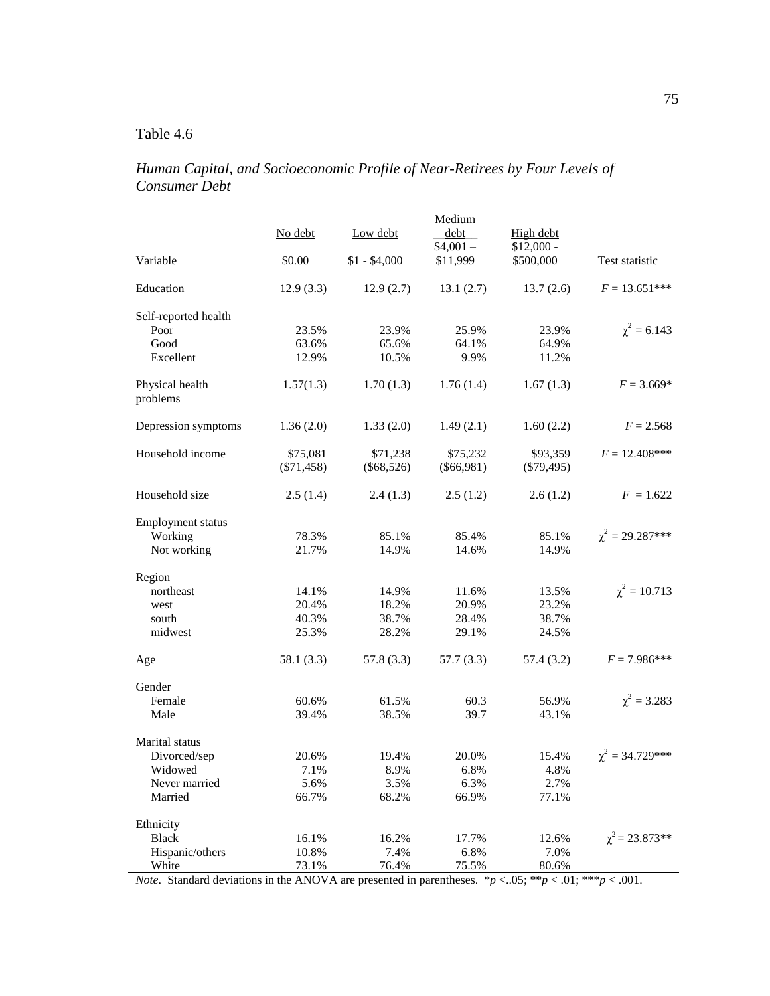*Human Capital, and Socioeconomic Profile of Near-Retirees by Four Levels of Consumer Debt* 

|                             |              |               | Medium                |                          |                      |
|-----------------------------|--------------|---------------|-----------------------|--------------------------|----------------------|
|                             | No debt      | Low debt      | debt                  | High debt                |                      |
| Variable                    | \$0.00       | $$1 - $4,000$ | $$4,001-$<br>\$11,999 | $$12,000 -$<br>\$500,000 | Test statistic       |
|                             |              |               |                       |                          |                      |
| Education                   | 12.9(3.3)    | 12.9(2.7)     | 13.1(2.7)             | 13.7(2.6)                | $F = 13.651***$      |
| Self-reported health        |              |               |                       |                          |                      |
| Poor                        | 23.5%        | 23.9%         | 25.9%                 | 23.9%                    | $\chi^2 = 6.143$     |
| Good                        | 63.6%        | 65.6%         | 64.1%                 | 64.9%                    |                      |
| Excellent                   | 12.9%        | 10.5%         | 9.9%                  | 11.2%                    |                      |
| Physical health<br>problems | 1.57(1.3)    | 1.70(1.3)     | 1.76(1.4)             | 1.67(1.3)                | $F = 3.669*$         |
| Depression symptoms         | 1.36(2.0)    | 1.33(2.0)     | 1.49(2.1)             | 1.60(2.2)                | $F = 2.568$          |
| Household income            | \$75,081     | \$71,238      | \$75,232              | \$93,359                 | $F = 12.408***$      |
|                             | $(\$71,458)$ | $(\$68,526)$  | $(\$66,981)$          | $(\$79,495)$             |                      |
| Household size              | 2.5(1.4)     | 2.4(1.3)      | 2.5(1.2)              | 2.6(1.2)                 | $F = 1.622$          |
| Employment status           |              |               |                       |                          |                      |
| Working                     | 78.3%        | 85.1%         | 85.4%                 | 85.1%                    | $\chi^2 = 29.287***$ |
| Not working                 | 21.7%        | 14.9%         | 14.6%                 | 14.9%                    |                      |
| Region                      |              |               |                       |                          |                      |
| northeast                   | 14.1%        | 14.9%         | 11.6%                 | 13.5%                    | $\chi^2 = 10.713$    |
| west                        | 20.4%        | 18.2%         | 20.9%                 | 23.2%                    |                      |
| south                       | 40.3%        | 38.7%         | 28.4%                 | 38.7%                    |                      |
| midwest                     | 25.3%        | 28.2%         | 29.1%                 | 24.5%                    |                      |
| Age                         | 58.1(3.3)    | 57.8(3.3)     | 57.7(3.3)             | 57.4(3.2)                | $F = 7.986***$       |
| Gender                      |              |               |                       |                          |                      |
| Female                      | 60.6%        | 61.5%         | 60.3                  | 56.9%                    | $\chi^2 = 3.283$     |
| Male                        | 39.4%        | 38.5%         | 39.7                  | 43.1%                    |                      |
| Marital status              |              |               |                       |                          |                      |
| Divorced/sep                | 20.6%        | 19.4%         | 20.0%                 | 15.4%                    | $\chi^2 = 34.729***$ |
| Widowed                     | 7.1%         | 8.9%          | 6.8%                  | 4.8%                     |                      |
| Never married               | 5.6%         | 3.5%          | 6.3%                  | 2.7%                     |                      |
| Married                     | 66.7%        | 68.2%         | 66.9%                 | 77.1%                    |                      |
| Ethnicity                   |              |               |                       |                          |                      |
| <b>Black</b>                | 16.1%        | 16.2%         | 17.7%                 | 12.6%                    | $\chi^2$ = 23.873**  |
| Hispanic/others             | 10.8%        | 7.4%          | 6.8%                  | 7.0%                     |                      |
| White                       | 73.1%        | 76.4%         | 75.5%                 | 80.6%                    |                      |

*Note.* Standard deviations in the ANOVA are presented in parentheses.  $p < .05$ ;  $*p < .01$ ;  $**p < .001$ .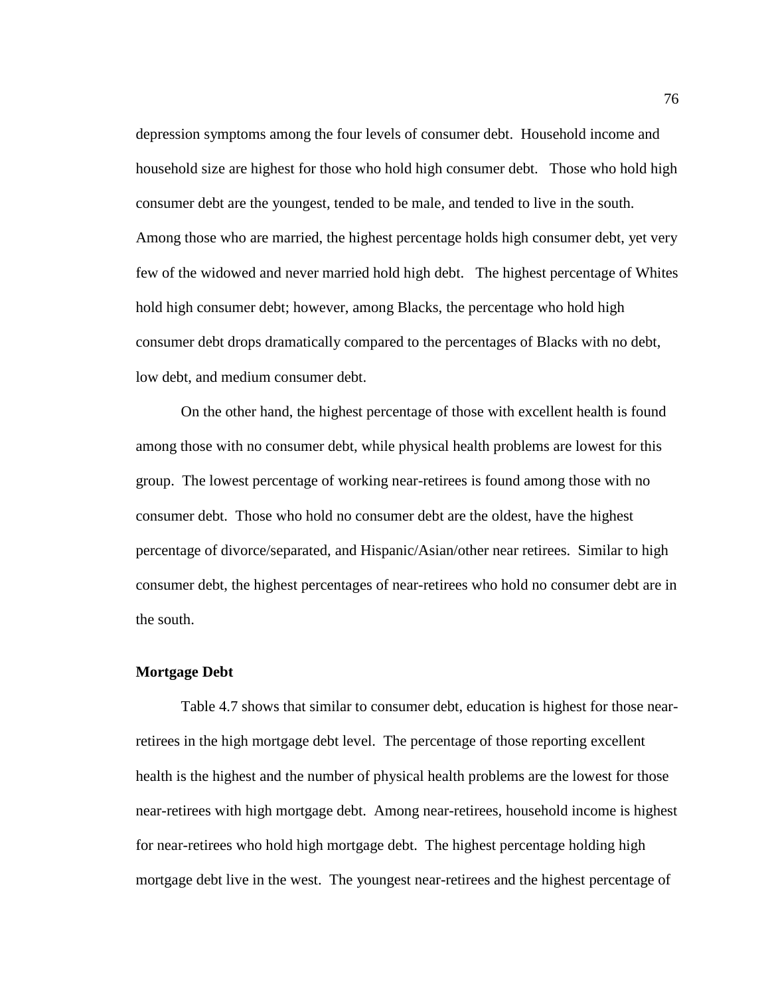depression symptoms among the four levels of consumer debt. Household income and household size are highest for those who hold high consumer debt. Those who hold high consumer debt are the youngest, tended to be male, and tended to live in the south. Among those who are married, the highest percentage holds high consumer debt, yet very few of the widowed and never married hold high debt. The highest percentage of Whites hold high consumer debt; however, among Blacks, the percentage who hold high consumer debt drops dramatically compared to the percentages of Blacks with no debt, low debt, and medium consumer debt.

 On the other hand, the highest percentage of those with excellent health is found among those with no consumer debt, while physical health problems are lowest for this group. The lowest percentage of working near-retirees is found among those with no consumer debt. Those who hold no consumer debt are the oldest, have the highest percentage of divorce/separated, and Hispanic/Asian/other near retirees. Similar to high consumer debt, the highest percentages of near-retirees who hold no consumer debt are in the south.

### **Mortgage Debt**

Table 4.7 shows that similar to consumer debt, education is highest for those nearretirees in the high mortgage debt level. The percentage of those reporting excellent health is the highest and the number of physical health problems are the lowest for those near-retirees with high mortgage debt. Among near-retirees, household income is highest for near-retirees who hold high mortgage debt. The highest percentage holding high mortgage debt live in the west. The youngest near-retirees and the highest percentage of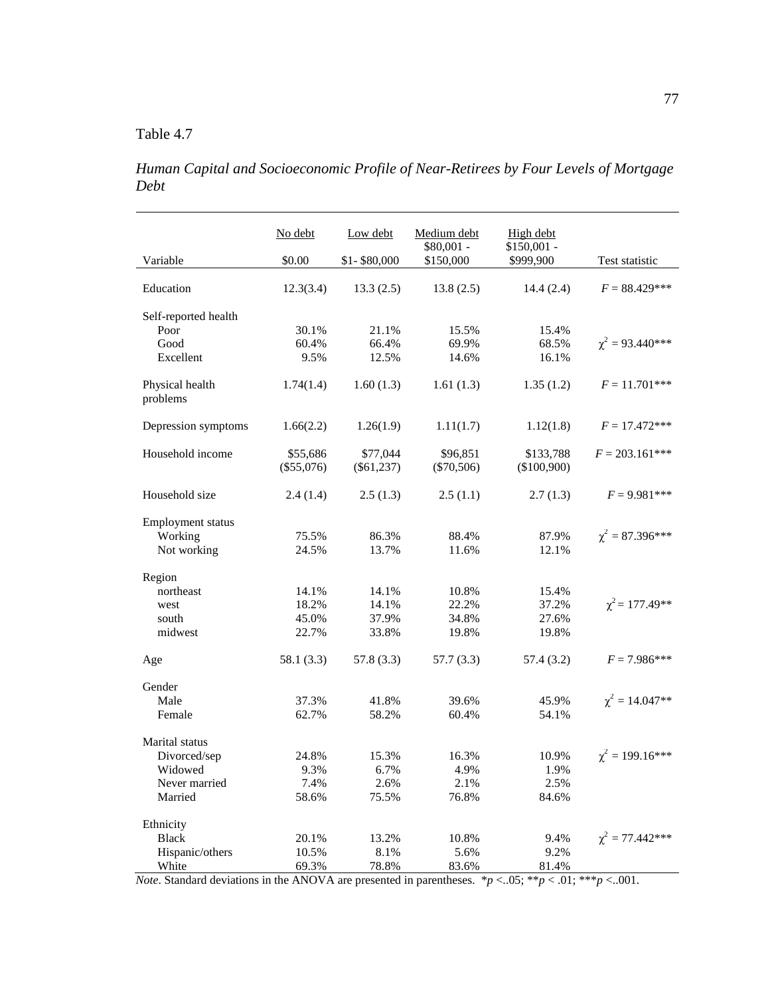*Human Capital and Socioeconomic Profile of Near-Retirees by Four Levels of Mortgage Debt* 

|                             | No debt      | Low debt     | Medium debt              | High debt                 |                           |
|-----------------------------|--------------|--------------|--------------------------|---------------------------|---------------------------|
| Variable                    | \$0.00       | \$1-\$80,000 | $$80,001 -$<br>\$150,000 | $$150,001$ -<br>\$999,900 | Test statistic            |
|                             |              |              |                          |                           |                           |
| Education                   | 12.3(3.4)    | 13.3(2.5)    | 13.8(2.5)                | 14.4(2.4)                 | $F = 88.429***$           |
| Self-reported health        |              |              |                          |                           |                           |
| Poor                        | 30.1%        | 21.1%        | 15.5%                    | 15.4%                     |                           |
| Good                        | 60.4%        | 66.4%        | 69.9%                    | 68.5%                     | $\gamma^2 = 93.440^{***}$ |
| Excellent                   | 9.5%         | 12.5%        | 14.6%                    | 16.1%                     |                           |
| Physical health<br>problems | 1.74(1.4)    | 1.60(1.3)    | 1.61(1.3)                | 1.35(1.2)                 | $F = 11.701***$           |
| Depression symptoms         | 1.66(2.2)    | 1.26(1.9)    | 1.11(1.7)                | 1.12(1.8)                 | $F = 17.472***$           |
| Household income            | \$55,686     | \$77,044     | \$96,851                 | \$133,788                 | $F = 203.161$ ***         |
|                             | $(\$55,076)$ | $(\$61,237)$ | $(\$70,506)$             | (\$100,900)               |                           |
| Household size              | 2.4(1.4)     | 2.5(1.3)     | 2.5(1.1)                 | 2.7(1.3)                  | $F = 9.981***$            |
| Employment status           |              |              |                          |                           |                           |
| Working                     | 75.5%        | 86.3%        | 88.4%                    | 87.9%                     | $\chi^2 = 87.396***$      |
| Not working                 | 24.5%        | 13.7%        | 11.6%                    | 12.1%                     |                           |
| Region                      |              |              |                          |                           |                           |
| northeast                   | 14.1%        | 14.1%        | 10.8%                    | 15.4%                     |                           |
| west                        | 18.2%        | 14.1%        | 22.2%                    | 37.2%                     | $\chi^2$ = 177.49**       |
| south                       | 45.0%        | 37.9%        | 34.8%                    | 27.6%                     |                           |
| midwest                     | 22.7%        | 33.8%        | 19.8%                    | 19.8%                     |                           |
| Age                         | 58.1 (3.3)   | 57.8 (3.3)   | 57.7(3.3)                | 57.4 (3.2)                | $F = 7.986***$            |
| Gender                      |              |              |                          |                           |                           |
| Male                        | 37.3%        | 41.8%        | 39.6%                    | 45.9%                     | $\chi^2 = 14.047**$       |
| Female                      | 62.7%        | 58.2%        | 60.4%                    | 54.1%                     |                           |
| Marital status              |              |              |                          |                           |                           |
| Divorced/sep                | 24.8%        | 15.3%        | 16.3%                    | 10.9%                     | $\gamma^2 = 199.16***$    |
| Widowed                     | 9.3%         | 6.7%         | 4.9%                     | 1.9%                      |                           |
| Never married               | 7.4%         | 2.6%         | 2.1%                     | 2.5%                      |                           |
| Married                     | 58.6%        | 75.5%        | 76.8%                    | 84.6%                     |                           |
| Ethnicity                   |              |              |                          |                           |                           |
| <b>Black</b>                | 20.1%        | 13.2%        | 10.8%                    | 9.4%                      | $\chi^2 = 77.442$ ***     |
| Hispanic/others             | 10.5%        | 8.1%         | 5.6%                     | 9.2%                      |                           |
| White                       | 69.3%        | 78.8%        | 83.6%                    | 81.4%                     |                           |

*Note*. Standard deviations in the ANOVA are presented in parentheses.  $* p < .05$ ;  $* p < .01$ ;  $* * p < .001$ .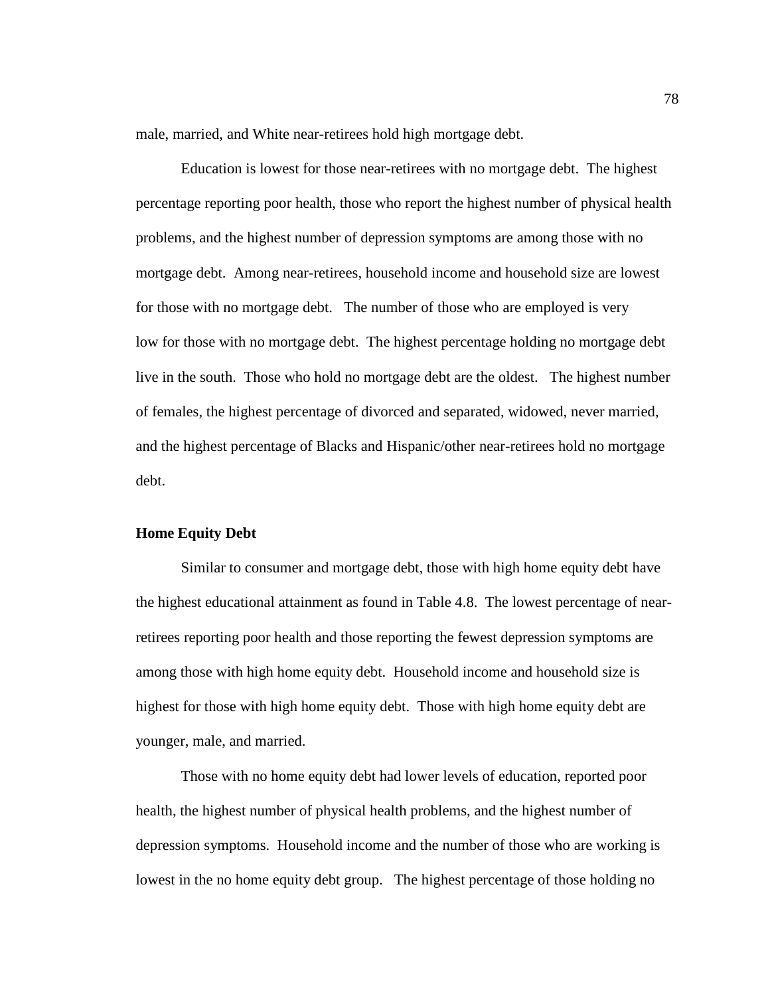male, married, and White near-retirees hold high mortgage debt.

Education is lowest for those near-retirees with no mortgage debt. The highest percentage reporting poor health, those who report the highest number of physical health problems, and the highest number of depression symptoms are among those with no mortgage debt. Among near-retirees, household income and household size are lowest for those with no mortgage debt. The number of those who are employed is very low for those with no mortgage debt. The highest percentage holding no mortgage debt live in the south. Those who hold no mortgage debt are the oldest. The highest number of females, the highest percentage of divorced and separated, widowed, never married, and the highest percentage of Blacks and Hispanic/other near-retirees hold no mortgage debt.

### **Home Equity Debt**

Similar to consumer and mortgage debt, those with high home equity debt have the highest educational attainment as found in Table 4.8. The lowest percentage of nearretirees reporting poor health and those reporting the fewest depression symptoms are among those with high home equity debt. Household income and household size is highest for those with high home equity debt. Those with high home equity debt are younger, male, and married.

 Those with no home equity debt had lower levels of education, reported poor health, the highest number of physical health problems, and the highest number of depression symptoms. Household income and the number of those who are working is lowest in the no home equity debt group. The highest percentage of those holding no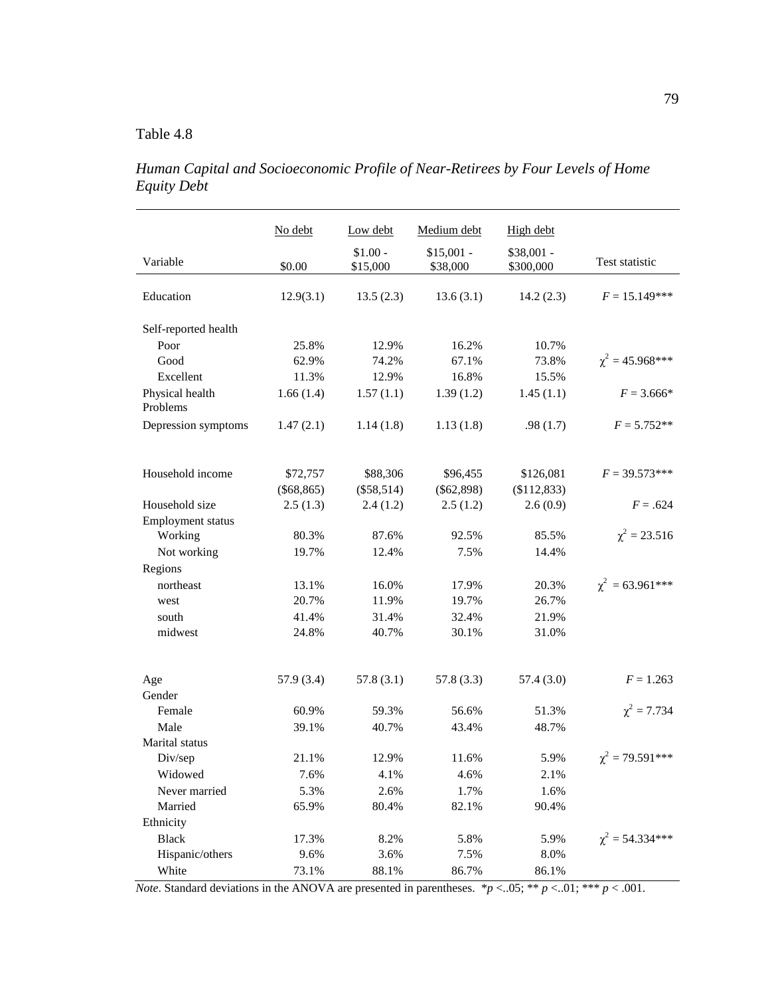*Human Capital and Socioeconomic Profile of Near-Retirees by Four Levels of Home Equity Debt* 

|                             | No debt      | Low debt              | Medium debt             | High debt                |                       |
|-----------------------------|--------------|-----------------------|-------------------------|--------------------------|-----------------------|
| Variable                    | \$0.00       | $$1.00 -$<br>\$15,000 | $$15,001 -$<br>\$38,000 | $$38,001 -$<br>\$300,000 | Test statistic        |
| Education                   | 12.9(3.1)    | 13.5(2.3)             | 13.6(3.1)               | 14.2(2.3)                | $F = 15.149***$       |
| Self-reported health        |              |                       |                         |                          |                       |
| Poor                        | 25.8%        | 12.9%                 | 16.2%                   | 10.7%                    |                       |
| Good                        | 62.9%        | 74.2%                 | 67.1%                   | 73.8%                    | $\chi^2 = 45.968$ *** |
| Excellent                   | 11.3%        | 12.9%                 | 16.8%                   | 15.5%                    |                       |
| Physical health<br>Problems | 1.66(1.4)    | 1.57(1.1)             | 1.39(1.2)               | 1.45(1.1)                | $F = 3.666*$          |
| Depression symptoms         | 1.47(2.1)    | 1.14(1.8)             | 1.13(1.8)               | .98(1.7)                 | $F = 5.752**$         |
| Household income            | \$72,757     | \$88,306              | \$96,455                | \$126,081                | $F = 39.573***$       |
|                             | $(\$68,865)$ | $(\$58,514)$          | $(\$62,898)$            | (\$112,833)              |                       |
| Household size              | 2.5(1.3)     | 2.4(1.2)              | 2.5(1.2)                | 2.6(0.9)                 | $F = .624$            |
| Employment status           |              |                       |                         |                          |                       |
| Working                     | 80.3%        | 87.6%                 | 92.5%                   | 85.5%                    | $\chi^2 = 23.516$     |
| Not working                 | 19.7%        | 12.4%                 | 7.5%                    | 14.4%                    |                       |
| Regions                     |              |                       |                         |                          |                       |
| northeast                   | 13.1%        | 16.0%                 | 17.9%                   | 20.3%                    | $\chi^2$ = 63.961***  |
| west                        | 20.7%        | 11.9%                 | 19.7%                   | 26.7%                    |                       |
| south                       | 41.4%        | 31.4%                 | 32.4%                   | 21.9%                    |                       |
| midwest                     | 24.8%        | 40.7%                 | 30.1%                   | 31.0%                    |                       |
| Age                         | 57.9 (3.4)   | 57.8(3.1)             | 57.8(3.3)               | 57.4 (3.0)               | $F = 1.263$           |
| Gender                      |              |                       |                         |                          |                       |
| Female                      | 60.9%        | 59.3%                 | 56.6%                   | 51.3%                    | $\chi^2 = 7.734$      |
| Male                        | 39.1%        | 40.7%                 | 43.4%                   | 48.7%                    |                       |
| Marital status              |              |                       |                         |                          |                       |
| Div/sep                     | 21.1%        | 12.9%                 | 11.6%                   | 5.9%                     | $\chi^2$ = 79.591***  |
| Widowed                     | 7.6%         | 4.1%                  | 4.6%                    | 2.1%                     |                       |
| Never married               | 5.3%         | 2.6%                  | 1.7%                    | 1.6%                     |                       |
| Married                     | 65.9%        | 80.4%                 | 82.1%                   | 90.4%                    |                       |
| Ethnicity                   |              |                       |                         |                          |                       |
| <b>Black</b>                | 17.3%        | 8.2%                  | 5.8%                    | 5.9%                     | $\chi^2$ = 54.334***  |
| Hispanic/others             | 9.6%         | 3.6%                  | 7.5%                    | $8.0\%$                  |                       |
| White                       | 73.1%        | 88.1%                 | 86.7%                   | 86.1%                    |                       |

*Note*. Standard deviations in the ANOVA are presented in parentheses.  $*p < .05$ ; \*\*  $p < .01$ ; \*\*  $p < .001$ .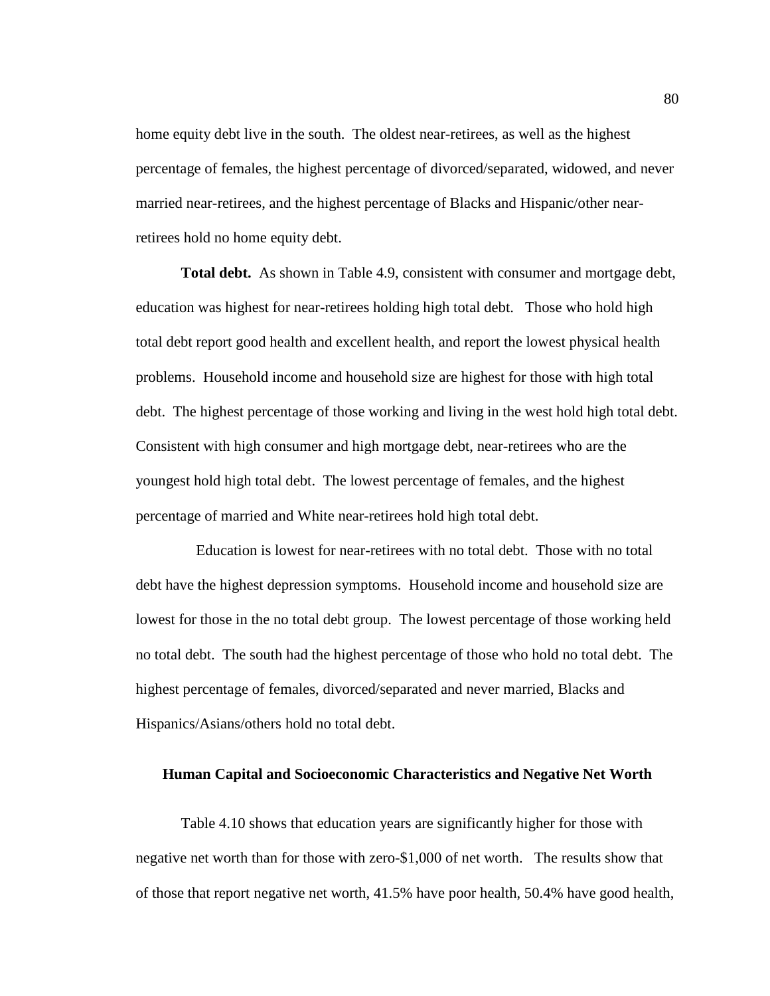home equity debt live in the south. The oldest near-retirees, as well as the highest percentage of females, the highest percentage of divorced/separated, widowed, and never married near-retirees, and the highest percentage of Blacks and Hispanic/other nearretirees hold no home equity debt.

 **Total debt.** As shown in Table 4.9, consistent with consumer and mortgage debt, education was highest for near-retirees holding high total debt. Those who hold high total debt report good health and excellent health, and report the lowest physical health problems. Household income and household size are highest for those with high total debt. The highest percentage of those working and living in the west hold high total debt. Consistent with high consumer and high mortgage debt, near-retirees who are the youngest hold high total debt. The lowest percentage of females, and the highest percentage of married and White near-retirees hold high total debt.

 Education is lowest for near-retirees with no total debt. Those with no total debt have the highest depression symptoms. Household income and household size are lowest for those in the no total debt group. The lowest percentage of those working held no total debt. The south had the highest percentage of those who hold no total debt. The highest percentage of females, divorced/separated and never married, Blacks and Hispanics/Asians/others hold no total debt.

### **Human Capital and Socioeconomic Characteristics and Negative Net Worth**

 Table 4.10 shows that education years are significantly higher for those with negative net worth than for those with zero-\$1,000 of net worth. The results show that of those that report negative net worth, 41.5% have poor health, 50.4% have good health,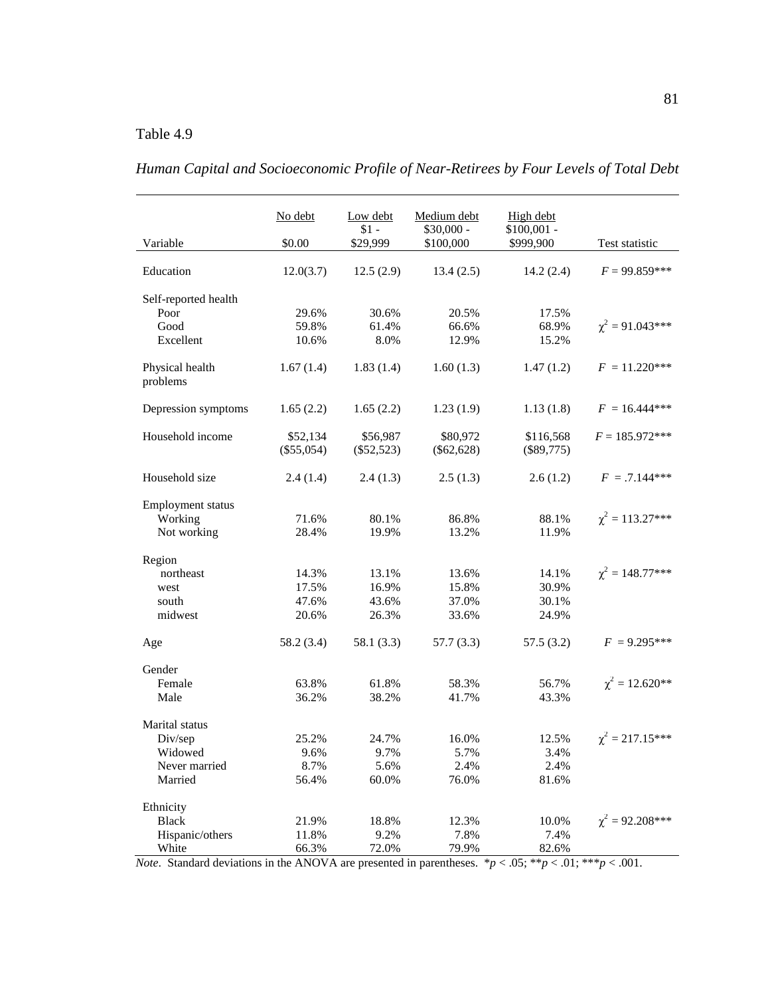|                             | No debt      | Low debt<br>$$1 -$ | Medium debt<br>$$30,000 -$ | High debt<br>$$100,001$ - |                       |
|-----------------------------|--------------|--------------------|----------------------------|---------------------------|-----------------------|
| Variable                    | \$0.00       | \$29,999           | \$100,000                  | \$999,900                 | Test statistic        |
| Education                   | 12.0(3.7)    | 12.5(2.9)          | 13.4(2.5)                  | 14.2(2.4)                 | $F = 99.859***$       |
| Self-reported health        |              |                    |                            |                           |                       |
| Poor                        | 29.6%        | 30.6%              | 20.5%                      | 17.5%                     |                       |
| Good                        | 59.8%        | 61.4%              | 66.6%                      | 68.9%                     | $\chi^2 = 91.043***$  |
| Excellent                   | 10.6%        | 8.0%               | 12.9%                      | 15.2%                     |                       |
| Physical health<br>problems | 1.67(1.4)    | 1.83(1.4)          | 1.60(1.3)                  | 1.47(1.2)                 | $F = 11.220***$       |
| Depression symptoms         | 1.65(2.2)    | 1.65(2.2)          | 1.23(1.9)                  | 1.13(1.8)                 | $F = 16.444***$       |
| Household income            | \$52,134     | \$56,987           | \$80,972                   | \$116,568                 | $F = 185.972***$      |
|                             | $(\$55,054)$ | $(\$52,523)$       | $(\$62,628)$               | $(\$89,775)$              |                       |
| Household size              | 2.4(1.4)     | 2.4(1.3)           | 2.5(1.3)                   | 2.6(1.2)                  | $F = .7.144***$       |
| <b>Employment</b> status    |              |                    |                            |                           |                       |
| Working                     | 71.6%        | 80.1%              | 86.8%                      | 88.1%                     | $\chi^2 = 113.27***$  |
| Not working                 | 28.4%        | 19.9%              | 13.2%                      | 11.9%                     |                       |
| Region                      |              |                    |                            |                           |                       |
| northeast                   | 14.3%        | 13.1%              | 13.6%                      | 14.1%                     | $\chi^2 = 148.77$ *** |
| west                        | 17.5%        | 16.9%              | 15.8%                      | 30.9%                     |                       |
| south                       | 47.6%        | 43.6%              | 37.0%                      | 30.1%                     |                       |
| midwest                     | 20.6%        | 26.3%              | 33.6%                      | 24.9%                     |                       |
| Age                         | 58.2 (3.4)   | 58.1 (3.3)         | 57.7 (3.3)                 | 57.5(3.2)                 | $F = 9.295***$        |
| Gender                      |              |                    |                            |                           |                       |
| Female                      | 63.8%        | 61.8%              | 58.3%                      | 56.7%                     | $\chi^2 = 12.620**$   |
| Male                        | 36.2%        | 38.2%              | 41.7%                      | 43.3%                     |                       |
| Marital status              |              |                    |                            |                           |                       |
| Div/sep                     | 25.2%        | 24.7%              | 16.0%                      | 12.5%                     | $\chi^2 = 217.15***$  |
| Widowed                     | 9.6%         | 9.7%               | 5.7%                       | 3.4%                      |                       |
| Never married               | 8.7%         | 5.6%               | 2.4%                       | 2.4%                      |                       |
| Married                     | 56.4%        | 60.0%              | 76.0%                      | 81.6%                     |                       |
| Ethnicity                   |              |                    |                            |                           |                       |
| <b>Black</b>                | 21.9%        | 18.8%              | 12.3%                      | 10.0%                     | $\chi^2 = 92.208***$  |
| Hispanic/others             | 11.8%        | 9.2%               | 7.8%                       | 7.4%                      |                       |
| White                       | 66.3%        | 72.0%              | 79.9%                      | 82.6%                     |                       |

*Human Capital and Socioeconomic Profile of Near-Retirees by Four Levels of Total Debt* 

*Note.* Standard deviations in the ANOVA are presented in parentheses.  $p < .05$ ;  $\frac{p}{2}$   $p < .01$ ;  $\frac{p}{2}$   $\frac{p}{2}$   $\frac{1}{2}$   $\frac{p}{2}$   $\frac{p}{2}$   $\frac{1}{2}$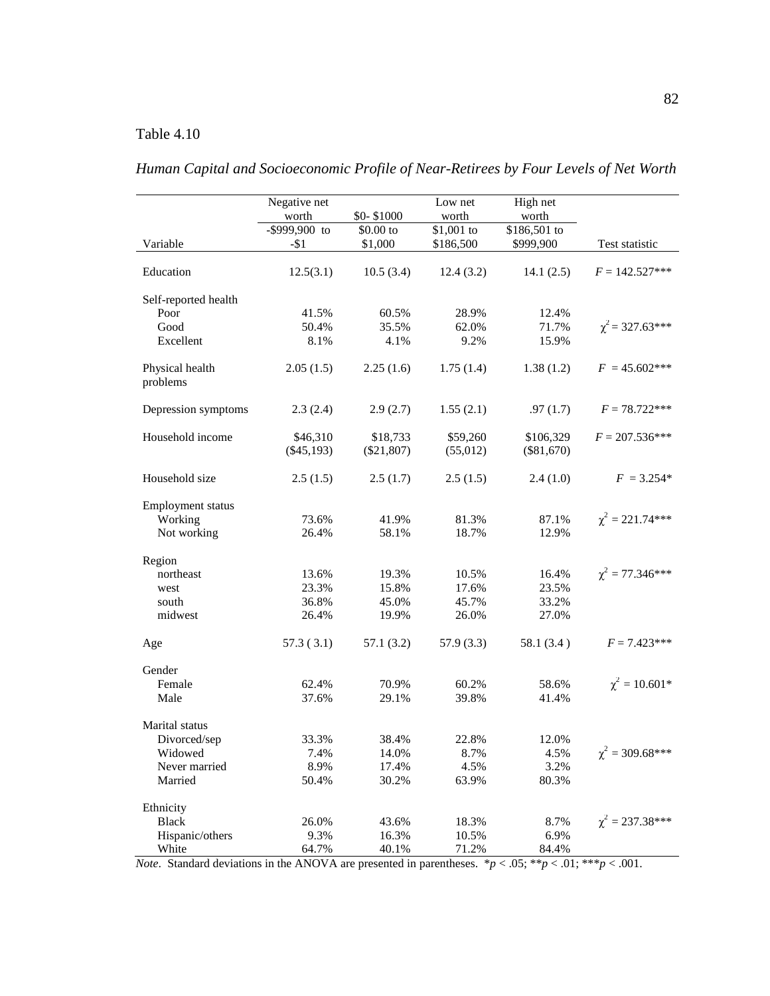|                             | Negative net  |              | Low net     | High net     |                       |
|-----------------------------|---------------|--------------|-------------|--------------|-----------------------|
|                             | worth         | \$0-\$1000   | worth       | worth        |                       |
|                             | -\$999,900 to | \$0.00 to    | $$1,001$ to | \$186,501 to |                       |
| Variable                    | $-51$         | \$1,000      | \$186,500   | \$999,900    | Test statistic        |
|                             |               |              |             |              |                       |
| Education                   | 12.5(3.1)     | 10.5(3.4)    | 12.4(3.2)   | 14.1(2.5)    | $F = 142.527***$      |
| Self-reported health        |               |              |             |              |                       |
| Poor                        | 41.5%         | 60.5%        | 28.9%       | 12.4%        |                       |
| Good                        | 50.4%         | 35.5%        | 62.0%       | 71.7%        | $\chi^2$ = 327.63***  |
| Excellent                   | 8.1%          | 4.1%         | 9.2%        | 15.9%        |                       |
| Physical health<br>problems | 2.05(1.5)     | 2.25(1.6)    | 1.75(1.4)   | 1.38(1.2)    | $F = 45.602***$       |
| Depression symptoms         | 2.3(2.4)      | 2.9(2.7)     | 1.55(2.1)   | .97(1.7)     | $F = 78.722***$       |
| Household income            | \$46,310      | \$18,733     | \$59,260    | \$106,329    | $F = 207.536***$      |
|                             | $(\$45,193)$  | $(\$21,807)$ | (55,012)    | $(\$81,670)$ |                       |
|                             |               |              |             |              |                       |
| Household size              | 2.5(1.5)      | 2.5(1.7)     | 2.5(1.5)    | 2.4(1.0)     | $F = 3.254*$          |
| Employment status           |               |              |             |              |                       |
| Working                     | 73.6%         | 41.9%        | 81.3%       | 87.1%        | $\chi^2 = 221.74***$  |
| Not working                 | 26.4%         | 58.1%        | 18.7%       | 12.9%        |                       |
|                             |               |              |             |              |                       |
| Region                      |               |              |             |              | $\chi^2 = 77.346***$  |
| northeast                   | 13.6%         | 19.3%        | 10.5%       | 16.4%        |                       |
| west                        | 23.3%         | 15.8%        | 17.6%       | 23.5%        |                       |
| south                       | 36.8%         | 45.0%        | 45.7%       | 33.2%        |                       |
| midwest                     | 26.4%         | 19.9%        | 26.0%       | 27.0%        |                       |
| Age                         | 57.3(3.1)     | 57.1(3.2)    | 57.9(3.3)   | 58.1(3.4)    | $F = 7.423***$        |
| Gender                      |               |              |             |              |                       |
| Female                      | 62.4%         | 70.9%        | 60.2%       | 58.6%        | $\chi^2 = 10.601*$    |
| Male                        | 37.6%         | 29.1%        | 39.8%       | 41.4%        |                       |
| Marital status              |               |              |             |              |                       |
| Divorced/sep                | 33.3%         | 38.4%        | 22.8%       | 12.0%        |                       |
| Widowed                     | 7.4%          | 14.0%        | 8.7%        | 4.5%         | $\chi^2 = 309.68$ *** |
| Never married               | 8.9%          | 17.4%        | 4.5%        | 3.2%         |                       |
| Married                     | 50.4%         | 30.2%        | 63.9%       | 80.3%        |                       |
|                             |               |              |             |              |                       |
| Ethnicity                   |               |              |             |              |                       |
| <b>Black</b>                | 26.0%         | 43.6%        | 18.3%       | 8.7%         | $\chi^2 = 237.38***$  |
| Hispanic/others             | 9.3%          | 16.3%        | 10.5%       | 6.9%         |                       |
| White                       | 64.7%         | 40.1%        | 71.2%       | 84.4%        |                       |

*Human Capital and Socioeconomic Profile of Near-Retirees by Four Levels of Net Worth*

*Note.* Standard deviations in the ANOVA are presented in parentheses.  $*p < .05; **p < .01; **p < .001$ .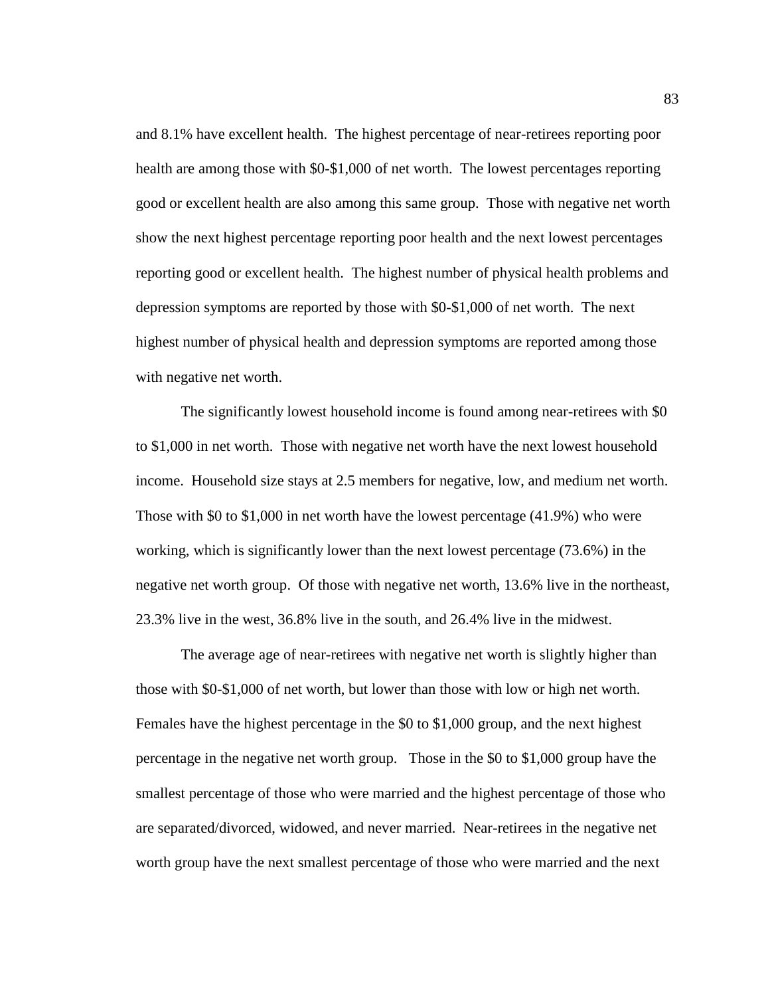and 8.1% have excellent health. The highest percentage of near-retirees reporting poor health are among those with \$0-\$1,000 of net worth. The lowest percentages reporting good or excellent health are also among this same group. Those with negative net worth show the next highest percentage reporting poor health and the next lowest percentages reporting good or excellent health. The highest number of physical health problems and depression symptoms are reported by those with \$0-\$1,000 of net worth. The next highest number of physical health and depression symptoms are reported among those with negative net worth.

 The significantly lowest household income is found among near-retirees with \$0 to \$1,000 in net worth. Those with negative net worth have the next lowest household income. Household size stays at 2.5 members for negative, low, and medium net worth. Those with \$0 to \$1,000 in net worth have the lowest percentage (41.9%) who were working, which is significantly lower than the next lowest percentage (73.6%) in the negative net worth group. Of those with negative net worth, 13.6% live in the northeast, 23.3% live in the west, 36.8% live in the south, and 26.4% live in the midwest.

 The average age of near-retirees with negative net worth is slightly higher than those with \$0-\$1,000 of net worth, but lower than those with low or high net worth. Females have the highest percentage in the \$0 to \$1,000 group, and the next highest percentage in the negative net worth group. Those in the \$0 to \$1,000 group have the smallest percentage of those who were married and the highest percentage of those who are separated/divorced, widowed, and never married. Near-retirees in the negative net worth group have the next smallest percentage of those who were married and the next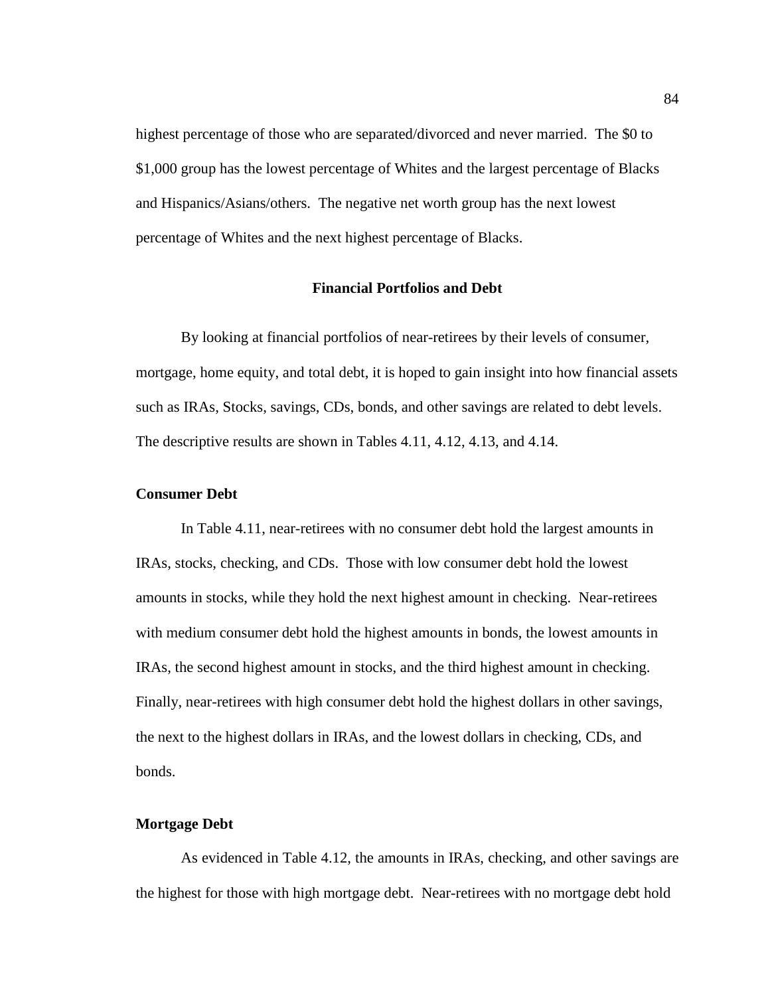highest percentage of those who are separated/divorced and never married. The \$0 to \$1,000 group has the lowest percentage of Whites and the largest percentage of Blacks and Hispanics/Asians/others. The negative net worth group has the next lowest percentage of Whites and the next highest percentage of Blacks.

#### **Financial Portfolios and Debt**

 By looking at financial portfolios of near-retirees by their levels of consumer, mortgage, home equity, and total debt, it is hoped to gain insight into how financial assets such as IRAs, Stocks, savings, CDs, bonds, and other savings are related to debt levels. The descriptive results are shown in Tables 4.11, 4.12, 4.13, and 4.14.

### **Consumer Debt**

 In Table 4.11, near-retirees with no consumer debt hold the largest amounts in IRAs, stocks, checking, and CDs. Those with low consumer debt hold the lowest amounts in stocks, while they hold the next highest amount in checking. Near-retirees with medium consumer debt hold the highest amounts in bonds, the lowest amounts in IRAs, the second highest amount in stocks, and the third highest amount in checking. Finally, near-retirees with high consumer debt hold the highest dollars in other savings, the next to the highest dollars in IRAs, and the lowest dollars in checking, CDs, and bonds.

### **Mortgage Debt**

As evidenced in Table 4.12, the amounts in IRAs, checking, and other savings are the highest for those with high mortgage debt. Near-retirees with no mortgage debt hold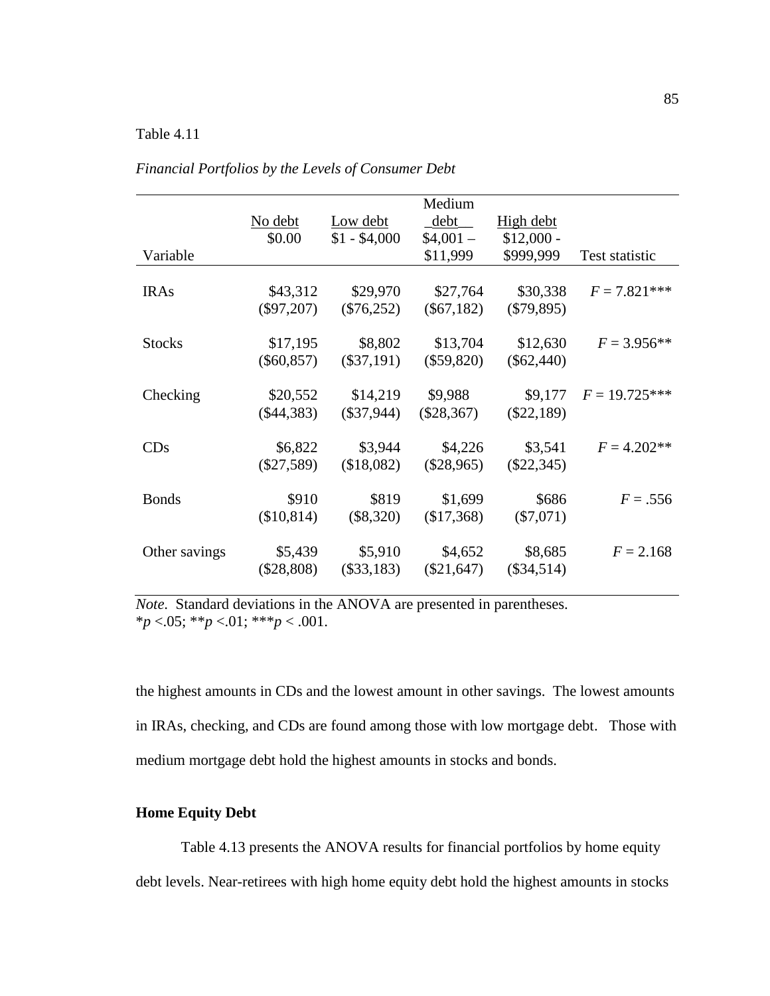|               | No debt<br>\$0.00        | Low debt<br>$$1 - $4,000$ | Medium<br>debt<br>$$4,001-$ | High debt<br>$$12,000 -$ |                 |
|---------------|--------------------------|---------------------------|-----------------------------|--------------------------|-----------------|
| Variable      |                          |                           | \$11,999                    | \$999,999                | Test statistic  |
| <b>IRAs</b>   | \$43,312<br>$(\$97,207)$ | \$29,970<br>$(\$76,252)$  | \$27,764<br>$(\$67,182)$    | \$30,338<br>$(\$79,895)$ | $F = 7.821***$  |
| <b>Stocks</b> | \$17,195<br>$(\$60,857)$ | \$8,802<br>$(\$37,191)$   | \$13,704<br>$(\$59,820)$    | \$12,630<br>$(\$62,440)$ | $F = 3.956**$   |
| Checking      | \$20,552<br>$(\$44,383)$ | \$14,219<br>$(\$37,944)$  | \$9,988<br>$(\$28,367)$     | \$9,177<br>$(\$22,189)$  | $F = 19.725***$ |
| CDs           | \$6,822<br>$(\$27,589)$  | \$3,944<br>(\$18,082)     | \$4,226<br>$(\$28,965)$     | \$3,541<br>$(\$22,345)$  | $F = 4.202**$   |
| <b>Bonds</b>  | \$910<br>(\$10,814)      | \$819<br>$(\$8,320)$      | \$1,699<br>(\$17,368)       | \$686<br>$(\$7,071)$     | $F = .556$      |
| Other savings | \$5,439<br>$(\$28,808)$  | \$5,910<br>$(\$33,183)$   | \$4,652<br>$(\$21,647)$     | \$8,685<br>$(\$34,514)$  | $F = 2.168$     |

*Financial Portfolios by the Levels of Consumer Debt* 

*Note*. Standard deviations in the ANOVA are presented in parentheses. \**p* <.05; \*\**p* <.01; \*\*\**p* < .001.

the highest amounts in CDs and the lowest amount in other savings. The lowest amounts in IRAs, checking, and CDs are found among those with low mortgage debt. Those with medium mortgage debt hold the highest amounts in stocks and bonds.

# **Home Equity Debt**

 Table 4.13 presents the ANOVA results for financial portfolios by home equity debt levels. Near-retirees with high home equity debt hold the highest amounts in stocks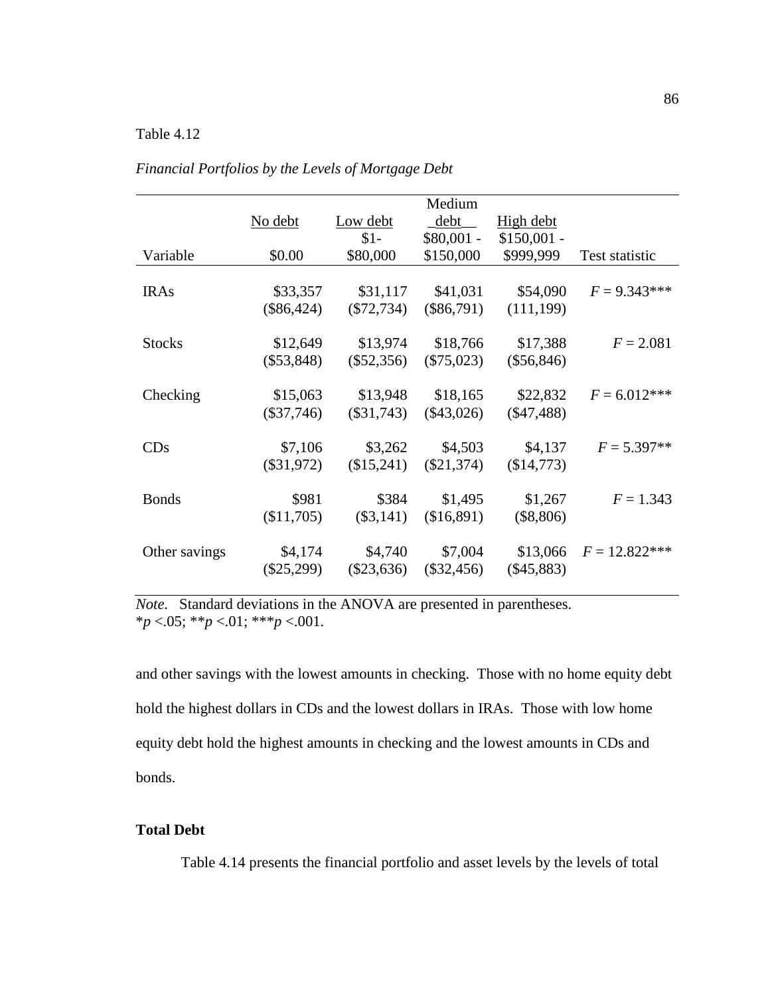l,

|               | Medium       |              |              |              |                  |
|---------------|--------------|--------------|--------------|--------------|------------------|
|               | No debt      | Low debt     | debt         | High debt    |                  |
|               |              | $$1-$        | $$80,001 -$  | $$150,001 -$ |                  |
| Variable      | \$0.00       | \$80,000     | \$150,000    | \$999,999    | Test statistic   |
|               |              |              |              |              |                  |
| <b>IRAs</b>   | \$33,357     | \$31,117     | \$41,031     | \$54,090     | $F = 9.343***$   |
|               | $(\$86,424)$ | $(\$72,734)$ | $(\$86,791)$ | (111, 199)   |                  |
|               |              |              |              |              |                  |
| <b>Stocks</b> | \$12,649     | \$13,974     | \$18,766     | \$17,388     | $F = 2.081$      |
|               | $(\$53,848)$ | $(\$52,356)$ | $(\$75,023)$ | $(\$56,846)$ |                  |
|               |              |              |              |              |                  |
| Checking      | \$15,063     | \$13,948     | \$18,165     | \$22,832     | $F = 6.012***$   |
|               | $(\$37,746)$ | $(\$31,743)$ | $(\$43,026)$ | $(\$47,488)$ |                  |
|               |              |              |              |              |                  |
| CDs           | \$7,106      | \$3,262      | \$4,503      | \$4,137      | $F = 5.397**$    |
|               | $(\$31,972)$ | \$15,241     | $(\$21,374)$ | (\$14,773)   |                  |
|               |              |              |              |              |                  |
| <b>Bonds</b>  | \$981        | \$384        | \$1,495      | \$1,267      | $F = 1.343$      |
|               | (\$11,705)   | $(\$3,141)$  | (\$16,891)   | $(\$8,806)$  |                  |
|               |              |              |              |              |                  |
| Other savings | \$4,174      | \$4,740      | \$7,004      | \$13,066     | $F = 12.822$ *** |
|               | $(\$25,299)$ | $(\$23,636)$ | $(\$32,456)$ | $(\$45,883)$ |                  |
|               |              |              |              |              |                  |

*Financial Portfolios by the Levels of Mortgage Debt* 

*Note*. Standard deviations in the ANOVA are presented in parentheses. \**p* <.05; \*\**p* <.01; \*\*\**p* <.001.

and other savings with the lowest amounts in checking. Those with no home equity debt hold the highest dollars in CDs and the lowest dollars in IRAs. Those with low home equity debt hold the highest amounts in checking and the lowest amounts in CDs and bonds.

# **Total Debt**

Table 4.14 presents the financial portfolio and asset levels by the levels of total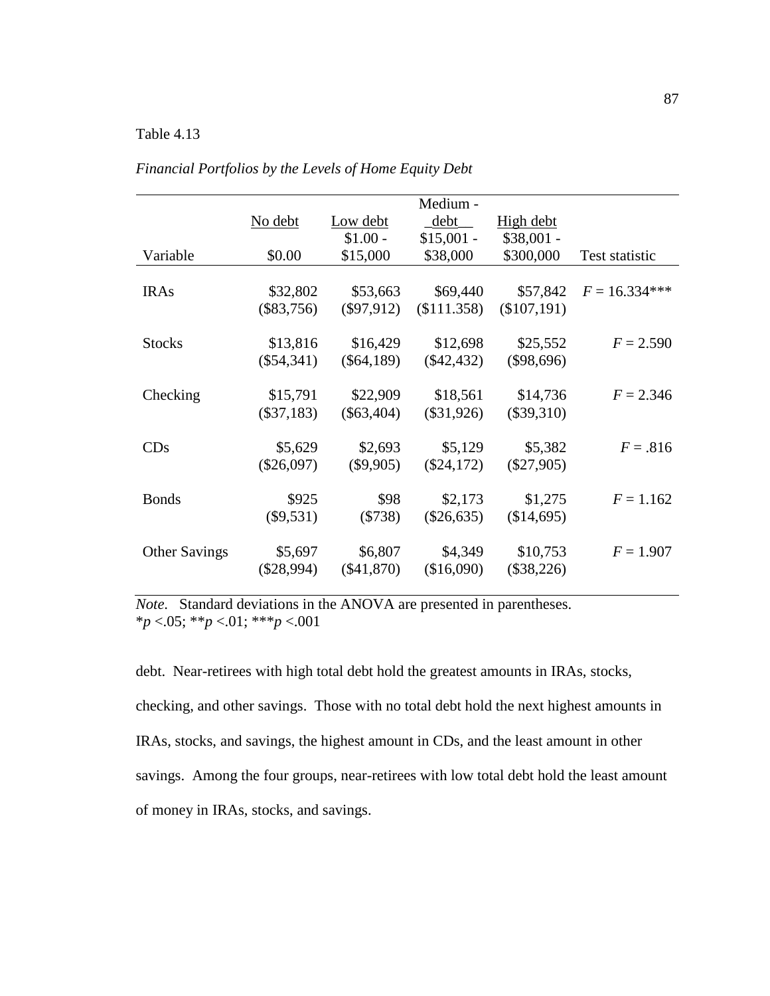|                      |              |              | Medium -     |              |                 |
|----------------------|--------------|--------------|--------------|--------------|-----------------|
|                      | No debt      | Low debt     | debt         | High debt    |                 |
|                      |              | $$1.00 -$    | $$15,001 -$  | $$38,001 -$  |                 |
| Variable             | \$0.00       | \$15,000     | \$38,000     | \$300,000    | Test statistic  |
|                      |              |              |              |              |                 |
| <b>IRAs</b>          | \$32,802     | \$53,663     | \$69,440     | \$57,842     | $F = 16.334***$ |
|                      | $(\$83,756)$ | $(\$97,912)$ | \$111.358    | (\$107,191)  |                 |
|                      |              |              |              |              |                 |
| <b>Stocks</b>        | \$13,816     | \$16,429     | \$12,698     | \$25,552     | $F = 2.590$     |
|                      | $(\$54,341)$ | $(\$64,189)$ | $(\$42,432)$ | $(\$98,696)$ |                 |
|                      |              |              |              |              |                 |
| Checking             | \$15,791     | \$22,909     | \$18,561     | \$14,736     | $F = 2.346$     |
|                      | $(\$37,183)$ | $(\$63,404)$ | $(\$31,926)$ | $(\$39,310)$ |                 |
|                      |              |              |              |              |                 |
| CDs                  | \$5,629      | \$2,693      | \$5,129      | \$5,382      | $F = .816$      |
|                      | $(\$26,097)$ | $(\$9,905)$  | $(\$24,172)$ | $(\$27,905)$ |                 |
| <b>Bonds</b>         | \$925        | \$98         |              |              |                 |
|                      |              |              | \$2,173      | \$1,275      | $F = 1.162$     |
|                      | $(\$9,531)$  | (\$738)      | $(\$26,635)$ | (\$14,695)   |                 |
| <b>Other Savings</b> | \$5,697      | \$6,807      | \$4,349      | \$10,753     | $F = 1.907$     |
|                      | $(\$28,994)$ | $(\$41,870)$ | (\$16,090)   | $(\$38,226)$ |                 |
|                      |              |              |              |              |                 |

*Financial Portfolios by the Levels of Home Equity Debt* 

*Note*. Standard deviations in the ANOVA are presented in parentheses. \**p* <.05; \*\**p* <.01; \*\*\**p* <.001

debt. Near-retirees with high total debt hold the greatest amounts in IRAs, stocks, checking, and other savings. Those with no total debt hold the next highest amounts in IRAs, stocks, and savings, the highest amount in CDs, and the least amount in other savings. Among the four groups, near-retirees with low total debt hold the least amount of money in IRAs, stocks, and savings.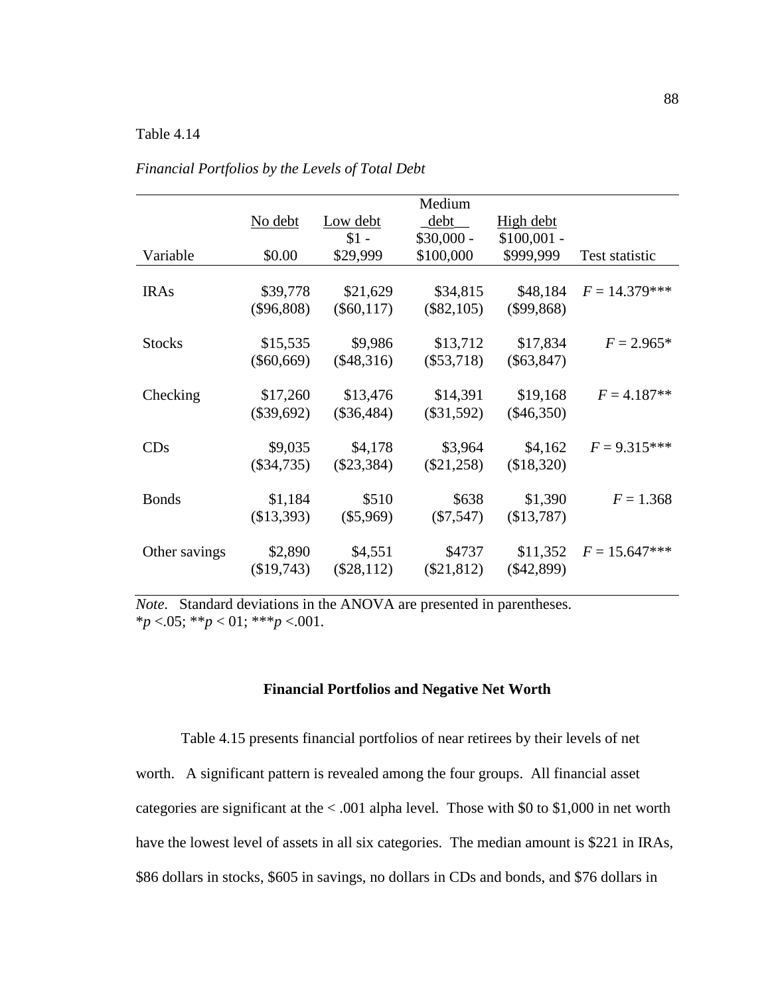|               |              |              | Medium       |              |                 |
|---------------|--------------|--------------|--------------|--------------|-----------------|
|               | No debt      | Low debt     | debt         | High debt    |                 |
|               |              | $$1 -$       | $$30,000 -$  | $$100,001 -$ |                 |
| Variable      | \$0.00       | \$29,999     | \$100,000    | \$999,999    | Test statistic  |
|               |              |              |              |              |                 |
| <b>IRAs</b>   | \$39,778     | \$21,629     | \$34,815     | \$48,184     | $F = 14.379***$ |
|               | $(\$96,808)$ | $(\$60,117)$ | $(\$82,105)$ | $(\$99,868)$ |                 |
|               |              |              |              |              |                 |
| <b>Stocks</b> | \$15,535     | \$9,986      | \$13,712     | \$17,834     | $F = 2.965*$    |
|               | $(\$60,669)$ | $(\$48,316)$ | $(\$53,718)$ | $(\$63,847)$ |                 |
|               |              |              |              |              |                 |
| Checking      | \$17,260     | \$13,476     | \$14,391     | \$19,168     | $F = 4.187**$   |
|               | $(\$39,692)$ | $(\$36,484)$ | $(\$31,592)$ | $(\$46,350)$ |                 |
|               |              |              |              |              |                 |
| CDs           | \$9,035      | \$4,178      | \$3,964      | \$4,162      | $F = 9.315***$  |
|               | $(\$34,735)$ | $(\$23,384)$ | $(\$21,258)$ | (\$18,320)   |                 |
|               |              |              |              |              |                 |
| <b>Bonds</b>  | \$1,184      | \$510        | \$638        | \$1,390      | $F = 1.368$     |
|               | (\$13,393)   | $(\$5,969)$  | $(\$7,547)$  | (\$13,787)   |                 |
|               |              |              |              |              |                 |
| Other savings | \$2,890      | \$4,551      | \$4737       | \$11,352     | $F = 15.647***$ |
|               | (\$19,743)   | $(\$28,112)$ | $(\$21,812)$ | $(\$42,899)$ |                 |
|               |              |              |              |              |                 |

*Financial Portfolios by the Levels of Total Debt* 

*Note*. Standard deviations in the ANOVA are presented in parentheses. \**p* <.05; \*\**p* < 01; \*\*\**p* <.001.

#### **Financial Portfolios and Negative Net Worth**

 Table 4.15 presents financial portfolios of near retirees by their levels of net worth. A significant pattern is revealed among the four groups. All financial asset categories are significant at the < .001 alpha level. Those with \$0 to \$1,000 in net worth have the lowest level of assets in all six categories. The median amount is \$221 in IRAs, \$86 dollars in stocks, \$605 in savings, no dollars in CDs and bonds, and \$76 dollars in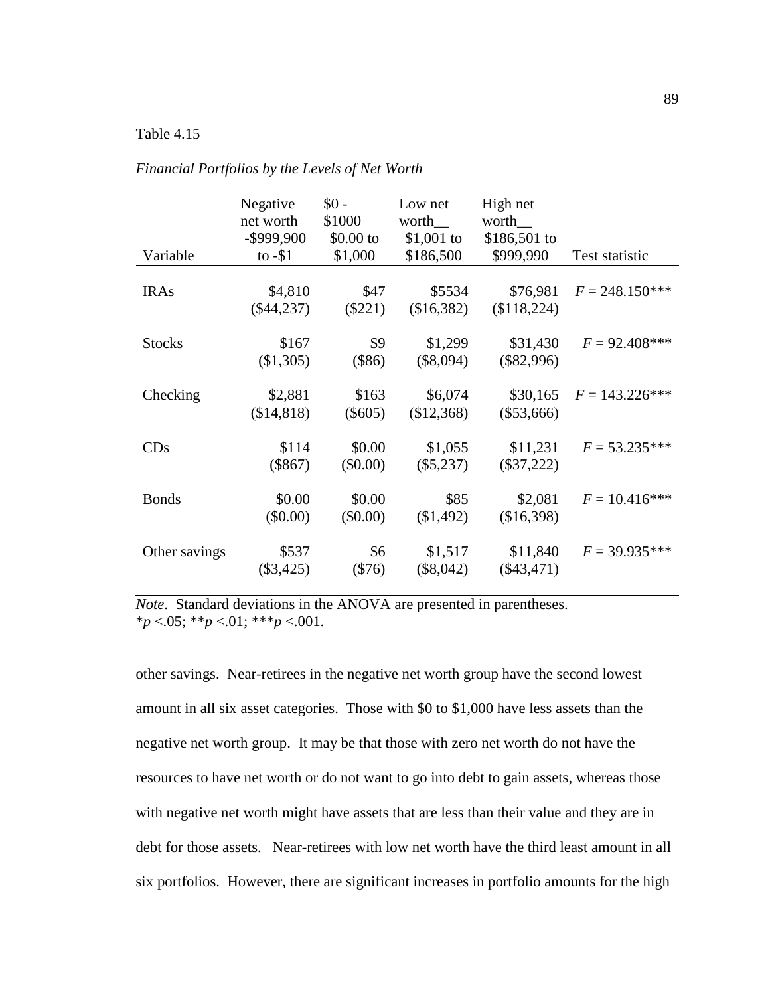|               | Negative<br>net worth<br>$-$ \$999,900 | $$0 -$<br>\$1000<br>$$0.00$ to | Low net<br>worth<br>$$1,001$ to | High net<br>worth<br>$$186,501$ to |                   |
|---------------|----------------------------------------|--------------------------------|---------------------------------|------------------------------------|-------------------|
| Variable      | to $-\$1$                              | \$1,000                        | \$186,500                       | \$999,990                          | Test statistic    |
| <b>IRAs</b>   | \$4,810<br>$(\$44,237)$                | \$47<br>$(\$221)$              | \$5534<br>(\$16,382)            | \$76,981<br>(\$118,224)            | $F = 248.150***$  |
| <b>Stocks</b> | \$167<br>(\$1,305)                     | \$9<br>(\$86)                  | \$1,299<br>$(\$8,094)$          | \$31,430<br>$(\$82,996)$           | $F = 92.408***$   |
| Checking      | \$2,881<br>(\$14,818)                  | \$163<br>$(\$605)$             | \$6,074<br>(\$12,368)           | \$30,165<br>$(\$53,666)$           | $F = 143.226$ *** |
| CDs           | \$114<br>$(\$867)$                     | \$0.00<br>$(\$0.00)$           | \$1,055<br>$(\$5,237)$          | \$11,231<br>$(\$37,222)$           | $F = 53.235***$   |
| <b>Bonds</b>  | \$0.00<br>$(\$0.00)$                   | \$0.00<br>$(\$0.00)$           | \$85<br>(\$1,492)               | \$2,081<br>(\$16,398)              | $F = 10.416***$   |
| Other savings | \$537<br>$(\$3,425)$                   | \$6<br>$(\$76)$                | \$1,517<br>$(\$8,042)$          | \$11,840<br>$(\$43,471)$           | $F = 39.935***$   |

*Financial Portfolios by the Levels of Net Worth* 

*Note*. Standard deviations in the ANOVA are presented in parentheses. \**p* <.05; \*\**p* <.01; \*\*\**p* <.001.

other savings. Near-retirees in the negative net worth group have the second lowest amount in all six asset categories. Those with \$0 to \$1,000 have less assets than the negative net worth group. It may be that those with zero net worth do not have the resources to have net worth or do not want to go into debt to gain assets, whereas those with negative net worth might have assets that are less than their value and they are in debt for those assets. Near-retirees with low net worth have the third least amount in all six portfolios. However, there are significant increases in portfolio amounts for the high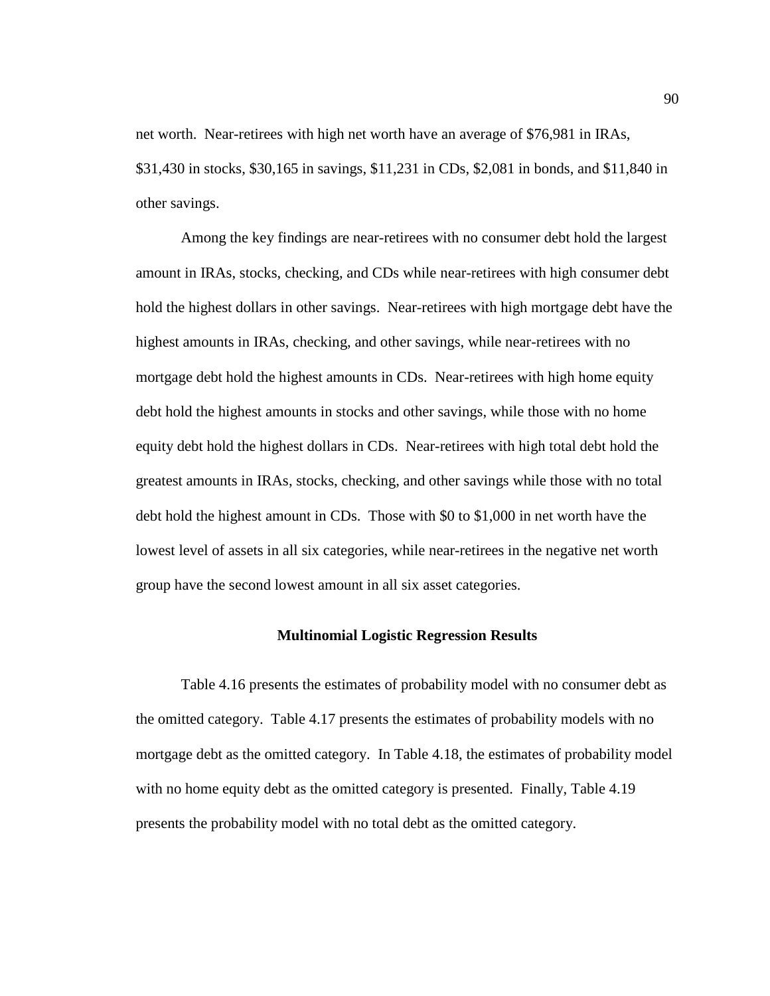net worth. Near-retirees with high net worth have an average of \$76,981 in IRAs, \$31,430 in stocks, \$30,165 in savings, \$11,231 in CDs, \$2,081 in bonds, and \$11,840 in other savings.

 Among the key findings are near-retirees with no consumer debt hold the largest amount in IRAs, stocks, checking, and CDs while near-retirees with high consumer debt hold the highest dollars in other savings. Near-retirees with high mortgage debt have the highest amounts in IRAs, checking, and other savings, while near-retirees with no mortgage debt hold the highest amounts in CDs. Near-retirees with high home equity debt hold the highest amounts in stocks and other savings, while those with no home equity debt hold the highest dollars in CDs. Near-retirees with high total debt hold the greatest amounts in IRAs, stocks, checking, and other savings while those with no total debt hold the highest amount in CDs. Those with \$0 to \$1,000 in net worth have the lowest level of assets in all six categories, while near-retirees in the negative net worth group have the second lowest amount in all six asset categories.

#### **Multinomial Logistic Regression Results**

 Table 4.16 presents the estimates of probability model with no consumer debt as the omitted category. Table 4.17 presents the estimates of probability models with no mortgage debt as the omitted category. In Table 4.18, the estimates of probability model with no home equity debt as the omitted category is presented. Finally, Table 4.19 presents the probability model with no total debt as the omitted category.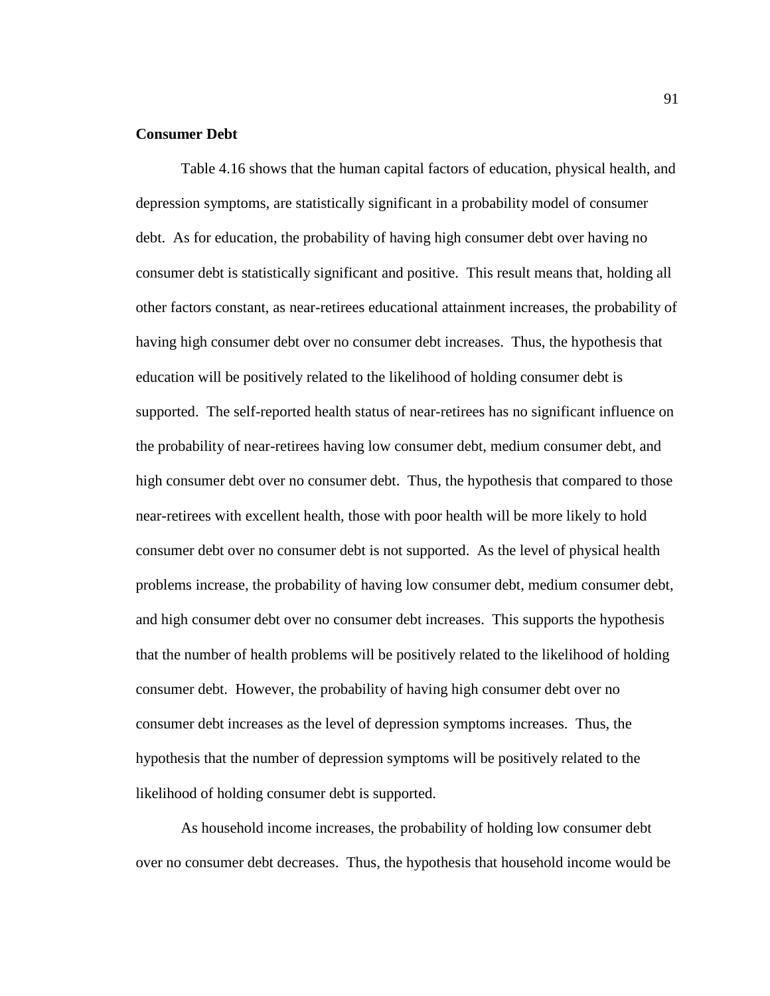### **Consumer Debt**

 Table 4.16 shows that the human capital factors of education, physical health, and depression symptoms, are statistically significant in a probability model of consumer debt. As for education, the probability of having high consumer debt over having no consumer debt is statistically significant and positive. This result means that, holding all other factors constant, as near-retirees educational attainment increases, the probability of having high consumer debt over no consumer debt increases. Thus, the hypothesis that education will be positively related to the likelihood of holding consumer debt is supported. The self-reported health status of near-retirees has no significant influence on the probability of near-retirees having low consumer debt, medium consumer debt, and high consumer debt over no consumer debt. Thus, the hypothesis that compared to those near-retirees with excellent health, those with poor health will be more likely to hold consumer debt over no consumer debt is not supported. As the level of physical health problems increase, the probability of having low consumer debt, medium consumer debt, and high consumer debt over no consumer debt increases. This supports the hypothesis that the number of health problems will be positively related to the likelihood of holding consumer debt. However, the probability of having high consumer debt over no consumer debt increases as the level of depression symptoms increases. Thus, the hypothesis that the number of depression symptoms will be positively related to the likelihood of holding consumer debt is supported.

 As household income increases, the probability of holding low consumer debt over no consumer debt decreases. Thus, the hypothesis that household income would be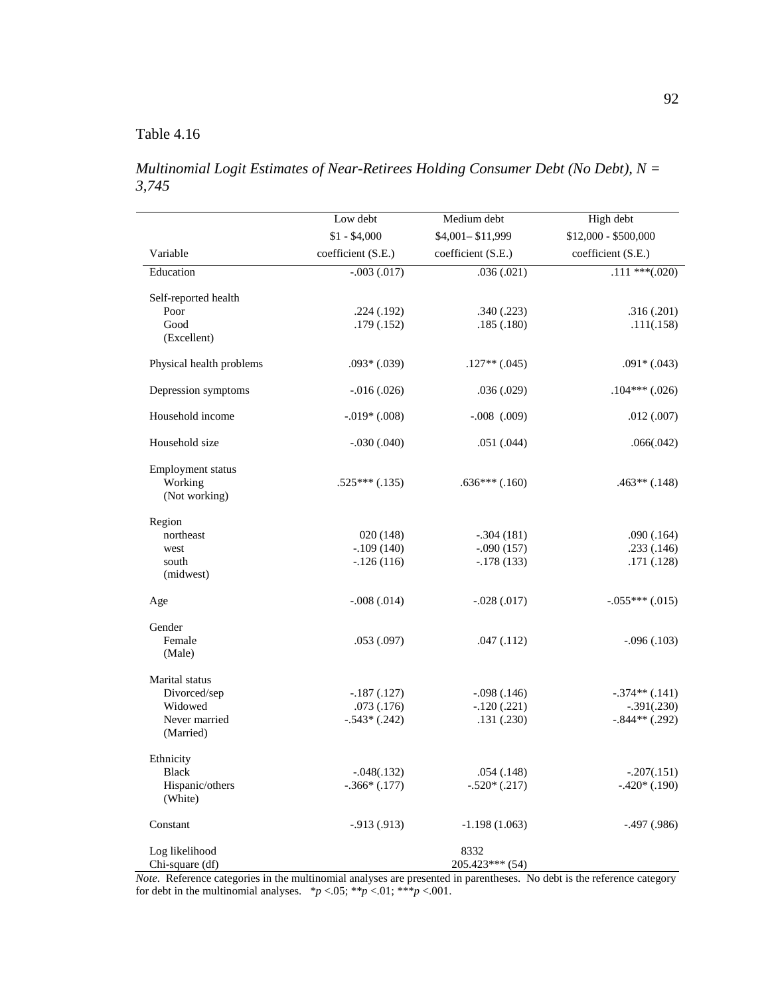*Multinomial Logit Estimates of Near-Retirees Holding Consumer Debt (No Debt), N = 3,745* 

|                                               | Low debt           | Medium debt        | High debt            |
|-----------------------------------------------|--------------------|--------------------|----------------------|
|                                               | $$1 - $4,000$      | \$4,001-\$11,999   | \$12,000 - \$500,000 |
| Variable                                      | coefficient (S.E.) | coefficient (S.E.) | coefficient (S.E.)   |
| Education                                     | $-0.003(0.017)$    | .036(.021)         | $.111***(020)$       |
| Self-reported health                          |                    |                    |                      |
| Poor                                          | .224(.192)         | .340(.223)         | .316(.201)           |
| Good<br>(Excellent)                           | .179(.152)         | .185(.180)         | .111(.158)           |
| Physical health problems                      | $.093*(.039)$      | $.127**(.045)$     | $.091*(.043)$        |
| Depression symptoms                           | $-0.016(0.026)$    | .036(.029)         | $.104***(.026)$      |
| Household income                              | $-.019*(.008)$     | $-.008$ $(.009)$   | .012(.007)           |
| Household size                                | $-.030(.040)$      | .051(.044)         | .066(.042)           |
| Employment status<br>Working<br>(Not working) | $.525***(.135)$    | $.636***(.160)$    | $.463**(.148)$       |
| Region                                        |                    |                    |                      |
| northeast                                     | 020(148)           | $-.304(181)$       | .090(.164)           |
| west                                          | $-.109(140)$       | $-.090(157)$       | .233(.146)           |
| south<br>(midwest)                            | $-126(116)$        | $-.178(133)$       | .171(.128)           |
| Age                                           | $-.008(.014)$      | $-.028(.017)$      | $-.055***(.015)$     |
| Gender                                        |                    |                    |                      |
| Female<br>(Male)                              | .053(.097)         | .047(.112)         | $-.096(.103)$        |
| Marital status                                |                    |                    |                      |
| Divorced/sep                                  | $-.187(.127)$      | $-.098(.146)$      | $-.374**(.141)$      |
| Widowed                                       | .073(.176)         | $-.120(.221)$      | $-.391(.230)$        |
| Never married<br>(Married)                    | $-.543*(.242)$     | .131(.230)         | $-.844**(.292)$      |
| Ethnicity                                     |                    |                    |                      |
| Black                                         | $-.048(.132)$      | .054(.148)         | $-.207(.151)$        |
| Hispanic/others<br>(White)                    | $-.366*(.177)$     | $-.520*(.217)$     | $-.420*(.190)$       |
| Constant                                      | $-913(913)$        | $-1.198(1.063)$    | $-0.497(0.986)$      |
| Log likelihood                                |                    | 8332               |                      |
| Chi-square (df)                               |                    | 205.423*** (54)    |                      |

*Note*. Reference categories in the multinomial analyses are presented in parentheses. No debt is the reference category for debt in the multinomial analyses.  $*_{p}$  <.05;  $*_{p}$  <.01;  $*_{p}$  <.001.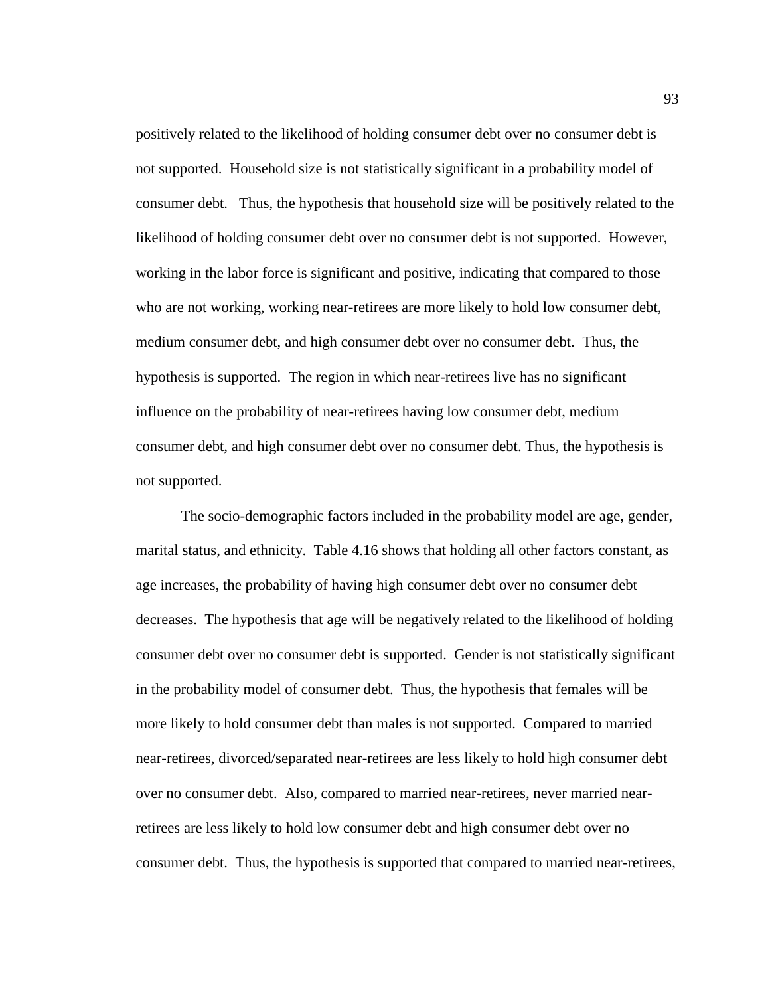positively related to the likelihood of holding consumer debt over no consumer debt is not supported. Household size is not statistically significant in a probability model of consumer debt. Thus, the hypothesis that household size will be positively related to the likelihood of holding consumer debt over no consumer debt is not supported. However, working in the labor force is significant and positive, indicating that compared to those who are not working, working near-retirees are more likely to hold low consumer debt, medium consumer debt, and high consumer debt over no consumer debt. Thus, the hypothesis is supported. The region in which near-retirees live has no significant influence on the probability of near-retirees having low consumer debt, medium consumer debt, and high consumer debt over no consumer debt. Thus, the hypothesis is not supported.

 The socio-demographic factors included in the probability model are age, gender, marital status, and ethnicity. Table 4.16 shows that holding all other factors constant, as age increases, the probability of having high consumer debt over no consumer debt decreases. The hypothesis that age will be negatively related to the likelihood of holding consumer debt over no consumer debt is supported. Gender is not statistically significant in the probability model of consumer debt. Thus, the hypothesis that females will be more likely to hold consumer debt than males is not supported. Compared to married near-retirees, divorced/separated near-retirees are less likely to hold high consumer debt over no consumer debt. Also, compared to married near-retirees, never married nearretirees are less likely to hold low consumer debt and high consumer debt over no consumer debt. Thus, the hypothesis is supported that compared to married near-retirees,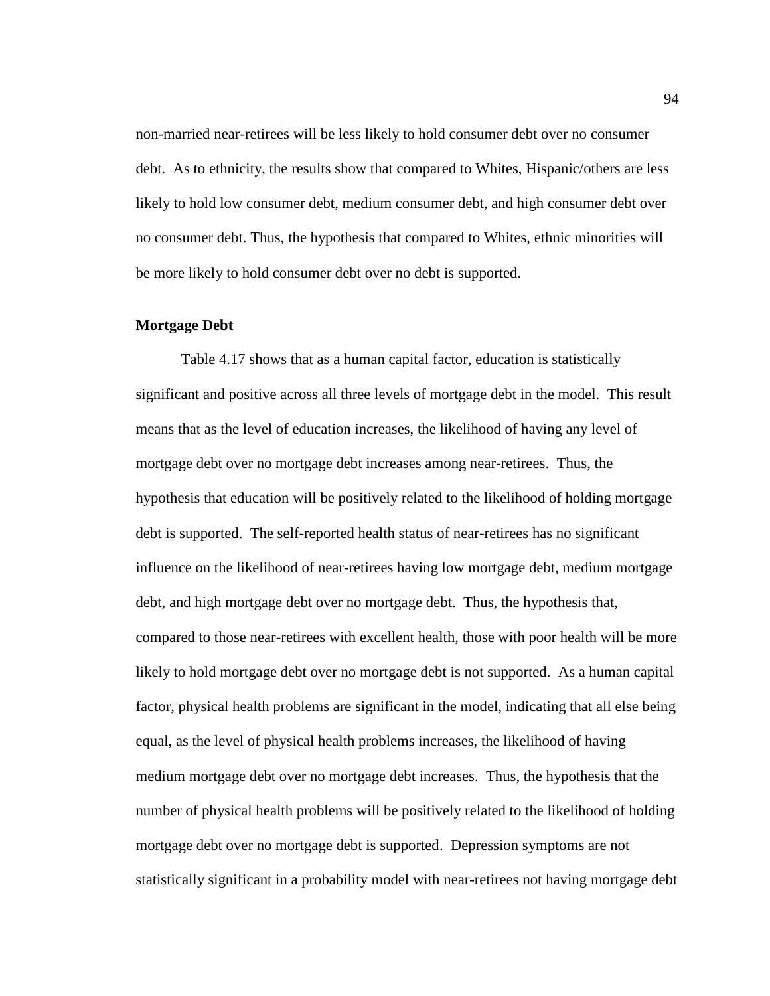non-married near-retirees will be less likely to hold consumer debt over no consumer debt. As to ethnicity, the results show that compared to Whites, Hispanic/others are less likely to hold low consumer debt, medium consumer debt, and high consumer debt over no consumer debt. Thus, the hypothesis that compared to Whites, ethnic minorities will be more likely to hold consumer debt over no debt is supported.

### **Mortgage Debt**

 Table 4.17 shows that as a human capital factor, education is statistically significant and positive across all three levels of mortgage debt in the model. This result means that as the level of education increases, the likelihood of having any level of mortgage debt over no mortgage debt increases among near-retirees. Thus, the hypothesis that education will be positively related to the likelihood of holding mortgage debt is supported. The self-reported health status of near-retirees has no significant influence on the likelihood of near-retirees having low mortgage debt, medium mortgage debt, and high mortgage debt over no mortgage debt. Thus, the hypothesis that, compared to those near-retirees with excellent health, those with poor health will be more likely to hold mortgage debt over no mortgage debt is not supported. As a human capital factor, physical health problems are significant in the model, indicating that all else being equal, as the level of physical health problems increases, the likelihood of having medium mortgage debt over no mortgage debt increases. Thus, the hypothesis that the number of physical health problems will be positively related to the likelihood of holding mortgage debt over no mortgage debt is supported. Depression symptoms are not statistically significant in a probability model with near-retirees not having mortgage debt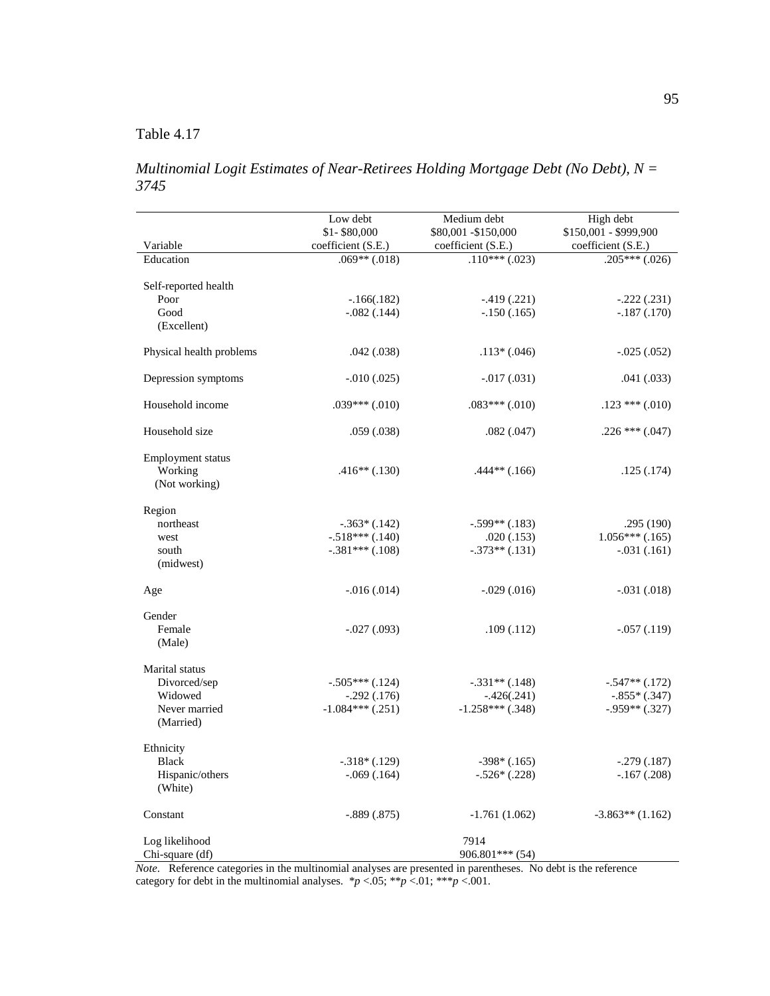*Multinomial Logit Estimates of Near-Retirees Holding Mortgage Debt (No Debt), N = 3745* 

|                            | Low debt<br>\$1-\$80,000 | Medium debt<br>\$80,001 - \$150,000 | High debt<br>\$150,001 - \$999,900 |
|----------------------------|--------------------------|-------------------------------------|------------------------------------|
| Variable                   | coefficient (S.E.)       | coefficient (S.E.)                  | coefficient (S.E.)                 |
| Education                  | $.069**(.018)$           | $.110***(.023)$                     | $.205***(.026)$                    |
| Self-reported health       |                          |                                     |                                    |
| Poor                       | $-.166(.182)$            | $-0.419(0.221)$                     | $-.222(.231)$                      |
| Good                       | $-.082(.144)$            | $-.150(.165)$                       | $-.187(.170)$                      |
| (Excellent)                |                          |                                     |                                    |
| Physical health problems   | .042(.038)               | $.113*(.046)$                       | $-0.025(0.052)$                    |
| Depression symptoms        | $-.010(.025)$            | $-0.017(0.031)$                     | .041(.033)                         |
| Household income           | $.039***(.010)$          | $.083***(.010)$                     | $.123$ *** $(.010)$                |
| Household size             | .059(.038)               | .082(.047)                          | $.226$ *** $(.047)$                |
| Employment status          |                          |                                     |                                    |
| Working                    | $.416**(.130)$           | $.444**(.166)$                      | .125(.174)                         |
| (Not working)              |                          |                                     |                                    |
| Region                     |                          |                                     |                                    |
| northeast                  | $-.363*(.142)$           | $-.599**(.183)$                     | .295(190)                          |
| west                       | $-.518***(.140)$         | .020(.153)                          | $1.056***$ (.165)                  |
| south<br>(midwest)         | $-.381***(.108)$         | $-.373**(.131)$                     | $-.031(.161)$                      |
| Age                        | $-0.016(0.014)$          | $-0.029(0.016)$                     | $-.031(.018)$                      |
| Gender                     |                          |                                     |                                    |
| Female                     | $-.027(.093)$            | .109(.112)                          | $-.057(.119)$                      |
| (Male)                     |                          |                                     |                                    |
| Marital status             |                          |                                     |                                    |
| Divorced/sep               | $-.505***(.124)$         | $-.331**(.148)$                     | $-.547**(.172)$                    |
| Widowed                    | $-.292(.176)$            | $-.426(.241)$                       | $-.855*(.347)$                     |
| Never married<br>(Married) | $-1.084***$ (.251)       | $-1.258***$ (.348)                  | $-.959**(.327)$                    |
| Ethnicity                  |                          |                                     |                                    |
| <b>Black</b>               | $-.318*(.129)$           | $-398*(.165)$                       | $-.279(.187)$                      |
| Hispanic/others<br>(White) | $-.069(.164)$            | $-.526*(.228)$                      | $-.167(.208)$                      |
| Constant                   | $-.889(.875)$            | $-1.761(1.062)$                     | $-3.863**$ (1.162)                 |
| Log likelihood             |                          | 7914                                |                                    |
| Chi-square (df)            |                          | 906.801*** (54)                     |                                    |

*Note*. Reference categories in the multinomial analyses are presented in parentheses. No debt is the reference category for debt in the multinomial analyses.  $**p* < .05; ***p* < .01; ****p* < .001$ .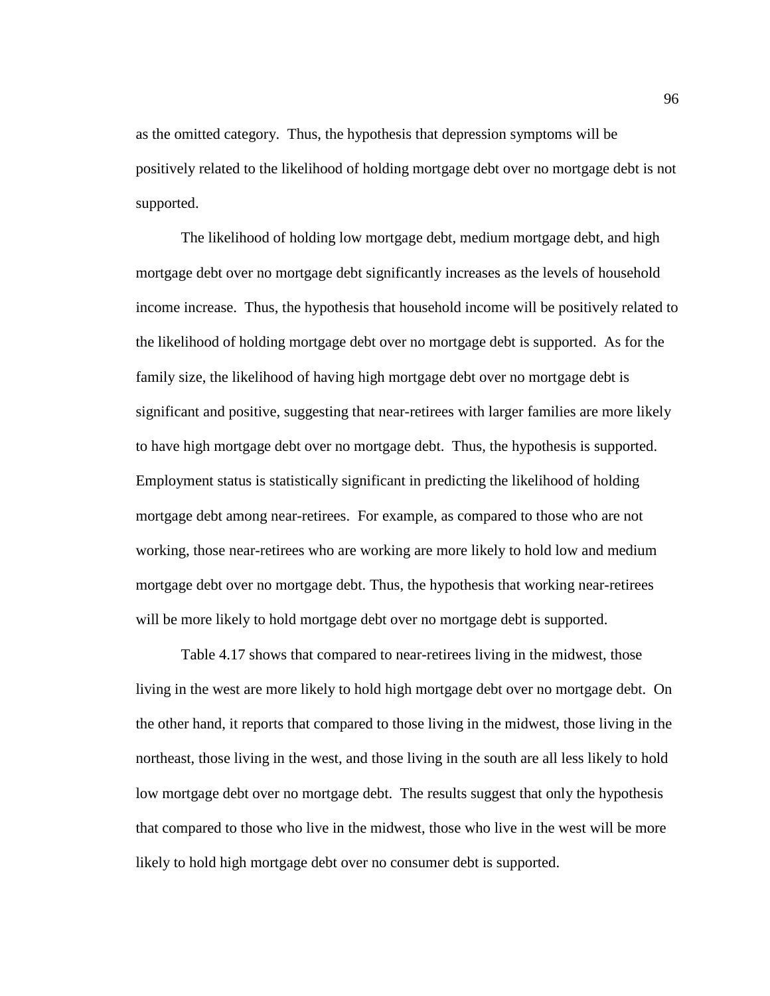as the omitted category. Thus, the hypothesis that depression symptoms will be positively related to the likelihood of holding mortgage debt over no mortgage debt is not supported.

 The likelihood of holding low mortgage debt, medium mortgage debt, and high mortgage debt over no mortgage debt significantly increases as the levels of household income increase. Thus, the hypothesis that household income will be positively related to the likelihood of holding mortgage debt over no mortgage debt is supported. As for the family size, the likelihood of having high mortgage debt over no mortgage debt is significant and positive, suggesting that near-retirees with larger families are more likely to have high mortgage debt over no mortgage debt. Thus, the hypothesis is supported. Employment status is statistically significant in predicting the likelihood of holding mortgage debt among near-retirees. For example, as compared to those who are not working, those near-retirees who are working are more likely to hold low and medium mortgage debt over no mortgage debt. Thus, the hypothesis that working near-retirees will be more likely to hold mortgage debt over no mortgage debt is supported.

Table 4.17 shows that compared to near-retirees living in the midwest, those living in the west are more likely to hold high mortgage debt over no mortgage debt. On the other hand, it reports that compared to those living in the midwest, those living in the northeast, those living in the west, and those living in the south are all less likely to hold low mortgage debt over no mortgage debt. The results suggest that only the hypothesis that compared to those who live in the midwest, those who live in the west will be more likely to hold high mortgage debt over no consumer debt is supported.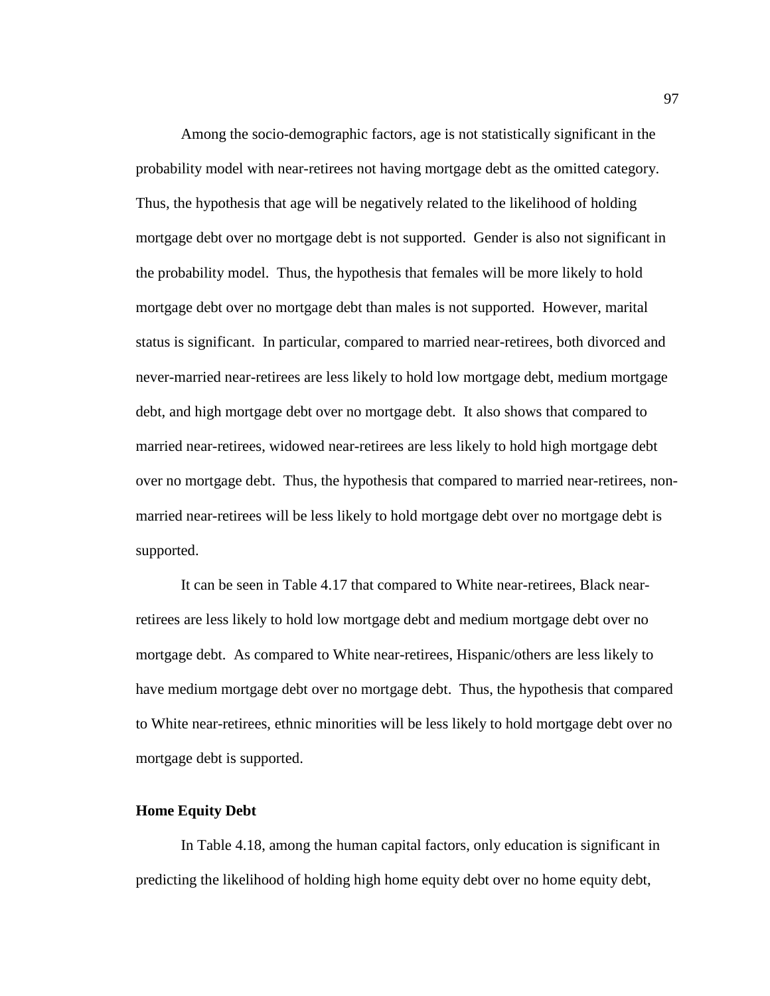Among the socio-demographic factors, age is not statistically significant in the probability model with near-retirees not having mortgage debt as the omitted category. Thus, the hypothesis that age will be negatively related to the likelihood of holding mortgage debt over no mortgage debt is not supported. Gender is also not significant in the probability model. Thus, the hypothesis that females will be more likely to hold mortgage debt over no mortgage debt than males is not supported. However, marital status is significant. In particular, compared to married near-retirees, both divorced and never-married near-retirees are less likely to hold low mortgage debt, medium mortgage debt, and high mortgage debt over no mortgage debt. It also shows that compared to married near-retirees, widowed near-retirees are less likely to hold high mortgage debt over no mortgage debt. Thus, the hypothesis that compared to married near-retirees, nonmarried near-retirees will be less likely to hold mortgage debt over no mortgage debt is supported.

 It can be seen in Table 4.17 that compared to White near-retirees, Black nearretirees are less likely to hold low mortgage debt and medium mortgage debt over no mortgage debt. As compared to White near-retirees, Hispanic/others are less likely to have medium mortgage debt over no mortgage debt. Thus, the hypothesis that compared to White near-retirees, ethnic minorities will be less likely to hold mortgage debt over no mortgage debt is supported.

### **Home Equity Debt**

In Table 4.18, among the human capital factors, only education is significant in predicting the likelihood of holding high home equity debt over no home equity debt,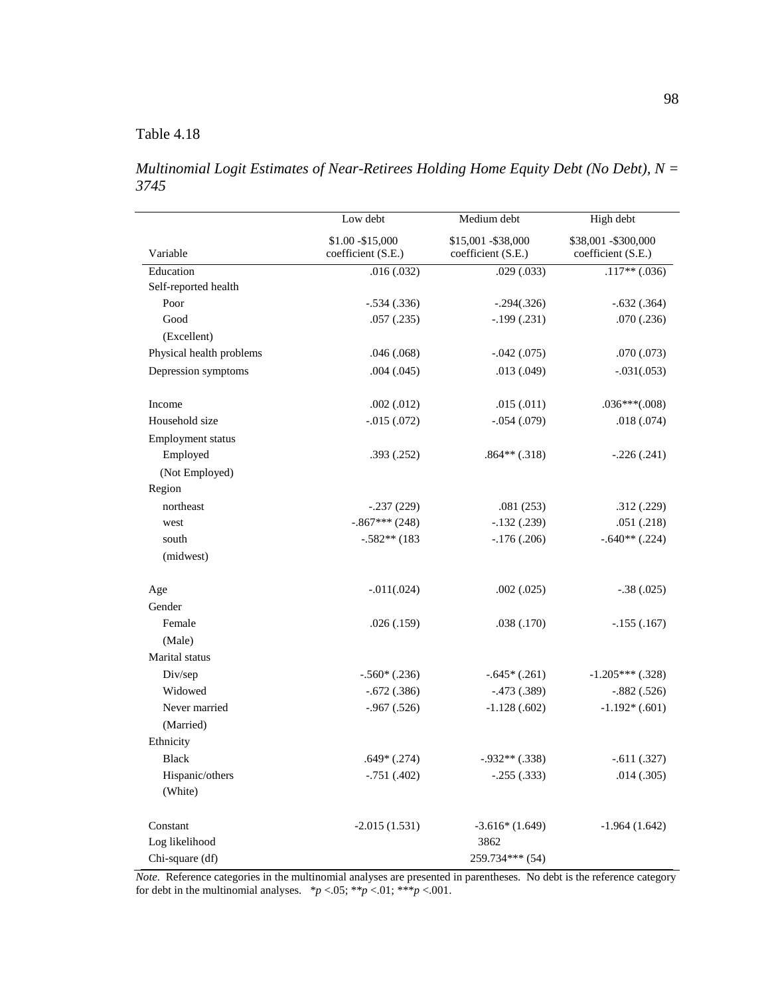# Table 4.18

*Multinomial Logit Estimates of Near-Retirees Holding Home Equity Debt (No Debt), N = 3745* 

|                          | Low debt                                | Medium debt                               | High debt                                  |  |
|--------------------------|-----------------------------------------|-------------------------------------------|--------------------------------------------|--|
| Variable                 | \$1.00 - \$15,000<br>coefficient (S.E.) | \$15,001 - \$38,000<br>coefficient (S.E.) | \$38,001 - \$300,000<br>coefficient (S.E.) |  |
| Education                | .016(.032)                              | .029(.033)                                | $.117**(.036)$                             |  |
| Self-reported health     |                                         |                                           |                                            |  |
| Poor                     | $-.534(.336)$                           | $-.294(.326)$                             | $-.632(.364)$                              |  |
| Good                     | .057(.235)                              | $-.199(.231)$                             | .070(.236)                                 |  |
| (Excellent)              |                                         |                                           |                                            |  |
| Physical health problems | .046(.068)                              | $-.042(.075)$                             | .070(.073)                                 |  |
| Depression symptoms      | .004(.045)                              | .013(.049)                                | $-.031(.053)$                              |  |
| Income                   | .002(.012)                              | .015(.011)                                | $.036***(.008)$                            |  |
| Household size           | $-.015(.072)$                           | $-.054(.079)$                             | .018(.074)                                 |  |
| Employment status        |                                         |                                           |                                            |  |
| Employed                 | .393(.252)                              | $.864**(.318)$                            | $-.226(.241)$                              |  |
| (Not Employed)           |                                         |                                           |                                            |  |
| Region                   |                                         |                                           |                                            |  |
| northeast                | $-.237(229)$                            | .081(253)                                 | .312(.229)                                 |  |
| west                     | $-.867***$ (248)                        | $-.132(.239)$                             | .051(.218)                                 |  |
| south                    | $-.582**$ (183                          | $-.176(.206)$                             | $-.640**(.224)$                            |  |
| (midwest)                |                                         |                                           |                                            |  |
| Age                      | $-.011(.024)$                           | .002(.025)                                | $-.38(.025)$                               |  |
| Gender                   |                                         |                                           |                                            |  |
| Female                   | .026(.159)                              | .038 (.170)                               | $-.155(.167)$                              |  |
| (Male)                   |                                         |                                           |                                            |  |
| Marital status           |                                         |                                           |                                            |  |
| Div/sep                  | $-.560*(.236)$                          | $-.645*(.261)$                            | $-1.205***$ (.328)                         |  |
| Widowed                  | $-.672(.386)$                           | $-.473(.389)$                             | $-.882(.526)$                              |  |
| Never married            | $-.967(.526)$                           | $-1.128(.602)$                            | $-1.192*(.601)$                            |  |
| (Married)                |                                         |                                           |                                            |  |
| Ethnicity                |                                         |                                           |                                            |  |
| <b>Black</b>             | $.649*(.274)$                           | $-.932**(.338)$                           | $-.611(.327)$                              |  |
| Hispanic/others          | $-.751(.402)$                           | $-.255(.333)$                             | .014(.305)                                 |  |
| (White)                  |                                         |                                           |                                            |  |
| Constant                 | $-2.015(1.531)$                         | $-3.616*(1.649)$                          | $-1.964(1.642)$                            |  |
| Log likelihood           |                                         | 3862                                      |                                            |  |
| Chi-square (df)          |                                         | 259.734*** (54)                           |                                            |  |

*Note*. Reference categories in the multinomial analyses are presented in parentheses. No debt is the reference category for debt in the multinomial analyses.  $*p < .05; **p < .01; **p < .001$ .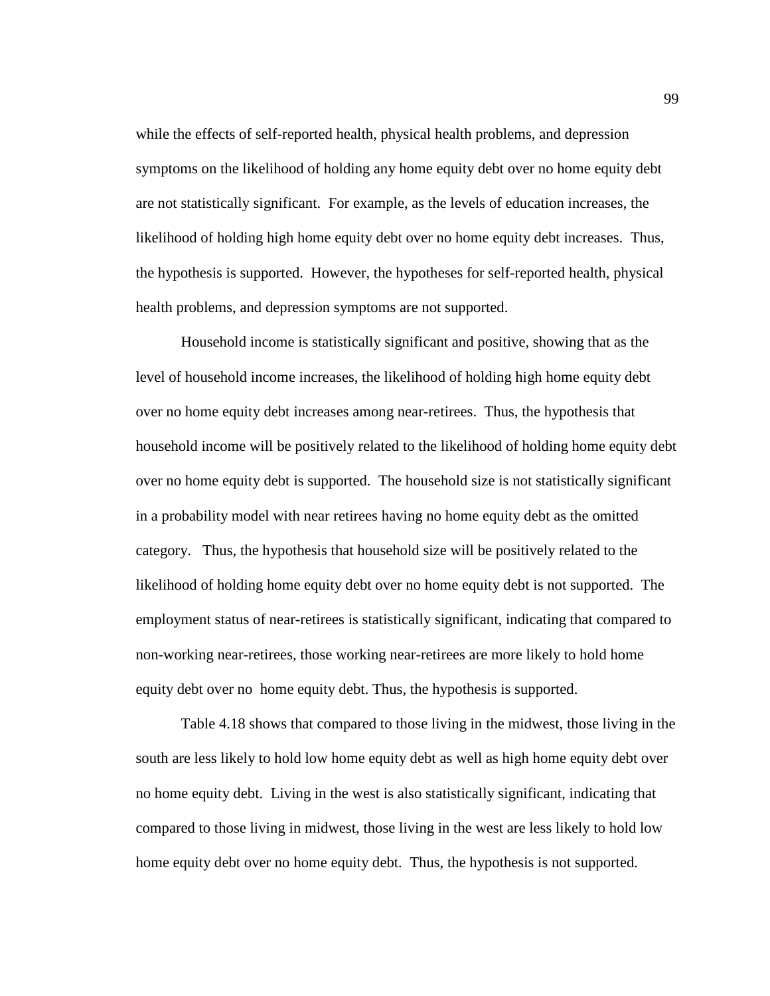while the effects of self-reported health, physical health problems, and depression symptoms on the likelihood of holding any home equity debt over no home equity debt are not statistically significant. For example, as the levels of education increases, the likelihood of holding high home equity debt over no home equity debt increases. Thus, the hypothesis is supported. However, the hypotheses for self-reported health, physical health problems, and depression symptoms are not supported.

 Household income is statistically significant and positive, showing that as the level of household income increases, the likelihood of holding high home equity debt over no home equity debt increases among near-retirees. Thus, the hypothesis that household income will be positively related to the likelihood of holding home equity debt over no home equity debt is supported. The household size is not statistically significant in a probability model with near retirees having no home equity debt as the omitted category. Thus, the hypothesis that household size will be positively related to the likelihood of holding home equity debt over no home equity debt is not supported. The employment status of near-retirees is statistically significant, indicating that compared to non-working near-retirees, those working near-retirees are more likely to hold home equity debt over no home equity debt. Thus, the hypothesis is supported.

 Table 4.18 shows that compared to those living in the midwest, those living in the south are less likely to hold low home equity debt as well as high home equity debt over no home equity debt. Living in the west is also statistically significant, indicating that compared to those living in midwest, those living in the west are less likely to hold low home equity debt over no home equity debt. Thus, the hypothesis is not supported.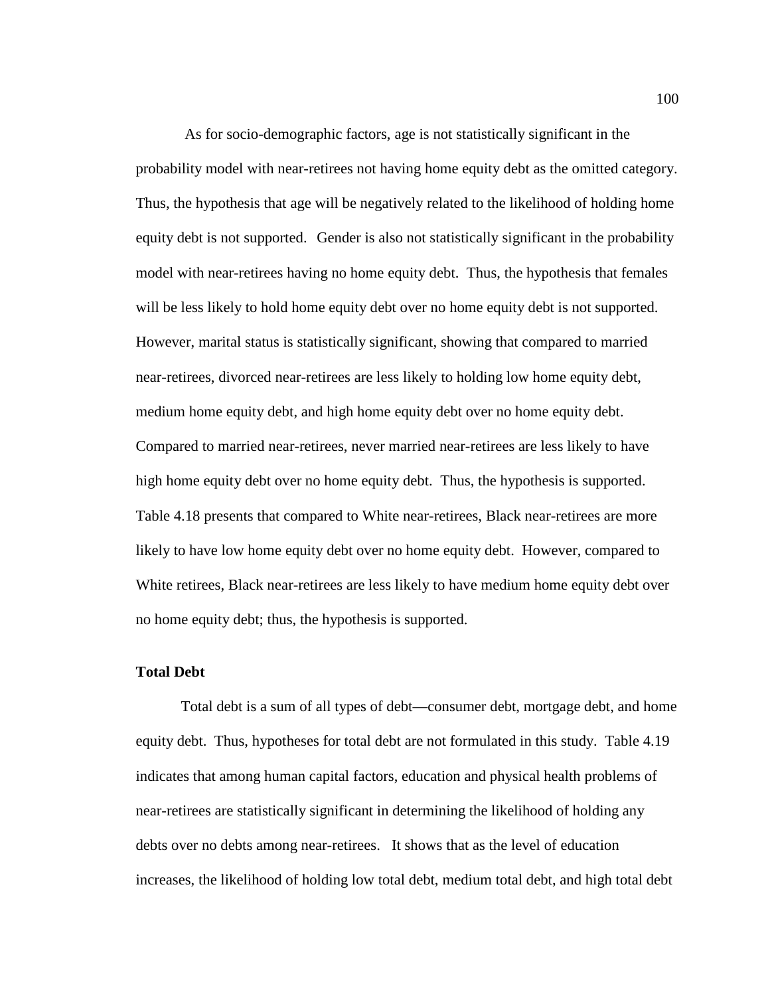As for socio-demographic factors, age is not statistically significant in the probability model with near-retirees not having home equity debt as the omitted category. Thus, the hypothesis that age will be negatively related to the likelihood of holding home equity debt is not supported. Gender is also not statistically significant in the probability model with near-retirees having no home equity debt. Thus, the hypothesis that females will be less likely to hold home equity debt over no home equity debt is not supported. However, marital status is statistically significant, showing that compared to married near-retirees, divorced near-retirees are less likely to holding low home equity debt, medium home equity debt, and high home equity debt over no home equity debt. Compared to married near-retirees, never married near-retirees are less likely to have high home equity debt over no home equity debt. Thus, the hypothesis is supported. Table 4.18 presents that compared to White near-retirees, Black near-retirees are more likely to have low home equity debt over no home equity debt. However, compared to White retirees, Black near-retirees are less likely to have medium home equity debt over no home equity debt; thus, the hypothesis is supported.

### **Total Debt**

 Total debt is a sum of all types of debt—consumer debt, mortgage debt, and home equity debt. Thus, hypotheses for total debt are not formulated in this study. Table 4.19 indicates that among human capital factors, education and physical health problems of near-retirees are statistically significant in determining the likelihood of holding any debts over no debts among near-retirees. It shows that as the level of education increases, the likelihood of holding low total debt, medium total debt, and high total debt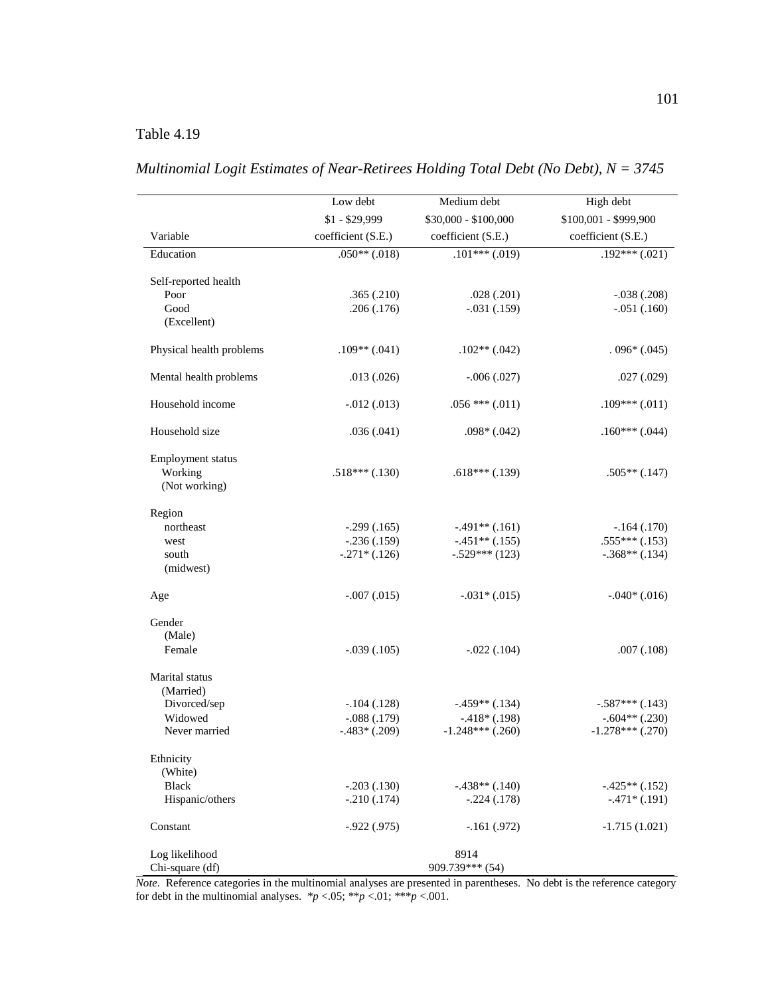## Table 4.19

|                          | Low debt           | Medium debt          | High debt             |
|--------------------------|--------------------|----------------------|-----------------------|
|                          | $$1 - $29,999$     | \$30,000 - \$100,000 | \$100,001 - \$999,900 |
| Variable                 | coefficient (S.E.) | coefficient (S.E.)   | coefficient (S.E.)    |
| Education                | $.050**(.018)$     | $.101***(019)$       | $.192***(.021)$       |
| Self-reported health     |                    |                      |                       |
| Poor                     | .365(.210)         | .028(.201)           | $-.038(.208)$         |
| Good<br>(Excellent)      | .206(.176)         | $-.031(.159)$        | $-.051(.160)$         |
| Physical health problems | $.109**(.041)$     | $.102**(.042)$       | $.096*(.045)$         |
| Mental health problems   | .013(.026)         | $-.006(.027)$        | .027(.029)            |
| Household income         | $-0.012(0.013)$    | $.056$ *** $(.011)$  | $.109***(.011)$       |
| Household size           | .036(.041)         | $.098*(.042)$        | $.160***(.044)$       |
| Employment status        |                    |                      |                       |
| Working                  | $.518***(.130)$    | $.618***(.139)$      | $.505**(.147)$        |
| (Not working)            |                    |                      |                       |
| Region                   |                    |                      |                       |
| northeast                | $-.299(.165)$      | $-.491**(.161)$      | $-.164(.170)$         |
| west                     | $-.236(.159)$      | $-.451**(.155)$      | $.555***(.153)$       |
| south<br>(midwest)       | $-.271*(.126)$     | $-.529***$ (123)     | $-.368**(.134)$       |
| Age                      | $-.007(.015)$      | $-.031*(.015)$       | $-.040*(.016)$        |
| Gender                   |                    |                      |                       |
| (Male)                   |                    |                      |                       |
| Female                   | $-.039(.105)$      | $-.022(.104)$        | .007(.108)            |
| Marital status           |                    |                      |                       |
| (Married)                |                    |                      |                       |
| Divorced/sep             | $-.104(.128)$      | $-.459**(.134)$      | $-.587***(.143)$      |
| Widowed                  | $-.088(.179)$      | $-.418*(.198)$       | $-.604**(.230)$       |
| Never married            | $-.483*(.209)$     | $-1.248***$ (.260)   | $-1.278***$ (.270)    |
| Ethnicity<br>(White)     |                    |                      |                       |
| <b>Black</b>             | $-.203(.130)$      | $-.438**(.140)$      | $-.425**(.152)$       |
| Hispanic/others          | $-.210(.174)$      | $-.224(.178)$        | $-.471*(.191)$        |
| Constant                 | $-0.922(0.975)$    | $-.161(.972)$        | $-1.715(1.021)$       |
| Log likelihood           |                    | 8914                 |                       |
| Chi-square (df)          |                    | 909.739*** (54)      |                       |

|  |  | Multinomial Logit Estimates of Near-Retirees Holding Total Debt (No Debt), $N = 3745$ |
|--|--|---------------------------------------------------------------------------------------|
|  |  |                                                                                       |

*Note*. Reference categories in the multinomial analyses are presented in parentheses. No debt is the reference category for debt in the multinomial analyses.  $*p < .05; **p < .01; **p < .001$ .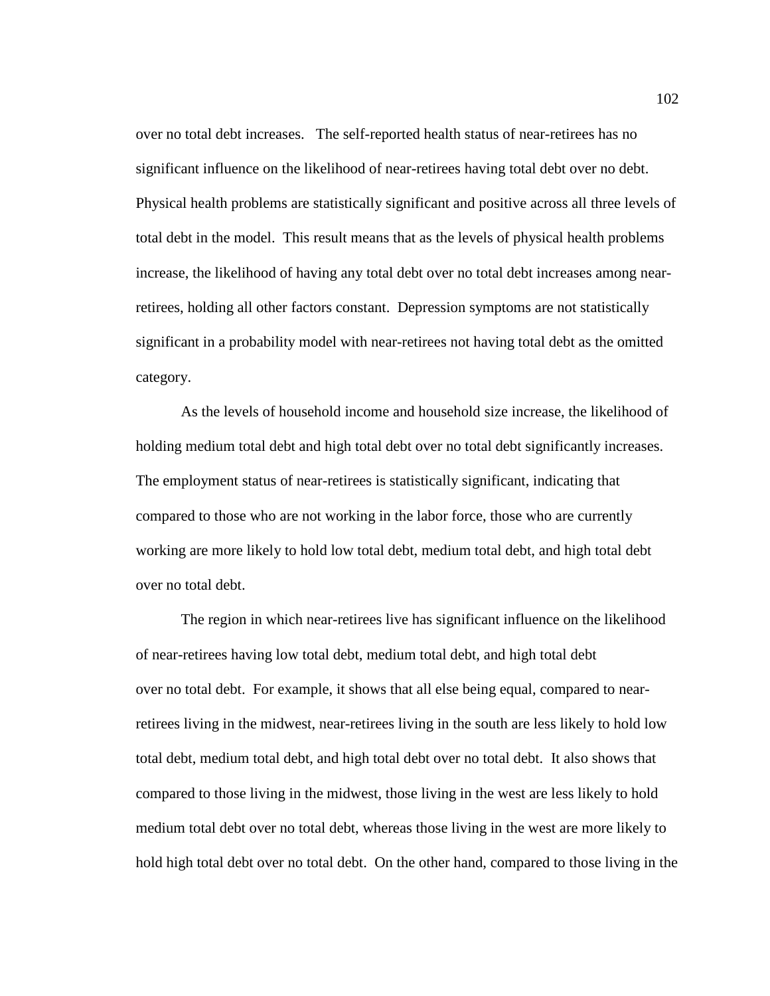over no total debt increases. The self-reported health status of near-retirees has no significant influence on the likelihood of near-retirees having total debt over no debt. Physical health problems are statistically significant and positive across all three levels of total debt in the model. This result means that as the levels of physical health problems increase, the likelihood of having any total debt over no total debt increases among nearretirees, holding all other factors constant. Depression symptoms are not statistically significant in a probability model with near-retirees not having total debt as the omitted category.

 As the levels of household income and household size increase, the likelihood of holding medium total debt and high total debt over no total debt significantly increases. The employment status of near-retirees is statistically significant, indicating that compared to those who are not working in the labor force, those who are currently working are more likely to hold low total debt, medium total debt, and high total debt over no total debt.

 The region in which near-retirees live has significant influence on the likelihood of near-retirees having low total debt, medium total debt, and high total debt over no total debt. For example, it shows that all else being equal, compared to nearretirees living in the midwest, near-retirees living in the south are less likely to hold low total debt, medium total debt, and high total debt over no total debt. It also shows that compared to those living in the midwest, those living in the west are less likely to hold medium total debt over no total debt, whereas those living in the west are more likely to hold high total debt over no total debt. On the other hand, compared to those living in the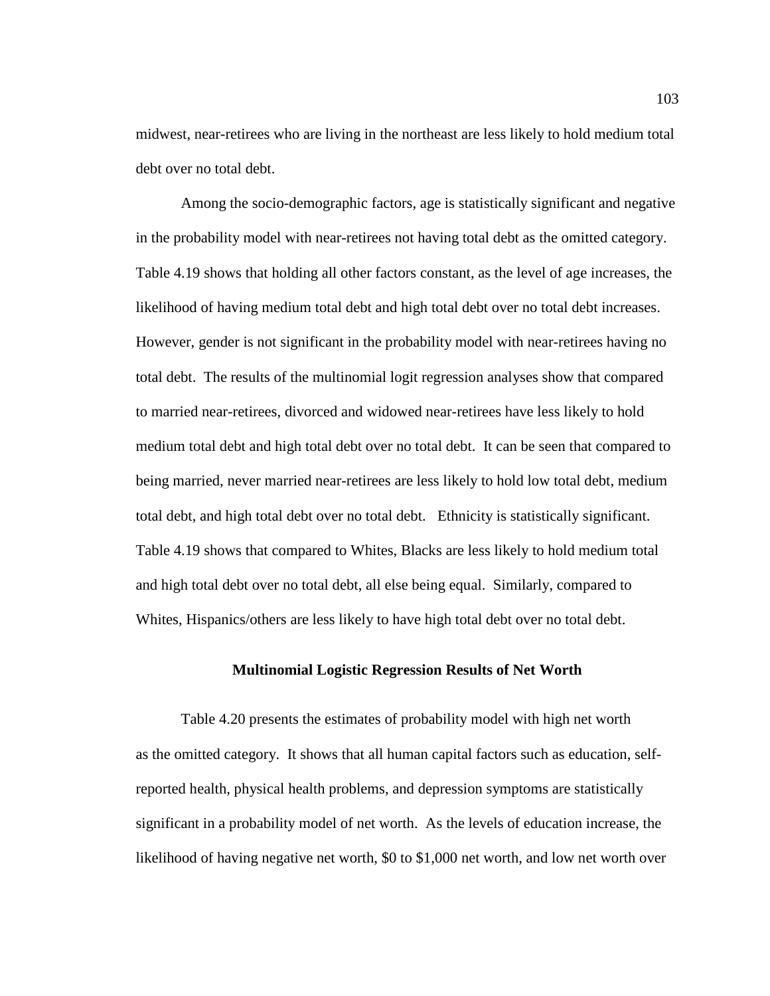midwest, near-retirees who are living in the northeast are less likely to hold medium total debt over no total debt.

 Among the socio-demographic factors, age is statistically significant and negative in the probability model with near-retirees not having total debt as the omitted category. Table 4.19 shows that holding all other factors constant, as the level of age increases, the likelihood of having medium total debt and high total debt over no total debt increases. However, gender is not significant in the probability model with near-retirees having no total debt. The results of the multinomial logit regression analyses show that compared to married near-retirees, divorced and widowed near-retirees have less likely to hold medium total debt and high total debt over no total debt. It can be seen that compared to being married, never married near-retirees are less likely to hold low total debt, medium total debt, and high total debt over no total debt. Ethnicity is statistically significant. Table 4.19 shows that compared to Whites, Blacks are less likely to hold medium total and high total debt over no total debt, all else being equal. Similarly, compared to Whites, Hispanics/others are less likely to have high total debt over no total debt.

### **Multinomial Logistic Regression Results of Net Worth**

 Table 4.20 presents the estimates of probability model with high net worth as the omitted category. It shows that all human capital factors such as education, selfreported health, physical health problems, and depression symptoms are statistically significant in a probability model of net worth. As the levels of education increase, the likelihood of having negative net worth, \$0 to \$1,000 net worth, and low net worth over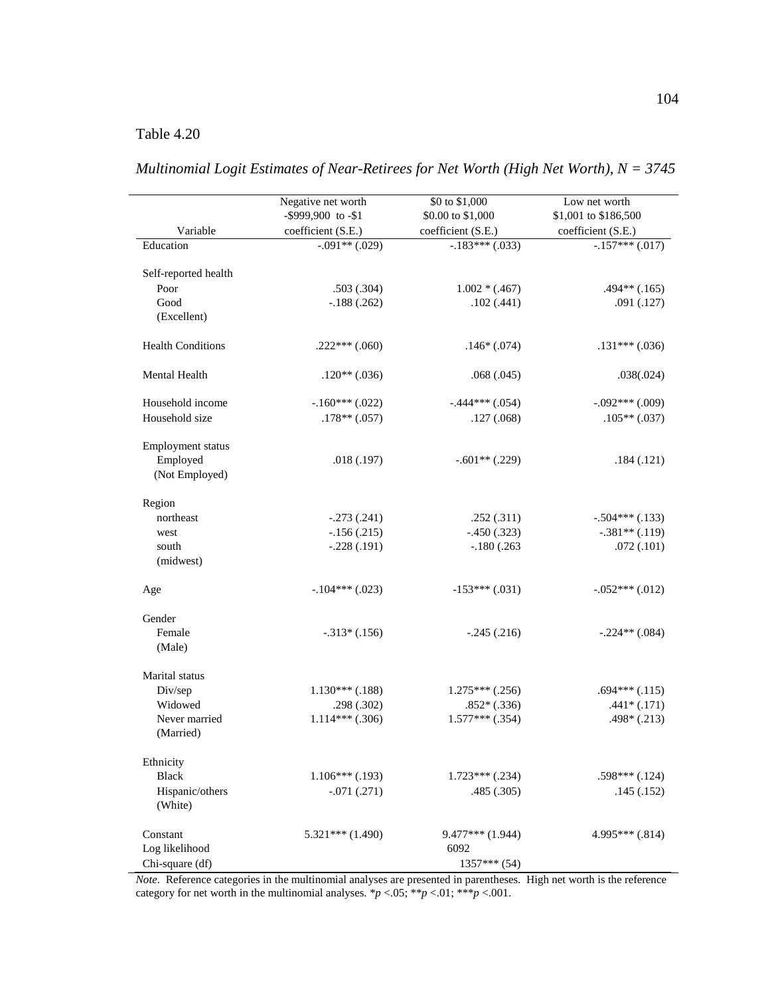## Table 4.20

 $\overline{\phantom{0}}$ 

|                               | Negative net worth                      | \$0 to \$1,000     | Low net worth                          |
|-------------------------------|-----------------------------------------|--------------------|----------------------------------------|
|                               | -\$999,900 to -\$1                      | \$0.00 to \$1,000  | \$1,001 to \$186,500                   |
| Variable                      | coefficient (S.E.)<br>$-0.091**$ (.029) | coefficient (S.E.) | coefficient (S.E.)<br>$-157***$ (.017) |
| Education                     |                                         | $-.183***(.033)$   |                                        |
| Self-reported health          |                                         |                    |                                        |
| Poor                          | .503(.304)                              | $1.002 * (.467)$   | $.494**(.165)$                         |
| $\operatorname{Good}$         | $-.188(.262)$                           | .102(.441)         | .091(.127)                             |
| (Excellent)                   |                                         |                    |                                        |
| <b>Health Conditions</b>      | $.222***$ $(.060)$                      | $.146*(.074)$      | $.131***(.036)$                        |
| Mental Health                 | $.120**(.036)$                          | .068(.045)         | .038(.024)                             |
| Household income              | $-.160***(.022)$                        | $-.444***(.054)$   | $-.092***(.009)$                       |
| Household size                | $.178**(.057)$                          | .127(.068)         | $.105**(.037)$                         |
|                               |                                         |                    |                                        |
| Employment status<br>Employed | .018(.197)                              |                    | .184(.121)                             |
| (Not Employed)                |                                         | $-.601**(.229)$    |                                        |
|                               |                                         |                    |                                        |
| Region                        |                                         |                    |                                        |
| northeast                     | $-.273(.241)$                           | .252(.311)         | $-.504***(.133)$                       |
| west                          | $-.156(.215)$                           | $-.450(.323)$      | $-.381**(.119)$                        |
| south                         | $-.228(.191)$                           | $-.180(.263)$      | .072(.101)                             |
| (midwest)                     |                                         |                    |                                        |
| Age                           | $-.104***(.023)$                        | $-153***$ (.031)   | $-.052***(.012)$                       |
|                               |                                         |                    |                                        |
| Gender                        |                                         |                    |                                        |
| Female                        | $-.313*(.156)$                          | $-.245(.216)$      | $-.224**(.084)$                        |
| (Male)                        |                                         |                    |                                        |
| Marital status                |                                         |                    |                                        |
| Div/sep                       | $1.130***$ (.188)                       | $1.275***$ (.256)  | $.694***(.115)$                        |
| Widowed                       | .298(.302)                              | $.852*(.336)$      | $.441*(.171)$                          |
| Never married                 | $1.114***$ (.306)                       | $1.577***$ (.354)  | $.498*(.213)$                          |
| (Married)                     |                                         |                    |                                        |
| Ethnicity                     |                                         |                    |                                        |
| <b>Black</b>                  | $1.106***$ (.193)                       | $1.723***$ (.234)  | $.598***(.124)$                        |
| Hispanic/others               | $-.071(.271)$                           | .485 (.305)        | .145(.152)                             |
| (White)                       |                                         |                    |                                        |
| Constant                      | $5.321***(1.490)$                       | $9.477***(1.944)$  | $4.995***(.814)$                       |
| Log likelihood                |                                         | 6092               |                                        |
| Chi-square (df)               |                                         | $1357***(54)$      |                                        |

*Multinomial Logit Estimates of Near-Retirees for Net Worth (High Net Worth), N = 3745* 

*Note*. Reference categories in the multinomial analyses are presented in parentheses. High net worth is the reference category for net worth in the multinomial analyses.  $*p < .05$ ;  $**p < .01$ ;  $***p < .001$ .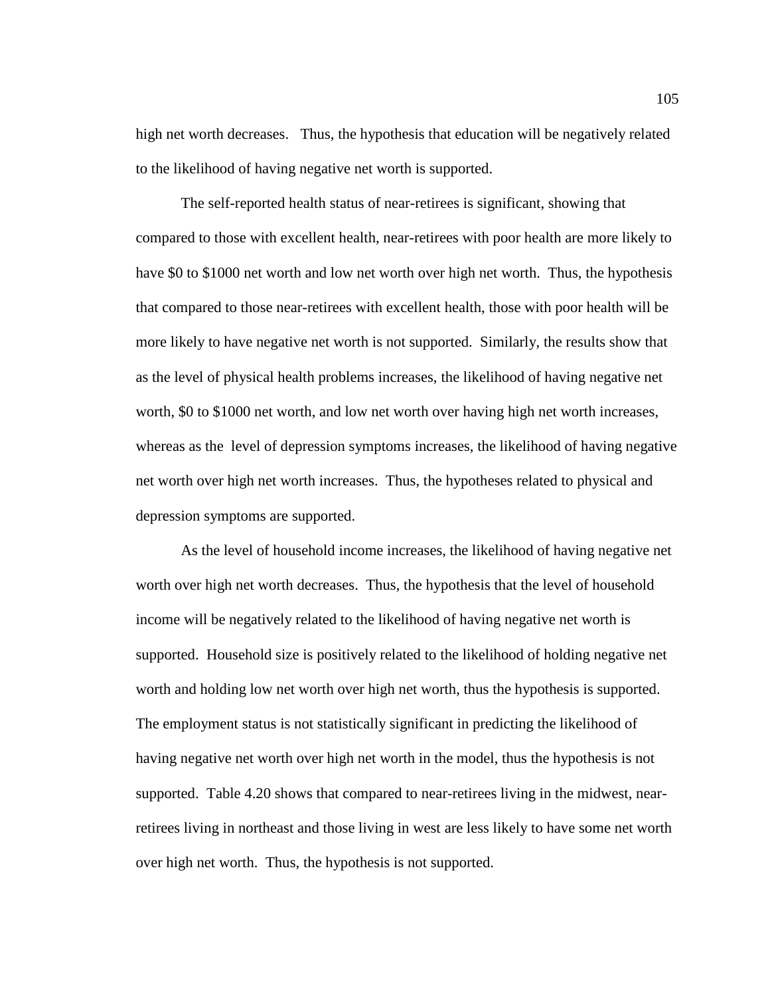high net worth decreases. Thus, the hypothesis that education will be negatively related to the likelihood of having negative net worth is supported.

 The self-reported health status of near-retirees is significant, showing that compared to those with excellent health, near-retirees with poor health are more likely to have \$0 to \$1000 net worth and low net worth over high net worth. Thus, the hypothesis that compared to those near-retirees with excellent health, those with poor health will be more likely to have negative net worth is not supported. Similarly, the results show that as the level of physical health problems increases, the likelihood of having negative net worth, \$0 to \$1000 net worth, and low net worth over having high net worth increases, whereas as the level of depression symptoms increases, the likelihood of having negative net worth over high net worth increases. Thus, the hypotheses related to physical and depression symptoms are supported.

 As the level of household income increases, the likelihood of having negative net worth over high net worth decreases. Thus, the hypothesis that the level of household income will be negatively related to the likelihood of having negative net worth is supported. Household size is positively related to the likelihood of holding negative net worth and holding low net worth over high net worth, thus the hypothesis is supported. The employment status is not statistically significant in predicting the likelihood of having negative net worth over high net worth in the model, thus the hypothesis is not supported. Table 4.20 shows that compared to near-retirees living in the midwest, nearretirees living in northeast and those living in west are less likely to have some net worth over high net worth. Thus, the hypothesis is not supported.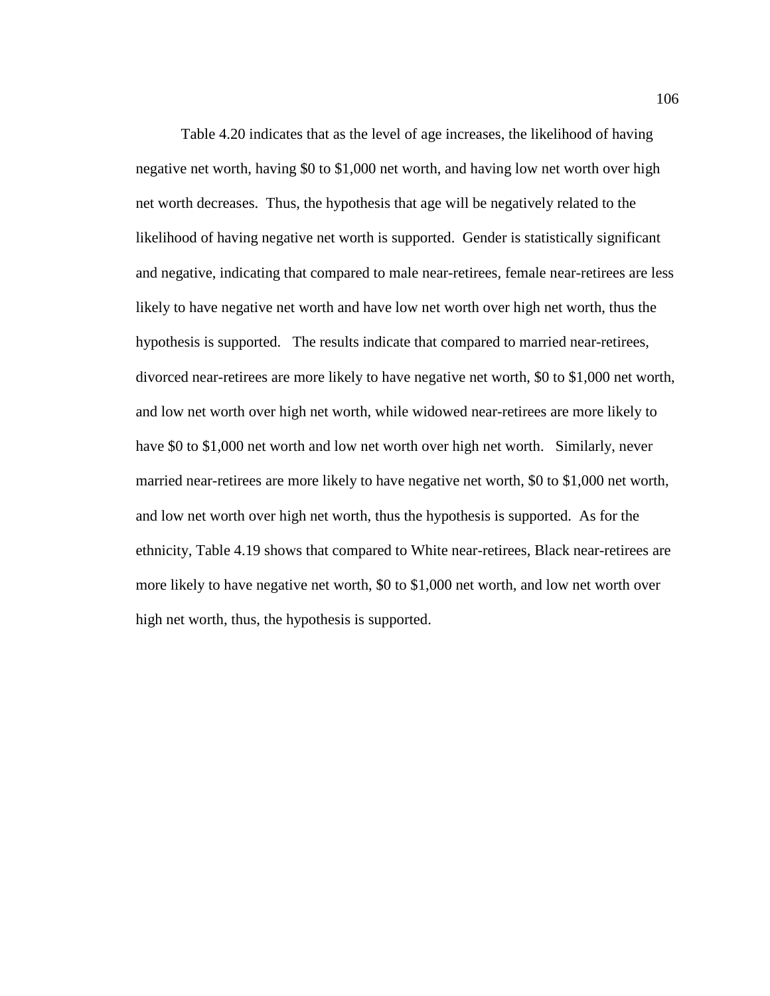Table 4.20 indicates that as the level of age increases, the likelihood of having negative net worth, having \$0 to \$1,000 net worth, and having low net worth over high net worth decreases. Thus, the hypothesis that age will be negatively related to the likelihood of having negative net worth is supported. Gender is statistically significant and negative, indicating that compared to male near-retirees, female near-retirees are less likely to have negative net worth and have low net worth over high net worth, thus the hypothesis is supported. The results indicate that compared to married near-retirees, divorced near-retirees are more likely to have negative net worth, \$0 to \$1,000 net worth, and low net worth over high net worth, while widowed near-retirees are more likely to have \$0 to \$1,000 net worth and low net worth over high net worth. Similarly, never married near-retirees are more likely to have negative net worth, \$0 to \$1,000 net worth, and low net worth over high net worth, thus the hypothesis is supported. As for the ethnicity, Table 4.19 shows that compared to White near-retirees, Black near-retirees are more likely to have negative net worth, \$0 to \$1,000 net worth, and low net worth over high net worth, thus, the hypothesis is supported.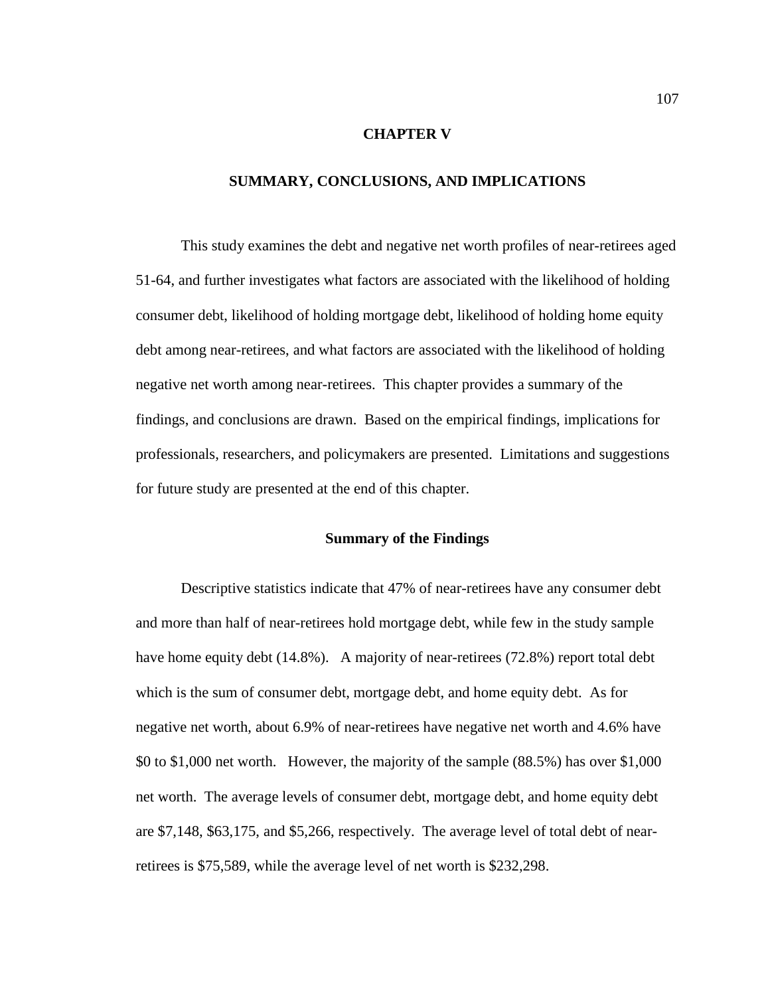### **CHAPTER V**

### **SUMMARY, CONCLUSIONS, AND IMPLICATIONS**

 This study examines the debt and negative net worth profiles of near-retirees aged 51-64, and further investigates what factors are associated with the likelihood of holding consumer debt, likelihood of holding mortgage debt, likelihood of holding home equity debt among near-retirees, and what factors are associated with the likelihood of holding negative net worth among near-retirees. This chapter provides a summary of the findings, and conclusions are drawn. Based on the empirical findings, implications for professionals, researchers, and policymakers are presented. Limitations and suggestions for future study are presented at the end of this chapter.

#### **Summary of the Findings**

 Descriptive statistics indicate that 47% of near-retirees have any consumer debt and more than half of near-retirees hold mortgage debt, while few in the study sample have home equity debt (14.8%). A majority of near-retirees (72.8%) report total debt which is the sum of consumer debt, mortgage debt, and home equity debt. As for negative net worth, about 6.9% of near-retirees have negative net worth and 4.6% have \$0 to \$1,000 net worth. However, the majority of the sample (88.5%) has over \$1,000 net worth. The average levels of consumer debt, mortgage debt, and home equity debt are \$7,148, \$63,175, and \$5,266, respectively. The average level of total debt of nearretirees is \$75,589, while the average level of net worth is \$232,298.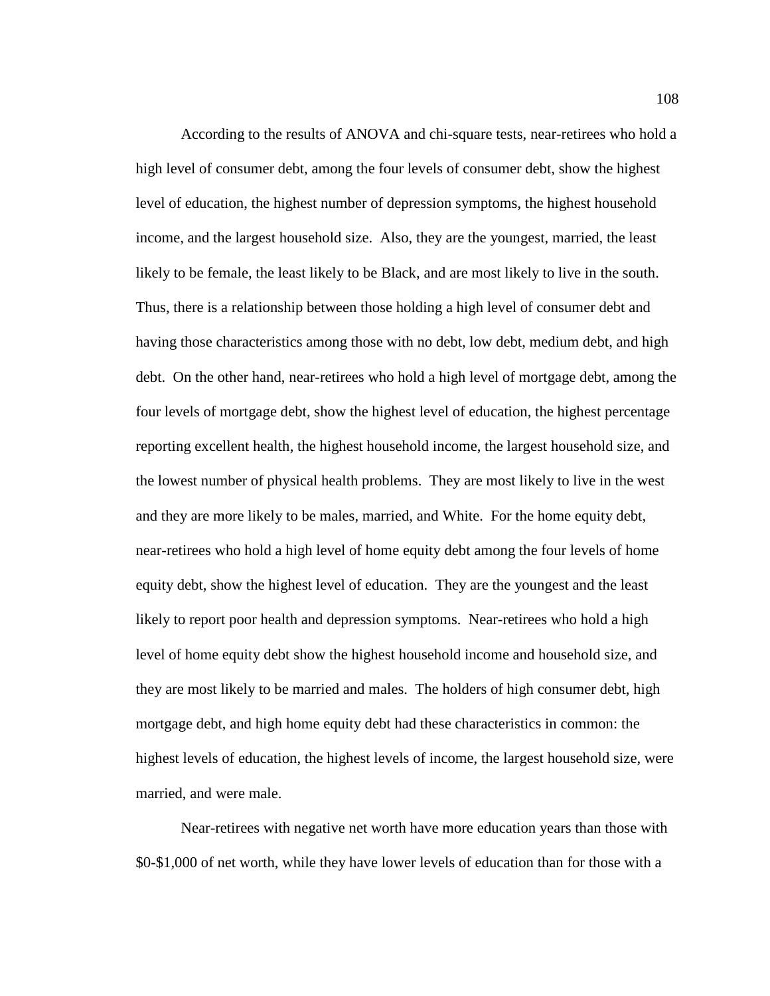According to the results of ANOVA and chi-square tests, near-retirees who hold a high level of consumer debt, among the four levels of consumer debt, show the highest level of education, the highest number of depression symptoms, the highest household income, and the largest household size. Also, they are the youngest, married, the least likely to be female, the least likely to be Black, and are most likely to live in the south. Thus, there is a relationship between those holding a high level of consumer debt and having those characteristics among those with no debt, low debt, medium debt, and high debt. On the other hand, near-retirees who hold a high level of mortgage debt, among the four levels of mortgage debt, show the highest level of education, the highest percentage reporting excellent health, the highest household income, the largest household size, and the lowest number of physical health problems. They are most likely to live in the west and they are more likely to be males, married, and White. For the home equity debt, near-retirees who hold a high level of home equity debt among the four levels of home equity debt, show the highest level of education. They are the youngest and the least likely to report poor health and depression symptoms. Near-retirees who hold a high level of home equity debt show the highest household income and household size, and they are most likely to be married and males. The holders of high consumer debt, high mortgage debt, and high home equity debt had these characteristics in common: the highest levels of education, the highest levels of income, the largest household size, were married, and were male.

Near-retirees with negative net worth have more education years than those with \$0-\$1,000 of net worth, while they have lower levels of education than for those with a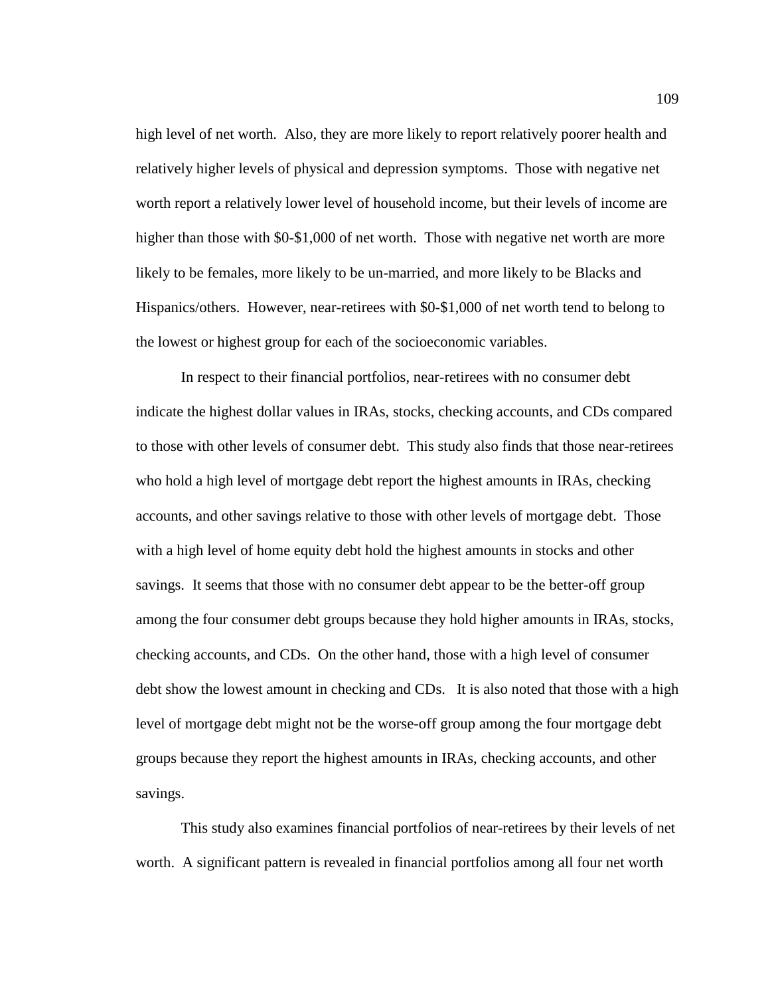high level of net worth. Also, they are more likely to report relatively poorer health and relatively higher levels of physical and depression symptoms. Those with negative net worth report a relatively lower level of household income, but their levels of income are higher than those with \$0-\$1,000 of net worth. Those with negative net worth are more likely to be females, more likely to be un-married, and more likely to be Blacks and Hispanics/others. However, near-retirees with \$0-\$1,000 of net worth tend to belong to the lowest or highest group for each of the socioeconomic variables.

In respect to their financial portfolios, near-retirees with no consumer debt indicate the highest dollar values in IRAs, stocks, checking accounts, and CDs compared to those with other levels of consumer debt. This study also finds that those near-retirees who hold a high level of mortgage debt report the highest amounts in IRAs, checking accounts, and other savings relative to those with other levels of mortgage debt. Those with a high level of home equity debt hold the highest amounts in stocks and other savings. It seems that those with no consumer debt appear to be the better-off group among the four consumer debt groups because they hold higher amounts in IRAs, stocks, checking accounts, and CDs. On the other hand, those with a high level of consumer debt show the lowest amount in checking and CDs. It is also noted that those with a high level of mortgage debt might not be the worse-off group among the four mortgage debt groups because they report the highest amounts in IRAs, checking accounts, and other savings.

This study also examines financial portfolios of near-retirees by their levels of net worth. A significant pattern is revealed in financial portfolios among all four net worth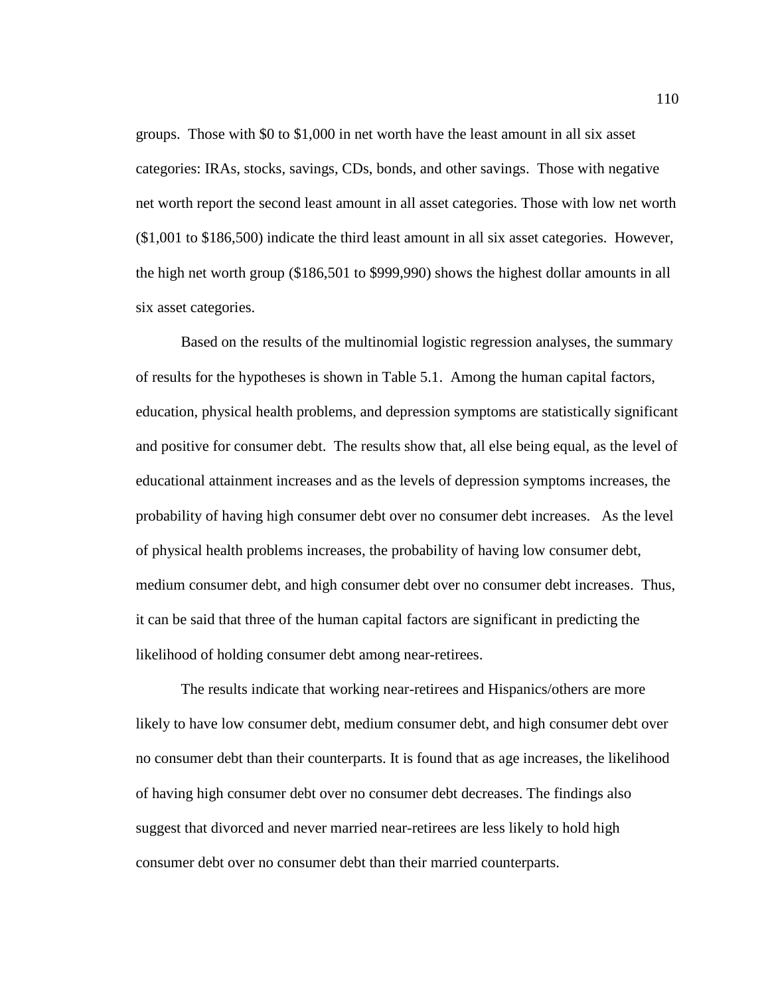groups. Those with \$0 to \$1,000 in net worth have the least amount in all six asset categories: IRAs, stocks, savings, CDs, bonds, and other savings. Those with negative net worth report the second least amount in all asset categories. Those with low net worth (\$1,001 to \$186,500) indicate the third least amount in all six asset categories. However, the high net worth group (\$186,501 to \$999,990) shows the highest dollar amounts in all six asset categories.

 Based on the results of the multinomial logistic regression analyses, the summary of results for the hypotheses is shown in Table 5.1. Among the human capital factors, education, physical health problems, and depression symptoms are statistically significant and positive for consumer debt. The results show that, all else being equal, as the level of educational attainment increases and as the levels of depression symptoms increases, the probability of having high consumer debt over no consumer debt increases. As the level of physical health problems increases, the probability of having low consumer debt, medium consumer debt, and high consumer debt over no consumer debt increases. Thus, it can be said that three of the human capital factors are significant in predicting the likelihood of holding consumer debt among near-retirees.

 The results indicate that working near-retirees and Hispanics/others are more likely to have low consumer debt, medium consumer debt, and high consumer debt over no consumer debt than their counterparts. It is found that as age increases, the likelihood of having high consumer debt over no consumer debt decreases. The findings also suggest that divorced and never married near-retirees are less likely to hold high consumer debt over no consumer debt than their married counterparts.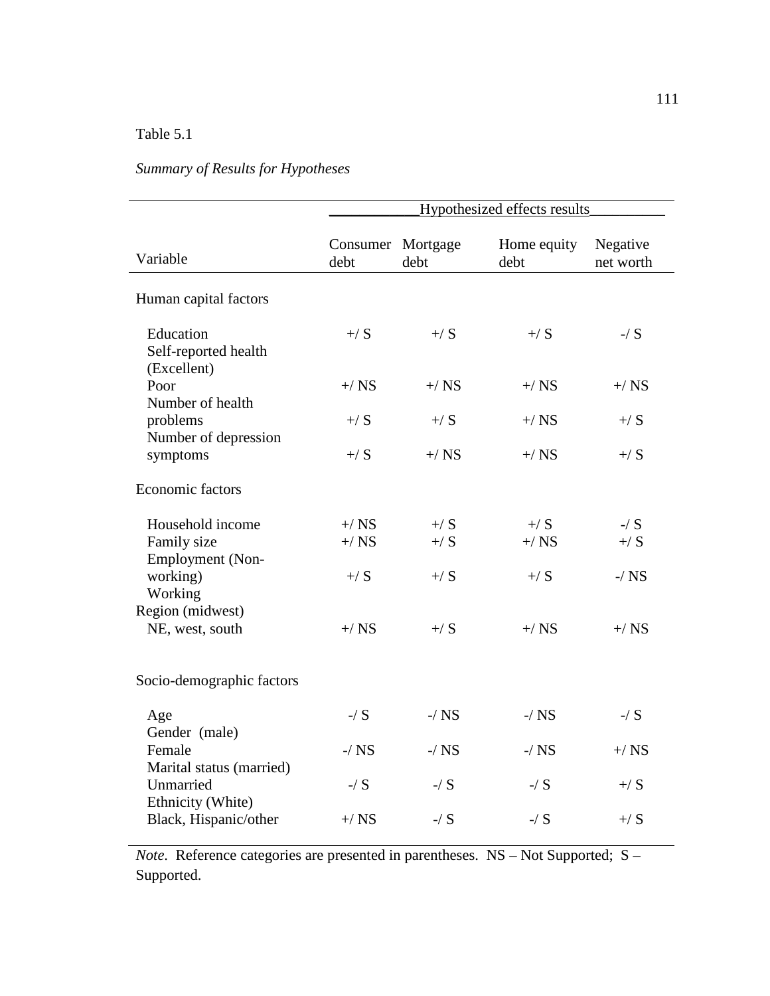# Table 5.1

# *Summary of Results for Hypotheses*

|                                                            | Hypothesized effects results |                           |                      |                       |
|------------------------------------------------------------|------------------------------|---------------------------|----------------------|-----------------------|
| Variable                                                   | debt                         | Consumer Mortgage<br>debt | Home equity<br>debt  | Negative<br>net worth |
| Human capital factors                                      |                              |                           |                      |                       |
| Education<br>Self-reported health<br>(Excellent)           | $+/S$                        | $+/S$                     | $+$ / S              | $-$ / S               |
| Poor<br>Number of health                                   | $+/$ NS                      | $+/$ NS                   | $+/$ NS              | $+/$ NS               |
| problems<br>Number of depression                           | $+/S$                        | $+/S$                     | $+/$ NS              | $+$ / S               |
| symptoms                                                   | $+/S$                        | $+/$ NS                   | $+/NS$               | $+/S$                 |
| <b>Economic factors</b>                                    |                              |                           |                      |                       |
| Household income<br>Family size<br>Employment (Non-        | $+/NS$<br>$+/NS$             | $+/S$<br>$+/S$            | $\pm$ / S<br>$+/$ NS | $-$ / S<br>$+/S$      |
| working)<br>Working<br>Region (midwest)                    | $+/S$                        | $+/S$                     | $+$ / S              | $-$ / $NS$            |
| NE, west, south                                            | $+/NS$                       | $+/S$                     | $+/NS$               | $+/$ NS               |
| Socio-demographic factors                                  |                              |                           |                      |                       |
| Age<br>Gender (male)                                       | $-$ / $S$                    | $-$ / $NS$                | $-$ / $NS$           | $-$ / S               |
| Female                                                     | $-$ / $NS$                   | $-/$ NS                   | $-$ / $NS$           | $+/$ NS               |
| Marital status (married)<br>Unmarried<br>Ethnicity (White) | $-$ / $S$                    | $-$ / S                   | $-$ / S              | $+/S$                 |
| Black, Hispanic/other                                      | $+/$ NS                      | $-$ / $S$                 | $-$ / S              | $+/S$                 |

*Note*. Reference categories are presented in parentheses. NS – Not Supported; S – Supported.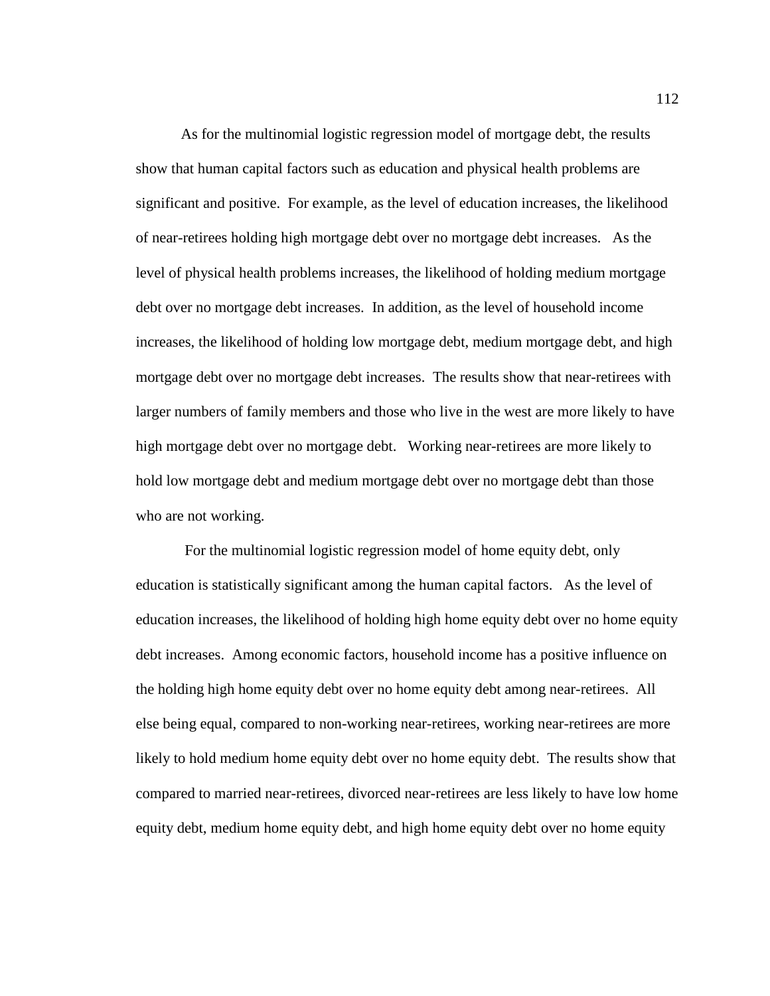As for the multinomial logistic regression model of mortgage debt, the results show that human capital factors such as education and physical health problems are significant and positive. For example, as the level of education increases, the likelihood of near-retirees holding high mortgage debt over no mortgage debt increases. As the level of physical health problems increases, the likelihood of holding medium mortgage debt over no mortgage debt increases. In addition, as the level of household income increases, the likelihood of holding low mortgage debt, medium mortgage debt, and high mortgage debt over no mortgage debt increases. The results show that near-retirees with larger numbers of family members and those who live in the west are more likely to have high mortgage debt over no mortgage debt. Working near-retirees are more likely to hold low mortgage debt and medium mortgage debt over no mortgage debt than those who are not working.

 For the multinomial logistic regression model of home equity debt, only education is statistically significant among the human capital factors. As the level of education increases, the likelihood of holding high home equity debt over no home equity debt increases. Among economic factors, household income has a positive influence on the holding high home equity debt over no home equity debt among near-retirees. All else being equal, compared to non-working near-retirees, working near-retirees are more likely to hold medium home equity debt over no home equity debt. The results show that compared to married near-retirees, divorced near-retirees are less likely to have low home equity debt, medium home equity debt, and high home equity debt over no home equity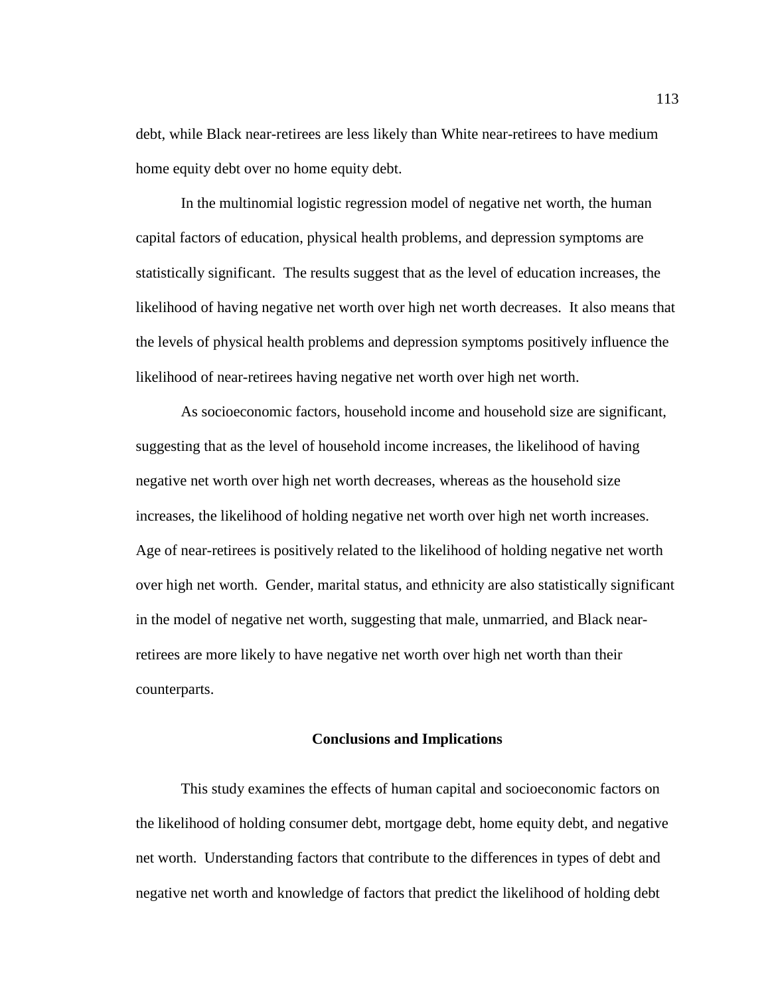debt, while Black near-retirees are less likely than White near-retirees to have medium home equity debt over no home equity debt.

 In the multinomial logistic regression model of negative net worth, the human capital factors of education, physical health problems, and depression symptoms are statistically significant. The results suggest that as the level of education increases, the likelihood of having negative net worth over high net worth decreases. It also means that the levels of physical health problems and depression symptoms positively influence the likelihood of near-retirees having negative net worth over high net worth.

As socioeconomic factors, household income and household size are significant, suggesting that as the level of household income increases, the likelihood of having negative net worth over high net worth decreases, whereas as the household size increases, the likelihood of holding negative net worth over high net worth increases. Age of near-retirees is positively related to the likelihood of holding negative net worth over high net worth. Gender, marital status, and ethnicity are also statistically significant in the model of negative net worth, suggesting that male, unmarried, and Black nearretirees are more likely to have negative net worth over high net worth than their counterparts.

### **Conclusions and Implications**

This study examines the effects of human capital and socioeconomic factors on the likelihood of holding consumer debt, mortgage debt, home equity debt, and negative net worth. Understanding factors that contribute to the differences in types of debt and negative net worth and knowledge of factors that predict the likelihood of holding debt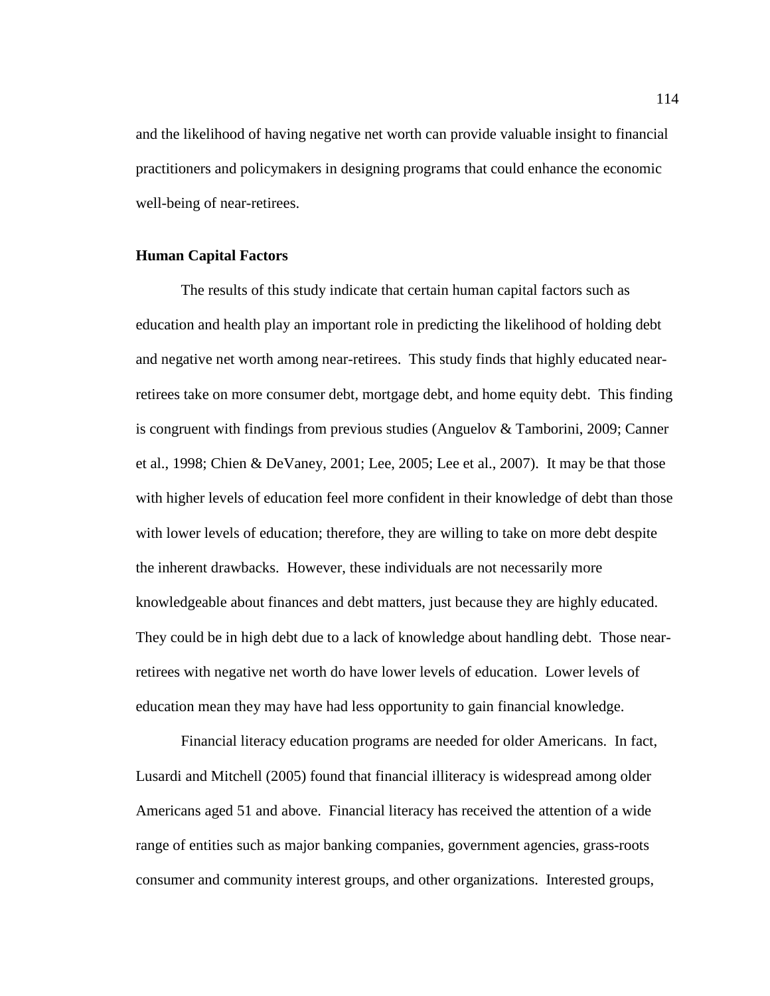and the likelihood of having negative net worth can provide valuable insight to financial practitioners and policymakers in designing programs that could enhance the economic well-being of near-retirees.

### **Human Capital Factors**

The results of this study indicate that certain human capital factors such as education and health play an important role in predicting the likelihood of holding debt and negative net worth among near-retirees. This study finds that highly educated nearretirees take on more consumer debt, mortgage debt, and home equity debt. This finding is congruent with findings from previous studies (Anguelov & Tamborini, 2009; Canner et al., 1998; Chien & DeVaney, 2001; Lee, 2005; Lee et al., 2007). It may be that those with higher levels of education feel more confident in their knowledge of debt than those with lower levels of education; therefore, they are willing to take on more debt despite the inherent drawbacks. However, these individuals are not necessarily more knowledgeable about finances and debt matters, just because they are highly educated. They could be in high debt due to a lack of knowledge about handling debt. Those nearretirees with negative net worth do have lower levels of education. Lower levels of education mean they may have had less opportunity to gain financial knowledge.

 Financial literacy education programs are needed for older Americans. In fact, Lusardi and Mitchell (2005) found that financial illiteracy is widespread among older Americans aged 51 and above. Financial literacy has received the attention of a wide range of entities such as major banking companies, government agencies, grass-roots consumer and community interest groups, and other organizations. Interested groups,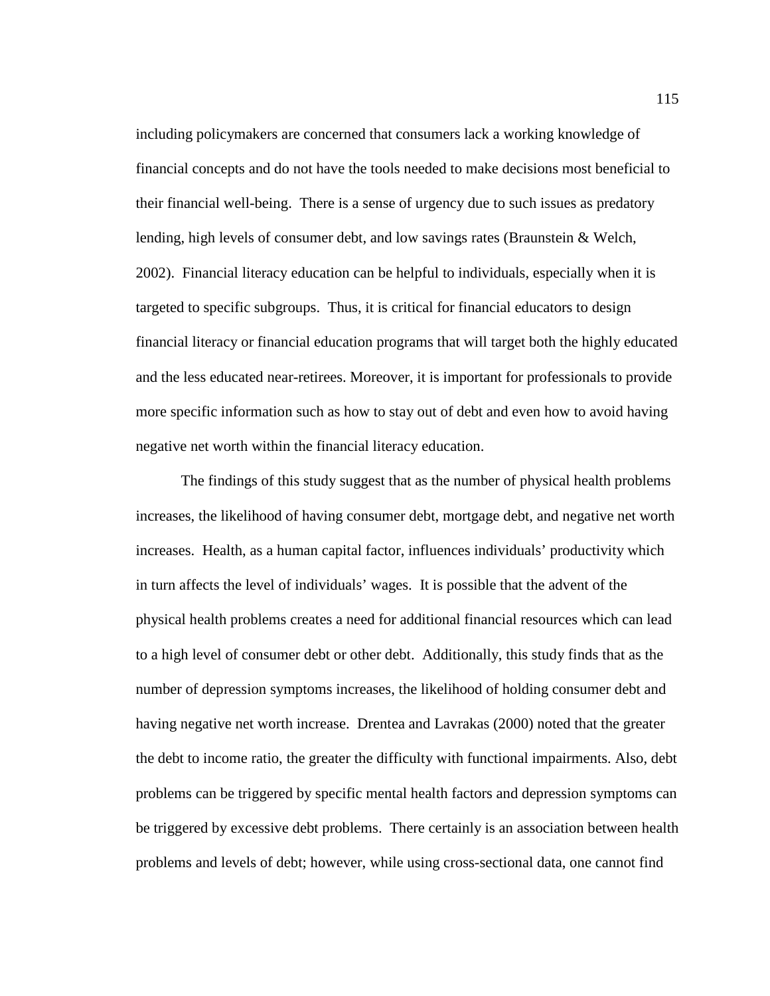including policymakers are concerned that consumers lack a working knowledge of financial concepts and do not have the tools needed to make decisions most beneficial to their financial well-being. There is a sense of urgency due to such issues as predatory lending, high levels of consumer debt, and low savings rates (Braunstein & Welch, 2002). Financial literacy education can be helpful to individuals, especially when it is targeted to specific subgroups. Thus, it is critical for financial educators to design financial literacy or financial education programs that will target both the highly educated and the less educated near-retirees. Moreover, it is important for professionals to provide more specific information such as how to stay out of debt and even how to avoid having negative net worth within the financial literacy education.

The findings of this study suggest that as the number of physical health problems increases, the likelihood of having consumer debt, mortgage debt, and negative net worth increases. Health, as a human capital factor, influences individuals' productivity which in turn affects the level of individuals' wages. It is possible that the advent of the physical health problems creates a need for additional financial resources which can lead to a high level of consumer debt or other debt. Additionally, this study finds that as the number of depression symptoms increases, the likelihood of holding consumer debt and having negative net worth increase. Drentea and Lavrakas (2000) noted that the greater the debt to income ratio, the greater the difficulty with functional impairments. Also, debt problems can be triggered by specific mental health factors and depression symptoms can be triggered by excessive debt problems. There certainly is an association between health problems and levels of debt; however, while using cross-sectional data, one cannot find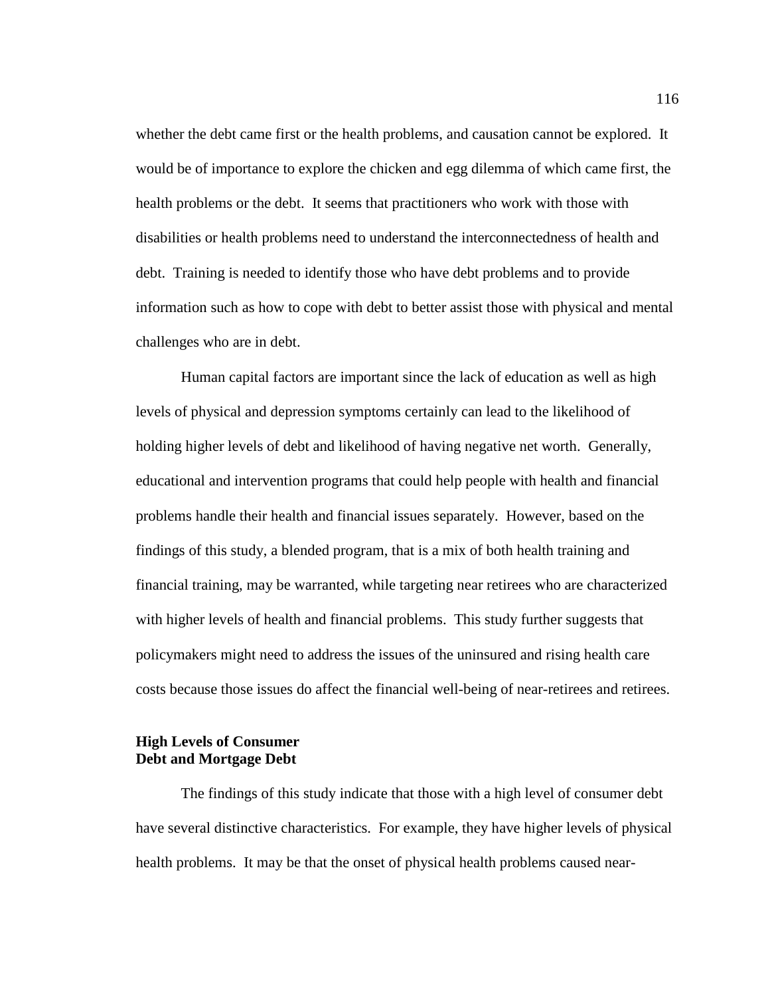whether the debt came first or the health problems, and causation cannot be explored. It would be of importance to explore the chicken and egg dilemma of which came first, the health problems or the debt. It seems that practitioners who work with those with disabilities or health problems need to understand the interconnectedness of health and debt. Training is needed to identify those who have debt problems and to provide information such as how to cope with debt to better assist those with physical and mental challenges who are in debt.

Human capital factors are important since the lack of education as well as high levels of physical and depression symptoms certainly can lead to the likelihood of holding higher levels of debt and likelihood of having negative net worth. Generally, educational and intervention programs that could help people with health and financial problems handle their health and financial issues separately. However, based on the findings of this study, a blended program, that is a mix of both health training and financial training, may be warranted, while targeting near retirees who are characterized with higher levels of health and financial problems. This study further suggests that policymakers might need to address the issues of the uninsured and rising health care costs because those issues do affect the financial well-being of near-retirees and retirees.

## **High Levels of Consumer Debt and Mortgage Debt**

The findings of this study indicate that those with a high level of consumer debt have several distinctive characteristics. For example, they have higher levels of physical health problems. It may be that the onset of physical health problems caused near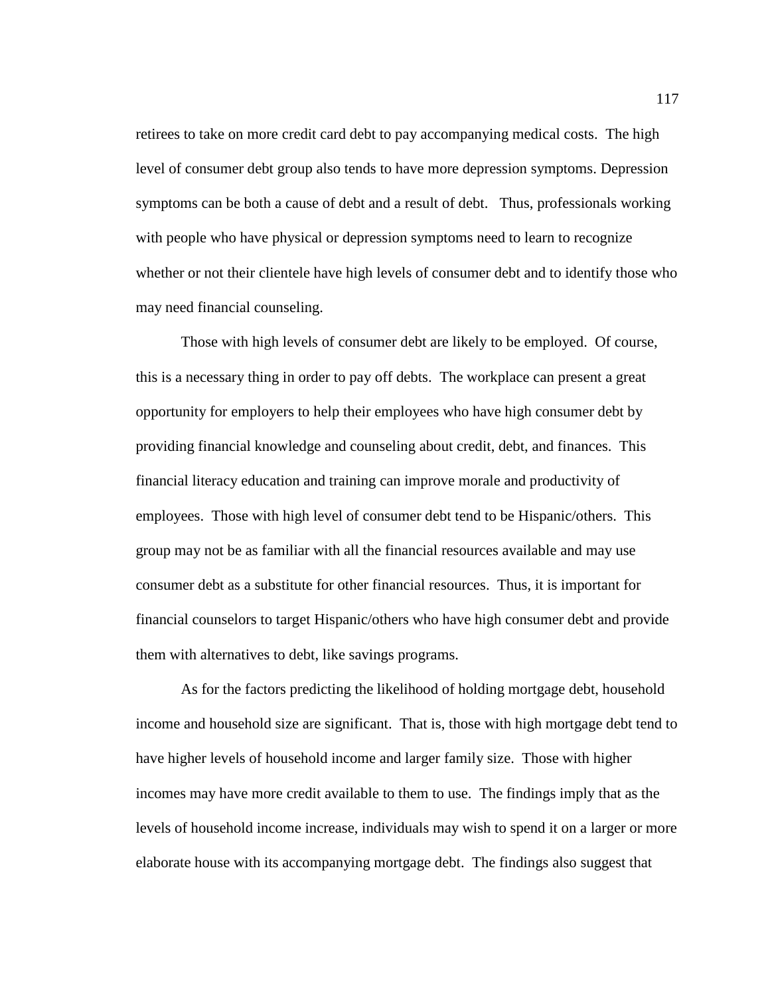retirees to take on more credit card debt to pay accompanying medical costs. The high level of consumer debt group also tends to have more depression symptoms. Depression symptoms can be both a cause of debt and a result of debt. Thus, professionals working with people who have physical or depression symptoms need to learn to recognize whether or not their clientele have high levels of consumer debt and to identify those who may need financial counseling.

 Those with high levels of consumer debt are likely to be employed. Of course, this is a necessary thing in order to pay off debts. The workplace can present a great opportunity for employers to help their employees who have high consumer debt by providing financial knowledge and counseling about credit, debt, and finances. This financial literacy education and training can improve morale and productivity of employees. Those with high level of consumer debt tend to be Hispanic/others. This group may not be as familiar with all the financial resources available and may use consumer debt as a substitute for other financial resources. Thus, it is important for financial counselors to target Hispanic/others who have high consumer debt and provide them with alternatives to debt, like savings programs.

 As for the factors predicting the likelihood of holding mortgage debt, household income and household size are significant. That is, those with high mortgage debt tend to have higher levels of household income and larger family size. Those with higher incomes may have more credit available to them to use. The findings imply that as the levels of household income increase, individuals may wish to spend it on a larger or more elaborate house with its accompanying mortgage debt. The findings also suggest that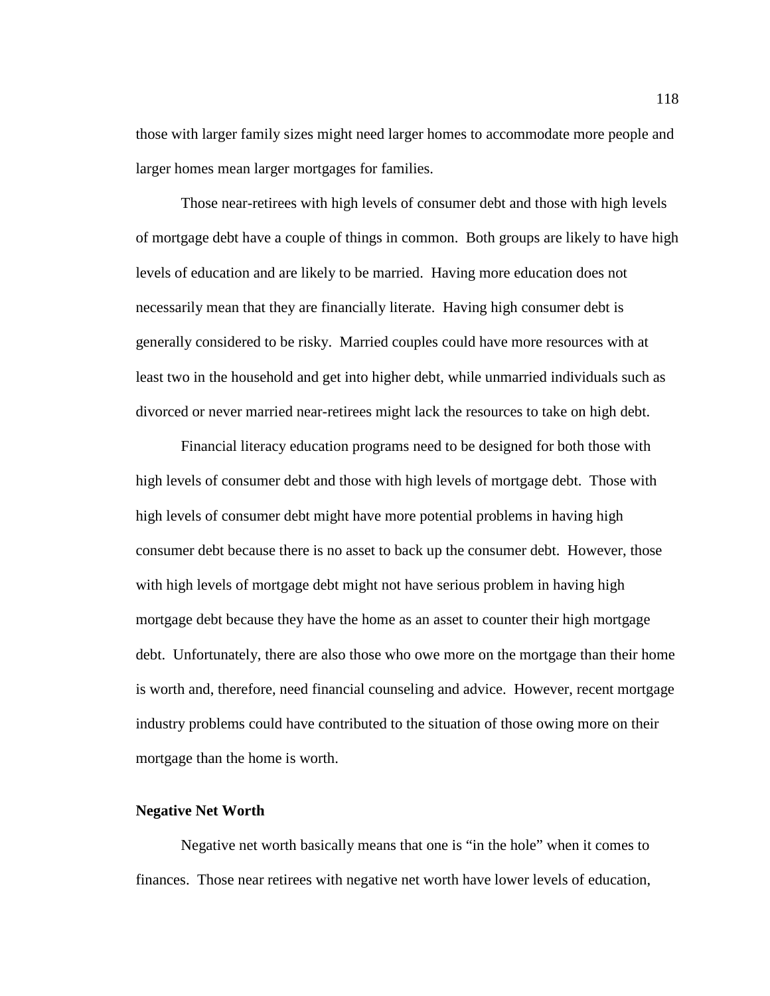those with larger family sizes might need larger homes to accommodate more people and larger homes mean larger mortgages for families.

 Those near-retirees with high levels of consumer debt and those with high levels of mortgage debt have a couple of things in common. Both groups are likely to have high levels of education and are likely to be married. Having more education does not necessarily mean that they are financially literate. Having high consumer debt is generally considered to be risky. Married couples could have more resources with at least two in the household and get into higher debt, while unmarried individuals such as divorced or never married near-retirees might lack the resources to take on high debt.

 Financial literacy education programs need to be designed for both those with high levels of consumer debt and those with high levels of mortgage debt. Those with high levels of consumer debt might have more potential problems in having high consumer debt because there is no asset to back up the consumer debt. However, those with high levels of mortgage debt might not have serious problem in having high mortgage debt because they have the home as an asset to counter their high mortgage debt. Unfortunately, there are also those who owe more on the mortgage than their home is worth and, therefore, need financial counseling and advice. However, recent mortgage industry problems could have contributed to the situation of those owing more on their mortgage than the home is worth.

### **Negative Net Worth**

Negative net worth basically means that one is "in the hole" when it comes to finances. Those near retirees with negative net worth have lower levels of education,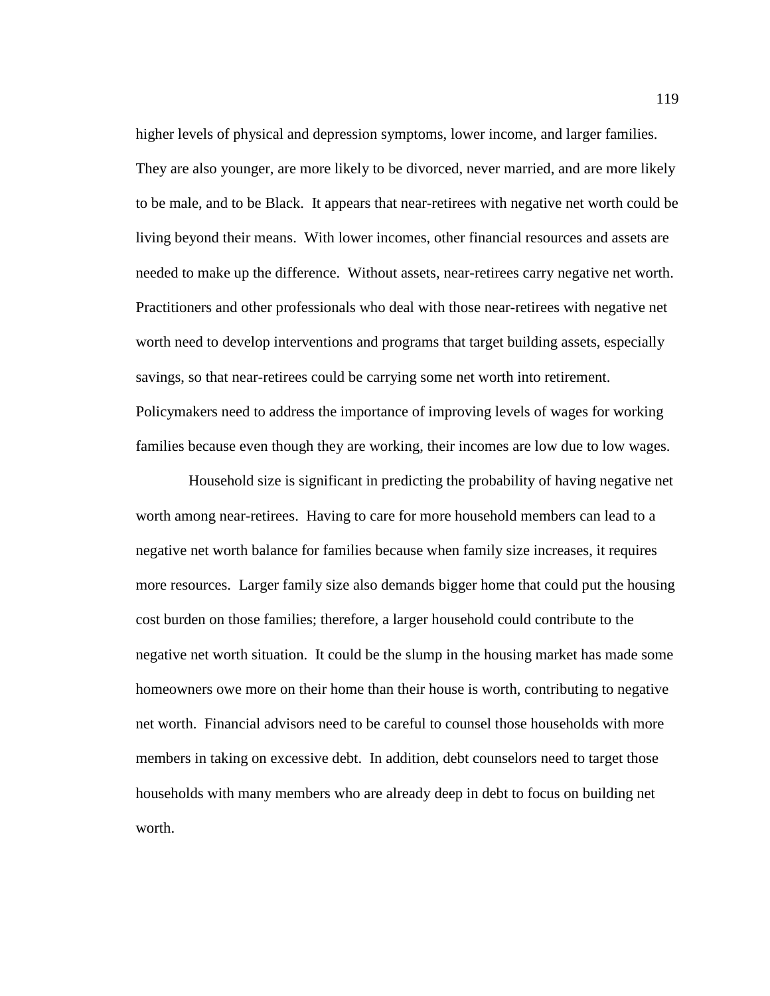higher levels of physical and depression symptoms, lower income, and larger families. They are also younger, are more likely to be divorced, never married, and are more likely to be male, and to be Black. It appears that near-retirees with negative net worth could be living beyond their means. With lower incomes, other financial resources and assets are needed to make up the difference. Without assets, near-retirees carry negative net worth. Practitioners and other professionals who deal with those near-retirees with negative net worth need to develop interventions and programs that target building assets, especially savings, so that near-retirees could be carrying some net worth into retirement. Policymakers need to address the importance of improving levels of wages for working families because even though they are working, their incomes are low due to low wages.

 Household size is significant in predicting the probability of having negative net worth among near-retirees. Having to care for more household members can lead to a negative net worth balance for families because when family size increases, it requires more resources. Larger family size also demands bigger home that could put the housing cost burden on those families; therefore, a larger household could contribute to the negative net worth situation. It could be the slump in the housing market has made some homeowners owe more on their home than their house is worth, contributing to negative net worth. Financial advisors need to be careful to counsel those households with more members in taking on excessive debt. In addition, debt counselors need to target those households with many members who are already deep in debt to focus on building net worth.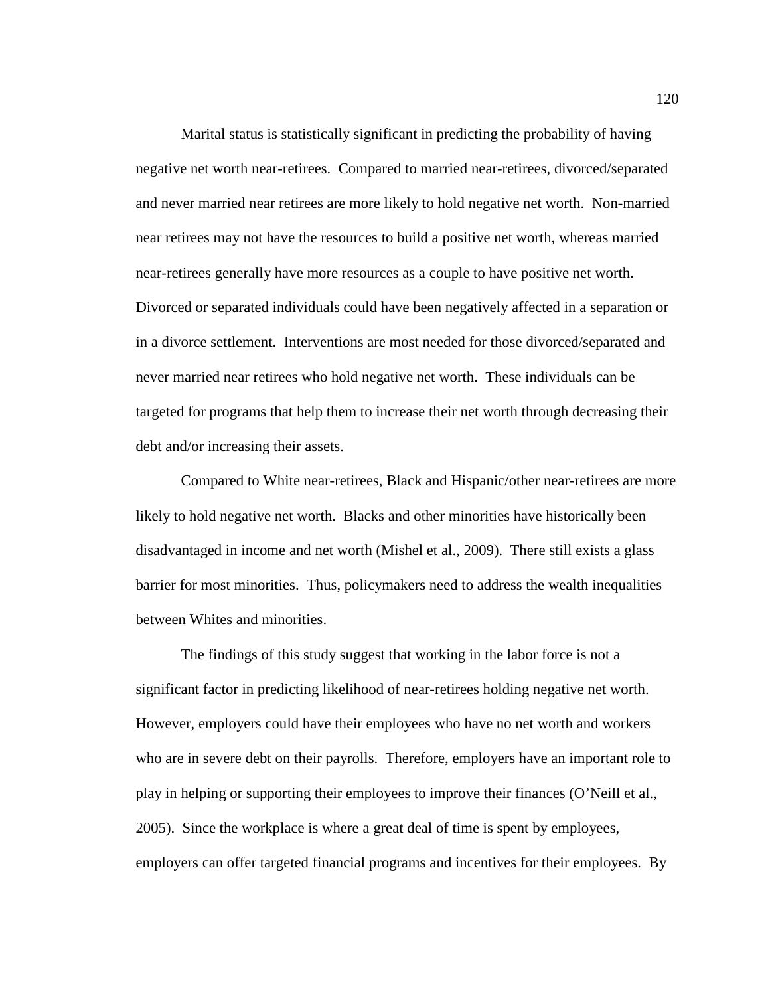Marital status is statistically significant in predicting the probability of having negative net worth near-retirees. Compared to married near-retirees, divorced/separated and never married near retirees are more likely to hold negative net worth. Non-married near retirees may not have the resources to build a positive net worth, whereas married near-retirees generally have more resources as a couple to have positive net worth. Divorced or separated individuals could have been negatively affected in a separation or in a divorce settlement. Interventions are most needed for those divorced/separated and never married near retirees who hold negative net worth. These individuals can be targeted for programs that help them to increase their net worth through decreasing their debt and/or increasing their assets.

Compared to White near-retirees, Black and Hispanic/other near-retirees are more likely to hold negative net worth. Blacks and other minorities have historically been disadvantaged in income and net worth (Mishel et al., 2009). There still exists a glass barrier for most minorities. Thus, policymakers need to address the wealth inequalities between Whites and minorities.

The findings of this study suggest that working in the labor force is not a significant factor in predicting likelihood of near-retirees holding negative net worth. However, employers could have their employees who have no net worth and workers who are in severe debt on their payrolls. Therefore, employers have an important role to play in helping or supporting their employees to improve their finances (O'Neill et al., 2005). Since the workplace is where a great deal of time is spent by employees, employers can offer targeted financial programs and incentives for their employees. By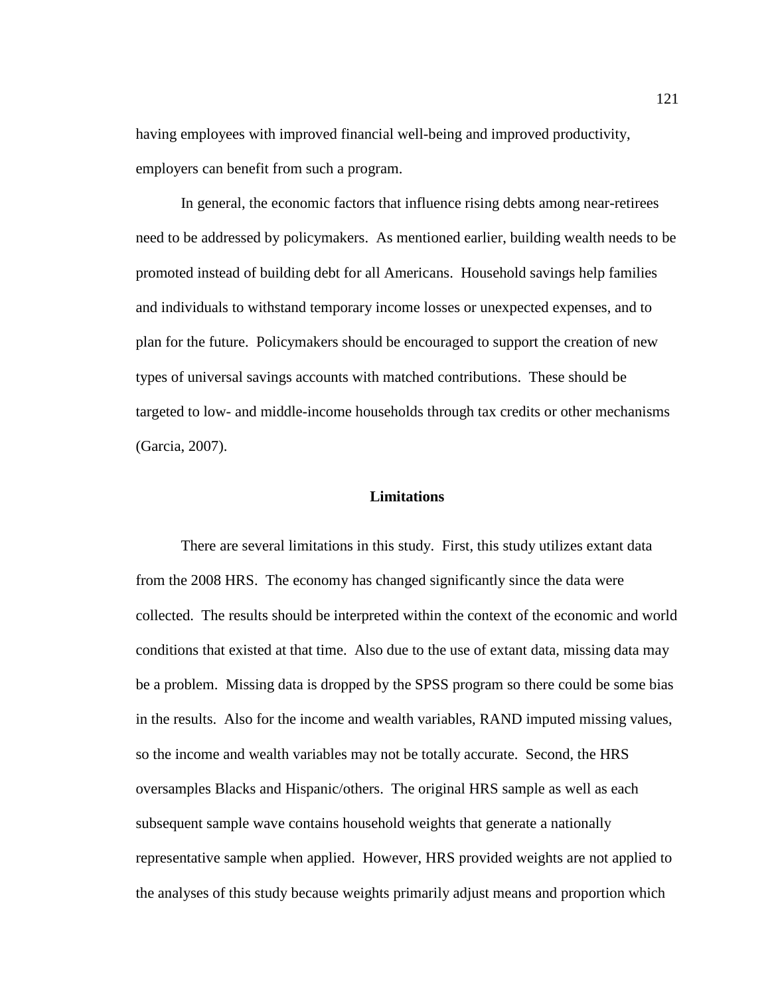having employees with improved financial well-being and improved productivity, employers can benefit from such a program.

In general, the economic factors that influence rising debts among near-retirees need to be addressed by policymakers. As mentioned earlier, building wealth needs to be promoted instead of building debt for all Americans. Household savings help families and individuals to withstand temporary income losses or unexpected expenses, and to plan for the future. Policymakers should be encouraged to support the creation of new types of universal savings accounts with matched contributions. These should be targeted to low- and middle-income households through tax credits or other mechanisms (Garcia, 2007).

### **Limitations**

There are several limitations in this study. First, this study utilizes extant data from the 2008 HRS. The economy has changed significantly since the data were collected. The results should be interpreted within the context of the economic and world conditions that existed at that time. Also due to the use of extant data, missing data may be a problem. Missing data is dropped by the SPSS program so there could be some bias in the results. Also for the income and wealth variables, RAND imputed missing values, so the income and wealth variables may not be totally accurate. Second, the HRS oversamples Blacks and Hispanic/others. The original HRS sample as well as each subsequent sample wave contains household weights that generate a nationally representative sample when applied. However, HRS provided weights are not applied to the analyses of this study because weights primarily adjust means and proportion which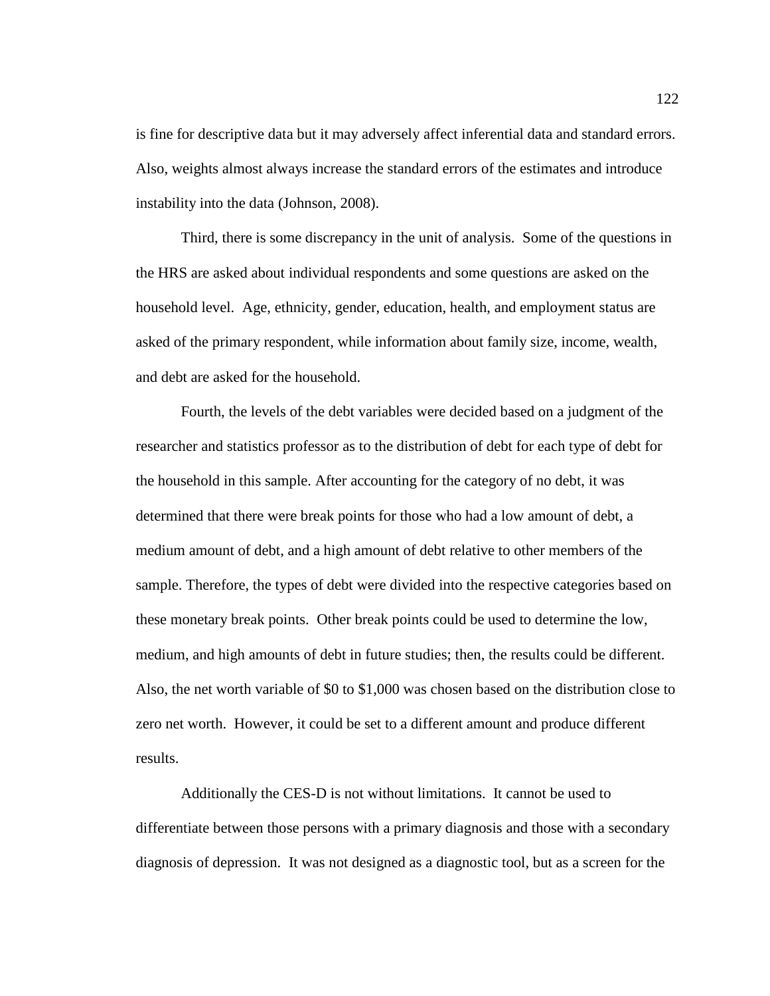is fine for descriptive data but it may adversely affect inferential data and standard errors. Also, weights almost always increase the standard errors of the estimates and introduce instability into the data (Johnson, 2008).

Third, there is some discrepancy in the unit of analysis. Some of the questions in the HRS are asked about individual respondents and some questions are asked on the household level. Age, ethnicity, gender, education, health, and employment status are asked of the primary respondent, while information about family size, income, wealth, and debt are asked for the household.

Fourth, the levels of the debt variables were decided based on a judgment of the researcher and statistics professor as to the distribution of debt for each type of debt for the household in this sample. After accounting for the category of no debt, it was determined that there were break points for those who had a low amount of debt, a medium amount of debt, and a high amount of debt relative to other members of the sample. Therefore, the types of debt were divided into the respective categories based on these monetary break points. Other break points could be used to determine the low, medium, and high amounts of debt in future studies; then, the results could be different. Also, the net worth variable of \$0 to \$1,000 was chosen based on the distribution close to zero net worth. However, it could be set to a different amount and produce different results.

Additionally the CES-D is not without limitations. It cannot be used to differentiate between those persons with a primary diagnosis and those with a secondary diagnosis of depression. It was not designed as a diagnostic tool, but as a screen for the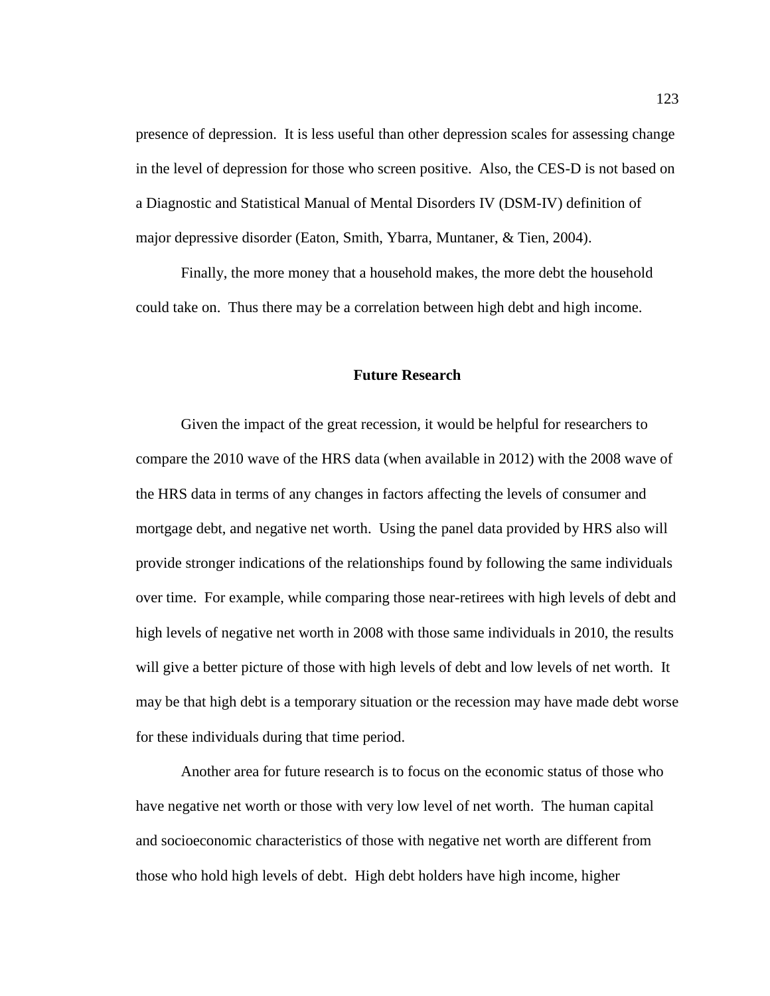presence of depression. It is less useful than other depression scales for assessing change in the level of depression for those who screen positive. Also, the CES-D is not based on a Diagnostic and Statistical Manual of Mental Disorders IV (DSM-IV) definition of major depressive disorder (Eaton, Smith, Ybarra, Muntaner, & Tien, 2004).

Finally, the more money that a household makes, the more debt the household could take on. Thus there may be a correlation between high debt and high income.

#### **Future Research**

Given the impact of the great recession, it would be helpful for researchers to compare the 2010 wave of the HRS data (when available in 2012) with the 2008 wave of the HRS data in terms of any changes in factors affecting the levels of consumer and mortgage debt, and negative net worth. Using the panel data provided by HRS also will provide stronger indications of the relationships found by following the same individuals over time. For example, while comparing those near-retirees with high levels of debt and high levels of negative net worth in 2008 with those same individuals in 2010, the results will give a better picture of those with high levels of debt and low levels of net worth. It may be that high debt is a temporary situation or the recession may have made debt worse for these individuals during that time period.

Another area for future research is to focus on the economic status of those who have negative net worth or those with very low level of net worth. The human capital and socioeconomic characteristics of those with negative net worth are different from those who hold high levels of debt. High debt holders have high income, higher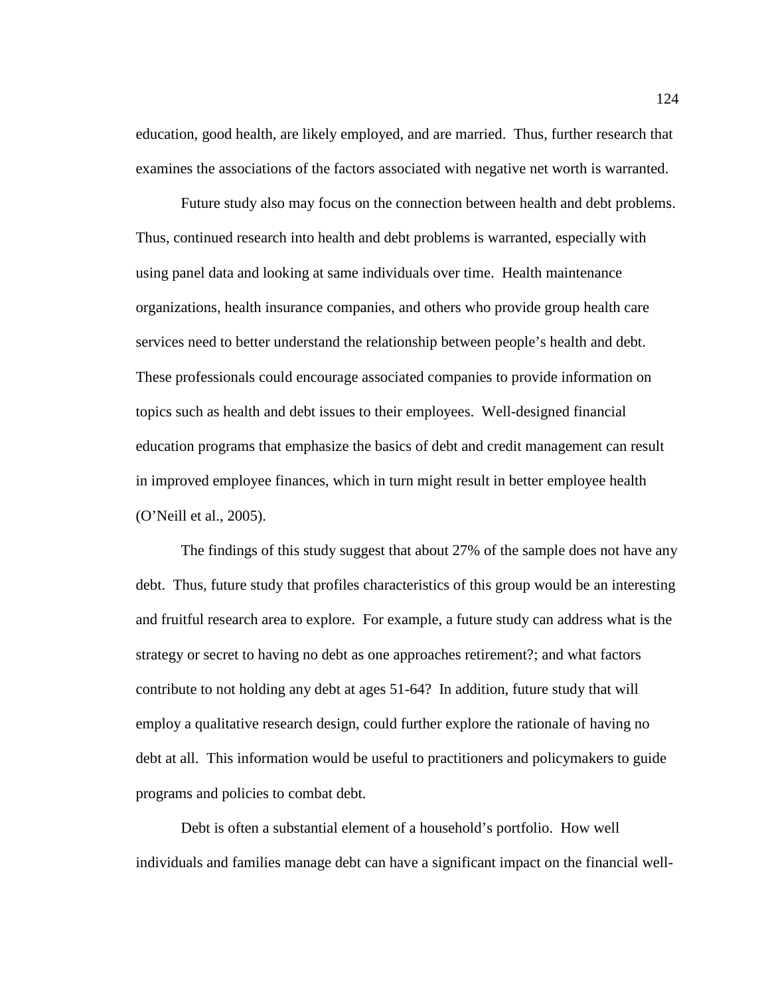education, good health, are likely employed, and are married. Thus, further research that examines the associations of the factors associated with negative net worth is warranted.

Future study also may focus on the connection between health and debt problems. Thus, continued research into health and debt problems is warranted, especially with using panel data and looking at same individuals over time. Health maintenance organizations, health insurance companies, and others who provide group health care services need to better understand the relationship between people's health and debt. These professionals could encourage associated companies to provide information on topics such as health and debt issues to their employees. Well-designed financial education programs that emphasize the basics of debt and credit management can result in improved employee finances, which in turn might result in better employee health (O'Neill et al., 2005).

The findings of this study suggest that about 27% of the sample does not have any debt. Thus, future study that profiles characteristics of this group would be an interesting and fruitful research area to explore. For example, a future study can address what is the strategy or secret to having no debt as one approaches retirement?; and what factors contribute to not holding any debt at ages 51-64? In addition, future study that will employ a qualitative research design, could further explore the rationale of having no debt at all. This information would be useful to practitioners and policymakers to guide programs and policies to combat debt.

Debt is often a substantial element of a household's portfolio. How well individuals and families manage debt can have a significant impact on the financial well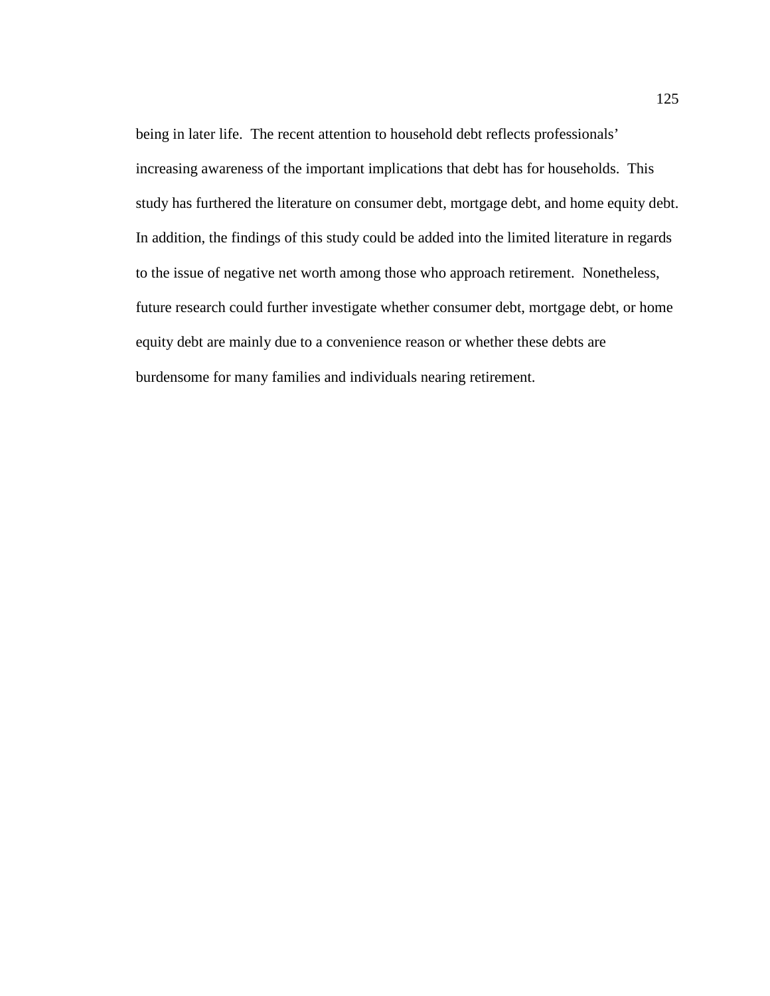being in later life. The recent attention to household debt reflects professionals' increasing awareness of the important implications that debt has for households. This study has furthered the literature on consumer debt, mortgage debt, and home equity debt. In addition, the findings of this study could be added into the limited literature in regards to the issue of negative net worth among those who approach retirement. Nonetheless, future research could further investigate whether consumer debt, mortgage debt, or home equity debt are mainly due to a convenience reason or whether these debts are burdensome for many families and individuals nearing retirement.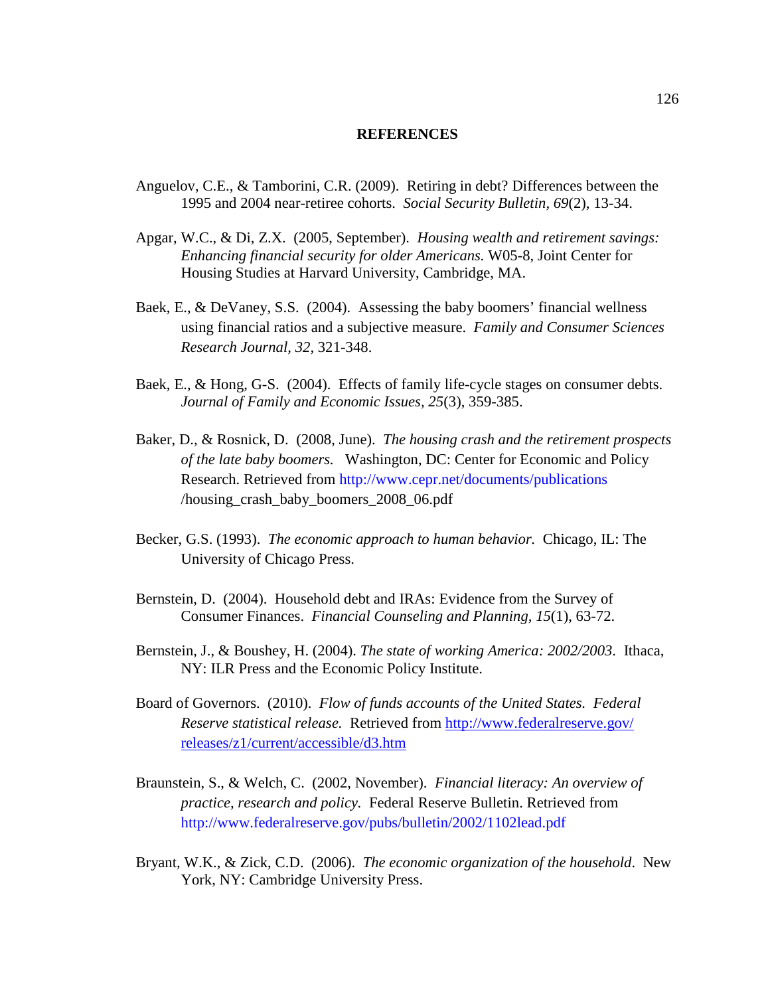### **REFERENCES**

- Anguelov, C.E., & Tamborini, C.R. (2009). Retiring in debt? Differences between the 1995 and 2004 near-retiree cohorts. *Social Security Bulletin, 69*(2), 13-34.
- Apgar, W.C., & Di, Z.X. (2005, September). *Housing wealth and retirement savings: Enhancing financial security for older Americans.* W05-8, Joint Center for Housing Studies at Harvard University, Cambridge, MA.
- Baek, E., & DeVaney, S.S. (2004). Assessing the baby boomers' financial wellness using financial ratios and a subjective measure. *Family and Consumer Sciences Research Journal, 32,* 321-348.
- Baek, E., & Hong, G-S. (2004). Effects of family life-cycle stages on consumer debts. *Journal of Family and Economic Issues, 25*(3), 359-385.
- Baker, D., & Rosnick, D. (2008, June). *The housing crash and the retirement prospects of the late baby boomers.* Washington, DC: Center for Economic and Policy Research. Retrieved from http://www.cepr.net/documents/publications /housing\_crash\_baby\_boomers\_2008\_06.pdf
- Becker, G.S. (1993). *The economic approach to human behavior.* Chicago, IL: The University of Chicago Press.
- Bernstein, D. (2004). Household debt and IRAs: Evidence from the Survey of Consumer Finances. *Financial Counseling and Planning, 15*(1), 63-72.
- Bernstein, J., & Boushey, H. (2004). *The state of working America: 2002/2003*. Ithaca, NY: ILR Press and the Economic Policy Institute.
- Board of Governors. (2010). *Flow of funds accounts of the United States. Federal Reserve statistical release.* Retrieved from http://www.federalreserve.gov/ releases/z1/current/accessible/d3.htm
- Braunstein, S., & Welch, C. (2002, November). *Financial literacy: An overview of practice, research and policy.* Federal Reserve Bulletin. Retrieved from http://www.federalreserve.gov/pubs/bulletin/2002/1102lead.pdf
- Bryant, W.K., & Zick, C.D. (2006). *The economic organization of the household*. New York, NY: Cambridge University Press.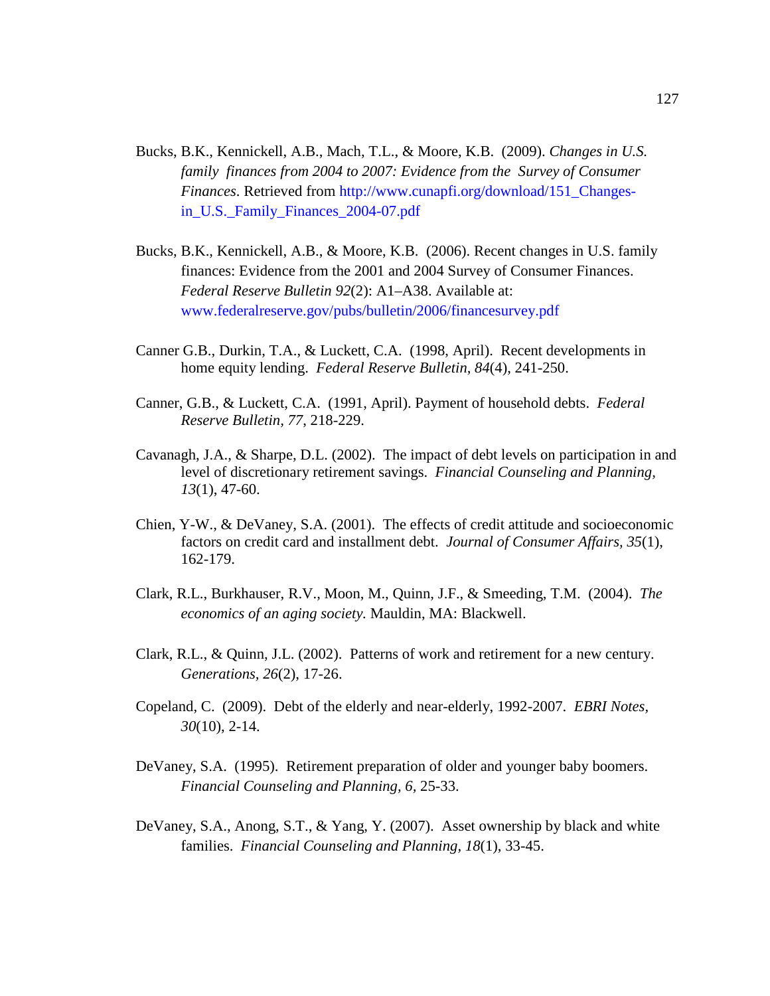- Bucks, B.K., Kennickell, A.B., Mach, T.L., & Moore, K.B. (2009). *Changes in U.S. family finances from 2004 to 2007: Evidence from the Survey of Consumer Finances*. Retrieved from http://www.cunapfi.org/download/151\_Changes in\_U.S.\_Family\_Finances\_2004-07.pdf
- Bucks, B.K., Kennickell, A.B., & Moore, K.B. (2006). Recent changes in U.S. family finances: Evidence from the 2001 and 2004 Survey of Consumer Finances. *Federal Reserve Bulletin 92*(2): A1–A38. Available at: www.federalreserve.gov/pubs/bulletin/2006/financesurvey.pdf
- Canner G.B., Durkin, T.A., & Luckett, C.A. (1998, April). Recent developments in home equity lending. *Federal Reserve Bulletin, 84*(4), 241-250.
- Canner, G.B., & Luckett, C.A. (1991, April). Payment of household debts. *Federal Reserve Bulletin, 77*, 218-229.
- Cavanagh, J.A., & Sharpe, D.L. (2002). The impact of debt levels on participation in and level of discretionary retirement savings. *Financial Counseling and Planning, 13*(1), 47-60.
- Chien, Y-W., & DeVaney, S.A. (2001). The effects of credit attitude and socioeconomic factors on credit card and installment debt. *Journal of Consumer Affairs, 35*(1), 162-179.
- Clark, R.L., Burkhauser, R.V., Moon, M., Quinn, J.F., & Smeeding, T.M. (2004). *The economics of an aging society.* Mauldin, MA: Blackwell.
- Clark, R.L., & Quinn, J.L. (2002). Patterns of work and retirement for a new century. *Generations, 26*(2), 17-26.
- Copeland, C. (2009). Debt of the elderly and near-elderly, 1992-2007. *EBRI Notes, 30*(10), 2-14.
- DeVaney, S.A. (1995). Retirement preparation of older and younger baby boomers. *Financial Counseling and Planning, 6,* 25-33.
- DeVaney, S.A., Anong, S.T., & Yang, Y. (2007). Asset ownership by black and white families. *Financial Counseling and Planning, 18*(1), 33-45.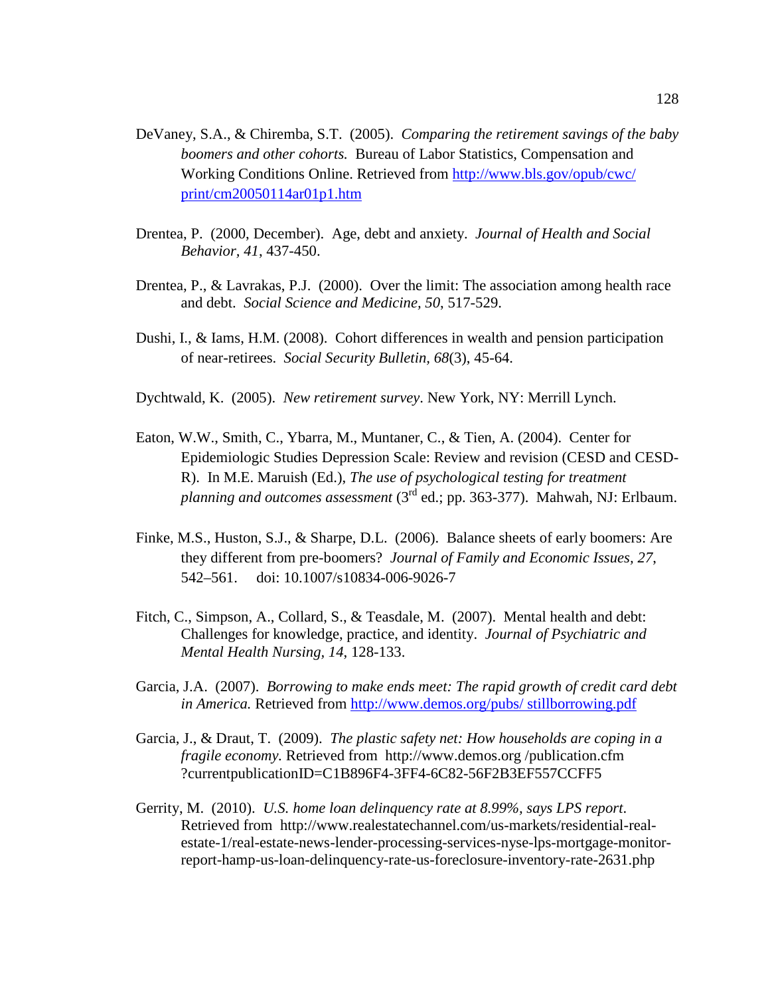- DeVaney, S.A., & Chiremba, S.T. (2005). *Comparing the retirement savings of the baby boomers and other cohorts.* Bureau of Labor Statistics, Compensation and Working Conditions Online. Retrieved from http://www.bls.gov/opub/cwc/ print/cm20050114ar01p1.htm
- Drentea, P. (2000, December). Age, debt and anxiety. *Journal of Health and Social Behavior, 41*, 437-450.
- Drentea, P., & Lavrakas, P.J. (2000). Over the limit: The association among health race and debt. *Social Science and Medicine, 50*, 517-529.
- Dushi, I., & Iams, H.M. (2008). Cohort differences in wealth and pension participation of near-retirees. *Social Security Bulletin, 68*(3), 45-64.
- Dychtwald, K. (2005). *New retirement survey*. New York, NY: Merrill Lynch.
- Eaton, W.W., Smith, C., Ybarra, M., Muntaner, C., & Tien, A. (2004). Center for Epidemiologic Studies Depression Scale: Review and revision (CESD and CESD-R). In M.E. Maruish (Ed.), *The use of psychological testing for treatment planning and outcomes assessment* (3rd ed.; pp. 363-377). Mahwah, NJ: Erlbaum.
- Finke, M.S., Huston, S.J., & Sharpe, D.L. (2006). Balance sheets of early boomers: Are they different from pre-boomers? *Journal of Family and Economic Issues, 27*, 542–561. doi: 10.1007/s10834-006-9026-7
- Fitch, C., Simpson, A., Collard, S., & Teasdale, M. (2007). Mental health and debt: Challenges for knowledge, practice, and identity. *Journal of Psychiatric and Mental Health Nursing, 14*, 128-133.
- Garcia, J.A. (2007). *Borrowing to make ends meet: The rapid growth of credit card debt in America.* Retrieved from http://www.demos.org/pubs/ stillborrowing.pdf
- Garcia, J., & Draut, T. (2009). *The plastic safety net: How households are coping in a fragile economy.* Retrieved from http://www.demos.org /publication.cfm ?currentpublicationID=C1B896F4-3FF4-6C82-56F2B3EF557CCFF5
- Gerrity, M. (2010). *U.S. home loan delinquency rate at 8.99%, says LPS report*. Retrieved from http://www.realestatechannel.com/us-markets/residential-realestate-1/real-estate-news-lender-processing-services-nyse-lps-mortgage-monitorreport-hamp-us-loan-delinquency-rate-us-foreclosure-inventory-rate-2631.php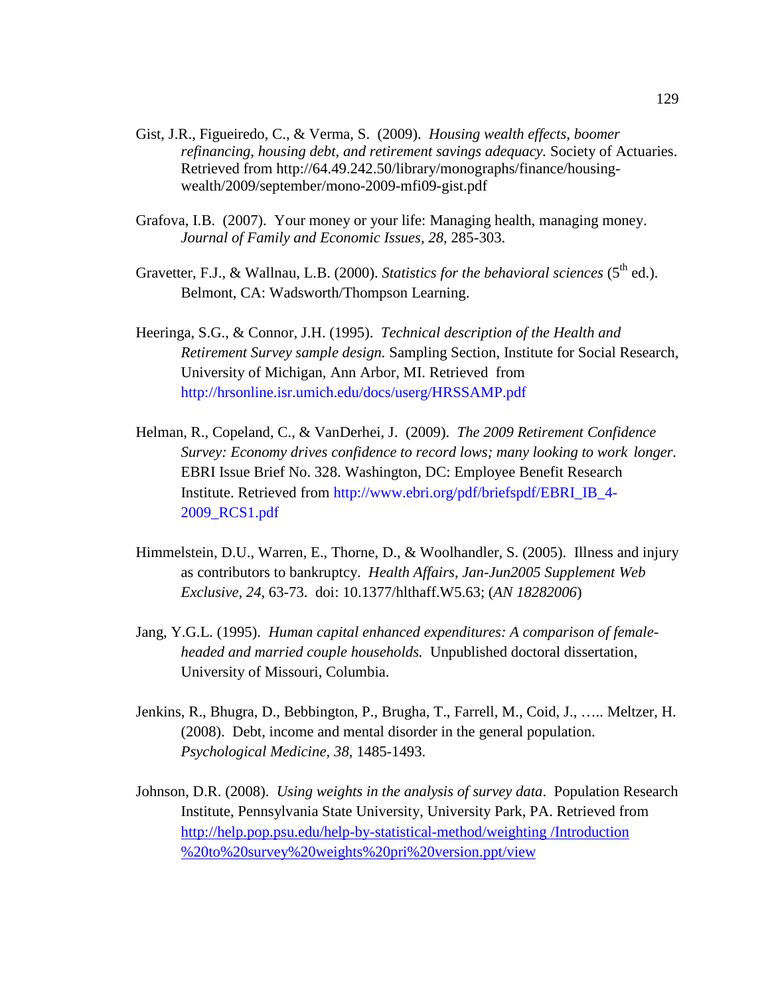- Gist, J.R., Figueiredo, C., & Verma, S. (2009). *Housing wealth effects, boomer refinancing, housing debt, and retirement savings adequacy.* Society of Actuaries. Retrieved from http://64.49.242.50/library/monographs/finance/housingwealth/2009/september/mono-2009-mfi09-gist.pdf
- Grafova, I.B. (2007). Your money or your life: Managing health, managing money. *Journal of Family and Economic Issues, 28*, 285-303.
- Gravetter, F.J., & Wallnau, L.B. (2000). *Statistics for the behavioral sciences* (5<sup>th</sup> ed.). Belmont, CA: Wadsworth/Thompson Learning.
- Heeringa, S.G., & Connor, J.H. (1995). *Technical description of the Health and Retirement Survey sample design.* Sampling Section, Institute for Social Research, University of Michigan, Ann Arbor, MI. Retrieved from http://hrsonline.isr.umich.edu/docs/userg/HRSSAMP.pdf
- Helman, R., Copeland, C., & VanDerhei, J. (2009). *The 2009 Retirement Confidence Survey: Economy drives confidence to record lows; many looking to work longer.* EBRI Issue Brief No. 328. Washington, DC: Employee Benefit Research Institute. Retrieved from http://www.ebri.org/pdf/briefspdf/EBRI\_IB\_4- 2009\_RCS1.pdf
- Himmelstein, D.U., Warren, E., Thorne, D., & Woolhandler, S. (2005). Illness and injury as contributors to bankruptcy. *Health Affairs, Jan-Jun2005 Supplement Web Exclusive, 24*, 63-73. doi: 10.1377/hlthaff.W5.63; (*AN 18282006*)
- Jang, Y.G.L. (1995). *Human capital enhanced expenditures: A comparison of femaleheaded and married couple households.* Unpublished doctoral dissertation, University of Missouri, Columbia.
- Jenkins, R., Bhugra, D., Bebbington, P., Brugha, T., Farrell, M., Coid, J., ….. Meltzer, H. (2008). Debt, income and mental disorder in the general population. *Psychological Medicine, 38*, 1485-1493.
- Johnson, D.R. (2008). *Using weights in the analysis of survey data*. Population Research Institute, Pennsylvania State University, University Park, PA. Retrieved from http://help.pop.psu.edu/help-by-statistical-method/weighting /Introduction %20to%20survey%20weights%20pri%20version.ppt/view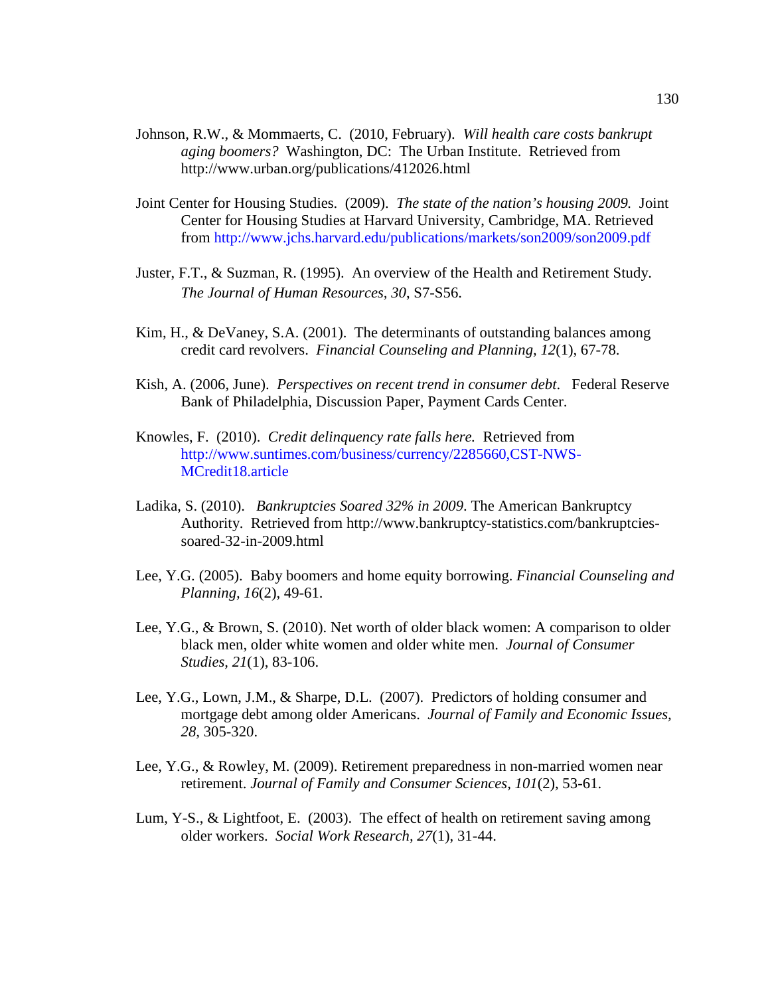- Johnson, R.W., & Mommaerts, C. (2010, February). *Will health care costs bankrupt aging boomers?* Washington, DC: The Urban Institute. Retrieved from http://www.urban.org/publications/412026.html
- Joint Center for Housing Studies. (2009). *The state of the nation's housing 2009.* Joint Center for Housing Studies at Harvard University, Cambridge, MA. Retrieved from http://www.jchs.harvard.edu/publications/markets/son2009/son2009.pdf
- Juster, F.T., & Suzman, R. (1995). An overview of the Health and Retirement Study. *The Journal of Human Resources, 30*, S7-S56.
- Kim, H., & DeVaney, S.A. (2001). The determinants of outstanding balances among credit card revolvers. *Financial Counseling and Planning, 12*(1), 67-78.
- Kish, A. (2006, June). *Perspectives on recent trend in consumer debt*. Federal Reserve Bank of Philadelphia, Discussion Paper, Payment Cards Center.
- Knowles, F. (2010). *Credit delinquency rate falls here.* Retrieved from http://www.suntimes.com/business/currency/2285660,CST-NWS-MCredit18.article
- Ladika, S. (2010). *Bankruptcies Soared 32% in 2009*. The American Bankruptcy Authority. Retrieved from http://www.bankruptcy-statistics.com/bankruptciessoared-32-in-2009.html
- Lee, Y.G. (2005). Baby boomers and home equity borrowing. *Financial Counseling and Planning, 16*(2), 49-61.
- Lee, Y.G., & Brown, S. (2010). Net worth of older black women: A comparison to older black men, older white women and older white men. *Journal of Consumer Studies, 21*(1), 83-106.
- Lee, Y.G., Lown, J.M., & Sharpe, D.L. (2007). Predictors of holding consumer and mortgage debt among older Americans. *Journal of Family and Economic Issues, 28,* 305-320.
- Lee, Y.G., & Rowley, M. (2009). Retirement preparedness in non-married women near retirement. *Journal of Family and Consumer Sciences, 101*(2), 53-61.
- Lum, Y-S., & Lightfoot, E. (2003). The effect of health on retirement saving among older workers. *Social Work Research, 27*(1), 31-44.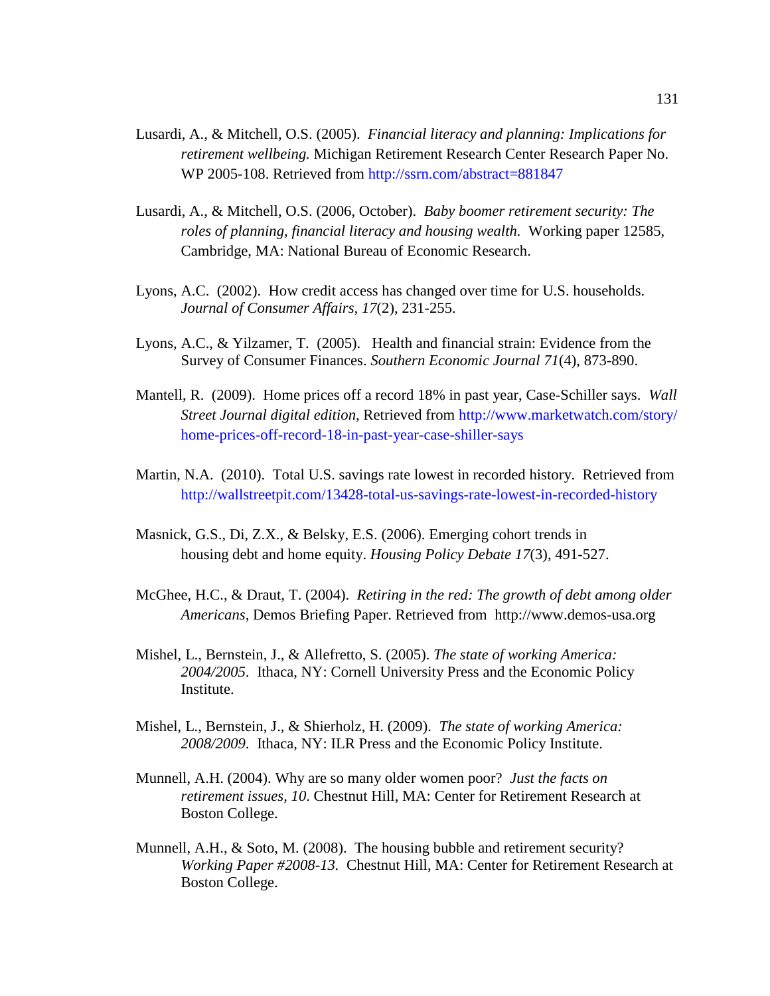- Lusardi, A., & Mitchell, O.S. (2005). *Financial literacy and planning: Implications for retirement wellbeing.* Michigan Retirement Research Center Research Paper No. WP 2005-108. Retrieved from http://ssrn.com/abstract=881847
- Lusardi, A., & Mitchell, O.S. (2006, October). *Baby boomer retirement security: The roles of planning, financial literacy and housing wealth.* Working paper 12585, Cambridge, MA: National Bureau of Economic Research.
- Lyons, A.C. (2002). How credit access has changed over time for U.S. households. *Journal of Consumer Affairs, 17*(2), 231-255.
- Lyons, A.C., & Yilzamer, T. (2005). Health and financial strain: Evidence from the Survey of Consumer Finances. *Southern Economic Journal 71*(4), 873-890.
- Mantell, R. (2009). Home prices off a record 18% in past year, Case-Schiller says. *Wall Street Journal digital edition,* Retrieved from http://www.marketwatch.com/story/ home-prices-off-record-18-in-past-year-case-shiller-says
- Martin, N.A. (2010). Total U.S. savings rate lowest in recorded history. Retrieved from http://wallstreetpit.com/13428-total-us-savings-rate-lowest-in-recorded-history
- Masnick, G.S., Di, Z.X., & Belsky, E.S. (2006). Emerging cohort trends in housing debt and home equity. *Housing Policy Debate 17*(3), 491-527.
- McGhee, H.C., & Draut, T. (2004). *Retiring in the red: The growth of debt among older Americans,* Demos Briefing Paper. Retrieved from http://www.demos-usa.org
- Mishel, L., Bernstein, J., & Allefretto, S. (2005). *The state of working America: 2004/2005*. Ithaca, NY: Cornell University Press and the Economic Policy Institute.
- Mishel, L., Bernstein, J., & Shierholz, H. (2009). *The state of working America: 2008/2009*. Ithaca, NY: ILR Press and the Economic Policy Institute.
- Munnell, A.H. (2004). Why are so many older women poor? *Just the facts on retirement issues, 10*. Chestnut Hill, MA: Center for Retirement Research at Boston College.
- Munnell, A.H., & Soto, M. (2008). The housing bubble and retirement security? *Working Paper #2008-13.* Chestnut Hill, MA: Center for Retirement Research at Boston College.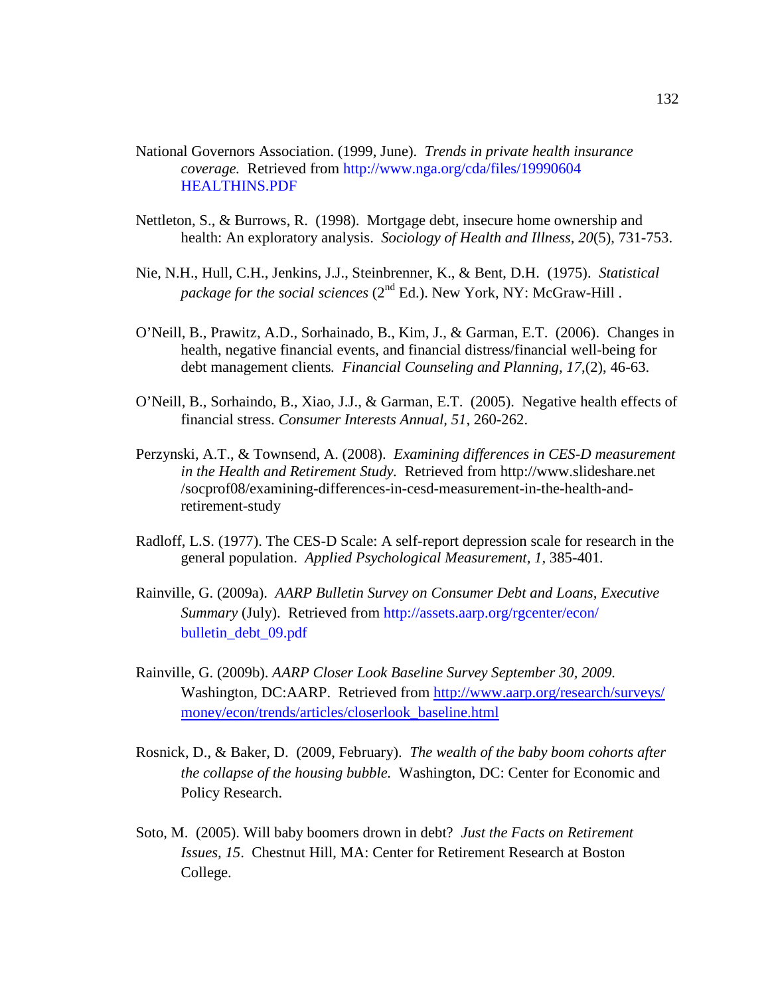- National Governors Association. (1999, June). *Trends in private health insurance coverage.* Retrieved from http://www.nga.org/cda/files/19990604 HEALTHINS.PDF
- Nettleton, S., & Burrows, R. (1998). Mortgage debt, insecure home ownership and health: An exploratory analysis. *Sociology of Health and Illness, 20*(5), 731-753.
- Nie, N.H., Hull, C.H., Jenkins, J.J., Steinbrenner, K., & Bent, D.H. (1975). *Statistical package for the social sciences* (2<sup>nd</sup> Ed.). New York, NY: McGraw-Hill.
- O'Neill, B., Prawitz, A.D., Sorhainado, B., Kim, J., & Garman, E.T. (2006). Changes in health, negative financial events, and financial distress/financial well-being for debt management clients*. Financial Counseling and Planning, 17*,(2), 46-63.
- O'Neill, B., Sorhaindo, B., Xiao, J.J., & Garman, E.T. (2005). Negative health effects of financial stress. *Consumer Interests Annual, 51*, 260-262.
- Perzynski, A.T., & Townsend, A. (2008). *Examining differences in CES-D measurement in the Health and Retirement Study.* Retrieved from http://www.slideshare.net /socprof08/examining-differences-in-cesd-measurement-in-the-health-andretirement-study
- Radloff, L.S. (1977). The CES-D Scale: A self-report depression scale for research in the general population. *Applied Psychological Measurement, 1,* 385-401*.*
- Rainville, G. (2009a). *AARP Bulletin Survey on Consumer Debt and Loans, Executive Summary* (July). Retrieved from http://assets.aarp.org/rgcenter/econ/ bulletin\_debt\_09.pdf
- Rainville, G. (2009b). *AARP Closer Look Baseline Survey September 30, 2009.* Washington, DC:AARP. Retrieved from http://www.aarp.org/research/surveys/ money/econ/trends/articles/closerlook\_baseline.html
- Rosnick, D., & Baker, D. (2009, February). *The wealth of the baby boom cohorts after the collapse of the housing bubble.* Washington, DC: Center for Economic and Policy Research.
- Soto, M. (2005). Will baby boomers drown in debt? *Just the Facts on Retirement Issues, 15*. Chestnut Hill, MA: Center for Retirement Research at Boston College.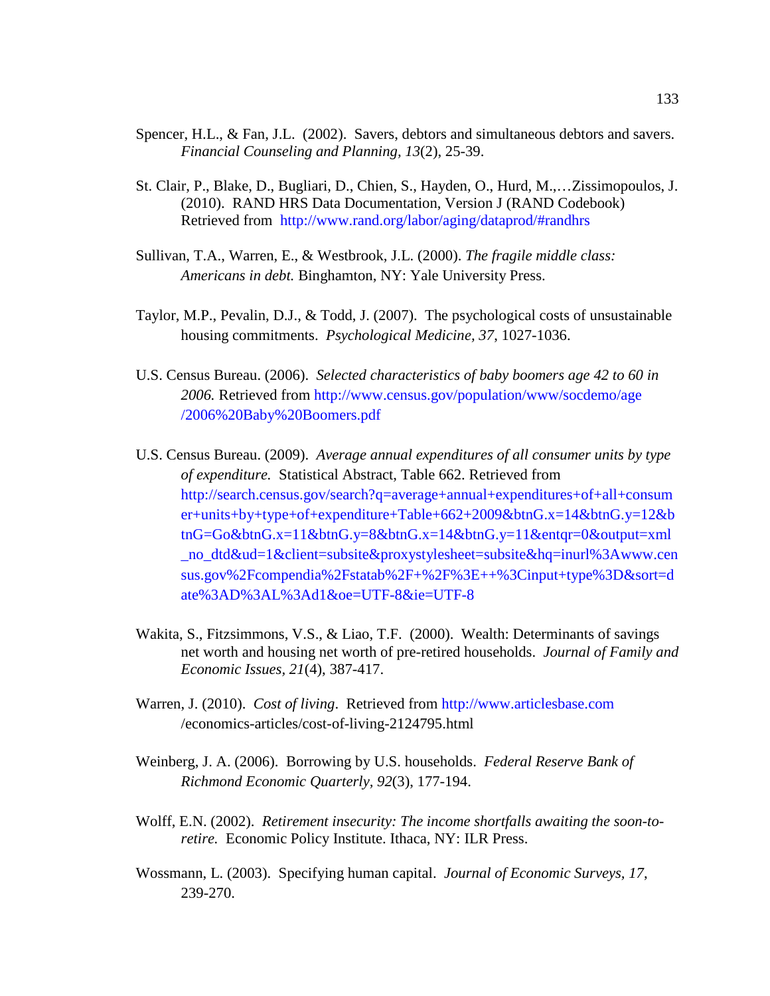- Spencer, H.L., & Fan, J.L. (2002). Savers, debtors and simultaneous debtors and savers. *Financial Counseling and Planning, 13*(2), 25-39.
- St. Clair, P., Blake, D., Bugliari, D., Chien, S., Hayden, O., Hurd, M.,…Zissimopoulos, J. (2010). RAND HRS Data Documentation, Version J (RAND Codebook) Retrieved from http://www.rand.org/labor/aging/dataprod/#randhrs
- Sullivan, T.A., Warren, E., & Westbrook, J.L. (2000). *The fragile middle class: Americans in debt.* Binghamton, NY: Yale University Press.
- Taylor, M.P., Pevalin, D.J., & Todd, J. (2007). The psychological costs of unsustainable housing commitments. *Psychological Medicine, 37*, 1027-1036.
- U.S. Census Bureau. (2006). *Selected characteristics of baby boomers age 42 to 60 in 2006.* Retrieved from http://www.census.gov/population/www/socdemo/age /2006%20Baby%20Boomers.pdf
- U.S. Census Bureau. (2009). *Average annual expenditures of all consumer units by type of expenditure.* Statistical Abstract, Table 662. Retrieved from http://search.census.gov/search?q=average+annual+expenditures+of+all+consum er+units+by+type+of+expenditure+Table+662+2009&btnG.x=14&btnG.y=12&b tnG=Go&btnG.x=11&btnG.y=8&btnG.x=14&btnG.y=11&entqr=0&output=xml \_no\_dtd&ud=1&client=subsite&proxystylesheet=subsite&hq=inurl%3Awww.cen sus.gov%2Fcompendia%2Fstatab%2F+%2F%3E++%3Cinput+type%3D&sort=d ate%3AD%3AL%3Ad1&oe=UTF-8&ie=UTF-8
- Wakita, S., Fitzsimmons, V.S., & Liao, T.F. (2000). Wealth: Determinants of savings net worth and housing net worth of pre-retired households. *Journal of Family and Economic Issues, 21*(4), 387-417.
- Warren, J. (2010). *Cost of living*. Retrieved from http://www.articlesbase.com /economics-articles/cost-of-living-2124795.html
- Weinberg, J. A. (2006). Borrowing by U.S. households. *Federal Reserve Bank of Richmond Economic Quarterly, 92*(3), 177-194.
- Wolff, E.N. (2002). *Retirement insecurity: The income shortfalls awaiting the soon-toretire.* Economic Policy Institute. Ithaca, NY: ILR Press.
- Wossmann, L. (2003). Specifying human capital. *Journal of Economic Surveys, 17*, 239-270.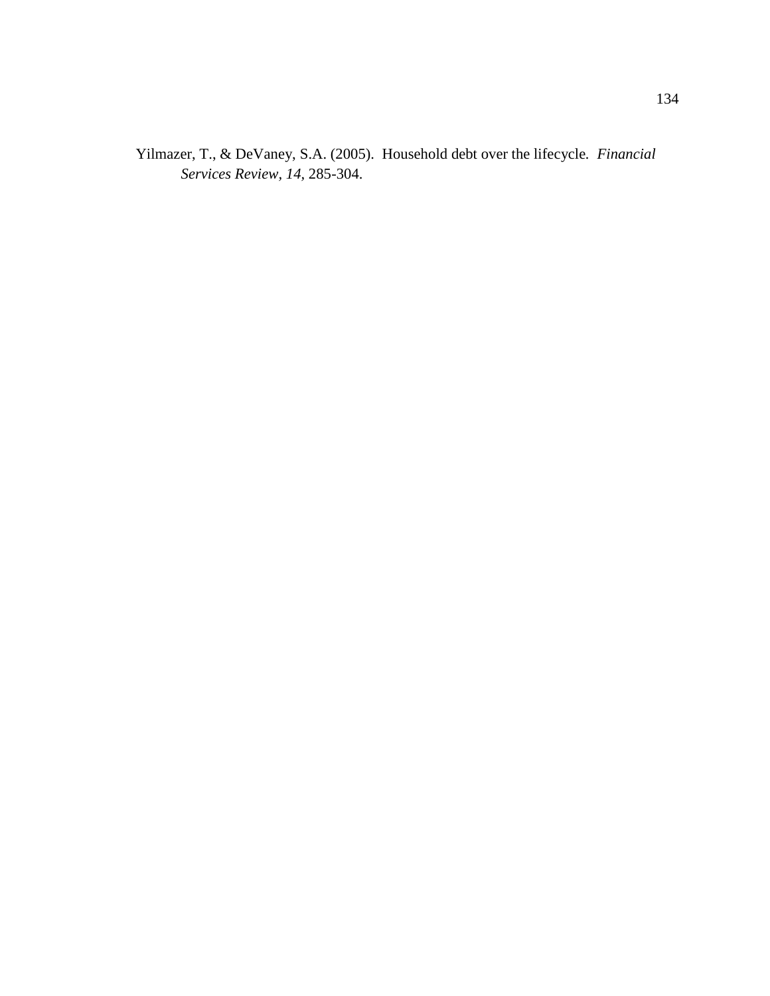Yilmazer, T., & DeVaney, S.A. (2005). Household debt over the lifecycle*. Financial Services Review, 14,* 285-304.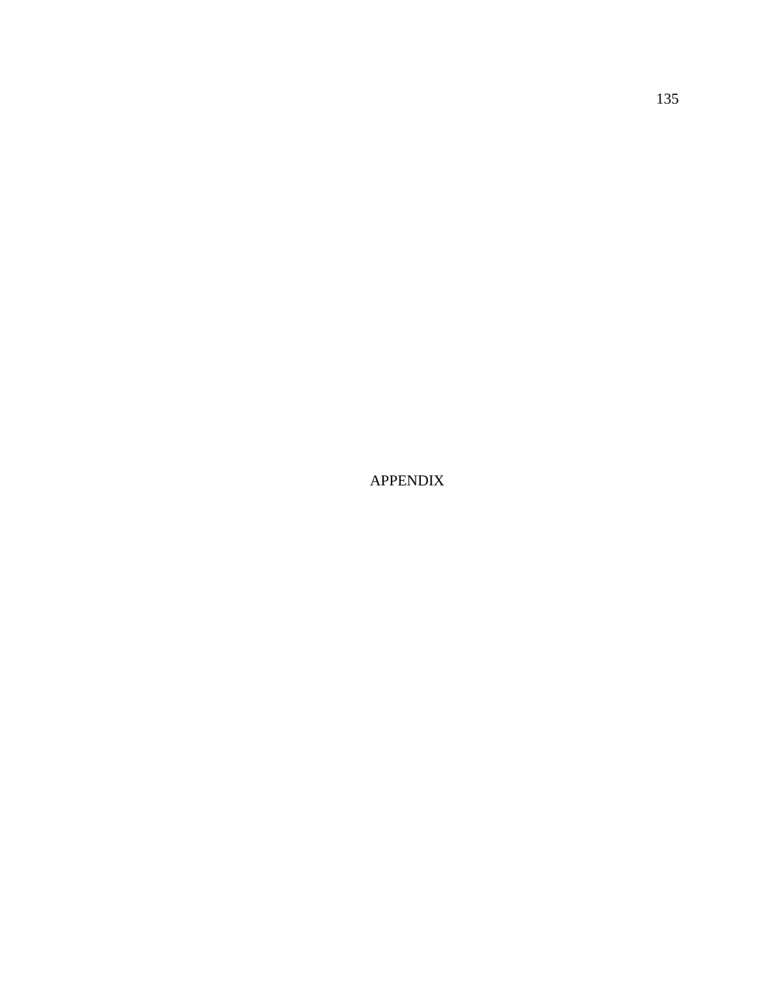APPENDIX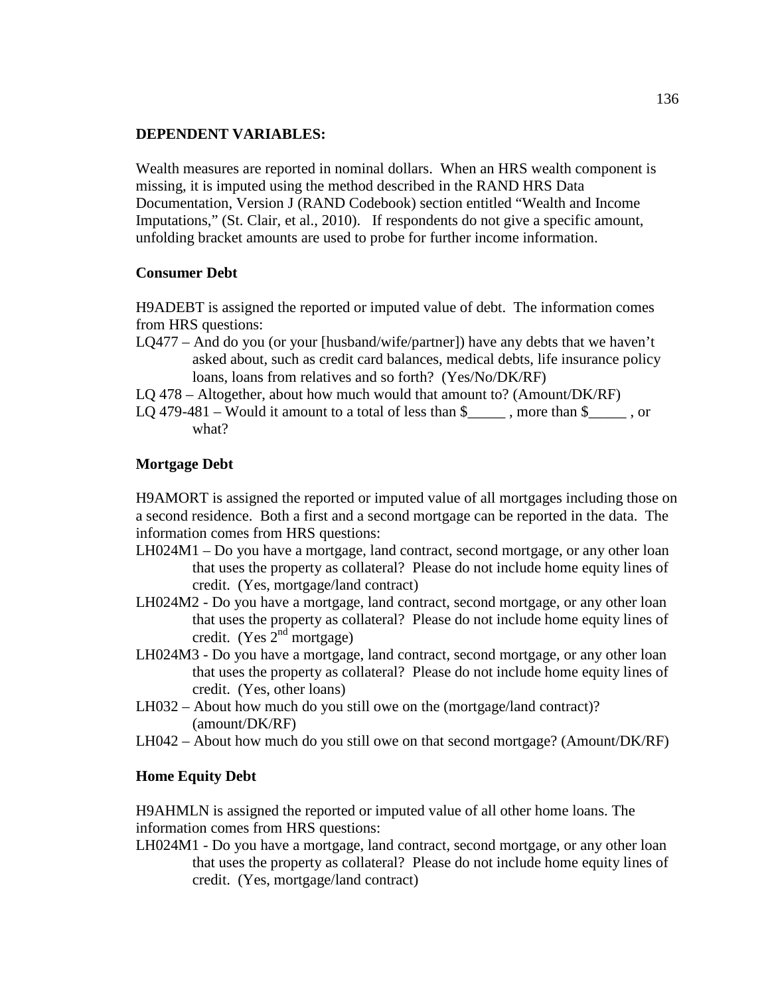### **DEPENDENT VARIABLES:**

Wealth measures are reported in nominal dollars. When an HRS wealth component is missing, it is imputed using the method described in the RAND HRS Data Documentation, Version J (RAND Codebook) section entitled "Wealth and Income Imputations," (St. Clair, et al., 2010). If respondents do not give a specific amount, unfolding bracket amounts are used to probe for further income information.

## **Consumer Debt**

H9ADEBT is assigned the reported or imputed value of debt. The information comes from HRS questions:

LQ477 – And do you (or your [husband/wife/partner]) have any debts that we haven't asked about, such as credit card balances, medical debts, life insurance policy loans, loans from relatives and so forth? (Yes/No/DK/RF)

LQ 478 – Altogether, about how much would that amount to? (Amount/DK/RF)

LQ 479-481 – Would it amount to a total of less than  $\frac{1}{2}$ , more than  $\frac{1}{2}$ , or what?

## **Mortgage Debt**

H9AMORT is assigned the reported or imputed value of all mortgages including those on a second residence. Both a first and a second mortgage can be reported in the data. The information comes from HRS questions:

- LH024M1 Do you have a mortgage, land contract, second mortgage, or any other loan that uses the property as collateral? Please do not include home equity lines of credit. (Yes, mortgage/land contract)
- LH024M2 Do you have a mortgage, land contract, second mortgage, or any other loan that uses the property as collateral? Please do not include home equity lines of credit. (Yes  $2<sup>nd</sup>$  mortgage)
- LH024M3 Do you have a mortgage, land contract, second mortgage, or any other loan that uses the property as collateral? Please do not include home equity lines of credit. (Yes, other loans)
- LH032 About how much do you still owe on the (mortgage/land contract)? (amount/DK/RF)
- LH042 About how much do you still owe on that second mortgage? (Amount/DK/RF)

#### **Home Equity Debt**

H9AHMLN is assigned the reported or imputed value of all other home loans. The information comes from HRS questions:

LH024M1 - Do you have a mortgage, land contract, second mortgage, or any other loan that uses the property as collateral? Please do not include home equity lines of credit. (Yes, mortgage/land contract)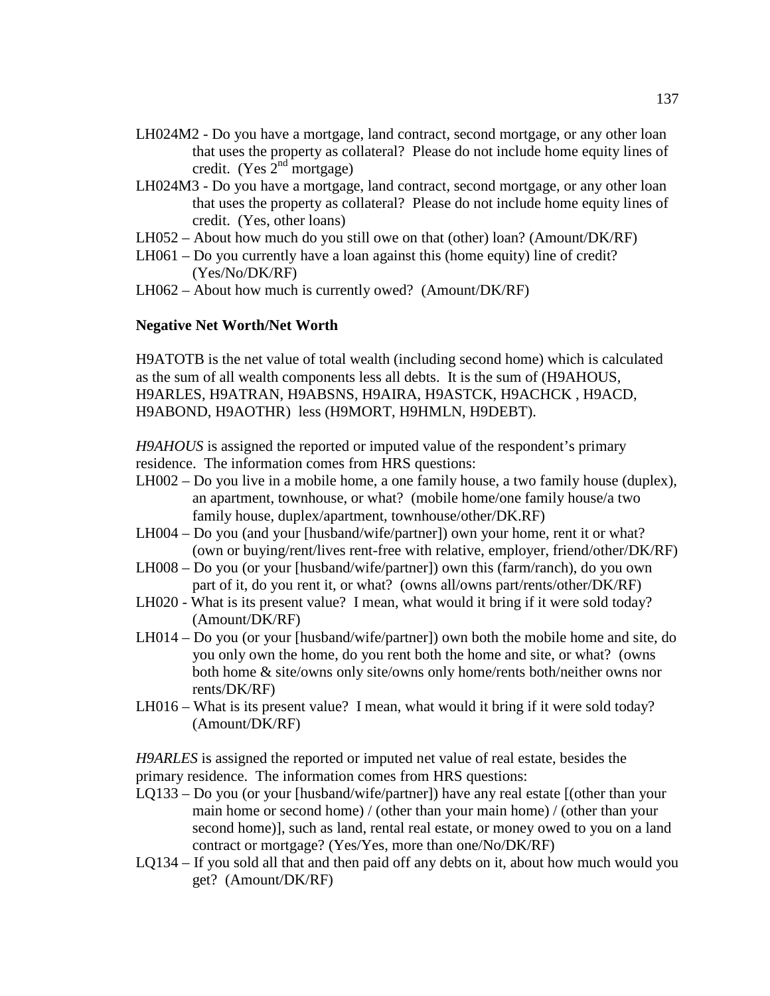- LH024M2 Do you have a mortgage, land contract, second mortgage, or any other loan that uses the property as collateral? Please do not include home equity lines of credit. (Yes  $2<sup>nd</sup>$  mortgage)
- LH024M3 Do you have a mortgage, land contract, second mortgage, or any other loan that uses the property as collateral? Please do not include home equity lines of credit. (Yes, other loans)
- LH052 About how much do you still owe on that (other) loan? (Amount/DK/RF)
- LH061 Do you currently have a loan against this (home equity) line of credit? (Yes/No/DK/RF)
- LH062 About how much is currently owed? (Amount/DK/RF)

#### **Negative Net Worth/Net Worth**

H9ATOTB is the net value of total wealth (including second home) which is calculated as the sum of all wealth components less all debts. It is the sum of (H9AHOUS, H9ARLES, H9ATRAN, H9ABSNS, H9AIRA, H9ASTCK, H9ACHCK , H9ACD, H9ABOND, H9AOTHR) less (H9MORT, H9HMLN, H9DEBT).

*H9AHOUS* is assigned the reported or imputed value of the respondent's primary residence. The information comes from HRS questions:

- LH002 Do you live in a mobile home, a one family house, a two family house (duplex), an apartment, townhouse, or what? (mobile home/one family house/a two family house, duplex/apartment, townhouse/other/DK.RF)
- LH004 Do you (and your [husband/wife/partner]) own your home, rent it or what? (own or buying/rent/lives rent-free with relative, employer, friend/other/DK/RF)
- LH008 Do you (or your [husband/wife/partner]) own this (farm/ranch), do you own part of it, do you rent it, or what? (owns all/owns part/rents/other/DK/RF)
- LH020 What is its present value? I mean, what would it bring if it were sold today? (Amount/DK/RF)
- LH014 Do you (or your [husband/wife/partner]) own both the mobile home and site, do you only own the home, do you rent both the home and site, or what? (owns both home & site/owns only site/owns only home/rents both/neither owns nor rents/DK/RF)
- LH016 What is its present value? I mean, what would it bring if it were sold today? (Amount/DK/RF)

*H9ARLES* is assigned the reported or imputed net value of real estate, besides the primary residence. The information comes from HRS questions:

- LQ133 Do you (or your [husband/wife/partner]) have any real estate [(other than your main home or second home) / (other than your main home) / (other than your second home)], such as land, rental real estate, or money owed to you on a land contract or mortgage? (Yes/Yes, more than one/No/DK/RF)
- LQ134 If you sold all that and then paid off any debts on it, about how much would you get? (Amount/DK/RF)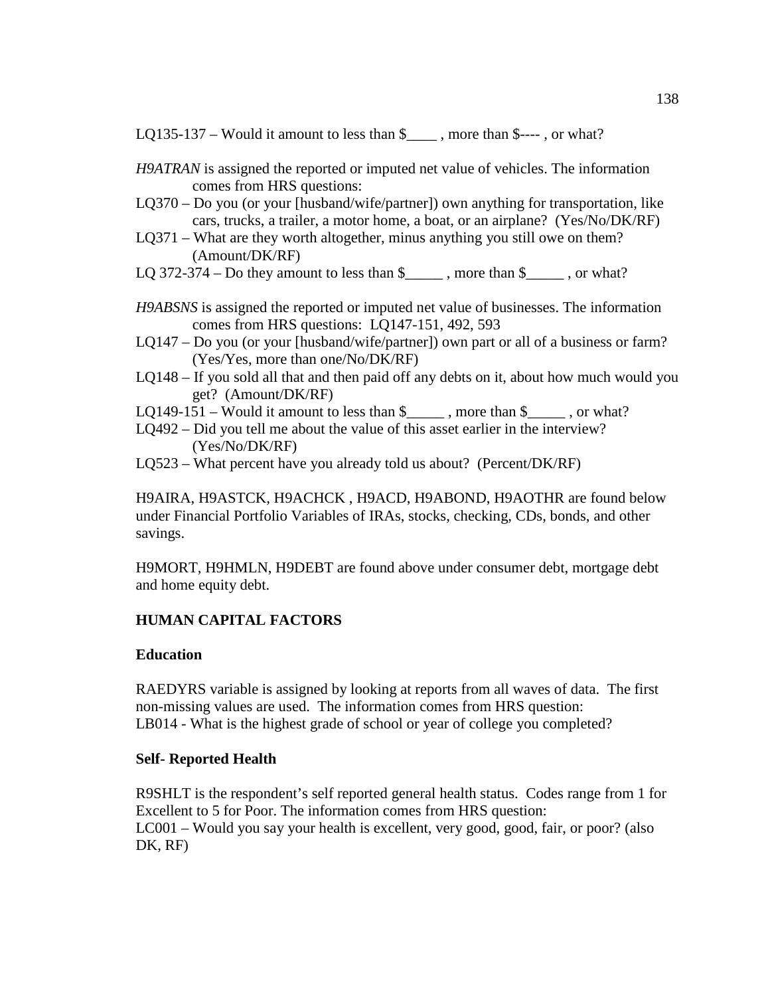LQ135-137 – Would it amount to less than  $\frac{1}{2}$ , more than  $\frac{1}{2}$ ---, or what?

- *H9ATRAN* is assigned the reported or imputed net value of vehicles. The information comes from HRS questions:
- LQ370 Do you (or your [husband/wife/partner]) own anything for transportation, like cars, trucks, a trailer, a motor home, a boat, or an airplane? (Yes/No/DK/RF)
- LQ371 What are they worth altogether, minus anything you still owe on them? (Amount/DK/RF)
- LQ 372-374 Do they amount to less than  $\frac{1}{2}$ , more than  $\frac{1}{2}$ , or what?
- *H9ABSNS* is assigned the reported or imputed net value of businesses. The information comes from HRS questions: LQ147-151, 492, 593
- LQ147 Do you (or your [husband/wife/partner]) own part or all of a business or farm? (Yes/Yes, more than one/No/DK/RF)
- LQ148 If you sold all that and then paid off any debts on it, about how much would you get? (Amount/DK/RF)
- LQ149-151 Would it amount to less than  $\frac{1}{2}$ , more than  $\frac{1}{2}$ , or what?
- LQ492 Did you tell me about the value of this asset earlier in the interview? (Yes/No/DK/RF)
- LQ523 What percent have you already told us about? (Percent/DK/RF)

H9AIRA, H9ASTCK, H9ACHCK , H9ACD, H9ABOND, H9AOTHR are found below under Financial Portfolio Variables of IRAs, stocks, checking, CDs, bonds, and other savings.

H9MORT, H9HMLN, H9DEBT are found above under consumer debt, mortgage debt and home equity debt.

# **HUMAN CAPITAL FACTORS**

## **Education**

RAEDYRS variable is assigned by looking at reports from all waves of data. The first non-missing values are used. The information comes from HRS question: LB014 - What is the highest grade of school or year of college you completed?

## **Self- Reported Health**

R9SHLT is the respondent's self reported general health status. Codes range from 1 for Excellent to 5 for Poor. The information comes from HRS question: LC001 – Would you say your health is excellent, very good, good, fair, or poor? (also DK, RF)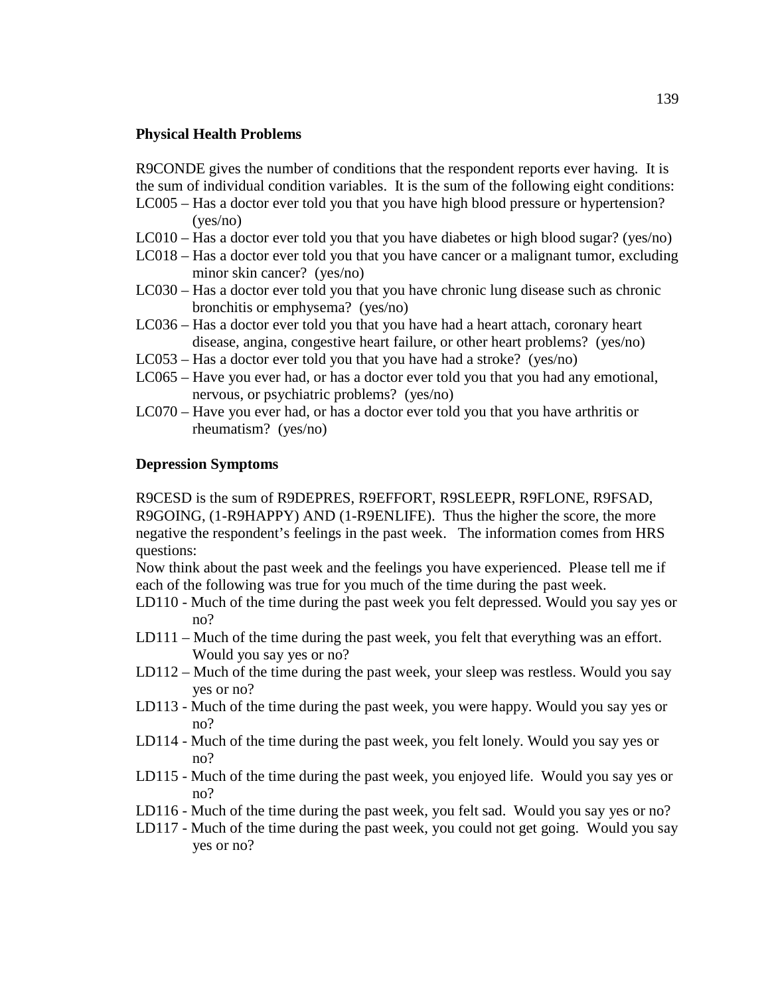#### **Physical Health Problems**

R9CONDE gives the number of conditions that the respondent reports ever having. It is the sum of individual condition variables. It is the sum of the following eight conditions:

- LC005 Has a doctor ever told you that you have high blood pressure or hypertension? (yes/no)
- LC010 Has a doctor ever told you that you have diabetes or high blood sugar? (yes/no)
- LC018 Has a doctor ever told you that you have cancer or a malignant tumor, excluding minor skin cancer? (yes/no)
- LC030 Has a doctor ever told you that you have chronic lung disease such as chronic bronchitis or emphysema? (yes/no)
- LC036 Has a doctor ever told you that you have had a heart attach, coronary heart disease, angina, congestive heart failure, or other heart problems? (yes/no)
- LC053 Has a doctor ever told you that you have had a stroke? (yes/no)
- LC065 Have you ever had, or has a doctor ever told you that you had any emotional, nervous, or psychiatric problems? (yes/no)
- LC070 Have you ever had, or has a doctor ever told you that you have arthritis or rheumatism? (yes/no)

#### **Depression Symptoms**

R9CESD is the sum of R9DEPRES, R9EFFORT, R9SLEEPR, R9FLONE, R9FSAD, R9GOING, (1-R9HAPPY) AND (1-R9ENLIFE). Thus the higher the score, the more negative the respondent's feelings in the past week. The information comes from HRS questions:

Now think about the past week and the feelings you have experienced. Please tell me if each of the following was true for you much of the time during the past week.

- LD110 Much of the time during the past week you felt depressed. Would you say yes or no?
- LD111 Much of the time during the past week, you felt that everything was an effort. Would you say yes or no?
- LD112 Much of the time during the past week, your sleep was restless. Would you say yes or no?
- LD113 Much of the time during the past week, you were happy. Would you say yes or no?
- LD114 Much of the time during the past week, you felt lonely. Would you say yes or no?
- LD115 Much of the time during the past week, you enjoyed life. Would you say yes or no?
- LD116 Much of the time during the past week, you felt sad. Would you say yes or no?
- LD117 Much of the time during the past week, you could not get going. Would you say yes or no?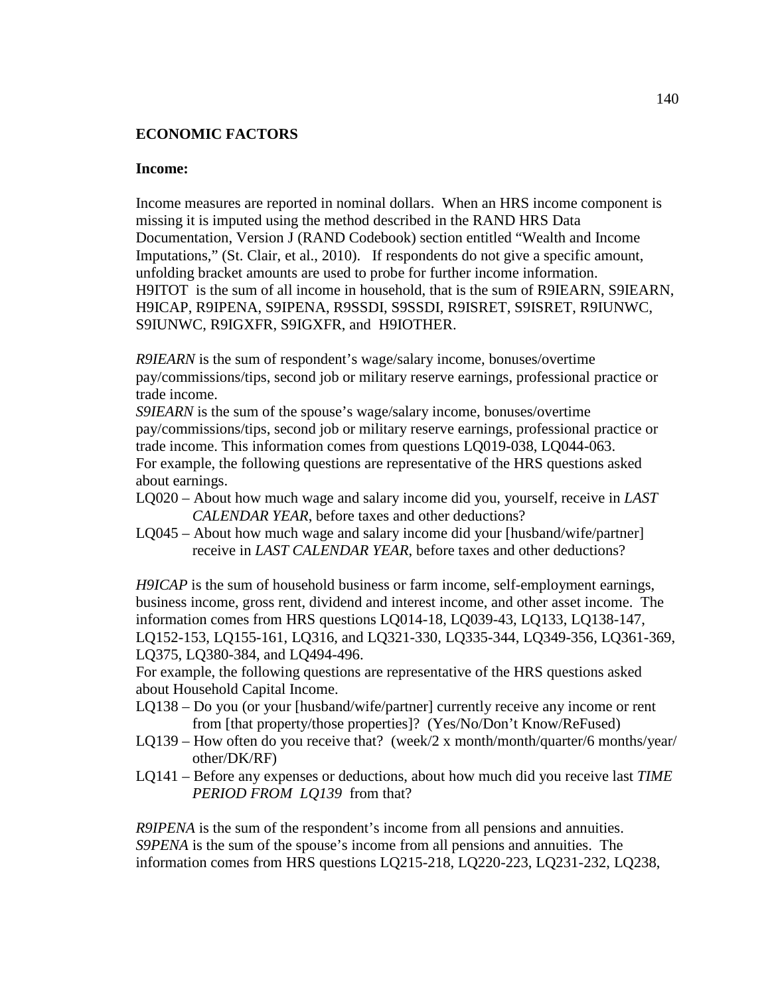## **ECONOMIC FACTORS**

#### **Income:**

Income measures are reported in nominal dollars. When an HRS income component is missing it is imputed using the method described in the RAND HRS Data Documentation, Version J (RAND Codebook) section entitled "Wealth and Income Imputations," (St. Clair, et al., 2010). If respondents do not give a specific amount, unfolding bracket amounts are used to probe for further income information. H9ITOT is the sum of all income in household, that is the sum of R9IEARN, S9IEARN, H9ICAP, R9IPENA, S9IPENA, R9SSDI, S9SSDI, R9ISRET, S9ISRET, R9IUNWC, S9IUNWC, R9IGXFR, S9IGXFR, and H9IOTHER.

*R9IEARN* is the sum of respondent's wage/salary income, bonuses/overtime pay/commissions/tips, second job or military reserve earnings, professional practice or trade income.

*S9IEARN* is the sum of the spouse's wage/salary income, bonuses/overtime pay/commissions/tips, second job or military reserve earnings, professional practice or trade income. This information comes from questions LQ019-038, LQ044-063. For example, the following questions are representative of the HRS questions asked about earnings.

- LQ020 About how much wage and salary income did you, yourself, receive in *LAST CALENDAR YEAR*, before taxes and other deductions?
- LQ045 About how much wage and salary income did your [husband/wife/partner] receive in *LAST CALENDAR YEAR*, before taxes and other deductions?

*H9ICAP* is the sum of household business or farm income, self-employment earnings, business income, gross rent, dividend and interest income, and other asset income. The information comes from HRS questions LQ014-18, LQ039-43, LQ133, LQ138-147, LQ152-153, LQ155-161, LQ316, and LQ321-330, LQ335-344, LQ349-356, LQ361-369, LQ375, LQ380-384, and LQ494-496.

For example, the following questions are representative of the HRS questions asked about Household Capital Income.

- LQ138 Do you (or your [husband/wife/partner] currently receive any income or rent from [that property/those properties]? (Yes/No/Don't Know/ReFused)
- LQ139 How often do you receive that? (week/2 x month/month/quarter/6 months/year/ other/DK/RF)
- LQ141 Before any expenses or deductions, about how much did you receive last *TIME PERIOD FROM LQ139* from that?

*R9IPENA* is the sum of the respondent's income from all pensions and annuities. *S9PENA* is the sum of the spouse's income from all pensions and annuities. The information comes from HRS questions LQ215-218, LQ220-223, LQ231-232, LQ238,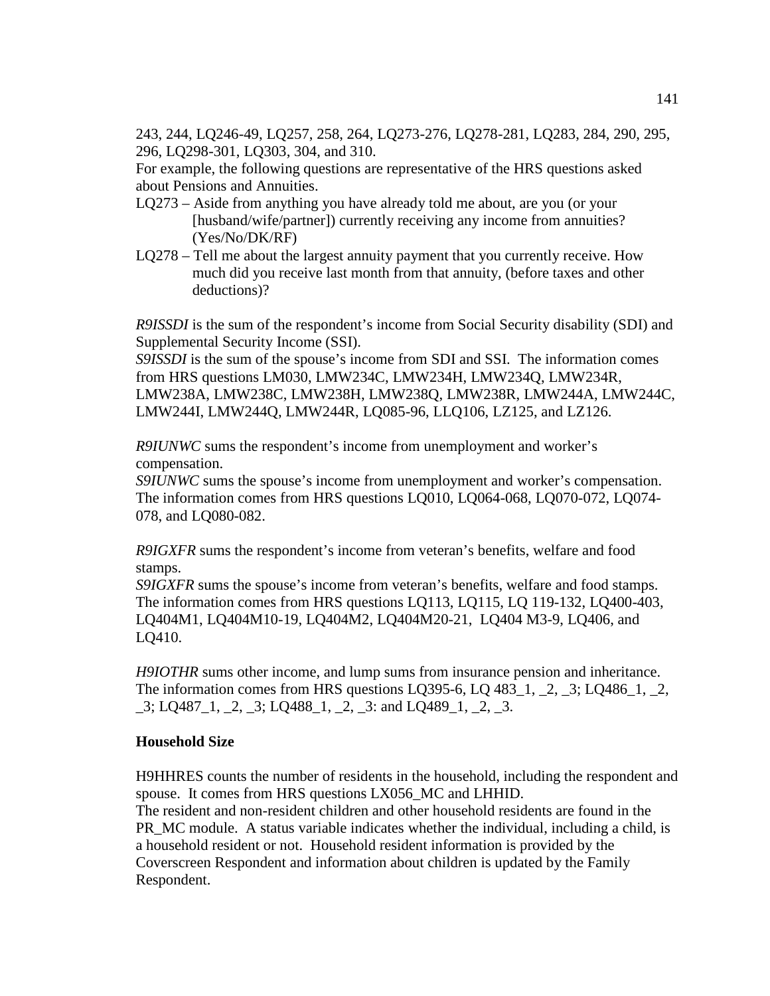243, 244, LQ246-49, LQ257, 258, 264, LQ273-276, LQ278-281, LQ283, 284, 290, 295, 296, LQ298-301, LQ303, 304, and 310.

For example, the following questions are representative of the HRS questions asked about Pensions and Annuities.

- LQ273 Aside from anything you have already told me about, are you (or your [husband/wife/partner]) currently receiving any income from annuities? (Yes/No/DK/RF)
- LQ278 Tell me about the largest annuity payment that you currently receive. How much did you receive last month from that annuity, (before taxes and other deductions)?

*R9ISSDI* is the sum of the respondent's income from Social Security disability (SDI) and Supplemental Security Income (SSI).

*S9ISSDI* is the sum of the spouse's income from SDI and SSI. The information comes from HRS questions LM030, LMW234C, LMW234H, LMW234Q, LMW234R, LMW238A, LMW238C, LMW238H, LMW238Q, LMW238R, LMW244A, LMW244C, LMW244I, LMW244Q, LMW244R, LQ085-96, LLQ106, LZ125, and LZ126.

*R9IUNWC* sums the respondent's income from unemployment and worker's compensation.

*S9IUNWC* sums the spouse's income from unemployment and worker's compensation. The information comes from HRS questions LQ010, LQ064-068, LQ070-072, LQ074- 078, and LQ080-082.

*R9IGXFR* sums the respondent's income from veteran's benefits, welfare and food stamps.

*S9IGXFR* sums the spouse's income from veteran's benefits, welfare and food stamps. The information comes from HRS questions LQ113, LQ115, LQ 119-132, LQ400-403, LQ404M1, LQ404M10-19, LQ404M2, LQ404M20-21, LQ404 M3-9, LQ406, and LQ410.

*H9IOTHR* sums other income, and lump sums from insurance pension and inheritance. The information comes from HRS questions LQ395-6, LQ 483\_1, \_2, \_3; LQ486\_1, \_2, \_3; LQ487\_1, \_2, \_3; LQ488\_1, \_2, \_3: and LQ489\_1, \_2, \_3.

## **Household Size**

H9HHRES counts the number of residents in the household, including the respondent and spouse. It comes from HRS questions LX056\_MC and LHHID.

The resident and non-resident children and other household residents are found in the PR\_MC module. A status variable indicates whether the individual, including a child, is a household resident or not. Household resident information is provided by the Coverscreen Respondent and information about children is updated by the Family Respondent.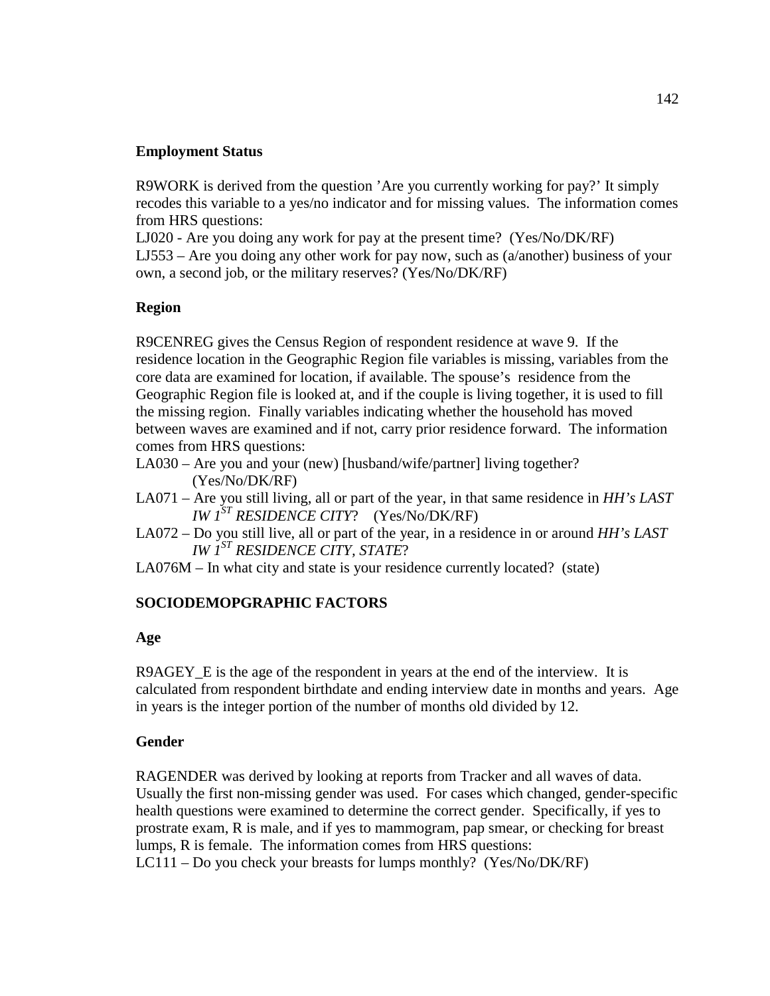## **Employment Status**

R9WORK is derived from the question 'Are you currently working for pay?' It simply recodes this variable to a yes/no indicator and for missing values. The information comes from HRS questions:

LJ020 - Are you doing any work for pay at the present time? (Yes/No/DK/RF) LJ553 – Are you doing any other work for pay now, such as (a/another) business of your own, a second job, or the military reserves? (Yes/No/DK/RF)

# **Region**

R9CENREG gives the Census Region of respondent residence at wave 9. If the residence location in the Geographic Region file variables is missing, variables from the core data are examined for location, if available. The spouse's residence from the Geographic Region file is looked at, and if the couple is living together, it is used to fill the missing region. Finally variables indicating whether the household has moved between waves are examined and if not, carry prior residence forward. The information comes from HRS questions:

- LA030 Are you and your (new) [husband/wife/partner] living together? (Yes/No/DK/RF)
- LA071 Are you still living, all or part of the year, in that same residence in *HH's LAST IW 1ST RESIDENCE CITY*? (Yes/No/DK/RF)
- LA072 Do you still live, all or part of the year, in a residence in or around *HH's LAST IW 1ST RESIDENCE CITY, STATE*?
- LA076M In what city and state is your residence currently located? (state)

# **SOCIODEMOPGRAPHIC FACTORS**

## **Age**

R9AGEY\_E is the age of the respondent in years at the end of the interview. It is calculated from respondent birthdate and ending interview date in months and years. Age in years is the integer portion of the number of months old divided by 12.

## **Gender**

RAGENDER was derived by looking at reports from Tracker and all waves of data. Usually the first non-missing gender was used. For cases which changed, gender-specific health questions were examined to determine the correct gender. Specifically, if yes to prostrate exam, R is male, and if yes to mammogram, pap smear, or checking for breast lumps, R is female. The information comes from HRS questions: LC111 – Do you check your breasts for lumps monthly? (Yes/No/DK/RF)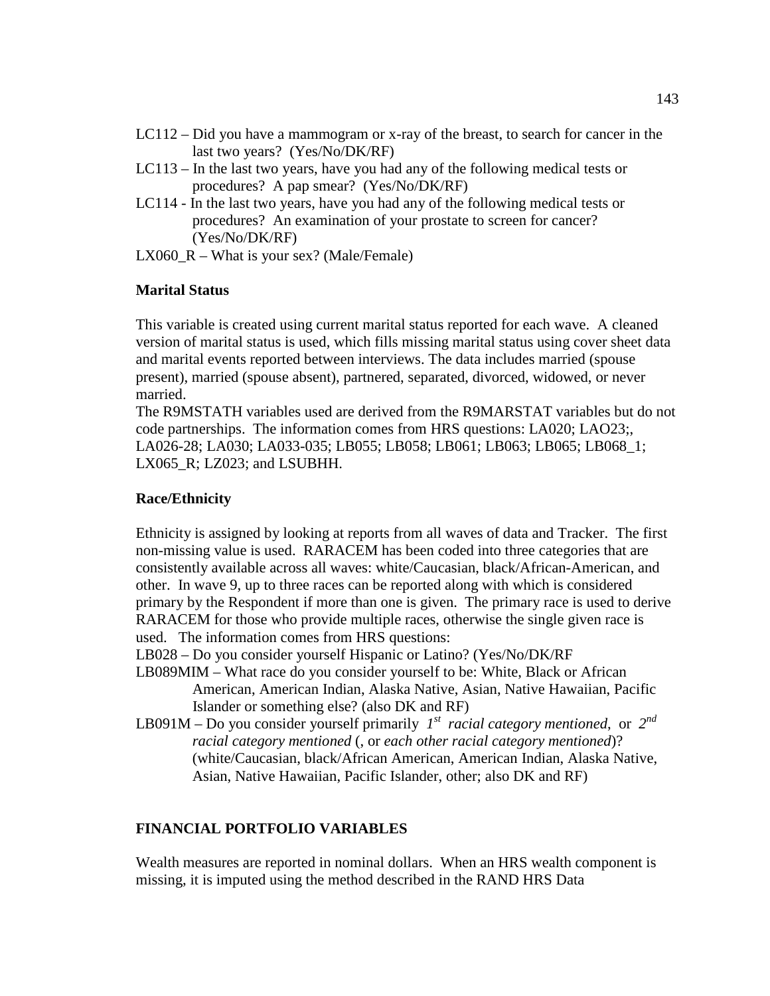- LC112 Did you have a mammogram or x-ray of the breast, to search for cancer in the last two years? (Yes/No/DK/RF)
- LC113 In the last two years, have you had any of the following medical tests or procedures? A pap smear? (Yes/No/DK/RF)
- LC114 In the last two years, have you had any of the following medical tests or procedures? An examination of your prostate to screen for cancer? (Yes/No/DK/RF)
- LX060\_R What is your sex? (Male/Female)

### **Marital Status**

This variable is created using current marital status reported for each wave. A cleaned version of marital status is used, which fills missing marital status using cover sheet data and marital events reported between interviews. The data includes married (spouse present), married (spouse absent), partnered, separated, divorced, widowed, or never married.

The R9MSTATH variables used are derived from the R9MARSTAT variables but do not code partnerships. The information comes from HRS questions: LA020; LAO23;, LA026-28; LA030; LA033-035; LB055; LB058; LB061; LB063; LB065; LB068\_1; LX065 R; LZ023; and LSUBHH.

### **Race/Ethnicity**

Ethnicity is assigned by looking at reports from all waves of data and Tracker. The first non-missing value is used. RARACEM has been coded into three categories that are consistently available across all waves: white/Caucasian, black/African-American, and other. In wave 9, up to three races can be reported along with which is considered primary by the Respondent if more than one is given. The primary race is used to derive RARACEM for those who provide multiple races, otherwise the single given race is used. The information comes from HRS questions:

LB028 – Do you consider yourself Hispanic or Latino? (Yes/No/DK/RF

- LB089MIM What race do you consider yourself to be: White, Black or African American, American Indian, Alaska Native, Asian, Native Hawaiian, Pacific Islander or something else? (also DK and RF)
- LB091M Do you consider yourself primarily  $I^{st}$  racial category mentioned, or  $2^{nd}$  *racial category mentioned* (, or *each other racial category mentioned*)? (white/Caucasian, black/African American, American Indian, Alaska Native, Asian, Native Hawaiian, Pacific Islander, other; also DK and RF)

### **FINANCIAL PORTFOLIO VARIABLES**

Wealth measures are reported in nominal dollars. When an HRS wealth component is missing, it is imputed using the method described in the RAND HRS Data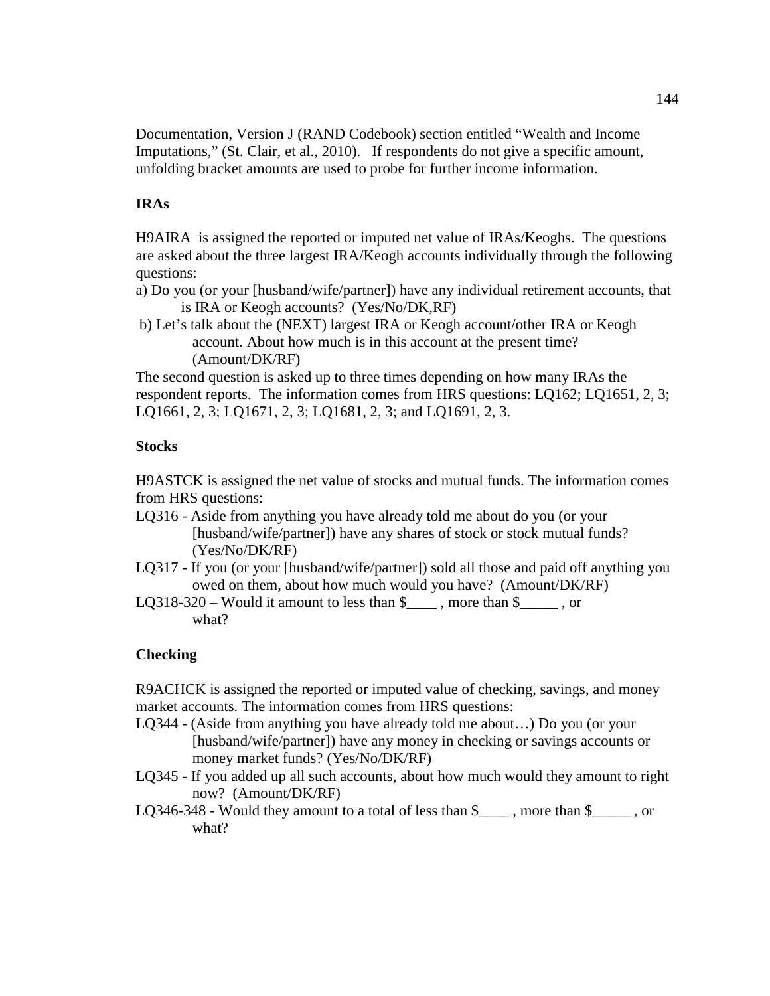Documentation, Version J (RAND Codebook) section entitled "Wealth and Income Imputations," (St. Clair, et al., 2010). If respondents do not give a specific amount, unfolding bracket amounts are used to probe for further income information.

# **IRAs**

H9AIRA is assigned the reported or imputed net value of IRAs/Keoghs. The questions are asked about the three largest IRA/Keogh accounts individually through the following questions:

- a) Do you (or your [husband/wife/partner]) have any individual retirement accounts, that is IRA or Keogh accounts? (Yes/No/DK,RF)
- b) Let's talk about the (NEXT) largest IRA or Keogh account/other IRA or Keogh account. About how much is in this account at the present time? (Amount/DK/RF)

The second question is asked up to three times depending on how many IRAs the respondent reports. The information comes from HRS questions: LQ162; LQ1651, 2, 3; LQ1661, 2, 3; LQ1671, 2, 3; LQ1681, 2, 3; and LQ1691, 2, 3.

# **Stocks**

H9ASTCK is assigned the net value of stocks and mutual funds. The information comes from HRS questions:

- LQ316 Aside from anything you have already told me about do you (or your [husband/wife/partner]) have any shares of stock or stock mutual funds? (Yes/No/DK/RF)
- LQ317 If you (or your [husband/wife/partner]) sold all those and paid off anything you owed on them, about how much would you have? (Amount/DK/RF)
- LQ318-320 Would it amount to less than  $\frac{1}{2}$ , more than  $\frac{1}{2}$ , or what?

# **Checking**

R9ACHCK is assigned the reported or imputed value of checking, savings, and money market accounts. The information comes from HRS questions:

- LQ344 (Aside from anything you have already told me about…) Do you (or your [husband/wife/partner]) have any money in checking or savings accounts or money market funds? (Yes/No/DK/RF)
- LQ345 If you added up all such accounts, about how much would they amount to right now? (Amount/DK/RF)
- LQ346-348 Would they amount to a total of less than \$ more than \$, or what?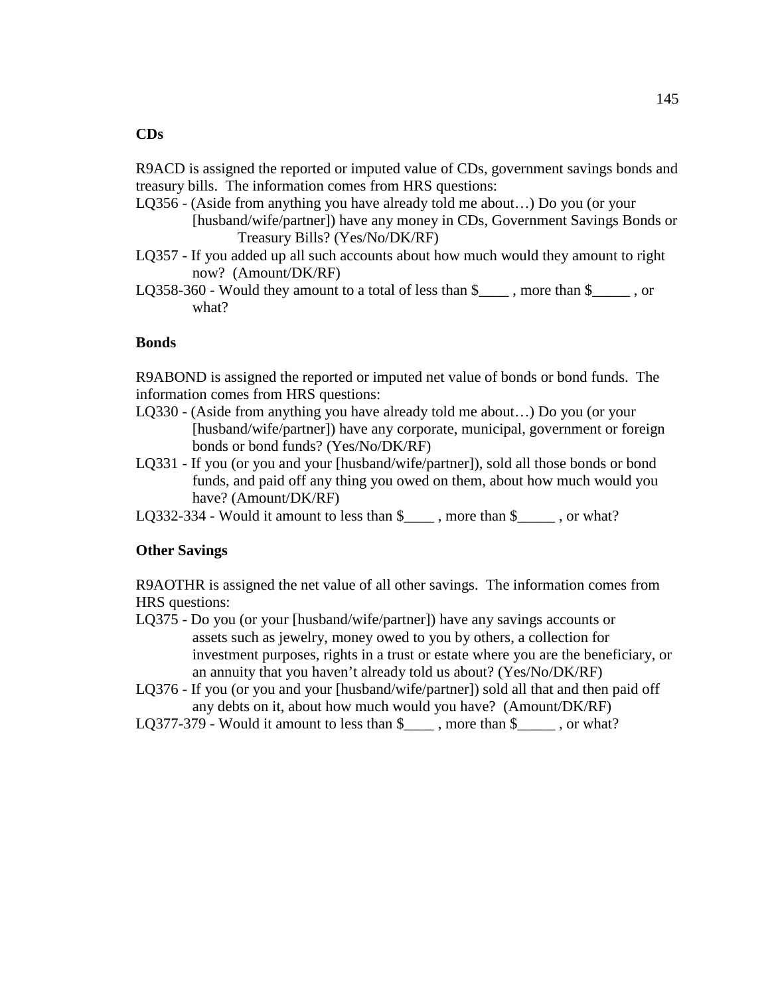R9ACD is assigned the reported or imputed value of CDs, government savings bonds and treasury bills. The information comes from HRS questions:

- LQ356 (Aside from anything you have already told me about…) Do you (or your [husband/wife/partner]) have any money in CDs, Government Savings Bonds or Treasury Bills? (Yes/No/DK/RF)
- LQ357 If you added up all such accounts about how much would they amount to right now? (Amount/DK/RF)
- LQ358-360 Would they amount to a total of less than \$\_\_\_\_ , more than \$\_\_\_\_\_ , or what?

# **Bonds**

R9ABOND is assigned the reported or imputed net value of bonds or bond funds. The information comes from HRS questions:

- LQ330 (Aside from anything you have already told me about…) Do you (or your [husband/wife/partner]) have any corporate, municipal, government or foreign bonds or bond funds? (Yes/No/DK/RF)
- LQ331 If you (or you and your [husband/wife/partner]), sold all those bonds or bond funds, and paid off any thing you owed on them, about how much would you have? (Amount/DK/RF)
- LQ332-334 Would it amount to less than \$\_\_\_\_\_\_, more than \$\_\_\_\_\_\_, or what?

## **Other Savings**

R9AOTHR is assigned the net value of all other savings. The information comes from HRS questions:

- LQ375 Do you (or your [husband/wife/partner]) have any savings accounts or assets such as jewelry, money owed to you by others, a collection for investment purposes, rights in a trust or estate where you are the beneficiary, or an annuity that you haven't already told us about? (Yes/No/DK/RF)
- LQ376 If you (or you and your [husband/wife/partner]) sold all that and then paid off any debts on it, about how much would you have? (Amount/DK/RF)
- LQ377-379 Would it amount to less than \$\_\_\_\_\_, more than \$\_\_\_\_\_, or what?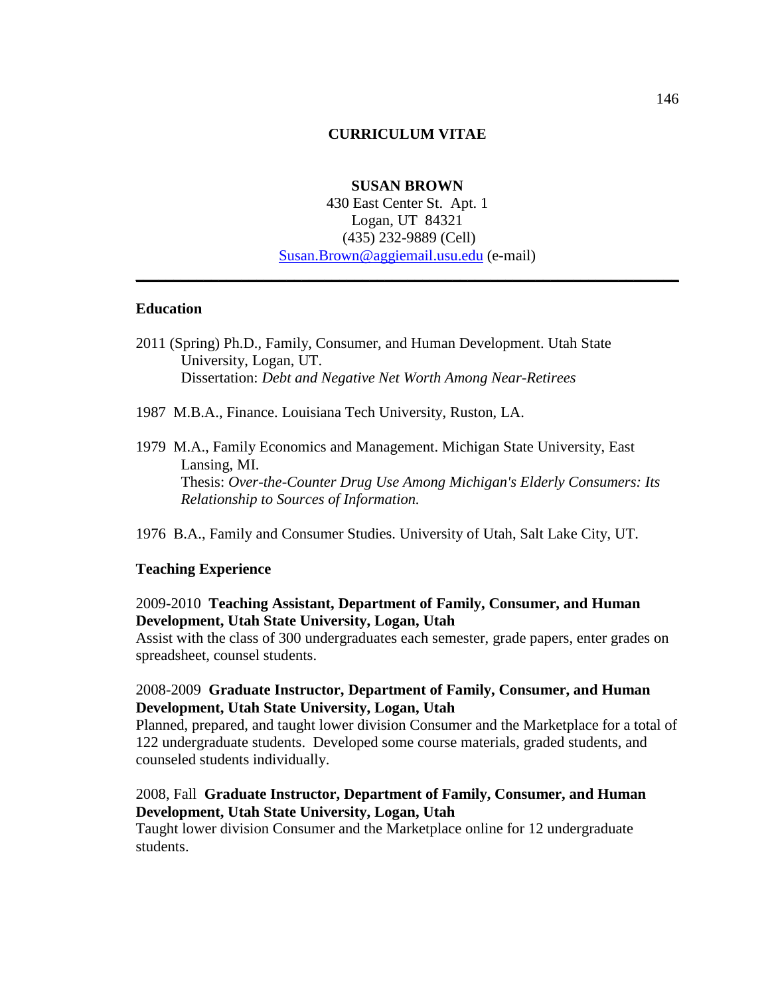#### **CURRICULUM VITAE**

### **SUSAN BROWN**

430 East Center St. Apt. 1 Logan, UT 84321 (435) 232-9889 (Cell) Susan.Brown@aggiemail.usu.edu (e-mail)

**\_\_\_\_\_\_\_\_\_\_\_\_\_\_\_\_\_\_\_\_\_\_\_\_\_\_\_\_\_\_\_\_\_\_\_\_\_\_\_\_\_\_\_\_\_\_\_\_\_\_\_\_\_\_\_\_\_\_\_\_\_\_\_\_\_\_\_\_\_\_\_\_**

#### **Education**

- 2011 (Spring) Ph.D., Family, Consumer, and Human Development. Utah State University, Logan, UT. Dissertation: *Debt and Negative Net Worth Among Near-Retirees*
- 1987 M.B.A., Finance. Louisiana Tech University, Ruston, LA.
- 1979 M.A., Family Economics and Management. Michigan State University, East Lansing, MI. Thesis: *Over-the-Counter Drug Use Among Michigan's Elderly Consumers: Its Relationship to Sources of Information.*
- 1976 B.A., Family and Consumer Studies. University of Utah, Salt Lake City, UT.

#### **Teaching Experience**

## 2009-2010 **Teaching Assistant, Department of Family, Consumer, and Human Development, Utah State University, Logan, Utah**

Assist with the class of 300 undergraduates each semester, grade papers, enter grades on spreadsheet, counsel students.

### 2008-2009 **Graduate Instructor, Department of Family, Consumer, and Human Development, Utah State University, Logan, Utah**

Planned, prepared, and taught lower division Consumer and the Marketplace for a total of 122 undergraduate students. Developed some course materials, graded students, and counseled students individually.

#### 2008, Fall **Graduate Instructor, Department of Family, Consumer, and Human Development, Utah State University, Logan, Utah**

Taught lower division Consumer and the Marketplace online for 12 undergraduate students.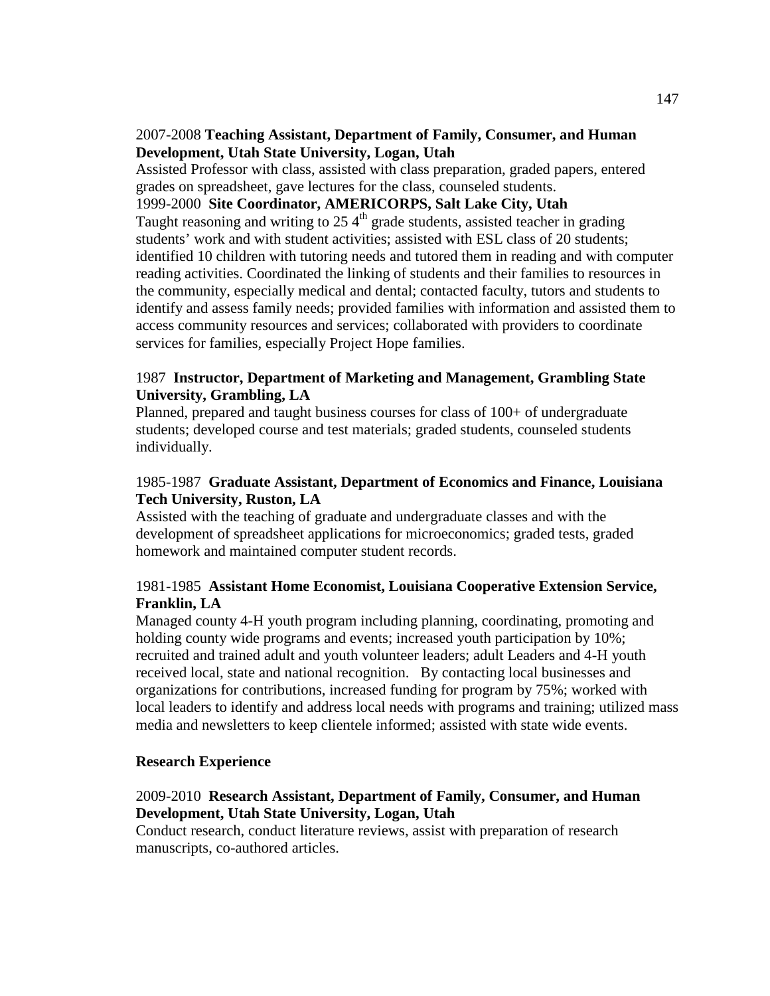## 2007-2008 **Teaching Assistant, Department of Family, Consumer, and Human Development, Utah State University, Logan, Utah**

Assisted Professor with class, assisted with class preparation, graded papers, entered grades on spreadsheet, gave lectures for the class, counseled students.

1999-2000 **Site Coordinator, AMERICORPS, Salt Lake City, Utah** Taught reasoning and writing to  $25.4<sup>th</sup>$  grade students, assisted teacher in grading students' work and with student activities; assisted with ESL class of 20 students; identified 10 children with tutoring needs and tutored them in reading and with computer reading activities. Coordinated the linking of students and their families to resources in the community, especially medical and dental; contacted faculty, tutors and students to identify and assess family needs; provided families with information and assisted them to access community resources and services; collaborated with providers to coordinate services for families, especially Project Hope families.

# 1987 **Instructor, Department of Marketing and Management, Grambling State University, Grambling, LA**

Planned, prepared and taught business courses for class of 100+ of undergraduate students; developed course and test materials; graded students, counseled students individually.

# 1985-1987 **Graduate Assistant, Department of Economics and Finance, Louisiana Tech University, Ruston, LA**

Assisted with the teaching of graduate and undergraduate classes and with the development of spreadsheet applications for microeconomics; graded tests, graded homework and maintained computer student records.

# 1981-1985 **Assistant Home Economist, Louisiana Cooperative Extension Service, Franklin, LA**

Managed county 4-H youth program including planning, coordinating, promoting and holding county wide programs and events; increased youth participation by 10%; recruited and trained adult and youth volunteer leaders; adult Leaders and 4-H youth received local, state and national recognition. By contacting local businesses and organizations for contributions, increased funding for program by 75%; worked with local leaders to identify and address local needs with programs and training; utilized mass media and newsletters to keep clientele informed; assisted with state wide events.

## **Research Experience**

# 2009-2010 **Research Assistant, Department of Family, Consumer, and Human Development, Utah State University, Logan, Utah**

Conduct research, conduct literature reviews, assist with preparation of research manuscripts, co-authored articles.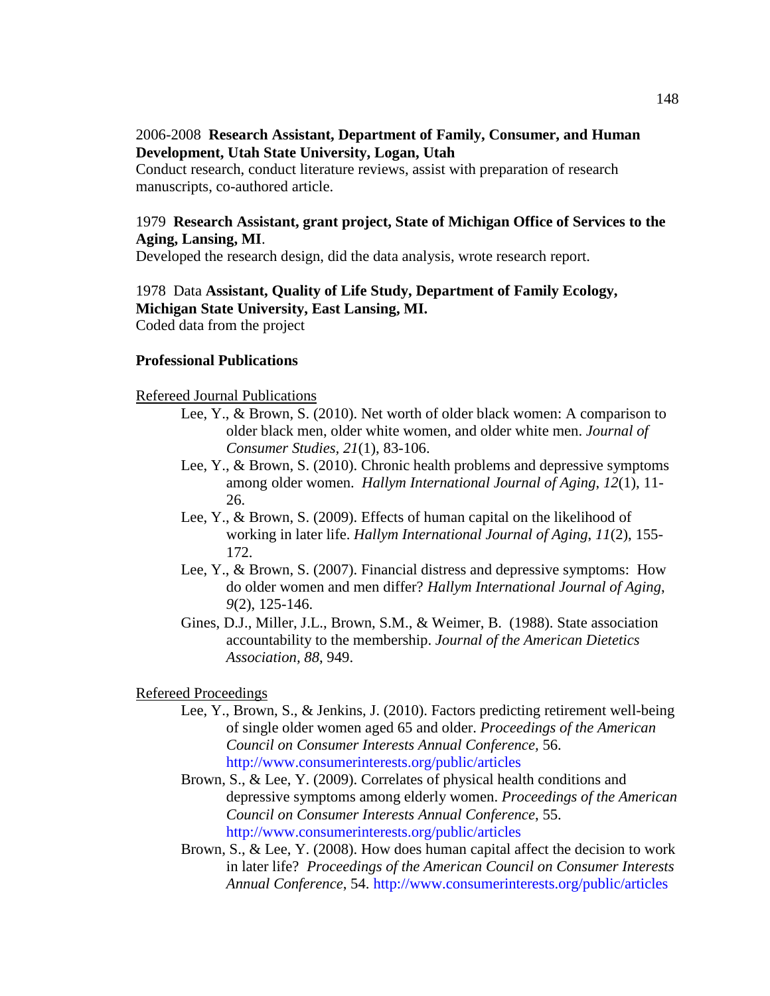## 2006-2008 **Research Assistant, Department of Family, Consumer, and Human Development, Utah State University, Logan, Utah**

Conduct research, conduct literature reviews, assist with preparation of research manuscripts, co-authored article.

## 1979 **Research Assistant, grant project, State of Michigan Office of Services to the Aging, Lansing, MI**.

Developed the research design, did the data analysis, wrote research report.

## 1978 Data **Assistant, Quality of Life Study, Department of Family Ecology, Michigan State University, East Lansing, MI.**  Coded data from the project

### **Professional Publications**

#### Refereed Journal Publications

- Lee, Y., & Brown, S. (2010). Net worth of older black women: A comparison to older black men, older white women, and older white men. *Journal of Consumer Studies, 21*(1), 83-106.
- Lee, Y., & Brown, S. (2010). Chronic health problems and depressive symptoms among older women. *Hallym International Journal of Aging*, *12*(1), 11- 26.
- Lee, Y., & Brown, S. (2009). Effects of human capital on the likelihood of working in later life. *Hallym International Journal of Aging*, *11*(2), 155- 172.
- Lee, Y., & Brown, S. (2007). Financial distress and depressive symptoms: How do older women and men differ? *Hallym International Journal of Aging*, *9*(2), 125-146.
- Gines, D.J., Miller, J.L., Brown, S.M., & Weimer, B. (1988). State association accountability to the membership. *Journal of the American Dietetics Association, 88*, 949.

#### Refereed Proceedings

- Lee, Y., Brown, S., & Jenkins, J. (2010). Factors predicting retirement well-being of single older women aged 65 and older. *Proceedings of the American Council on Consumer Interests Annual Conference,* 56. http://www.consumerinterests.org/public/articles
- Brown, S., & Lee, Y. (2009). Correlates of physical health conditions and depressive symptoms among elderly women. *Proceedings of the American Council on Consumer Interests Annual Conference*, 55. http://www.consumerinterests.org/public/articles
- Brown, S., & Lee, Y. (2008). How does human capital affect the decision to work in later life? *Proceedings of the American Council on Consumer Interests Annual Conference*, 54. http://www.consumerinterests.org/public/articles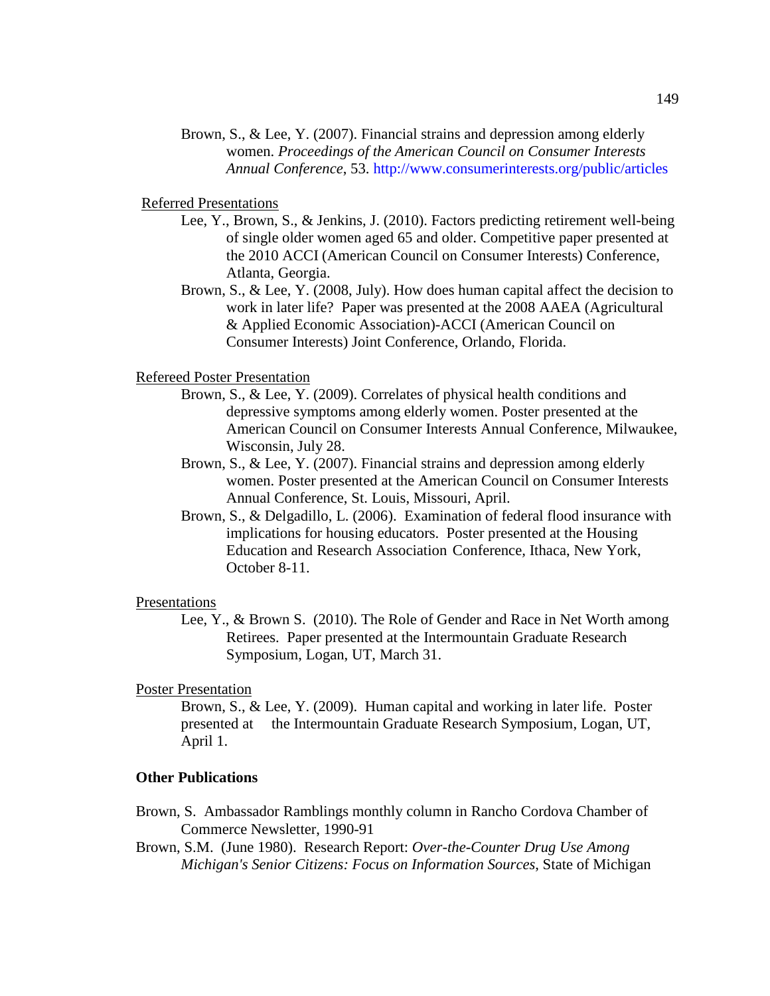Brown, S., & Lee, Y. (2007). Financial strains and depression among elderly women. *Proceedings of the American Council on Consumer Interests Annual Conference*, 53. http://www.consumerinterests.org/public/articles

#### Referred Presentations

- Lee, Y., Brown, S., & Jenkins, J. (2010). Factors predicting retirement well-being of single older women aged 65 and older. Competitive paper presented at the 2010 ACCI (American Council on Consumer Interests) Conference, Atlanta, Georgia.
- Brown, S., & Lee, Y. (2008, July). How does human capital affect the decision to work in later life? Paper was presented at the 2008 AAEA (Agricultural & Applied Economic Association)-ACCI (American Council on Consumer Interests) Joint Conference, Orlando, Florida.

#### Refereed Poster Presentation

- Brown, S., & Lee, Y. (2009). Correlates of physical health conditions and depressive symptoms among elderly women. Poster presented at the American Council on Consumer Interests Annual Conference, Milwaukee, Wisconsin, July 28.
- Brown, S., & Lee, Y. (2007). Financial strains and depression among elderly women. Poster presented at the American Council on Consumer Interests Annual Conference, St. Louis, Missouri, April.
- Brown, S., & Delgadillo, L. (2006). Examination of federal flood insurance with implications for housing educators. Poster presented at the Housing Education and Research Association Conference*,* Ithaca, New York, October 8-11.

#### Presentations

 Lee, Y., & Brown S. (2010). The Role of Gender and Race in Net Worth among Retirees. Paper presented at the Intermountain Graduate Research Symposium, Logan, UT, March 31.

#### Poster Presentation

 Brown, S., & Lee, Y. (2009). Human capital and working in later life. Poster presented at the Intermountain Graduate Research Symposium, Logan, UT, April 1.

### **Other Publications**

- Brown, S. Ambassador Ramblings monthly column in Rancho Cordova Chamber of Commerce Newsletter, 1990-91
- Brown, S.M. (June 1980). Research Report: *Over-the-Counter Drug Use Among Michigan's Senior Citizens: Focus on Information Sources*, State of Michigan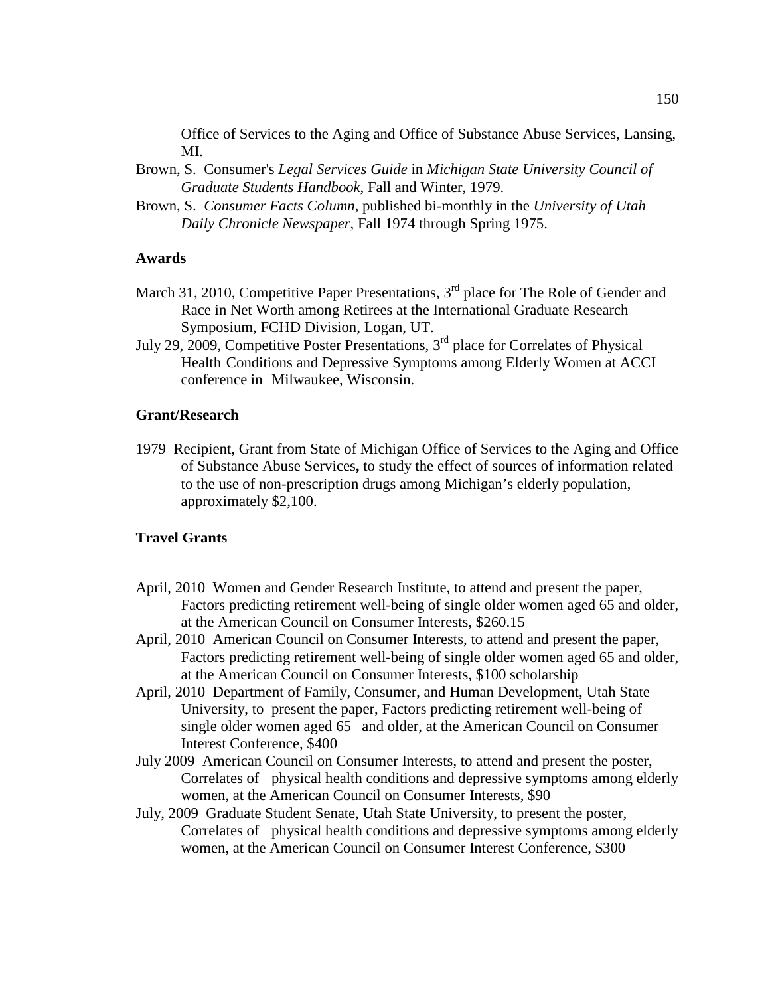Office of Services to the Aging and Office of Substance Abuse Services, Lansing, MI.

- Brown, S. Consumer's *Legal Services Guide* in *Michigan State University Council of Graduate Students Handbook*, Fall and Winter, 1979.
- Brown, S. *Consumer Facts Column*, published bi-monthly in the *University of Utah Daily Chronicle Newspaper*, Fall 1974 through Spring 1975.

### **Awards**

- March 31, 2010, Competitive Paper Presentations, 3<sup>rd</sup> place for The Role of Gender and Race in Net Worth among Retirees at the International Graduate Research Symposium, FCHD Division, Logan, UT.
- July 29, 2009, Competitive Poster Presentations, 3rd place for Correlates of Physical Health Conditions and Depressive Symptoms among Elderly Women at ACCI conference in Milwaukee, Wisconsin.

#### **Grant/Research**

1979 Recipient, Grant from State of Michigan Office of Services to the Aging and Office of Substance Abuse Services**,** to study the effect of sources of information related to the use of non-prescription drugs among Michigan's elderly population, approximately \$2,100.

### **Travel Grants**

- April, 2010 Women and Gender Research Institute, to attend and present the paper, Factors predicting retirement well-being of single older women aged 65 and older, at the American Council on Consumer Interests, \$260.15
- April, 2010 American Council on Consumer Interests, to attend and present the paper, Factors predicting retirement well-being of single older women aged 65 and older, at the American Council on Consumer Interests, \$100 scholarship
- April, 2010 Department of Family, Consumer, and Human Development, Utah State University, to present the paper, Factors predicting retirement well-being of single older women aged 65 and older, at the American Council on Consumer Interest Conference, \$400
- July 2009 American Council on Consumer Interests, to attend and present the poster, Correlates of physical health conditions and depressive symptoms among elderly women, at the American Council on Consumer Interests, \$90
- July, 2009 Graduate Student Senate, Utah State University, to present the poster, Correlates of physical health conditions and depressive symptoms among elderly women, at the American Council on Consumer Interest Conference, \$300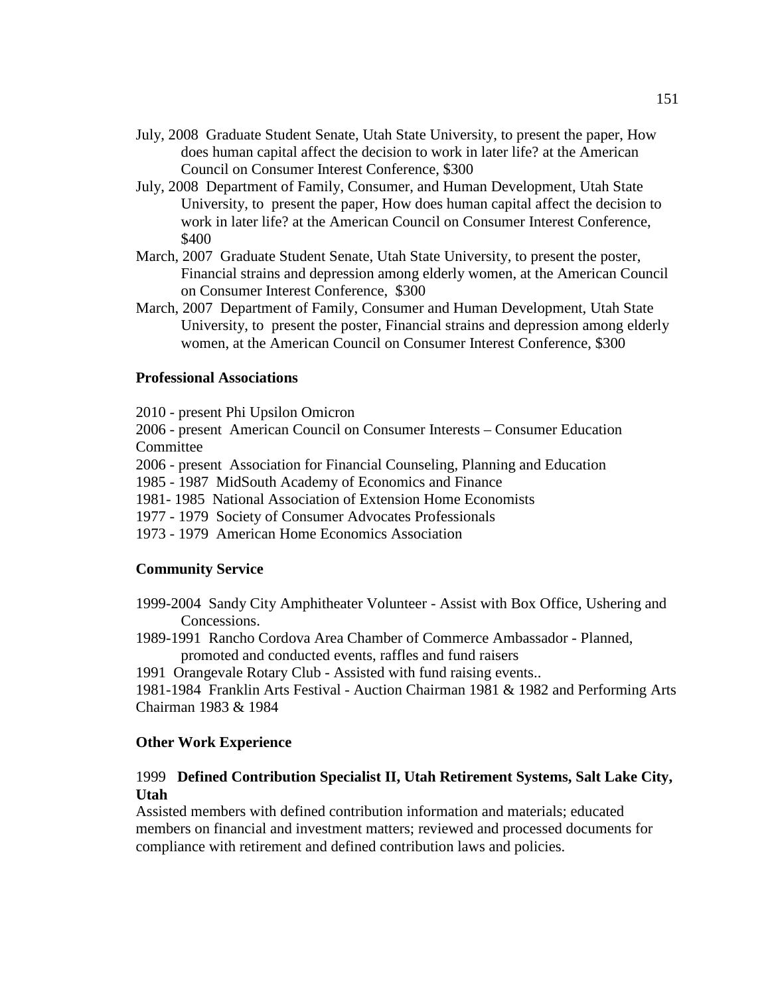- July, 2008 Graduate Student Senate, Utah State University, to present the paper, How does human capital affect the decision to work in later life? at the American Council on Consumer Interest Conference, \$300
- July, 2008 Department of Family, Consumer, and Human Development, Utah State University, to present the paper, How does human capital affect the decision to work in later life? at the American Council on Consumer Interest Conference, \$400
- March, 2007 Graduate Student Senate, Utah State University, to present the poster, Financial strains and depression among elderly women, at the American Council on Consumer Interest Conference, \$300
- March, 2007 Department of Family, Consumer and Human Development, Utah State University, to present the poster, Financial strains and depression among elderly women, at the American Council on Consumer Interest Conference, \$300

#### **Professional Associations**

2010 - present Phi Upsilon Omicron

2006 - present American Council on Consumer Interests – Consumer Education **Committee** 

2006 - present Association for Financial Counseling, Planning and Education

1985 - 1987 MidSouth Academy of Economics and Finance

1981- 1985 National Association of Extension Home Economists

1977 - 1979 Society of Consumer Advocates Professionals

1973 - 1979 American Home Economics Association

#### **Community Service**

- 1999-2004 Sandy City Amphitheater Volunteer Assist with Box Office, Ushering and Concessions.
- 1989-1991 Rancho Cordova Area Chamber of Commerce Ambassador Planned, promoted and conducted events, raffles and fund raisers

1991 Orangevale Rotary Club - Assisted with fund raising events..

1981-1984 Franklin Arts Festival - Auction Chairman 1981 & 1982 and Performing Arts Chairman 1983 & 1984

#### **Other Work Experience**

## 1999 **Defined Contribution Specialist II, Utah Retirement Systems, Salt Lake City, Utah**

Assisted members with defined contribution information and materials; educated members on financial and investment matters; reviewed and processed documents for compliance with retirement and defined contribution laws and policies.